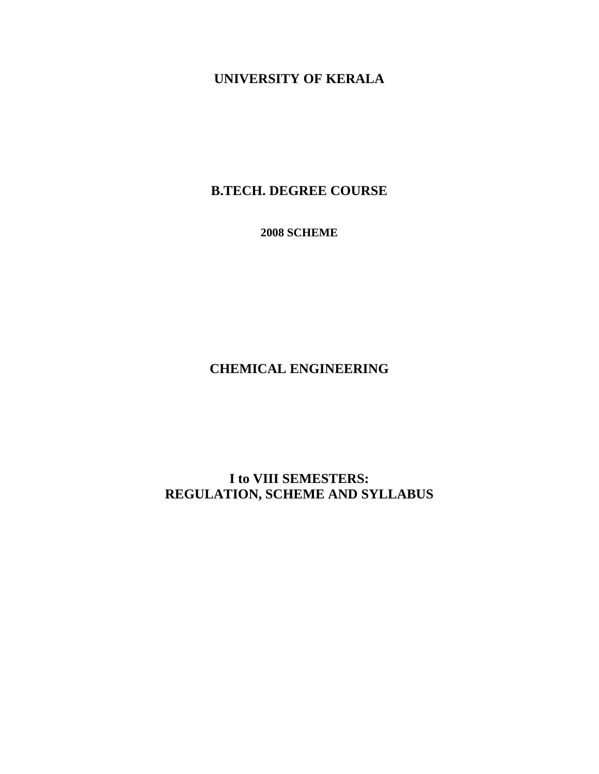# **UNIVERSITY OF KERALA**

# **B.TECH. DEGREE COURSE**

**2008 SCHEME** 

**CHEMICAL ENGINEERING** 

# **I to VIII SEMESTERS: REGULATION, SCHEME AND SYLLABUS**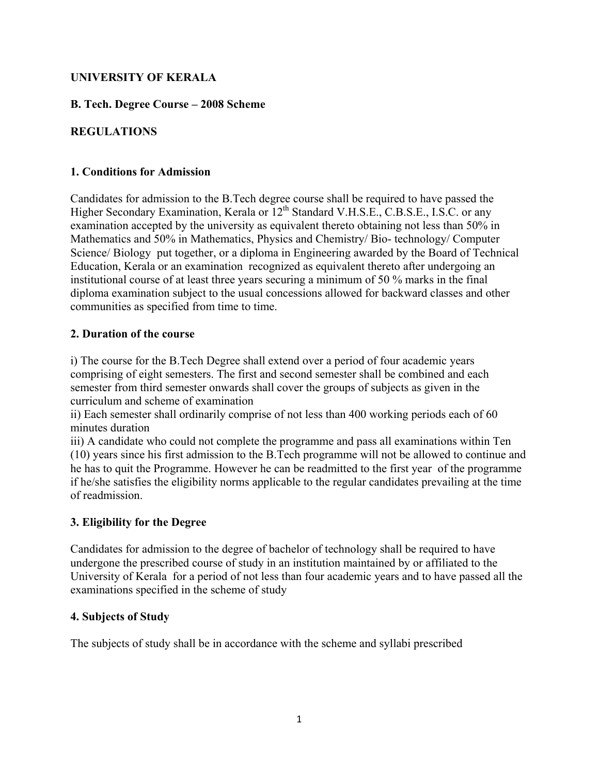# **UNIVERSITY OF KERALA**

**B. Tech. Degree Course – 2008 Scheme** 

# **REGULATIONS**

#### **1. Conditions for Admission**

Candidates for admission to the B.Tech degree course shall be required to have passed the Higher Secondary Examination, Kerala or  $12^{th}$  Standard V.H.S.E., C.B.S.E., I.S.C. or any examination accepted by the university as equivalent thereto obtaining not less than 50% in Mathematics and 50% in Mathematics, Physics and Chemistry/ Bio- technology/ Computer Science/ Biology put together, or a diploma in Engineering awarded by the Board of Technical Education, Kerala or an examination recognized as equivalent thereto after undergoing an institutional course of at least three years securing a minimum of 50 % marks in the final diploma examination subject to the usual concessions allowed for backward classes and other communities as specified from time to time.

#### **2. Duration of the course**

i) The course for the B.Tech Degree shall extend over a period of four academic years comprising of eight semesters. The first and second semester shall be combined and each semester from third semester onwards shall cover the groups of subjects as given in the curriculum and scheme of examination

ii) Each semester shall ordinarily comprise of not less than 400 working periods each of 60 minutes duration

iii) A candidate who could not complete the programme and pass all examinations within Ten (10) years since his first admission to the B.Tech programme will not be allowed to continue and he has to quit the Programme. However he can be readmitted to the first year of the programme if he/she satisfies the eligibility norms applicable to the regular candidates prevailing at the time of readmission.

# **3. Eligibility for the Degree**

Candidates for admission to the degree of bachelor of technology shall be required to have undergone the prescribed course of study in an institution maintained by or affiliated to the University of Kerala for a period of not less than four academic years and to have passed all the examinations specified in the scheme of study

#### **4. Subjects of Study**

The subjects of study shall be in accordance with the scheme and syllabi prescribed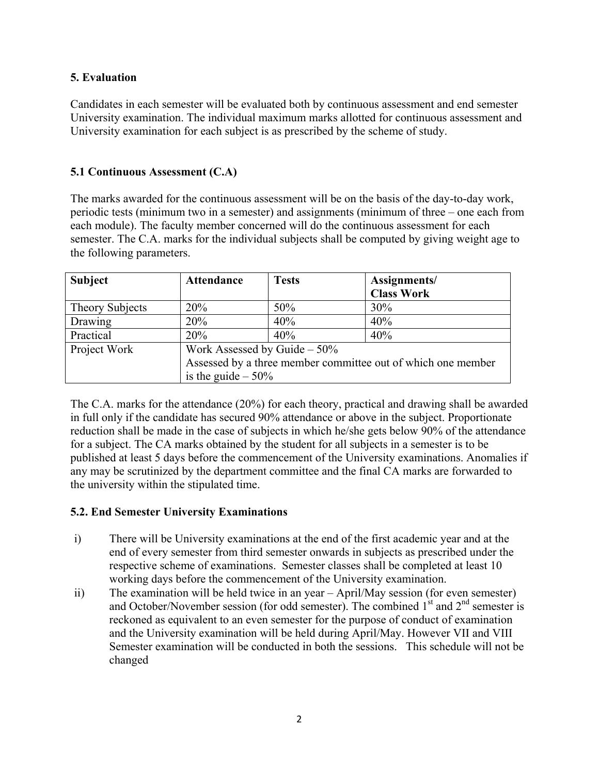# **5. Evaluation**

Candidates in each semester will be evaluated both by continuous assessment and end semester University examination. The individual maximum marks allotted for continuous assessment and University examination for each subject is as prescribed by the scheme of study.

# **5.1 Continuous Assessment (C.A)**

The marks awarded for the continuous assessment will be on the basis of the day-to-day work, periodic tests (minimum two in a semester) and assignments (minimum of three – one each from each module). The faculty member concerned will do the continuous assessment for each semester. The C.A. marks for the individual subjects shall be computed by giving weight age to the following parameters.

| <b>Subject</b>         | <b>Attendance</b>              | <b>Tests</b> | Assignments/<br><b>Class Work</b>                            |
|------------------------|--------------------------------|--------------|--------------------------------------------------------------|
| <b>Theory Subjects</b> | 20%                            | 50%          | 30%                                                          |
| Drawing                | 20%                            | 40%          | 40%                                                          |
| Practical              | 20%                            | 40%          | 40%                                                          |
| Project Work           | Work Assessed by Guide $-50\%$ |              |                                                              |
|                        |                                |              | Assessed by a three member committee out of which one member |
|                        | is the guide $-50\%$           |              |                                                              |

The C.A. marks for the attendance (20%) for each theory, practical and drawing shall be awarded in full only if the candidate has secured 90% attendance or above in the subject. Proportionate reduction shall be made in the case of subjects in which he/she gets below 90% of the attendance for a subject. The CA marks obtained by the student for all subjects in a semester is to be published at least 5 days before the commencement of the University examinations. Anomalies if any may be scrutinized by the department committee and the final CA marks are forwarded to the university within the stipulated time.

# **5.2. End Semester University Examinations**

- i) There will be University examinations at the end of the first academic year and at the end of every semester from third semester onwards in subjects as prescribed under the respective scheme of examinations. Semester classes shall be completed at least 10 working days before the commencement of the University examination.
- ii) The examination will be held twice in an year April/May session (for even semester) and October/November session (for odd semester). The combined  $1<sup>st</sup>$  and  $2<sup>nd</sup>$  semester is reckoned as equivalent to an even semester for the purpose of conduct of examination and the University examination will be held during April/May. However VII and VIII Semester examination will be conducted in both the sessions. This schedule will not be changed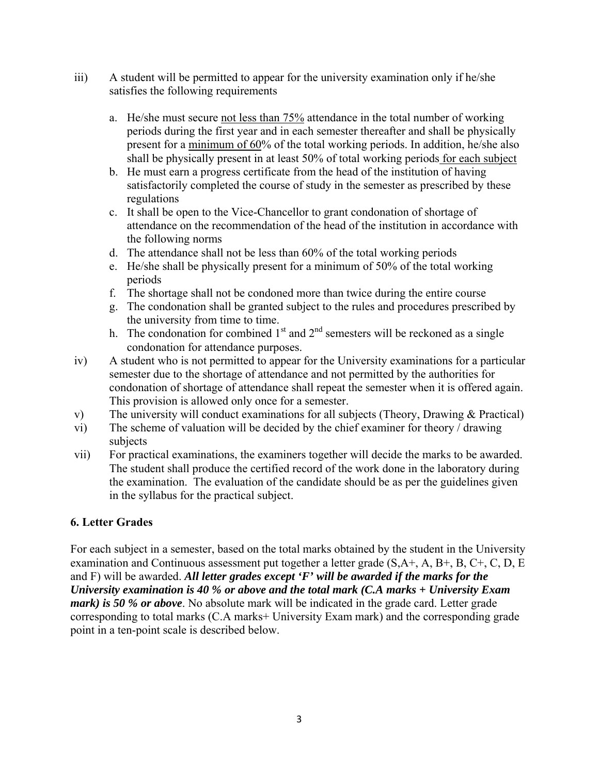- iii) A student will be permitted to appear for the university examination only if he/she satisfies the following requirements
	- a. He/she must secure not less than 75% attendance in the total number of working periods during the first year and in each semester thereafter and shall be physically present for a minimum of 60% of the total working periods. In addition, he/she also shall be physically present in at least 50% of total working periods for each subject
	- b. He must earn a progress certificate from the head of the institution of having satisfactorily completed the course of study in the semester as prescribed by these regulations
	- c. It shall be open to the Vice-Chancellor to grant condonation of shortage of attendance on the recommendation of the head of the institution in accordance with the following norms
	- d. The attendance shall not be less than 60% of the total working periods
	- e. He/she shall be physically present for a minimum of 50% of the total working periods
	- f. The shortage shall not be condoned more than twice during the entire course
	- g. The condonation shall be granted subject to the rules and procedures prescribed by the university from time to time.
	- h. The condonation for combined  $1<sup>st</sup>$  and  $2<sup>nd</sup>$  semesters will be reckoned as a single condonation for attendance purposes.
- iv) A student who is not permitted to appear for the University examinations for a particular semester due to the shortage of attendance and not permitted by the authorities for condonation of shortage of attendance shall repeat the semester when it is offered again. This provision is allowed only once for a semester.
- v) The university will conduct examinations for all subjects (Theory, Drawing & Practical)
- vi) The scheme of valuation will be decided by the chief examiner for theory / drawing subjects
- vii) For practical examinations, the examiners together will decide the marks to be awarded. The student shall produce the certified record of the work done in the laboratory during the examination. The evaluation of the candidate should be as per the guidelines given in the syllabus for the practical subject.

# **6. Letter Grades**

For each subject in a semester, based on the total marks obtained by the student in the University examination and Continuous assessment put together a letter grade (S,A+, A, B+, B, C+, C, D, E and F) will be awarded. *All letter grades except 'F' will be awarded if the marks for the University examination is 40 % or above and the total mark (C.A marks + University Exam mark) is 50 % or above.* No absolute mark will be indicated in the grade card. Letter grade corresponding to total marks (C.A marks+ University Exam mark) and the corresponding grade point in a ten-point scale is described below.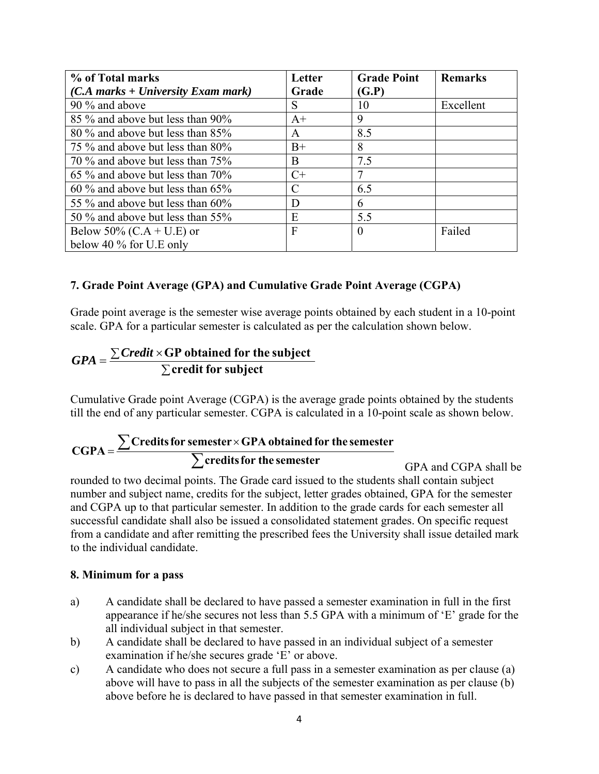| % of Total marks                           | Letter | <b>Grade Point</b> | <b>Remarks</b> |
|--------------------------------------------|--------|--------------------|----------------|
| $(C.A \ marks + University \ Exam \ mark)$ | Grade  | (G.P)              |                |
| 90 % and above                             | S      | 10                 | Excellent      |
| 85 % and above but less than 90%           | $A+$   | 9                  |                |
| 80 % and above but less than 85%           | A      | 8.5                |                |
| 75 % and above but less than 80%           | $B+$   | 8                  |                |
| 70 % and above but less than 75%           | B      | 7.5                |                |
| 65 % and above but less than 70%           | $C+$   |                    |                |
| $60\%$ and above but less than $65\%$      | C      | 6.5                |                |
| 55 % and above but less than 60%           | D      | 6                  |                |
| 50 % and above but less than 55%           | E      | 5.5                |                |
| Below 50% (C.A + U.E) or                   | F      | $\theta$           | Failed         |
| below 40 $\%$ for U.E only                 |        |                    |                |

# **7. Grade Point Average (GPA) and Cumulative Grade Point Average (CGPA)**

Grade point average is the semester wise average points obtained by each student in a 10-point scale. GPA for a particular semester is calculated as per the calculation shown below.

$$
GPA = \frac{\sum Credit \times GP obtained for the subject}{\sum credit for subject}
$$

Cumulative Grade point Average (CGPA) is the average grade points obtained by the students till the end of any particular semester. CGPA is calculated in a 10-point scale as shown below.

# $=\frac{\sum \text{Credits for semester} \times \text{GPA obtained for the semester}}{\sum \text{credits for the semester}}$ **CGPA**

GPA and CGPA shall be rounded to two decimal points. The Grade card issued to the students shall contain subject number and subject name, credits for the subject, letter grades obtained, GPA for the semester and CGPA up to that particular semester. In addition to the grade cards for each semester all successful candidate shall also be issued a consolidated statement grades. On specific request from a candidate and after remitting the prescribed fees the University shall issue detailed mark to the individual candidate.

#### **8. Minimum for a pass**

- a) A candidate shall be declared to have passed a semester examination in full in the first appearance if he/she secures not less than 5.5 GPA with a minimum of 'E' grade for the all individual subject in that semester.
- b) A candidate shall be declared to have passed in an individual subject of a semester examination if he/she secures grade 'E' or above.
- c) A candidate who does not secure a full pass in a semester examination as per clause (a) above will have to pass in all the subjects of the semester examination as per clause (b) above before he is declared to have passed in that semester examination in full.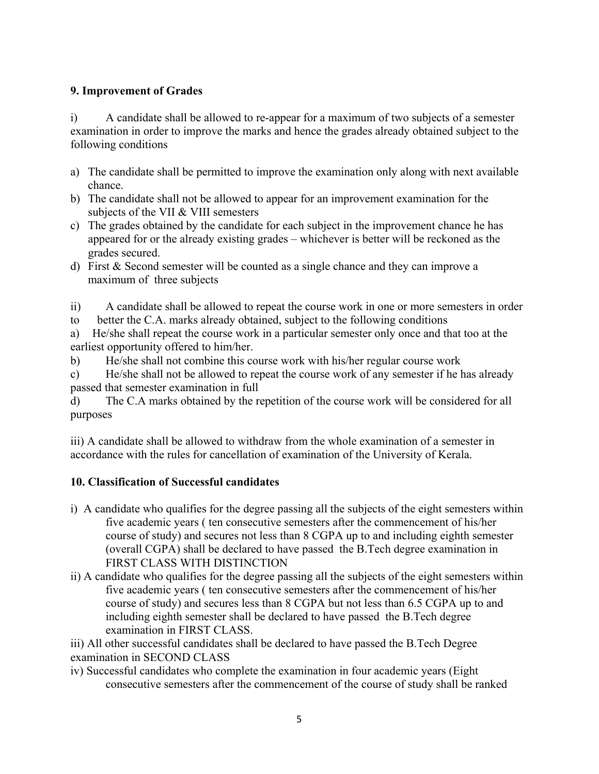# **9. Improvement of Grades**

i) A candidate shall be allowed to re-appear for a maximum of two subjects of a semester examination in order to improve the marks and hence the grades already obtained subject to the following conditions

- a) The candidate shall be permitted to improve the examination only along with next available chance.
- b) The candidate shall not be allowed to appear for an improvement examination for the subjects of the VII & VIII semesters
- c) The grades obtained by the candidate for each subject in the improvement chance he has appeared for or the already existing grades – whichever is better will be reckoned as the grades secured.
- d) First & Second semester will be counted as a single chance and they can improve a maximum of three subjects
- ii) A candidate shall be allowed to repeat the course work in one or more semesters in order
- to better the C.A. marks already obtained, subject to the following conditions

a) He/she shall repeat the course work in a particular semester only once and that too at the earliest opportunity offered to him/her.

b) He/she shall not combine this course work with his/her regular course work

c) He/she shall not be allowed to repeat the course work of any semester if he has already passed that semester examination in full

d) The C.A marks obtained by the repetition of the course work will be considered for all purposes

iii) A candidate shall be allowed to withdraw from the whole examination of a semester in accordance with the rules for cancellation of examination of the University of Kerala.

# **10. Classification of Successful candidates**

- i) A candidate who qualifies for the degree passing all the subjects of the eight semesters within five academic years ( ten consecutive semesters after the commencement of his/her course of study) and secures not less than 8 CGPA up to and including eighth semester (overall CGPA) shall be declared to have passed the B.Tech degree examination in FIRST CLASS WITH DISTINCTION
- ii) A candidate who qualifies for the degree passing all the subjects of the eight semesters within five academic years ( ten consecutive semesters after the commencement of his/her course of study) and secures less than 8 CGPA but not less than 6.5 CGPA up to and including eighth semester shall be declared to have passed the B.Tech degree examination in FIRST CLASS.

iii) All other successful candidates shall be declared to have passed the B.Tech Degree examination in SECOND CLASS

iv) Successful candidates who complete the examination in four academic years (Eight consecutive semesters after the commencement of the course of study shall be ranked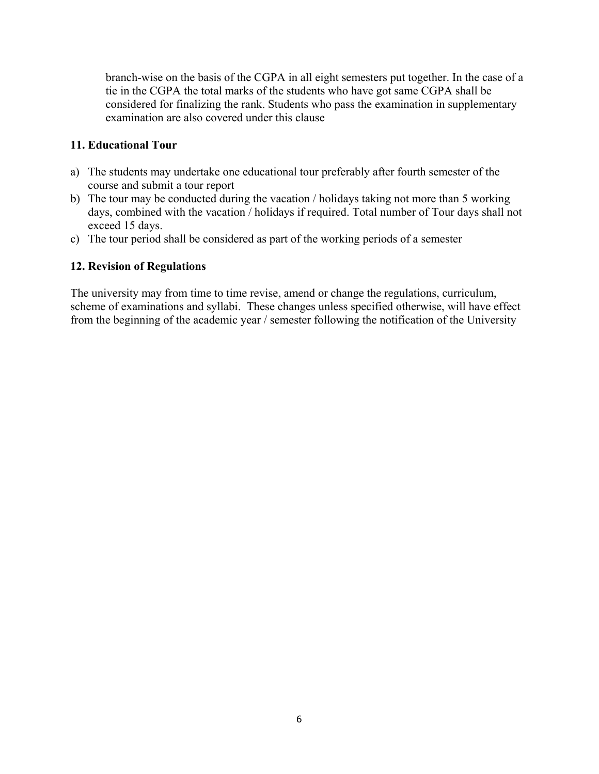branch-wise on the basis of the CGPA in all eight semesters put together. In the case of a tie in the CGPA the total marks of the students who have got same CGPA shall be considered for finalizing the rank. Students who pass the examination in supplementary examination are also covered under this clause

#### **11. Educational Tour**

- a) The students may undertake one educational tour preferably after fourth semester of the course and submit a tour report
- b) The tour may be conducted during the vacation / holidays taking not more than 5 working days, combined with the vacation / holidays if required. Total number of Tour days shall not exceed 15 days.
- c) The tour period shall be considered as part of the working periods of a semester

#### **12. Revision of Regulations**

The university may from time to time revise, amend or change the regulations, curriculum, scheme of examinations and syllabi. These changes unless specified otherwise, will have effect from the beginning of the academic year / semester following the notification of the University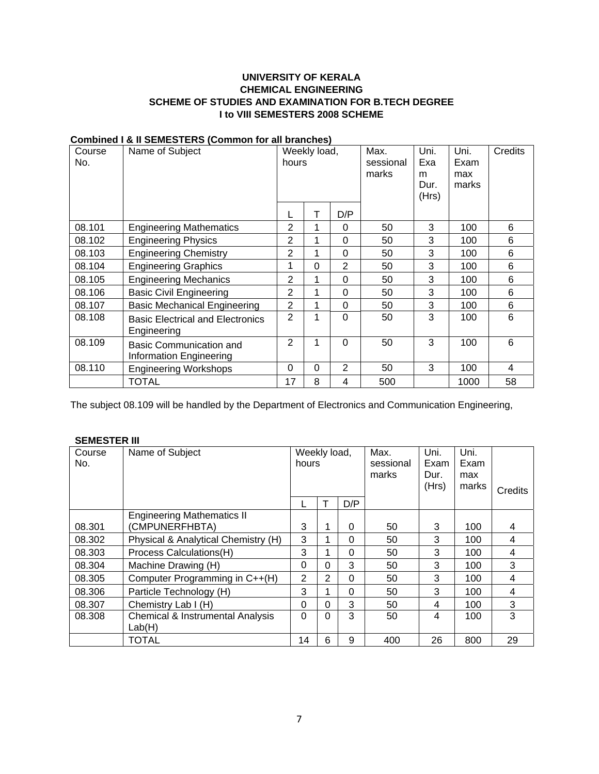#### **UNIVERSITY OF KERALA CHEMICAL ENGINEERING SCHEME OF STUDIES AND EXAMINATION FOR B.TECH DEGREE I to VIII SEMESTERS 2008 SCHEME**

| Course<br>No. | Name of Subject                                           | Weekly load,<br>hours |          |                | Max.<br>sessional<br>marks | Uni.<br>Exa<br>m<br>Dur.<br>(Hrs) | Uni.<br>Exam<br>max<br>marks | Credits |
|---------------|-----------------------------------------------------------|-----------------------|----------|----------------|----------------------------|-----------------------------------|------------------------------|---------|
|               |                                                           |                       | Т        | D/P            |                            |                                   |                              |         |
| 08.101        | <b>Engineering Mathematics</b>                            | 2                     | 1        | 0              | 50                         | 3                                 | 100                          | 6       |
| 08.102        | <b>Engineering Physics</b>                                | 2                     | 1        | $\Omega$       | 50                         | 3                                 | 100                          | 6       |
| 08.103        | <b>Engineering Chemistry</b>                              | 2                     | 1        | $\Omega$       | 50                         | 3                                 | 100                          | 6       |
| 08.104        | <b>Engineering Graphics</b>                               | 1                     | 0        | $\overline{2}$ | 50                         | 3                                 | 100                          | 6       |
| 08.105        | <b>Engineering Mechanics</b>                              | 2                     | 1        | $\Omega$       | 50                         | 3                                 | 100                          | 6       |
| 08.106        | <b>Basic Civil Engineering</b>                            | 2                     | 1        | $\Omega$       | 50                         | 3                                 | 100                          | 6       |
| 08.107        | <b>Basic Mechanical Engineering</b>                       | $\overline{2}$        | 1        | $\Omega$       | 50                         | 3                                 | 100                          | 6       |
| 08.108        | <b>Basic Electrical and Electronics</b><br>Engineering    | 2                     | 1        | $\Omega$       | 50                         | 3                                 | 100                          | 6       |
| 08.109        | <b>Basic Communication and</b><br>Information Engineering | $\overline{2}$        | 1        | $\Omega$       | 50                         | 3                                 | 100                          | 6       |
| 08.110        | <b>Engineering Workshops</b>                              | 0                     | $\Omega$ | $\overline{2}$ | 50                         | 3                                 | 100                          | 4       |
|               | TOTAL                                                     | 17                    | 8        | 4              | 500                        |                                   | 1000                         | 58      |

#### **Combined I & II SEMESTERS (Common for all branches)**

The subject 08.109 will be handled by the Department of Electronics and Communication Engineering,

#### **SEMESTER III**

| Course<br>No. | Name of Subject                                       | Weekly load,<br>hours |          |          | Max.<br>sessional<br>marks | Uni.<br>Exam<br>Dur.<br>(Hrs) | Uni.<br>Exam<br>max<br>marks | Credits |
|---------------|-------------------------------------------------------|-----------------------|----------|----------|----------------------------|-------------------------------|------------------------------|---------|
|               |                                                       |                       |          | D/P      |                            |                               |                              |         |
|               | <b>Engineering Mathematics II</b>                     |                       |          |          |                            |                               |                              |         |
| 08.301        | (CMPUNERFHBTA)                                        | 3                     | 1        | $\Omega$ | 50                         | 3                             | 100                          | 4       |
| 08.302        | Physical & Analytical Chemistry (H)                   | 3                     | 1        | $\Omega$ | 50                         | 3                             | 100                          | 4       |
| 08.303        | Process Calculations(H)                               | 3                     | 1        | $\Omega$ | 50                         | 3                             | 100                          | 4       |
| 08.304        | Machine Drawing (H)                                   | 0                     | $\Omega$ | 3        | 50                         | 3                             | 100                          | 3       |
| 08.305        | Computer Programming in C++(H)                        | $\overline{2}$        | 2        | $\Omega$ | 50                         | 3                             | 100                          | 4       |
| 08.306        | Particle Technology (H)                               | 3                     | 1        | $\Omega$ | 50                         | 3                             | 100                          | 4       |
| 08.307        | Chemistry Lab I (H)                                   | 0                     | $\Omega$ | 3        | 50                         | 4                             | 100                          | 3       |
| 08.308        | <b>Chemical &amp; Instrumental Analysis</b><br>Lab(H) | 0                     | $\Omega$ | 3        | 50                         | 4                             | 100                          | 3       |
|               | TOTAL                                                 | 14                    | 6        | 9        | 400                        | 26                            | 800                          | 29      |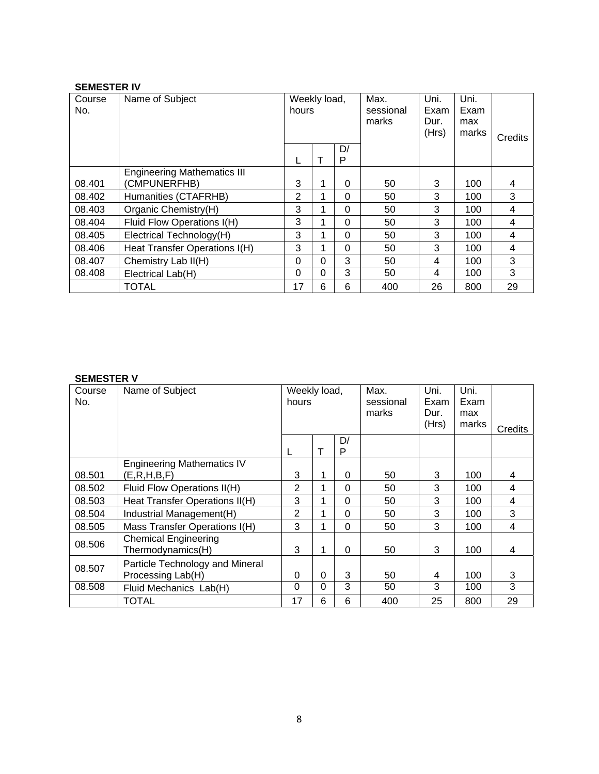#### **SEMESTER IV**

| Course<br>No. | Name of Subject                                    | Weekly load,<br>hours |          |          | Max.<br>sessional<br>marks | Uni.<br>Exam<br>Dur.<br>(Hrs) | Uni.<br>Exam<br>max<br>marks | Credits |
|---------------|----------------------------------------------------|-----------------------|----------|----------|----------------------------|-------------------------------|------------------------------|---------|
|               |                                                    |                       | т        | D/<br>P  |                            |                               |                              |         |
| 08.401        | <b>Engineering Mathematics III</b><br>(CMPUNERFHB) | 3                     | 1        | $\Omega$ | 50                         | 3                             | 100                          | 4       |
| 08.402        | Humanities (CTAFRHB)                               | 2                     |          | 0        | 50                         | 3                             | 100                          | 3       |
| 08.403        | Organic Chemistry(H)                               | 3                     |          | $\Omega$ | 50                         | 3                             | 100                          | 4       |
| 08.404        | Fluid Flow Operations I(H)                         | 3                     |          | $\Omega$ | 50                         | 3                             | 100                          | 4       |
| 08.405        | Electrical Technology(H)                           | 3                     |          | $\Omega$ | 50                         | 3                             | 100                          | 4       |
| 08.406        | Heat Transfer Operations I(H)                      | 3                     |          | $\Omega$ | 50                         | 3                             | 100                          | 4       |
| 08.407        | Chemistry Lab II(H)                                | $\Omega$              | $\Omega$ | 3        | 50                         | 4                             | 100                          | 3       |
| 08.408        | Electrical Lab(H)                                  | $\Omega$              | 0        | 3        | 50                         | 4                             | 100                          | 3       |
|               | <b>TOTAL</b>                                       | 17                    | 6        | 6        | 400                        | 26                            | 800                          | 29      |

# **SEMESTER V**

| Course<br>No. | Name of Subject                                      | Weekly load,<br>hours |   |          | Max.<br>sessional<br>marks | Uni.<br>Exam<br>Dur.<br>(Hrs) | Uni.<br>Exam<br>max<br>marks | Credits |
|---------------|------------------------------------------------------|-----------------------|---|----------|----------------------------|-------------------------------|------------------------------|---------|
|               |                                                      |                       | т | D/<br>P  |                            |                               |                              |         |
| 08.501        | <b>Engineering Mathematics IV</b><br>(E, R, H, B, F) | 3                     |   | $\Omega$ | 50                         | 3                             | 100                          | 4       |
| 08.502        | Fluid Flow Operations II(H)                          | 2                     |   | $\Omega$ | 50                         | 3                             | 100                          | 4       |
| 08.503        | Heat Transfer Operations II(H)                       | 3                     |   | $\Omega$ | 50                         | 3                             | 100                          | 4       |
| 08.504        | Industrial Management(H)                             | 2                     |   | $\Omega$ | 50                         | 3                             | 100                          | 3       |
| 08.505        | Mass Transfer Operations I(H)                        | 3                     |   | $\Omega$ | 50                         | 3                             | 100                          | 4       |
| 08.506        | <b>Chemical Engineering</b><br>Thermodynamics(H)     | 3                     |   | 0        | 50                         | 3                             | 100                          | 4       |
| 08.507        | Particle Technology and Mineral<br>Processing Lab(H) | 0                     | 0 | 3        | 50                         | 4                             | 100                          | 3       |
| 08.508        | Fluid Mechanics Lab(H)                               | $\Omega$              | 0 | 3        | 50                         | 3                             | 100                          | 3       |
|               | TOTAL                                                | 17                    | 6 | 6        | 400                        | 25                            | 800                          | 29      |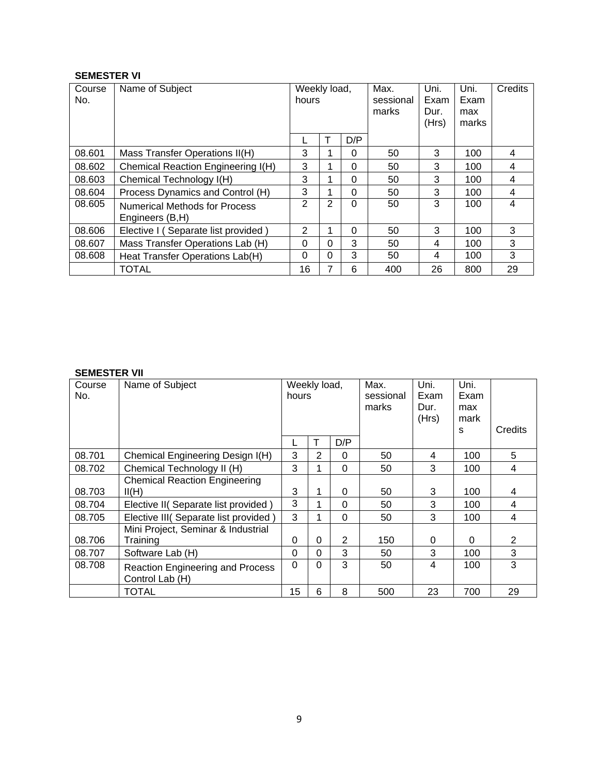#### **SEMESTER VI**

| Course<br>No. | Name of Subject                                         | Weekly load,<br>hours |   |          | Max.<br>sessional<br>marks | Uni.<br>Exam<br>Dur.<br>(Hrs) | Uni.<br>Exam<br>max<br>marks | Credits |
|---------------|---------------------------------------------------------|-----------------------|---|----------|----------------------------|-------------------------------|------------------------------|---------|
|               |                                                         |                       |   | D/P      |                            |                               |                              |         |
| 08.601        | Mass Transfer Operations II(H)                          | 3                     |   | $\Omega$ | 50                         | 3                             | 100                          | 4       |
| 08.602        | Chemical Reaction Engineering I(H)                      | 3                     |   | $\Omega$ | 50                         | 3                             | 100                          | 4       |
| 08.603        | Chemical Technology I(H)                                | 3                     |   | $\Omega$ | 50                         | 3                             | 100                          | 4       |
| 08.604        | Process Dynamics and Control (H)                        | 3                     |   | $\Omega$ | 50                         | 3                             | 100                          | 4       |
| 08.605        | <b>Numerical Methods for Process</b><br>Engineers (B,H) | 2                     | 2 | $\Omega$ | 50                         | 3                             | 100                          | 4       |
| 08.606        | Elective I (Separate list provided)                     | 2                     |   | $\Omega$ | 50                         | 3                             | 100                          | 3       |
| 08.607        | Mass Transfer Operations Lab (H)                        | $\Omega$              | 0 | 3        | 50                         | 4                             | 100                          | 3       |
| 08.608        | Heat Transfer Operations Lab(H)                         | 0                     | 0 | 3        | 50                         | 4                             | 100                          | 3       |
|               | <b>TOTAL</b>                                            | 16                    | 7 | 6        | 400                        | 26                            | 800                          | 29      |

#### **SEMESTER VII**

| Course<br>No. | Name of Subject                                            | Weekly load,<br>hours |                |                | Max.<br>sessional<br>marks | Uni.<br>Exam<br>Dur.<br>(Hrs) | Uni.<br>Exam<br>max<br>mark<br>S | Credits        |
|---------------|------------------------------------------------------------|-----------------------|----------------|----------------|----------------------------|-------------------------------|----------------------------------|----------------|
|               |                                                            |                       |                | D/P            |                            |                               |                                  |                |
| 08.701        | Chemical Engineering Design I(H)                           | 3                     | $\overline{2}$ | 0              | 50                         | 4                             | 100                              | 5              |
| 08.702        | Chemical Technology II (H)                                 | 3                     |                | 0              | 50                         | 3                             | 100                              | 4              |
| 08.703        | <b>Chemical Reaction Engineering</b><br>II(H)              | 3                     |                | $\Omega$       | 50                         | 3                             | 100                              | 4              |
| 08.704        | Elective II( Separate list provided)                       | 3                     |                | 0              | 50                         | 3                             | 100                              | 4              |
| 08.705        | Elective III( Separate list provided )                     | 3                     |                | 0              | 50                         | 3                             | 100                              | 4              |
| 08.706        | Mini Project, Seminar & Industrial<br>Training             | 0                     | $\Omega$       | $\overline{2}$ | 150                        | 0                             | 0                                | $\overline{2}$ |
| 08.707        | Software Lab (H)                                           | 0                     | 0              | 3              | 50                         | 3                             | 100                              | 3              |
| 08.708        | <b>Reaction Engineering and Process</b><br>Control Lab (H) | $\Omega$              | $\Omega$       | 3              | 50                         | 4                             | 100                              | 3              |
|               | <b>TOTAL</b>                                               | 15                    | 6              | 8              | 500                        | 23                            | 700                              | 29             |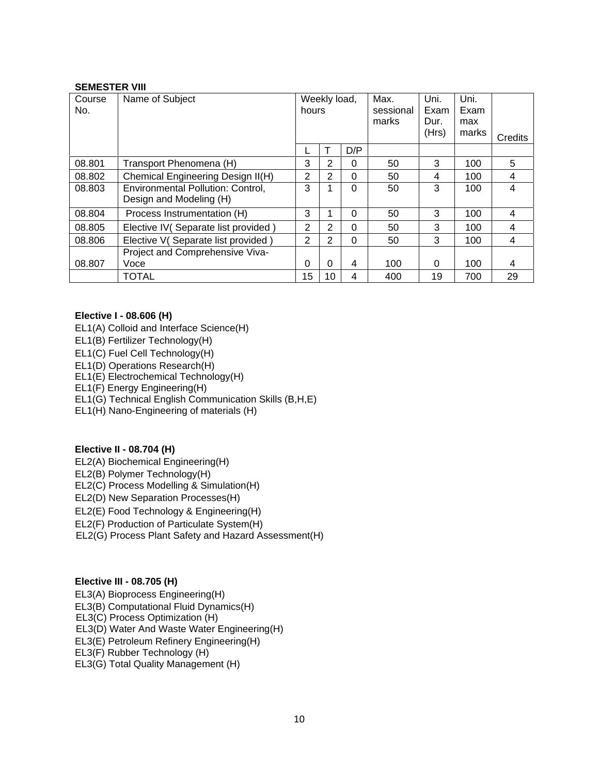#### **SEMESTER VIII**

| Course<br>No. | Name of Subject                                              | Weekly load,<br>hours |                |          | Max.<br>sessional<br>marks | Uni.<br>Exam<br>Dur.<br>(Hrs) | Uni.<br>Exam<br>max<br>marks | Credits |
|---------------|--------------------------------------------------------------|-----------------------|----------------|----------|----------------------------|-------------------------------|------------------------------|---------|
|               |                                                              |                       |                | D/P      |                            |                               |                              |         |
| 08.801        | Transport Phenomena (H)                                      | 3                     | $\overline{2}$ | $\Omega$ | 50                         | 3                             | 100                          | 5       |
| 08.802        | Chemical Engineering Design II(H)                            | 2                     | $\overline{2}$ | $\Omega$ | 50                         | 4                             | 100                          | 4       |
| 08.803        | Environmental Pollution: Control,<br>Design and Modeling (H) | 3                     |                | 0        | 50                         | 3                             | 100                          | 4       |
| 08.804        | Process Instrumentation (H)                                  | 3                     |                | 0        | 50                         | 3                             | 100                          | 4       |
| 08.805        | Elective IV (Separate list provided)                         | $\overline{2}$        | $\overline{2}$ | $\Omega$ | 50                         | 3                             | 100                          | 4       |
| 08.806        | Elective V(Separate list provided)                           | $\overline{2}$        | $\overline{2}$ | $\Omega$ | 50                         | 3                             | 100                          | 4       |
|               | Project and Comprehensive Viva-                              |                       |                |          |                            |                               |                              |         |
| 08.807        | Voce                                                         | 0                     | 0              | 4        | 100                        | 0                             | 100                          | 4       |
|               | TOTAL                                                        | 15                    | 10             | 4        | 400                        | 19                            | 700                          | 29      |

#### **Elective I - 08.606 (H)**

- EL1(A) Colloid and Interface Science(H)
- EL1(B) Fertilizer Technology(H)
- EL1(C) Fuel Cell Technology(H)
- EL1(D) Operations Research(H)
- EL1(E) Electrochemical Technology(H)

EL1(F) Energy Engineering(H)

EL1(G) Technical English Communication Skills (B,H,E)

EL1(H) Nano-Engineering of materials (H)

#### **Elective II - 08.704 (H)**

- EL2(A) Biochemical Engineering(H)
- EL2(B) Polymer Technology(H)

EL2(C) Process Modelling & Simulation(H)

EL2(D) New Separation Processes(H)

EL2(E) Food Technology & Engineering(H)

EL2(F) Production of Particulate System(H)

EL2(G) Process Plant Safety and Hazard Assessment(H)

#### **Elective III - 08.705 (H)**

EL3(A) Bioprocess Engineering(H) EL3(B) Computational Fluid Dynamics(H) EL3(C) Process Optimization (H) EL3(D) Water And Waste Water Engineering(H) EL3(E) Petroleum Refinery Engineering(H) EL3(F) Rubber Technology (H) EL3(G) Total Quality Management (H)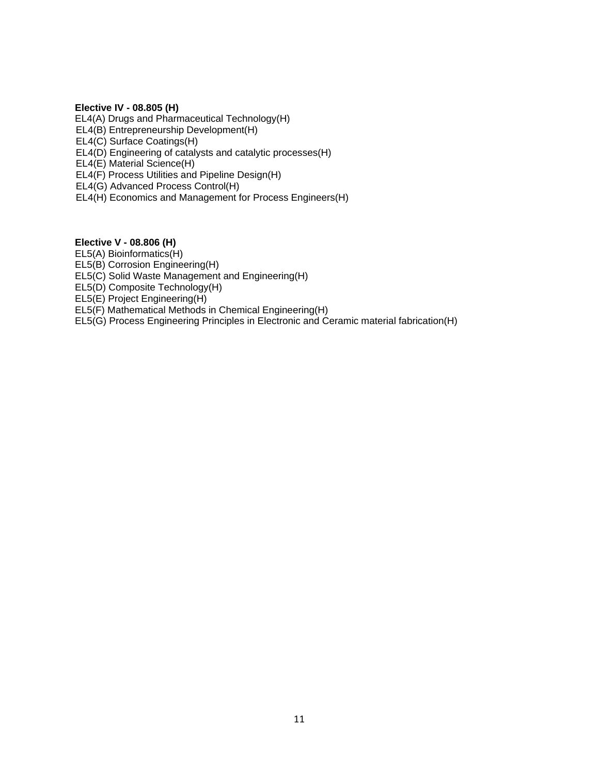#### **Elective IV - 08.805 (H)**

EL4(A) Drugs and Pharmaceutical Technology(H) EL4(B) Entrepreneurship Development(H) EL4(C) Surface Coatings(H) EL4(D) Engineering of catalysts and catalytic processes(H) EL4(E) Material Science(H) EL4(F) Process Utilities and Pipeline Design(H) EL4(G) Advanced Process Control(H) EL4(H) Economics and Management for Process Engineers(H)

#### **Elective V - 08.806 (H)**

EL5(A) Bioinformatics(H)

EL5(B) Corrosion Engineering(H)

EL5(C) Solid Waste Management and Engineering(H)

EL5(D) Composite Technology(H)

EL5(E) Project Engineering(H)

EL5(F) Mathematical Methods in Chemical Engineering(H)

EL5(G) Process Engineering Principles in Electronic and Ceramic material fabrication(H)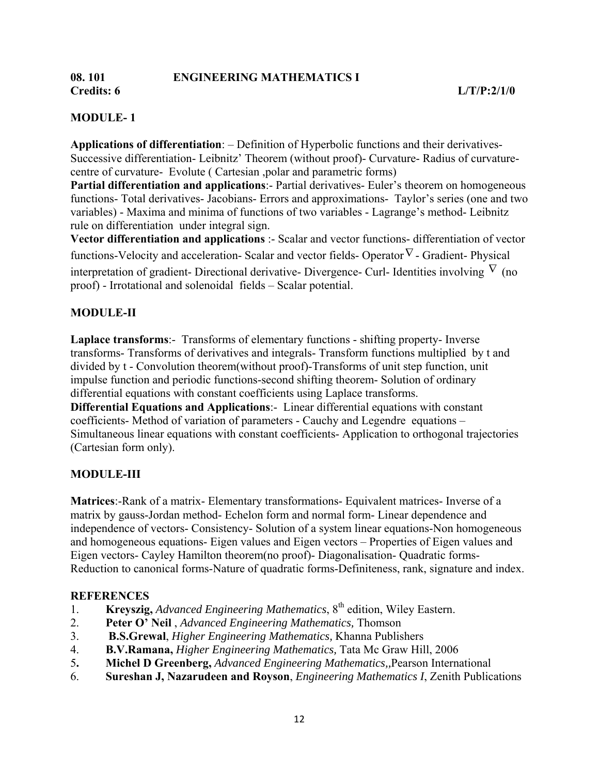# **MODULE- 1**

**Applications of differentiation**: – Definition of Hyperbolic functions and their derivatives-Successive differentiation- Leibnitz' Theorem (without proof)- Curvature- Radius of curvaturecentre of curvature- Evolute ( Cartesian ,polar and parametric forms)

**Partial differentiation and applications**:- Partial derivatives- Euler's theorem on homogeneous functions- Total derivatives- Jacobians- Errors and approximations- Taylor's series (one and two variables) - Maxima and minima of functions of two variables - Lagrange's method- Leibnitz rule on differentiation under integral sign.

**Vector differentiation and applications** :- Scalar and vector functions- differentiation of vector functions-Velocity and acceleration- Scalar and vector fields- Operator∇ - Gradient- Physical interpretation of gradient- Directional derivative- Divergence- Curl- Identities involving  $\nabla$  (no proof) - Irrotational and solenoidal fields – Scalar potential.

# **MODULE-II**

**Laplace transforms**:- Transforms of elementary functions - shifting property- Inverse transforms- Transforms of derivatives and integrals- Transform functions multiplied by t and divided by t - Convolution theorem(without proof)-Transforms of unit step function, unit impulse function and periodic functions-second shifting theorem- Solution of ordinary differential equations with constant coefficients using Laplace transforms. **Differential Equations and Applications**:- Linear differential equations with constant

coefficients- Method of variation of parameters - Cauchy and Legendre equations – Simultaneous linear equations with constant coefficients- Application to orthogonal trajectories (Cartesian form only).

# **MODULE-III**

**Matrices**:-Rank of a matrix- Elementary transformations- Equivalent matrices- Inverse of a matrix by gauss-Jordan method- Echelon form and normal form- Linear dependence and independence of vectors- Consistency- Solution of a system linear equations-Non homogeneous and homogeneous equations- Eigen values and Eigen vectors – Properties of Eigen values and Eigen vectors- Cayley Hamilton theorem(no proof)- Diagonalisation- Quadratic forms-Reduction to canonical forms-Nature of quadratic forms-Definiteness, rank, signature and index.

# **REFERENCES**

- 1. **Kreyszig,** *Advanced Engineering Mathematics*, 8th edition, Wiley Eastern.
- 2. **Peter O' Neil** , *Advanced Engineering Mathematics,* Thomson
- 3. **B.S.Grewal**, *Higher Engineering Mathematics,* Khanna Publishers
- 4. **B.V.Ramana,** *Higher Engineering Mathematics,* Tata Mc Graw Hill, 2006
- 5**. Michel D Greenberg,** *Advanced Engineering Mathematics,,*Pearson International
- 6. **Sureshan J, Nazarudeen and Royson**, *Engineering Mathematics I*, Zenith Publications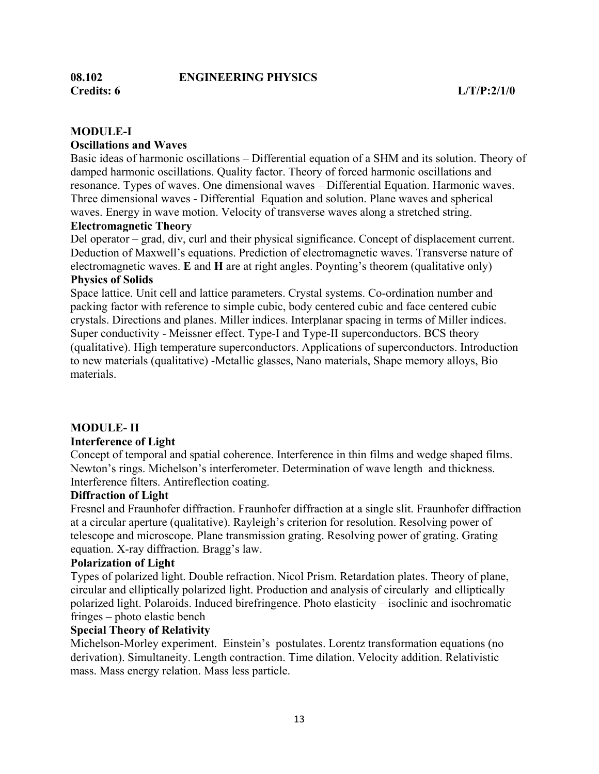# **08.102 ENGINEERING PHYSICS**

#### **MODULE-I**

#### **Oscillations and Waves**

Basic ideas of harmonic oscillations – Differential equation of a SHM and its solution. Theory of damped harmonic oscillations. Quality factor. Theory of forced harmonic oscillations and resonance. Types of waves. One dimensional waves – Differential Equation. Harmonic waves. Three dimensional waves - Differential Equation and solution. Plane waves and spherical waves. Energy in wave motion. Velocity of transverse waves along a stretched string.

#### **Electromagnetic Theory**

Del operator – grad, div, curl and their physical significance. Concept of displacement current. Deduction of Maxwell's equations. Prediction of electromagnetic waves. Transverse nature of electromagnetic waves. **E** and **H** are at right angles. Poynting's theorem (qualitative only)

# **Physics of Solids**

Space lattice. Unit cell and lattice parameters. Crystal systems. Co-ordination number and packing factor with reference to simple cubic, body centered cubic and face centered cubic crystals. Directions and planes. Miller indices. Interplanar spacing in terms of Miller indices. Super conductivity - Meissner effect. Type-I and Type-II superconductors. BCS theory (qualitative). High temperature superconductors. Applications of superconductors. Introduction to new materials (qualitative) -Metallic glasses, Nano materials, Shape memory alloys, Bio materials.

#### **MODULE- II**

#### **Interference of Light**

Concept of temporal and spatial coherence. Interference in thin films and wedge shaped films. Newton's rings. Michelson's interferometer. Determination of wave length and thickness. Interference filters. Antireflection coating.

#### **Diffraction of Light**

Fresnel and Fraunhofer diffraction. Fraunhofer diffraction at a single slit. Fraunhofer diffraction at a circular aperture (qualitative). Rayleigh's criterion for resolution. Resolving power of telescope and microscope. Plane transmission grating. Resolving power of grating. Grating equation. X-ray diffraction. Bragg's law.

#### **Polarization of Light**

Types of polarized light. Double refraction. Nicol Prism. Retardation plates. Theory of plane, circular and elliptically polarized light. Production and analysis of circularly and elliptically polarized light. Polaroids. Induced birefringence. Photo elasticity – isoclinic and isochromatic fringes – photo elastic bench

#### **Special Theory of Relativity**

Michelson-Morley experiment. Einstein's postulates. Lorentz transformation equations (no derivation). Simultaneity. Length contraction. Time dilation. Velocity addition. Relativistic mass. Mass energy relation. Mass less particle.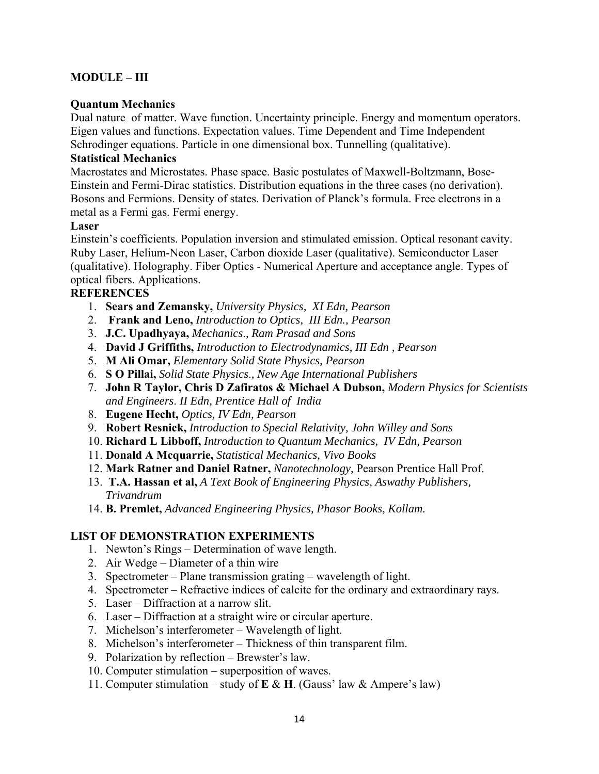# **MODULE – III**

#### **Quantum Mechanics**

Dual nature of matter. Wave function. Uncertainty principle. Energy and momentum operators. Eigen values and functions. Expectation values. Time Dependent and Time Independent Schrodinger equations. Particle in one dimensional box. Tunnelling (qualitative).

#### **Statistical Mechanics**

Macrostates and Microstates. Phase space. Basic postulates of Maxwell-Boltzmann, Bose-Einstein and Fermi-Dirac statistics. Distribution equations in the three cases (no derivation). Bosons and Fermions. Density of states. Derivation of Planck's formula. Free electrons in a metal as a Fermi gas. Fermi energy.

#### **Laser**

Einstein's coefficients. Population inversion and stimulated emission. Optical resonant cavity. Ruby Laser, Helium-Neon Laser, Carbon dioxide Laser (qualitative). Semiconductor Laser (qualitative). Holography. Fiber Optics - Numerical Aperture and acceptance angle. Types of optical fibers. Applications.

#### **REFERENCES**

- 1. **Sears and Zemansky,** *University Physics, XI Edn, Pearson*
- 2. **Frank and Leno,** *Introduction to Optics, III Edn., Pearson*
- 3. **J.C. Upadhyaya,** *Mechanics*.*, Ram Prasad and Sons*
- 4. **David J Griffiths,** *Introduction to Electrodynamics, III Edn , Pearson*
- 5. **M Ali Omar,** *Elementary Solid State Physics, Pearson*
- 6. **S O Pillai,** *Solid State Physics*.*, New Age International Publishers*
- 7. **John R Taylor, Chris D Zafiratos & Michael A Dubson,** *Modern Physics for Scientists and Engineers*. *II Edn, Prentice Hall of India*
- 8. **Eugene Hecht,** *Optics, IV Edn, Pearson*
- 9. **Robert Resnick,** *Introduction to Special Relativity, John Willey and Sons*
- 10. **Richard L Libboff,** *Introduction to Quantum Mechanics, IV Edn, Pearson*
- 11. **Donald A Mcquarrie,** *Statistical Mechanics, Vivo Books*
- 12. **Mark Ratner and Daniel Ratner,** *Nanotechnology,* Pearson Prentice Hall Prof.
- 13. **T.A. Hassan et al,** *A Text Book of Engineering Physics*, *Aswathy Publishers, Trivandrum*
- 14. **B. Premlet,** *Advanced Engineering Physics, Phasor Books, Kollam.*

#### **LIST OF DEMONSTRATION EXPERIMENTS**

- 1. Newton's Rings Determination of wave length.
- 2. Air Wedge Diameter of a thin wire
- 3. Spectrometer Plane transmission grating wavelength of light.
- 4. Spectrometer Refractive indices of calcite for the ordinary and extraordinary rays.
- 5. Laser Diffraction at a narrow slit.
- 6. Laser Diffraction at a straight wire or circular aperture.
- 7. Michelson's interferometer Wavelength of light.
- 8. Michelson's interferometer Thickness of thin transparent film.
- 9. Polarization by reflection Brewster's law.
- 10. Computer stimulation superposition of waves.
- 11. Computer stimulation study of **E** & **H**. (Gauss' law & Ampere's law)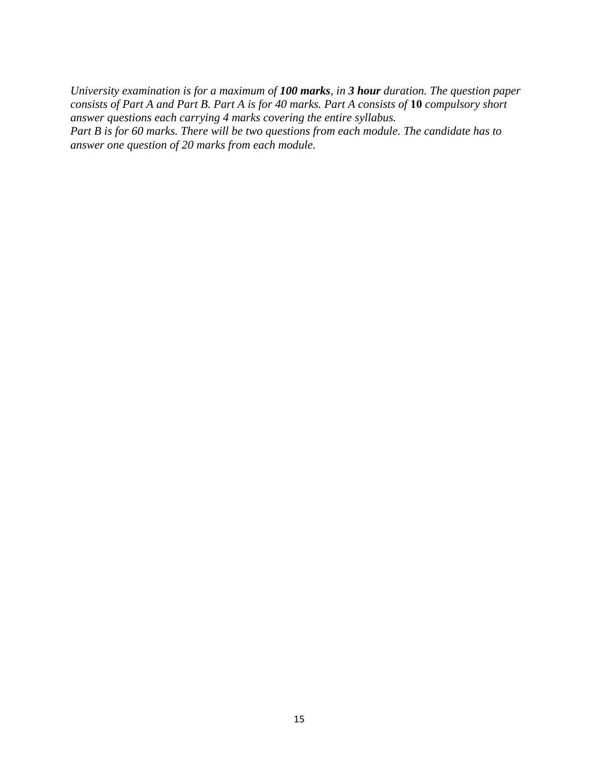*University examination is for a maximum of 100 marks, in 3 hour duration. The question paper consists of Part A and Part B. Part A is for 40 marks. Part A consists of* **10** *compulsory short answer questions each carrying 4 marks covering the entire syllabus. Part B is for 60 marks. There will be two questions from each module. The candidate has to answer one question of 20 marks from each module.*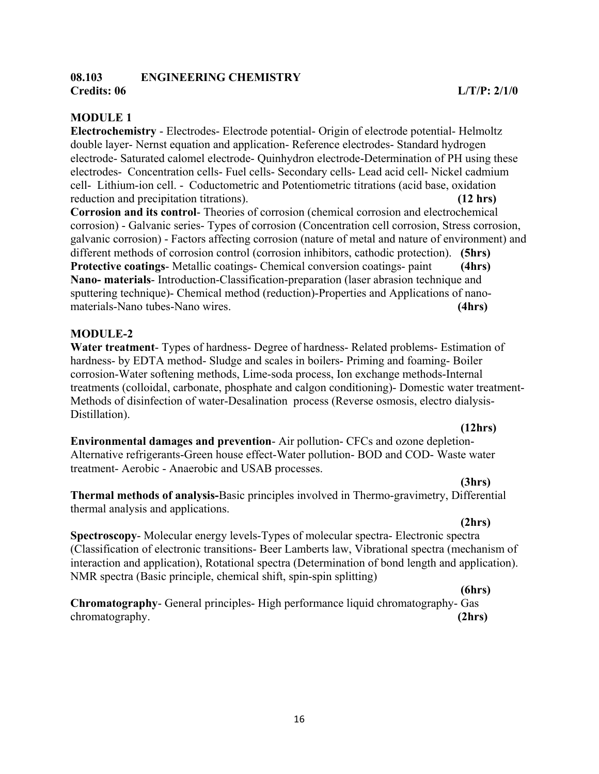#### **08.103 ENGINEERING CHEMISTRY Credits: 06 L/T/P: 2/1/0**

**Electrochemistry** - Electrodes- Electrode potential- Origin of electrode potential- Helmoltz double layer- Nernst equation and application- Reference electrodes- Standard hydrogen electrode- Saturated calomel electrode- Quinhydron electrode-Determination of PH using these electrodes- Concentration cells- Fuel cells- Secondary cells- Lead acid cell- Nickel cadmium cell- Lithium-ion cell. - Coductometric and Potentiometric titrations (acid base, oxidation reduction and precipitation titrations). **(12 hrs)**

**Corrosion and its control**- Theories of corrosion (chemical corrosion and electrochemical corrosion) - Galvanic series- Types of corrosion (Concentration cell corrosion, Stress corrosion, galvanic corrosion) - Factors affecting corrosion (nature of metal and nature of environment) and different methods of corrosion control (corrosion inhibitors, cathodic protection). **(5hrs) Protective coatings**- Metallic coatings- Chemical conversion coatings- paint **(4hrs) Nano- materials**- Introduction-Classification-preparation (laser abrasion technique and sputtering technique)- Chemical method (reduction)-Properties and Applications of nanomaterials-Nano tubes-Nano wires. **(4hrs)**

# **MODULE-2**

**Water treatment**- Types of hardness- Degree of hardness- Related problems- Estimation of hardness- by EDTA method- Sludge and scales in boilers- Priming and foaming- Boiler corrosion-Water softening methods, Lime-soda process, Ion exchange methods-Internal treatments (colloidal, carbonate, phosphate and calgon conditioning)- Domestic water treatment-Methods of disinfection of water-Desalination process (Reverse osmosis, electro dialysis-Distillation).

#### **(12hrs)**

**Environmental damages and prevention**- Air pollution- CFCs and ozone depletion-Alternative refrigerants-Green house effect-Water pollution- BOD and COD- Waste water treatment- Aerobic - Anaerobic and USAB processes.

**(3hrs)**

**Thermal methods of analysis-**Basic principles involved in Thermo-gravimetry, Differential thermal analysis and applications.

# **(2hrs)**

**Spectroscopy**- Molecular energy levels-Types of molecular spectra- Electronic spectra (Classification of electronic transitions- Beer Lamberts law, Vibrational spectra (mechanism of interaction and application), Rotational spectra (Determination of bond length and application). NMR spectra (Basic principle, chemical shift, spin-spin splitting)

#### **(6hrs)**

**Chromatography**- General principles- High performance liquid chromatography- Gas chromatography. **(2hrs) (2hrs)** *(2hrs) <b>*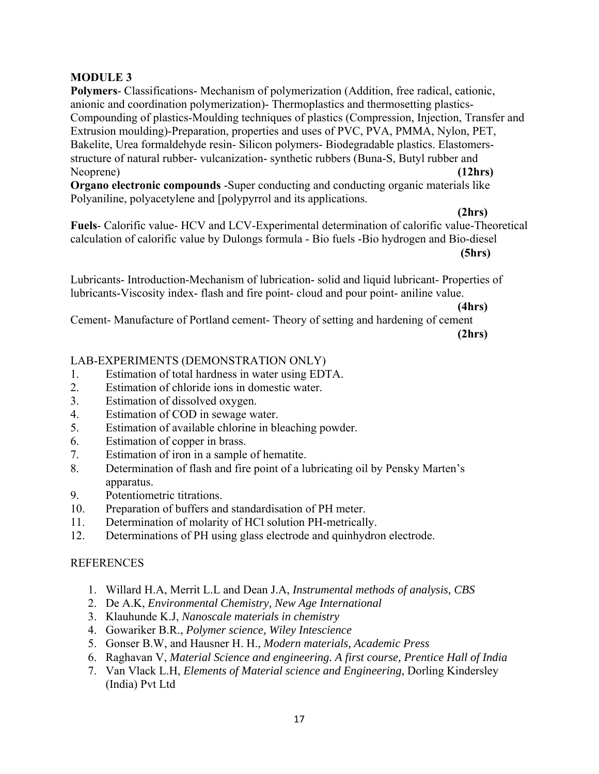# **MODULE 3**

**Polymers**- Classifications- Mechanism of polymerization (Addition, free radical, cationic, anionic and coordination polymerization)- Thermoplastics and thermosetting plastics-Compounding of plastics-Moulding techniques of plastics (Compression, Injection, Transfer and Extrusion moulding)-Preparation, properties and uses of PVC, PVA, PMMA, Nylon, PET, Bakelite, Urea formaldehyde resin- Silicon polymers- Biodegradable plastics. Elastomersstructure of natural rubber- vulcanization- synthetic rubbers (Buna-S, Butyl rubber and Neoprene) **(12hrs) (12hrs)** 

**Organo electronic compounds** -Super conducting and conducting organic materials like Polyaniline, polyacetylene and [polypyrrol and its applications.

 **(2hrs)** 

**Fuels**- Calorific value- HCV and LCV-Experimental determination of calorific value-Theoretical calculation of calorific value by Dulongs formula - Bio fuels -Bio hydrogen and Bio-diesel **(5hrs)** 

Lubricants- Introduction-Mechanism of lubrication- solid and liquid lubricant- Properties of lubricants-Viscosity index- flash and fire point- cloud and pour point- aniline value.

 **(4hrs)** Cement- Manufacture of Portland cement- Theory of setting and hardening of cement **(2hrs)**

# LAB-EXPERIMENTS (DEMONSTRATION ONLY)

- 1. Estimation of total hardness in water using EDTA.
- 2. Estimation of chloride ions in domestic water.
- 3. Estimation of dissolved oxygen.
- 4. Estimation of COD in sewage water.
- 5. Estimation of available chlorine in bleaching powder.
- 6. Estimation of copper in brass.
- 7. Estimation of iron in a sample of hematite.
- 8. Determination of flash and fire point of a lubricating oil by Pensky Marten's apparatus.
- 9. Potentiometric titrations.
- 10. Preparation of buffers and standardisation of PH meter.
- 11. Determination of molarity of HCl solution PH-metrically.
- 12. Determinations of PH using glass electrode and quinhydron electrode.

# REFERENCES

- 1. Willard H.A, Merrit L.L and Dean J.A, *Instrumental methods of analysis, CBS*
- 2. De A.K, *Environmental Chemistry, New Age International*
- 3. Klauhunde K.J, *Nanoscale materials in chemistry*
- 4. Gowariker B.R., *Polymer science, Wiley Intescience*
- 5. Gonser B.W, and Hausner H. H., *Modern materials, Academic Press*
- 6. Raghavan V, *Material Science and engineering. A first course, Prentice Hall of India*
- 7. Van Vlack L.H, *Elements of Material science and Engineering*, Dorling Kindersley (India) Pvt Ltd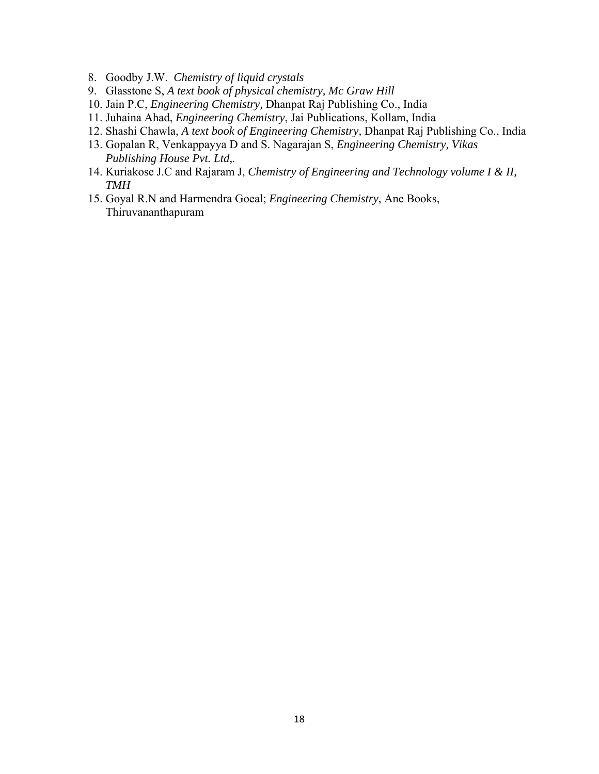- 8. Goodby J.W. *Chemistry of liquid crystals*
- 9. Glasstone S, *A text book of physical chemistry, Mc Graw Hill*
- 10. Jain P.C, *Engineering Chemistry,* Dhanpat Raj Publishing Co., India
- 11. Juhaina Ahad, *Engineering Chemistry*, Jai Publications, Kollam, India
- 12. Shashi Chawla, *A text book of Engineering Chemistry,* Dhanpat Raj Publishing Co., India
- 13. Gopalan R, Venkappayya D and S. Nagarajan S, *Engineering Chemistry, Vikas Publishing House Pvt. Ltd,.*
- 14. Kuriakose J.C and Rajaram J, *Chemistry of Engineering and Technology volume I & II, TMH*
- 15. Goyal R.N and Harmendra Goeal; *Engineering Chemistry*, Ane Books, Thiruvananthapuram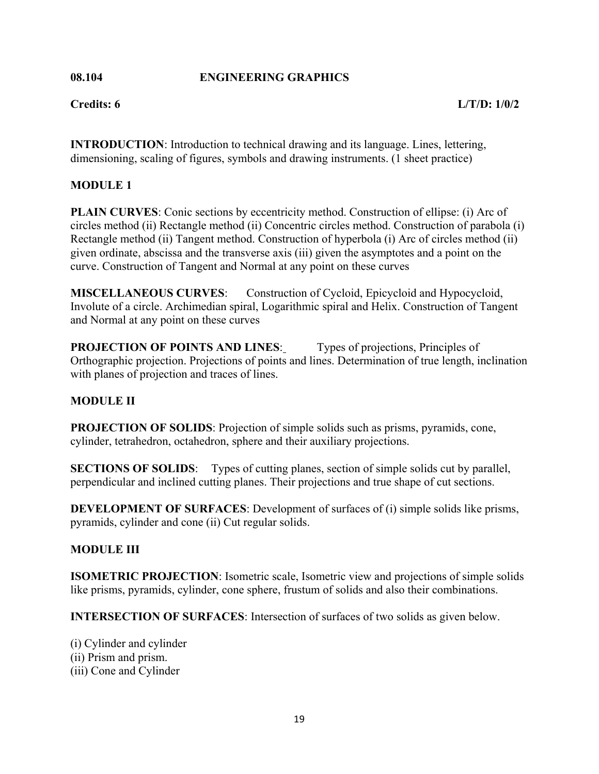#### **08.104 ENGINEERING GRAPHICS**

**INTRODUCTION**: Introduction to technical drawing and its language. Lines, lettering, dimensioning, scaling of figures, symbols and drawing instruments. (1 sheet practice)

# **MODULE 1**

**PLAIN CURVES**: Conic sections by eccentricity method. Construction of ellipse: (i) Arc of circles method (ii) Rectangle method (ii) Concentric circles method. Construction of parabola (i) Rectangle method (ii) Tangent method. Construction of hyperbola (i) Arc of circles method (ii) given ordinate, abscissa and the transverse axis (iii) given the asymptotes and a point on the curve. Construction of Tangent and Normal at any point on these curves

**MISCELLANEOUS CURVES**: Construction of Cycloid, Epicycloid and Hypocycloid, Involute of a circle. Archimedian spiral, Logarithmic spiral and Helix. Construction of Tangent and Normal at any point on these curves

**PROJECTION OF POINTS AND LINES:** Types of projections, Principles of Orthographic projection. Projections of points and lines. Determination of true length, inclination with planes of projection and traces of lines.

# **MODULE II**

**PROJECTION OF SOLIDS**: Projection of simple solids such as prisms, pyramids, cone, cylinder, tetrahedron, octahedron, sphere and their auxiliary projections.

**SECTIONS OF SOLIDS:** Types of cutting planes, section of simple solids cut by parallel, perpendicular and inclined cutting planes. Their projections and true shape of cut sections.

**DEVELOPMENT OF SURFACES**: Development of surfaces of (i) simple solids like prisms, pyramids, cylinder and cone (ii) Cut regular solids.

# **MODULE III**

**ISOMETRIC PROJECTION**: Isometric scale, Isometric view and projections of simple solids like prisms, pyramids, cylinder, cone sphere, frustum of solids and also their combinations.

**INTERSECTION OF SURFACES**: Intersection of surfaces of two solids as given below.

(i) Cylinder and cylinder (ii) Prism and prism. (iii) Cone and Cylinder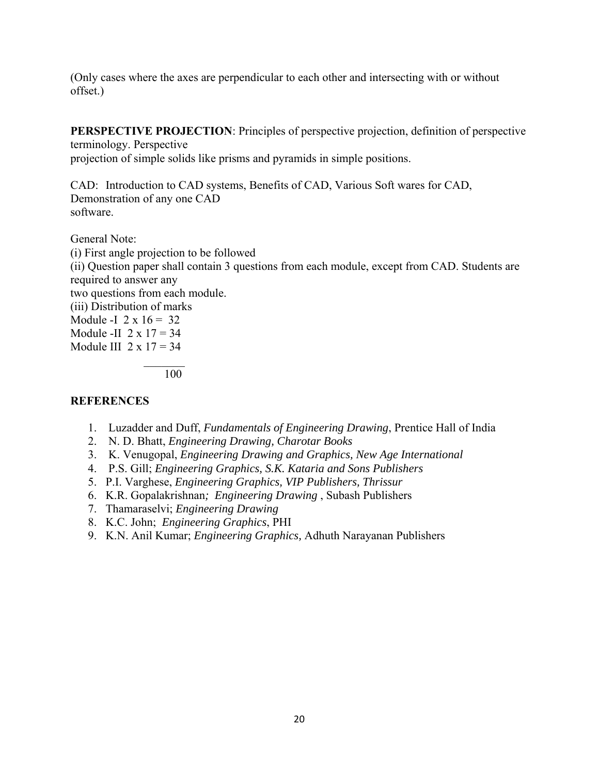(Only cases where the axes are perpendicular to each other and intersecting with or without offset.)

**PERSPECTIVE PROJECTION:** Principles of perspective projection, definition of perspective

terminology. Perspective projection of simple solids like prisms and pyramids in simple positions.

CAD: Introduction to CAD systems, Benefits of CAD, Various Soft wares for CAD, Demonstration of any one CAD software.

General Note: (i) First angle projection to be followed (ii) Question paper shall contain 3 questions from each module, except from CAD. Students are required to answer any two questions from each module. (iii) Distribution of marks Module -I  $2 \times 16 = 32$ Module -II  $2 \times 17 = 34$ Module III  $2 \times 17 = 34$  $\mathcal{L}=\mathcal{L}=\mathcal{L}=\mathcal{L}=\mathcal{L}=\mathcal{L}=\mathcal{L}=\mathcal{L}=\mathcal{L}=\mathcal{L}=\mathcal{L}=\mathcal{L}=\mathcal{L}=\mathcal{L}=\mathcal{L}=\mathcal{L}=\mathcal{L}=\mathcal{L}=\mathcal{L}=\mathcal{L}=\mathcal{L}=\mathcal{L}=\mathcal{L}=\mathcal{L}=\mathcal{L}=\mathcal{L}=\mathcal{L}=\mathcal{L}=\mathcal{L}=\mathcal{L}=\mathcal{L}=\mathcal{L}=\mathcal{L}=\mathcal{L}=\mathcal{L}=\mathcal{L}=\mathcal{$ 

100

# **REFERENCES**

- 1. Luzadder and Duff, *Fundamentals of Engineering Drawing*, Prentice Hall of India
- 2. N. D. Bhatt, *Engineering Drawing, Charotar Books*
- 3. K. Venugopal, *Engineering Drawing and Graphics, New Age International*
- 4. P.S. Gill; *Engineering Graphics, S.K. Kataria and Sons Publishers*
- 5. P.I. Varghese, *Engineering Graphics, VIP Publishers, Thrissur*
- 6. K.R. Gopalakrishnan*; Engineering Drawing* , Subash Publishers
- 7. Thamaraselvi; *Engineering Drawing*
- 8. K.C. John; *Engineering Graphics*, PHI
- 9. K.N. Anil Kumar; *Engineering Graphics,* Adhuth Narayanan Publishers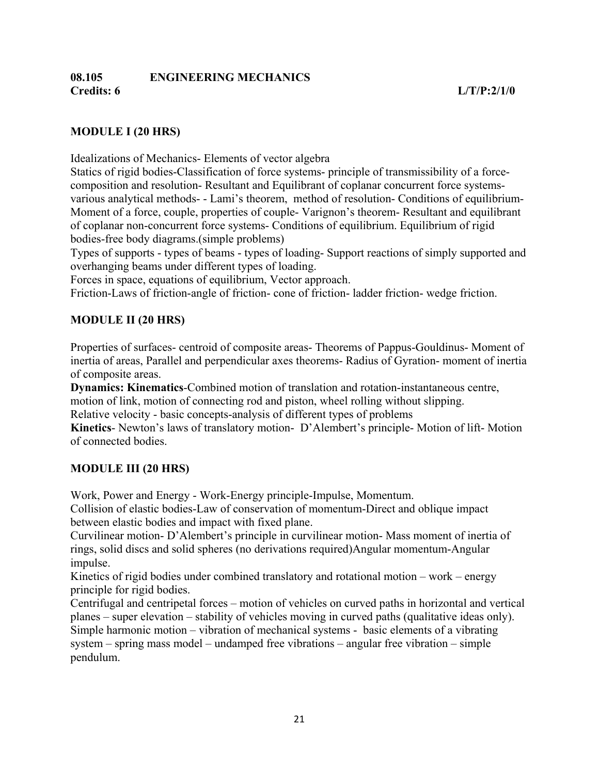# **08.105 ENGINEERING MECHANICS Credits: 6 L/T/P:2/1/0**

# **MODULE I (20 HRS)**

Idealizations of Mechanics- Elements of vector algebra

Statics of rigid bodies-Classification of force systems- principle of transmissibility of a forcecomposition and resolution- Resultant and Equilibrant of coplanar concurrent force systemsvarious analytical methods- - Lami's theorem, method of resolution- Conditions of equilibrium-Moment of a force, couple, properties of couple- Varignon's theorem- Resultant and equilibrant of coplanar non-concurrent force systems- Conditions of equilibrium. Equilibrium of rigid bodies-free body diagrams.(simple problems)

Types of supports - types of beams - types of loading- Support reactions of simply supported and overhanging beams under different types of loading.

Forces in space, equations of equilibrium, Vector approach.

Friction-Laws of friction-angle of friction- cone of friction- ladder friction- wedge friction.

# **MODULE II (20 HRS)**

Properties of surfaces- centroid of composite areas- Theorems of Pappus-Gouldinus- Moment of inertia of areas, Parallel and perpendicular axes theorems- Radius of Gyration- moment of inertia of composite areas.

**Dynamics: Kinematics**-Combined motion of translation and rotation-instantaneous centre,

motion of link, motion of connecting rod and piston, wheel rolling without slipping.

Relative velocity - basic concepts-analysis of different types of problems

**Kinetics**- Newton's laws of translatory motion- D'Alembert's principle- Motion of lift- Motion of connected bodies.

# **MODULE III (20 HRS)**

Work, Power and Energy - Work-Energy principle-Impulse, Momentum.

Collision of elastic bodies-Law of conservation of momentum-Direct and oblique impact between elastic bodies and impact with fixed plane.

Curvilinear motion- D'Alembert's principle in curvilinear motion- Mass moment of inertia of rings, solid discs and solid spheres (no derivations required)Angular momentum-Angular impulse.

Kinetics of rigid bodies under combined translatory and rotational motion – work – energy principle for rigid bodies.

Centrifugal and centripetal forces – motion of vehicles on curved paths in horizontal and vertical planes – super elevation – stability of vehicles moving in curved paths (qualitative ideas only). Simple harmonic motion – vibration of mechanical systems - basic elements of a vibrating system – spring mass model – undamped free vibrations – angular free vibration – simple pendulum.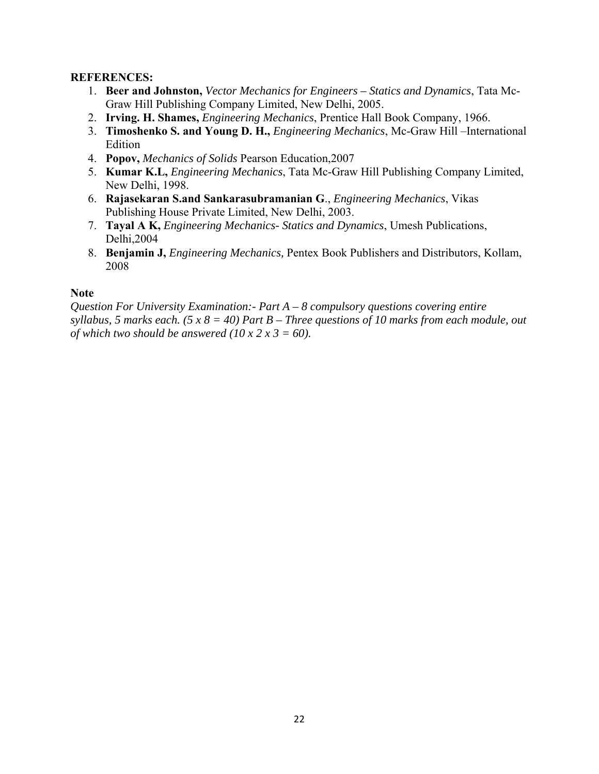#### **REFERENCES:**

- 1. **Beer and Johnston,** *Vector Mechanics for Engineers Statics and Dynamics*, Tata Mc-Graw Hill Publishing Company Limited, New Delhi, 2005.
- 2. **Irving. H. Shames,** *Engineering Mechanics*, Prentice Hall Book Company, 1966.
- 3. **Timoshenko S. and Young D. H.,** *Engineering Mechanics*, Mc-Graw Hill –International Edition
- 4. **Popov,** *Mechanics of Solids* Pearson Education,2007
- 5. **Kumar K.L,** *Engineering Mechanics*, Tata Mc-Graw Hill Publishing Company Limited, New Delhi, 1998.
- 6. **Rajasekaran S.and Sankarasubramanian G**., *Engineering Mechanics*, Vikas Publishing House Private Limited, New Delhi, 2003.
- 7. **Tayal A K,** *Engineering Mechanics- Statics and Dynamics*, Umesh Publications, Delhi,2004
- 8. **Benjamin J,** *Engineering Mechanics,* Pentex Book Publishers and Distributors, Kollam, 2008

#### **Note**

*Question For University Examination:- Part A – 8 compulsory questions covering entire syllabus, 5 marks each. (5 x 8 = 40) Part B – Three questions of 10 marks from each module, out of which two should be answered (10 x 2 x 3 = 60).*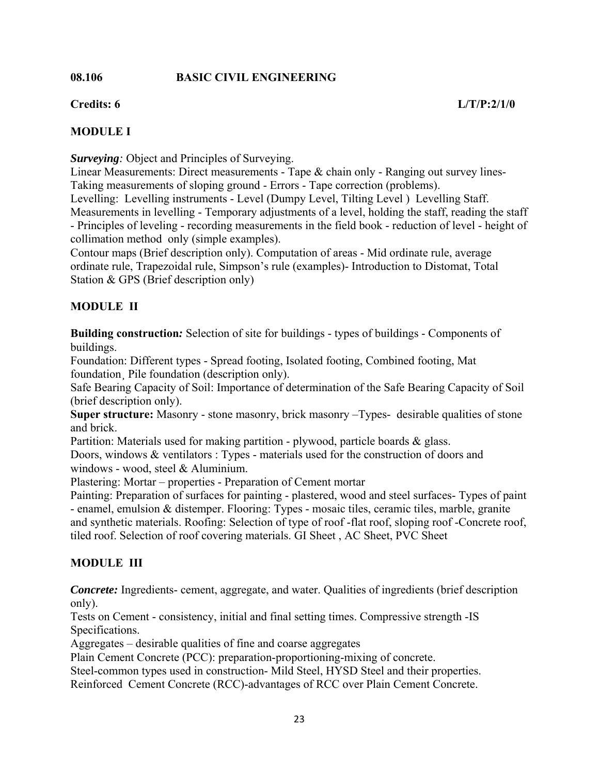#### **08.106 BASIC CIVIL ENGINEERING**

# **MODULE I**

*Surveying:* Object and Principles of Surveying.

Linear Measurements: Direct measurements - Tape & chain only - Ranging out survey lines-Taking measurements of sloping ground - Errors - Tape correction (problems).

Levelling: Levelling instruments - Level (Dumpy Level, Tilting Level ) Levelling Staff. Measurements in levelling - Temporary adjustments of a level, holding the staff, reading the staff - Principles of leveling - recording measurements in the field book - reduction of level - height of collimation method only (simple examples).

Contour maps (Brief description only). Computation of areas - Mid ordinate rule, average ordinate rule, Trapezoidal rule, Simpson's rule (examples)- Introduction to Distomat, Total Station & GPS (Brief description only)

# **MODULE II**

**Building construction***:* Selection of site for buildings - types of buildings - Components of buildings.

Foundation: Different types - Spread footing, Isolated footing, Combined footing, Mat foundation Pile foundation (description only).

Safe Bearing Capacity of Soil: Importance of determination of the Safe Bearing Capacity of Soil (brief description only).

**Super structure:** Masonry - stone masonry, brick masonry –Types- desirable qualities of stone and brick.

Partition: Materials used for making partition - plywood, particle boards & glass.

Doors, windows & ventilators : Types - materials used for the construction of doors and windows - wood, steel & Aluminium.

Plastering: Mortar – properties - Preparation of Cement mortar

Painting: Preparation of surfaces for painting - plastered, wood and steel surfaces- Types of paint - enamel, emulsion & distemper. Flooring: Types - mosaic tiles, ceramic tiles, marble, granite and synthetic materials. Roofing: Selection of type of roof -flat roof, sloping roof -Concrete roof, tiled roof. Selection of roof covering materials. GI Sheet , AC Sheet, PVC Sheet

# **MODULE III**

*Concrete:* Ingredients- cement, aggregate, and water. Qualities of ingredients (brief description only).

Tests on Cement - consistency, initial and final setting times. Compressive strength -IS Specifications.

Aggregates – desirable qualities of fine and coarse aggregates

Plain Cement Concrete (PCC): preparation-proportioning-mixing of concrete.

Steel-common types used in construction- Mild Steel, HYSD Steel and their properties.

Reinforced Cement Concrete (RCC)-advantages of RCC over Plain Cement Concrete.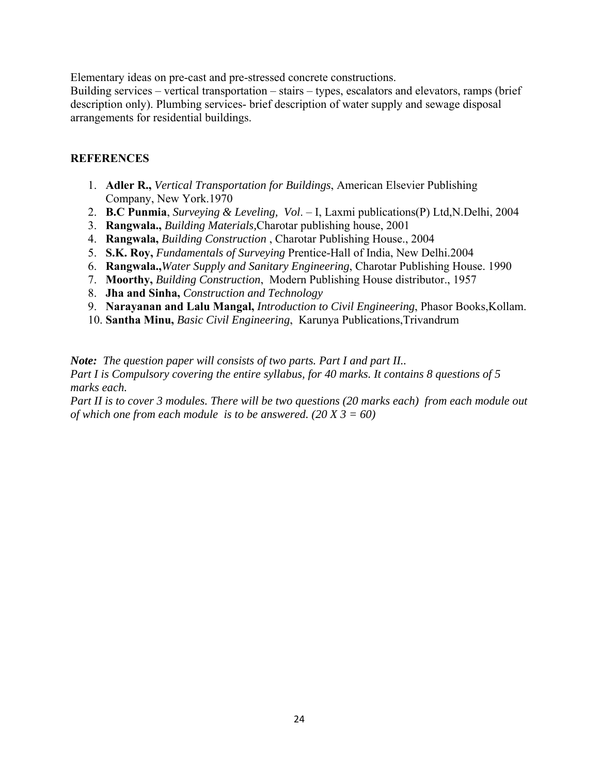Elementary ideas on pre-cast and pre-stressed concrete constructions.

Building services – vertical transportation – stairs – types, escalators and elevators, ramps (brief description only). Plumbing services- brief description of water supply and sewage disposal arrangements for residential buildings.

# **REFERENCES**

- 1. **Adler R.,** *Vertical Transportation for Buildings*, American Elsevier Publishing Company, New York.1970
- 2. **B.C Punmia**, *Surveying & Leveling, Vol*. I, Laxmi publications(P) Ltd,N.Delhi, 2004
- 3. **Rangwala.,** *Building Materials,*Charotar publishing house, 2001
- 4. **Rangwala,** *Building Construction* , Charotar Publishing House., 2004
- 5. **S.K. Roy,** *Fundamentals of Surveying* Prentice-Hall of India, New Delhi.2004
- 6. **Rangwala.,***Water Supply and Sanitary Engineering*, Charotar Publishing House. 1990
- 7. **Moorthy,** *Building Construction*, Modern Publishing House distributor., 1957
- 8. **Jha and Sinha,** *Construction and Technology*
- 9. **Narayanan and Lalu Mangal,** *Introduction to Civil Engineering*, Phasor Books,Kollam.
- 10. **Santha Minu,** *Basic Civil Engineering*, Karunya Publications,Trivandrum

*Note: The question paper will consists of two parts. Part I and part II..* 

*Part I is Compulsory covering the entire syllabus, for 40 marks. It contains 8 questions of 5 marks each.* 

*Part II is to cover 3 modules. There will be two questions (20 marks each) from each module out of which one from each module is to be answered. (20 X 3 = 60)*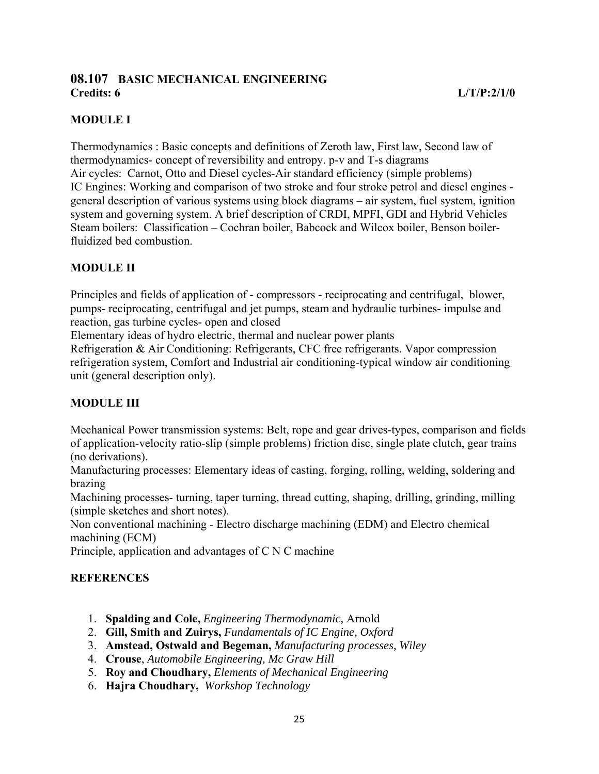# **08.107 BASIC MECHANICAL ENGINEERING**

# **MODULE I**

Thermodynamics : Basic concepts and definitions of Zeroth law, First law, Second law of thermodynamics- concept of reversibility and entropy. p-v and T-s diagrams Air cycles: Carnot, Otto and Diesel cycles-Air standard efficiency (simple problems) IC Engines: Working and comparison of two stroke and four stroke petrol and diesel engines general description of various systems using block diagrams – air system, fuel system, ignition system and governing system. A brief description of CRDI, MPFI, GDI and Hybrid Vehicles Steam boilers: Classification – Cochran boiler, Babcock and Wilcox boiler, Benson boilerfluidized bed combustion.

# **MODULE II**

Principles and fields of application of - compressors - reciprocating and centrifugal, blower, pumps- reciprocating, centrifugal and jet pumps, steam and hydraulic turbines- impulse and reaction, gas turbine cycles- open and closed

Elementary ideas of hydro electric, thermal and nuclear power plants

Refrigeration & Air Conditioning: Refrigerants, CFC free refrigerants. Vapor compression refrigeration system, Comfort and Industrial air conditioning-typical window air conditioning unit (general description only).

# **MODULE III**

Mechanical Power transmission systems: Belt, rope and gear drives-types, comparison and fields of application-velocity ratio-slip (simple problems) friction disc, single plate clutch, gear trains (no derivations).

Manufacturing processes: Elementary ideas of casting, forging, rolling, welding, soldering and brazing

Machining processes- turning, taper turning, thread cutting, shaping, drilling, grinding, milling (simple sketches and short notes).

Non conventional machining - Electro discharge machining (EDM) and Electro chemical machining (ECM)

Principle, application and advantages of C N C machine

# **REFERENCES**

- 1. **Spalding and Cole,** *Engineering Thermodynamic,* Arnold
- 2. **Gill, Smith and Zuirys,** *Fundamentals of IC Engine, Oxford*
- 3. **Amstead, Ostwald and Begeman,** *Manufacturing processes, Wiley*
- 4. **Crouse**, *Automobile Engineering, Mc Graw Hill*
- 5. **Roy and Choudhary,** *Elements of Mechanical Engineering*
- 6. **Hajra Choudhary,** *Workshop Technology*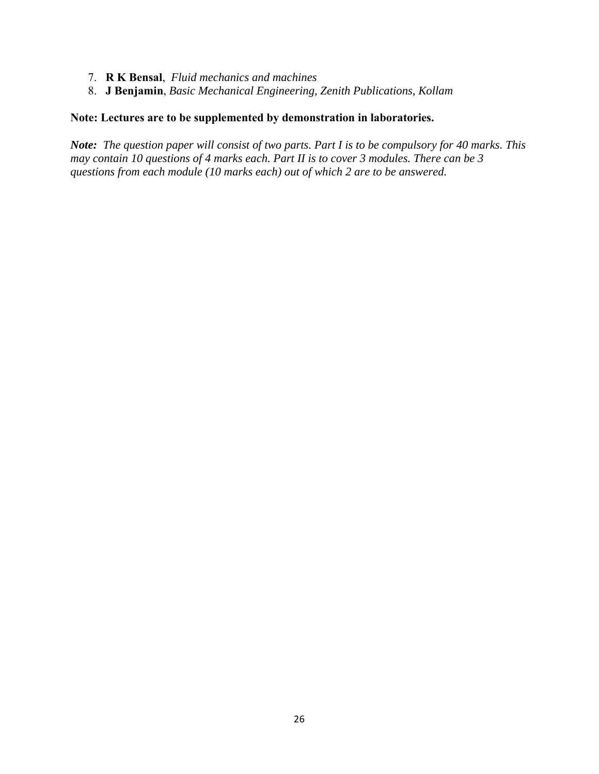- 7. **R K Bensal**, *Fluid mechanics and machines*
- 8. **J Benjamin**, *Basic Mechanical Engineering, Zenith Publications, Kollam*

#### **Note: Lectures are to be supplemented by demonstration in laboratories.**

*Note: The question paper will consist of two parts. Part I is to be compulsory for 40 marks. This may contain 10 questions of 4 marks each. Part II is to cover 3 modules. There can be 3 questions from each module (10 marks each) out of which 2 are to be answered.*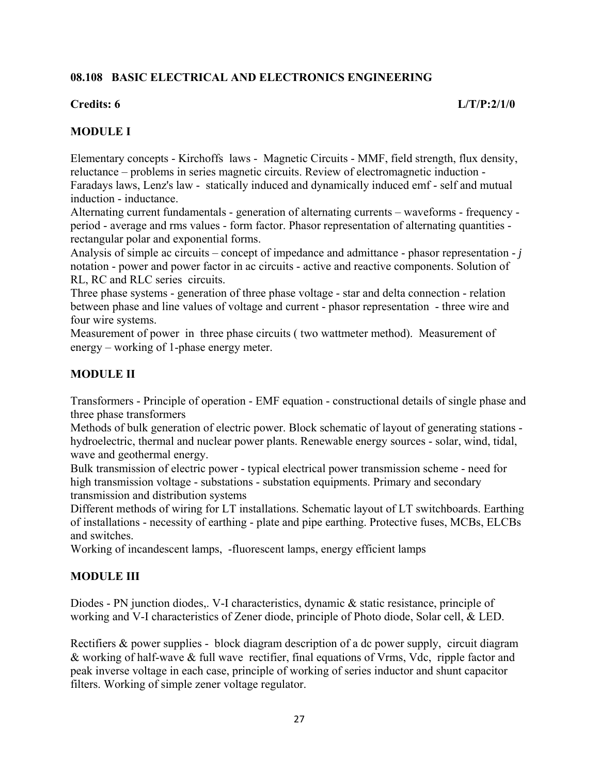# **08.108 BASIC ELECTRICAL AND ELECTRONICS ENGINEERING**

# **MODULE I**

Elementary concepts - Kirchoffs laws - Magnetic Circuits - MMF, field strength, flux density, reluctance – problems in series magnetic circuits. Review of electromagnetic induction - Faradays laws, Lenz's law - statically induced and dynamically induced emf - self and mutual induction - inductance.

Alternating current fundamentals - generation of alternating currents – waveforms - frequency period - average and rms values - form factor. Phasor representation of alternating quantities rectangular polar and exponential forms.

Analysis of simple ac circuits – concept of impedance and admittance - phasor representation - *j*  notation - power and power factor in ac circuits - active and reactive components. Solution of RL, RC and RLC series circuits.

Three phase systems - generation of three phase voltage - star and delta connection - relation between phase and line values of voltage and current - phasor representation - three wire and four wire systems.

Measurement of power in three phase circuits ( two wattmeter method). Measurement of energy – working of 1-phase energy meter.

# **MODULE II**

Transformers - Principle of operation - EMF equation - constructional details of single phase and three phase transformers

Methods of bulk generation of electric power. Block schematic of layout of generating stations hydroelectric, thermal and nuclear power plants. Renewable energy sources - solar, wind, tidal, wave and geothermal energy.

Bulk transmission of electric power - typical electrical power transmission scheme - need for high transmission voltage - substations - substation equipments. Primary and secondary transmission and distribution systems

Different methods of wiring for LT installations. Schematic layout of LT switchboards. Earthing of installations - necessity of earthing - plate and pipe earthing. Protective fuses, MCBs, ELCBs and switches.

Working of incandescent lamps, -fluorescent lamps, energy efficient lamps

# **MODULE III**

Diodes - PN junction diodes,. V-I characteristics, dynamic & static resistance, principle of working and V-I characteristics of Zener diode, principle of Photo diode, Solar cell, & LED.

Rectifiers & power supplies - block diagram description of a dc power supply, circuit diagram & working of half-wave & full wave rectifier, final equations of Vrms, Vdc, ripple factor and peak inverse voltage in each case, principle of working of series inductor and shunt capacitor filters. Working of simple zener voltage regulator.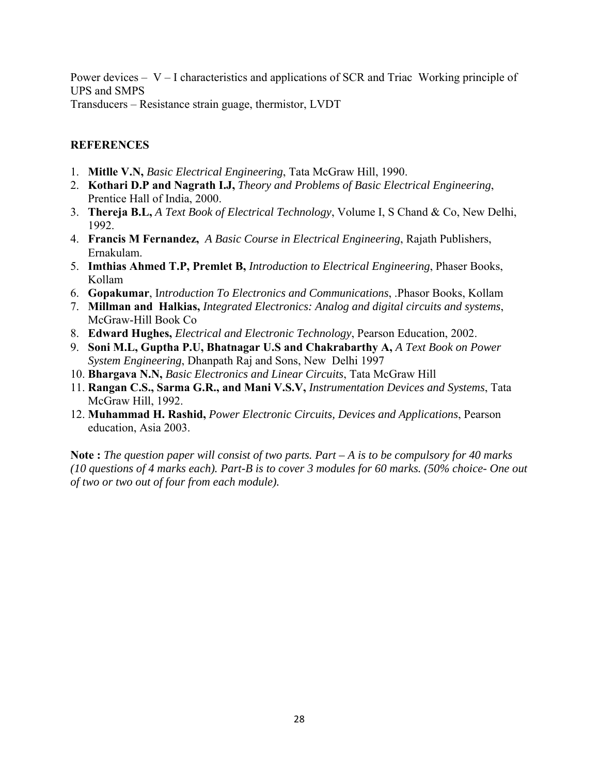Power devices  $- V - I$  characteristics and applications of SCR and Triac Working principle of UPS and SMPS Transducers – Resistance strain guage, thermistor, LVDT

#### **REFERENCES**

- 1. **Mitlle V.N,** *Basic Electrical Engineering*, Tata McGraw Hill, 1990.
- 2. **Kothari D.P and Nagrath I.J,** *Theory and Problems of Basic Electrical Engineering*, Prentice Hall of India, 2000.
- 3. **Thereja B.L,** *A Text Book of Electrical Technology*, Volume I, S Chand & Co, New Delhi, 1992.
- 4. **Francis M Fernandez,** *A Basic Course in Electrical Engineering*, Rajath Publishers, Ernakulam.
- 5. **Imthias Ahmed T.P, Premlet B,** *Introduction to Electrical Engineering*, Phaser Books, Kollam
- 6. **Gopakumar**, I*ntroduction To Electronics and Communications*, .Phasor Books, Kollam
- 7. **Millman and Halkias,** *Integrated Electronics: Analog and digital circuits and systems*, McGraw-Hill Book Co
- 8. **Edward Hughes,** *Electrical and Electronic Technology*, Pearson Education, 2002.
- 9. **Soni M.L, Guptha P.U, Bhatnagar U.S and Chakrabarthy A,** *A Text Book on Power System Engineering*, Dhanpath Raj and Sons, New Delhi 1997
- 10. **Bhargava N.N,** *Basic Electronics and Linear Circuits*, Tata McGraw Hill
- 11. **Rangan C.S., Sarma G.R., and Mani V.S.V,** *Instrumentation Devices and Systems*, Tata McGraw Hill, 1992.
- 12. **Muhammad H. Rashid,** *Power Electronic Circuits, Devices and Applications*, Pearson education, Asia 2003.

**Note :** *The question paper will consist of two parts. Part – A is to be compulsory for 40 marks (10 questions of 4 marks each). Part-B is to cover 3 modules for 60 marks. (50% choice- One out of two or two out of four from each module).*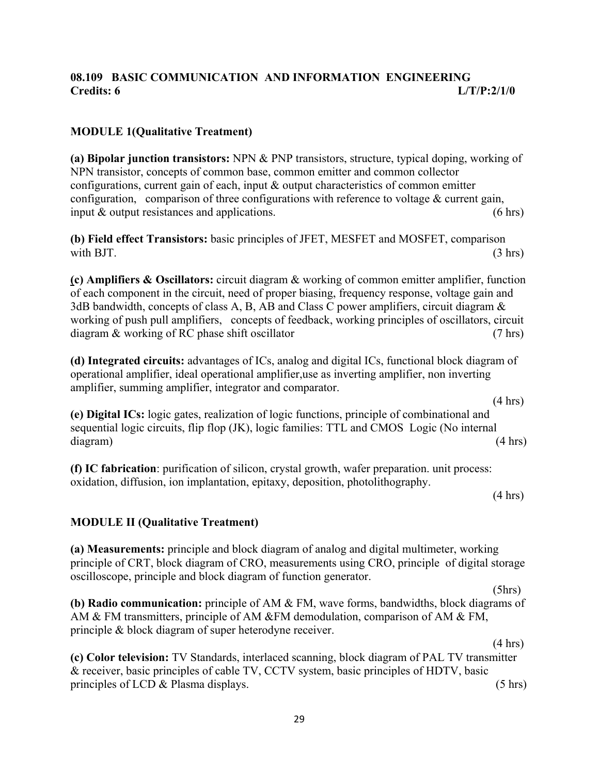# **08.109 BASIC COMMUNICATION AND INFORMATION ENGINEERING Credits: 6 L/T/P:2/1/0**

# **MODULE 1(Qualitative Treatment)**

**(a) Bipolar junction transistors:** NPN & PNP transistors, structure, typical doping, working of NPN transistor, concepts of common base, common emitter and common collector configurations, current gain of each, input & output characteristics of common emitter configuration, comparison of three configurations with reference to voltage & current gain, input  $\&$  output resistances and applications. (6 hrs)

**(b) Field effect Transistors:** basic principles of JFET, MESFET and MOSFET, comparison with BJT.  $(3 \text{ hrs})$ 

**(c) Amplifiers & Oscillators:** circuit diagram & working of common emitter amplifier, function of each component in the circuit, need of proper biasing, frequency response, voltage gain and 3dB bandwidth, concepts of class A, B, AB and Class C power amplifiers, circuit diagram & working of push pull amplifiers, concepts of feedback, working principles of oscillators, circuit diagram & working of RC phase shift oscillator (7 hrs)

**(d) Integrated circuits:** advantages of ICs, analog and digital ICs, functional block diagram of operational amplifier, ideal operational amplifier,use as inverting amplifier, non inverting amplifier, summing amplifier, integrator and comparator.

 $(4 \text{ hrs})$ 

**(e) Digital ICs:** logic gates, realization of logic functions, principle of combinational and sequential logic circuits, flip flop (JK), logic families: TTL and CMOS Logic (No internal diagram) (4 hrs)

**(f) IC fabrication**: purification of silicon, crystal growth, wafer preparation. unit process: oxidation, diffusion, ion implantation, epitaxy, deposition, photolithography.

 $(4 \text{ hrs})$ 

# **MODULE II (Qualitative Treatment)**

**(a) Measurements:** principle and block diagram of analog and digital multimeter, working principle of CRT, block diagram of CRO, measurements using CRO, principle of digital storage oscilloscope, principle and block diagram of function generator.

 (5hrs) **(b) Radio communication:** principle of AM & FM, wave forms, bandwidths, block diagrams of AM & FM transmitters, principle of AM &FM demodulation, comparison of AM & FM, principle & block diagram of super heterodyne receiver.

 $(4 \text{ hrs})$ **(c) Color television:** TV Standards, interlaced scanning, block diagram of PAL TV transmitter & receiver, basic principles of cable TV, CCTV system, basic principles of HDTV, basic principles of LCD & Plasma displays. (5 hrs)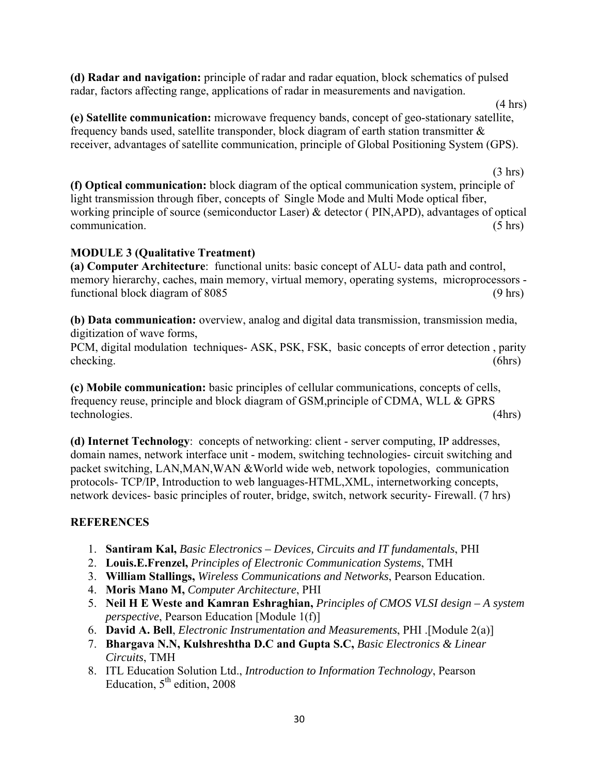**(d) Radar and navigation:** principle of radar and radar equation, block schematics of pulsed radar, factors affecting range, applications of radar in measurements and navigation.

**(e) Satellite communication:** microwave frequency bands, concept of geo-stationary satellite, frequency bands used, satellite transponder, block diagram of earth station transmitter & receiver, advantages of satellite communication, principle of Global Positioning System (GPS).

 $(3 \text{ hrs})$ **(f) Optical communication:** block diagram of the optical communication system, principle of light transmission through fiber, concepts of Single Mode and Multi Mode optical fiber, working principle of source (semiconductor Laser) & detector ( PIN,APD), advantages of optical communication. (5 hrs)

# **MODULE 3 (Qualitative Treatment)**

**(a) Computer Architecture**: functional units: basic concept of ALU- data path and control, memory hierarchy, caches, main memory, virtual memory, operating systems, microprocessors functional block diagram of 8085 (9 hrs) (9 hrs)

**(b) Data communication:** overview, analog and digital data transmission, transmission media, digitization of wave forms,

PCM, digital modulation techniques- ASK, PSK, FSK, basic concepts of error detection , parity checking. (6hrs)

**(c) Mobile communication:** basic principles of cellular communications, concepts of cells, frequency reuse, principle and block diagram of GSM,principle of CDMA, WLL & GPRS technologies. (4hrs)

**(d) Internet Technology**: concepts of networking: client - server computing, IP addresses, domain names, network interface unit - modem, switching technologies- circuit switching and packet switching, LAN,MAN,WAN &World wide web, network topologies, communication protocols- TCP/IP, Introduction to web languages-HTML,XML, internetworking concepts, network devices- basic principles of router, bridge, switch, network security- Firewall. (7 hrs)

# **REFERENCES**

- 1. **Santiram Kal,** *Basic Electronics Devices, Circuits and IT fundamentals*, PHI
- 2. **Louis.E.Frenzel,** *Principles of Electronic Communication Systems*, TMH
- 3. **William Stallings,** *Wireless Communications and Networks*, Pearson Education.
- 4. **Moris Mano M,** *Computer Architecture*, PHI
- 5. **Neil H E Weste and Kamran Eshraghian,** *Principles of CMOS VLSI design A system perspective*, Pearson Education [Module 1(f)]
- 6. **David A. Bell**, *Electronic Instrumentation and Measurements*, PHI .[Module 2(a)]
- 7. **Bhargava N.N, Kulshreshtha D.C and Gupta S.C,** *Basic Electronics & Linear Circuits*, TMH
- 8. ITL Education Solution Ltd., *Introduction to Information Technology*, Pearson Education,  $5<sup>th</sup>$  edition, 2008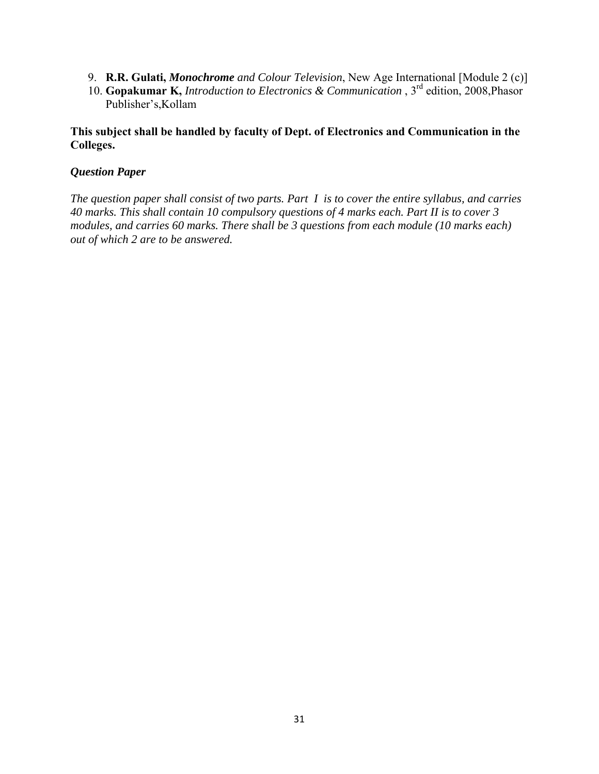- 9. **R.R. Gulati,** *Monochrome and Colour Television*, New Age International [Module 2 (c)]
- 10. **Gopakumar K,** *Introduction to Electronics & Communication* , 3rd edition, 2008,Phasor Publisher's,Kollam

#### **This subject shall be handled by faculty of Dept. of Electronics and Communication in the Colleges.**

#### *Question Paper*

*The question paper shall consist of two parts. Part I is to cover the entire syllabus, and carries 40 marks. This shall contain 10 compulsory questions of 4 marks each. Part II is to cover 3 modules, and carries 60 marks. There shall be 3 questions from each module (10 marks each) out of which 2 are to be answered.*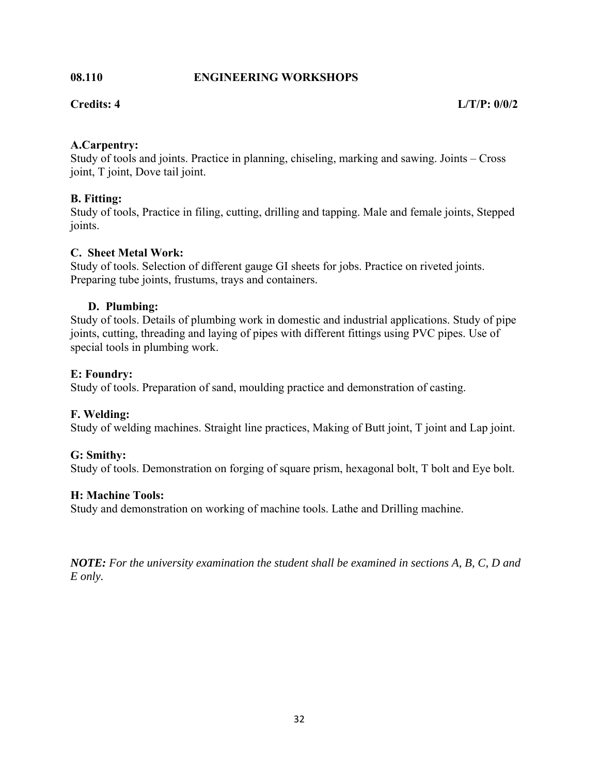#### **08.110 ENGINEERING WORKSHOPS**

# **A.Carpentry:**

Study of tools and joints. Practice in planning, chiseling, marking and sawing. Joints – Cross joint, T joint, Dove tail joint.

# **B. Fitting:**

Study of tools, Practice in filing, cutting, drilling and tapping. Male and female joints, Stepped joints.

# **C. Sheet Metal Work:**

Study of tools. Selection of different gauge GI sheets for jobs. Practice on riveted joints. Preparing tube joints, frustums, trays and containers.

# **D. Plumbing:**

Study of tools. Details of plumbing work in domestic and industrial applications. Study of pipe joints, cutting, threading and laying of pipes with different fittings using PVC pipes. Use of special tools in plumbing work.

# **E: Foundry:**

Study of tools. Preparation of sand, moulding practice and demonstration of casting.

# **F. Welding:**

Study of welding machines. Straight line practices, Making of Butt joint, T joint and Lap joint.

# **G: Smithy:**

Study of tools. Demonstration on forging of square prism, hexagonal bolt, T bolt and Eye bolt.

# **H: Machine Tools:**

Study and demonstration on working of machine tools. Lathe and Drilling machine.

*NOTE: For the university examination the student shall be examined in sections A, B, C, D and E only.*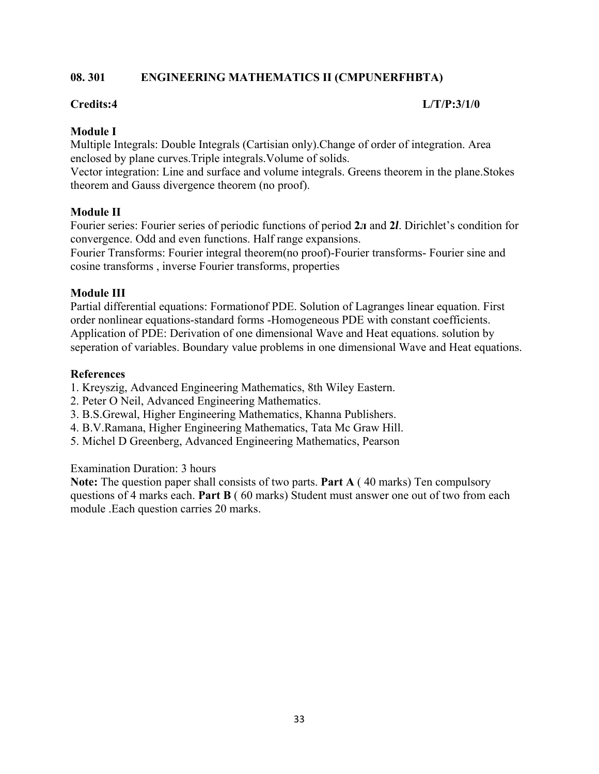# **08. 301 ENGINEERING MATHEMATICS II (CMPUNERFHBTA)**

#### **Credits:4 L/T/P:3/1/0**

#### **Module I**

Multiple Integrals: Double Integrals (Cartisian only).Change of order of integration. Area enclosed by plane curves.Triple integrals.Volume of solids.

Vector integration: Line and surface and volume integrals. Greens theorem in the plane.Stokes theorem and Gauss divergence theorem (no proof).

#### **Module II**

Fourier series: Fourier series of periodic functions of period **2л** and **2***l*. Dirichlet's condition for convergence. Odd and even functions. Half range expansions.

Fourier Transforms: Fourier integral theorem(no proof)-Fourier transforms- Fourier sine and cosine transforms , inverse Fourier transforms, properties

#### **Module III**

Partial differential equations: Formationof PDE. Solution of Lagranges linear equation. First order nonlinear equations-standard forms -Homogeneous PDE with constant coefficients. Application of PDE: Derivation of one dimensional Wave and Heat equations. solution by seperation of variables. Boundary value problems in one dimensional Wave and Heat equations.

#### **References**

1. Kreyszig, Advanced Engineering Mathematics, 8th Wiley Eastern.

- 2. Peter O Neil, Advanced Engineering Mathematics.
- 3. B.S.Grewal, Higher Engineering Mathematics, Khanna Publishers.
- 4. B.V.Ramana, Higher Engineering Mathematics, Tata Mc Graw Hill.
- 5. Michel D Greenberg, Advanced Engineering Mathematics, Pearson

#### Examination Duration: 3 hours

**Note:** The question paper shall consists of two parts. **Part A** ( 40 marks) Ten compulsory questions of 4 marks each. **Part B** ( 60 marks) Student must answer one out of two from each module .Each question carries 20 marks.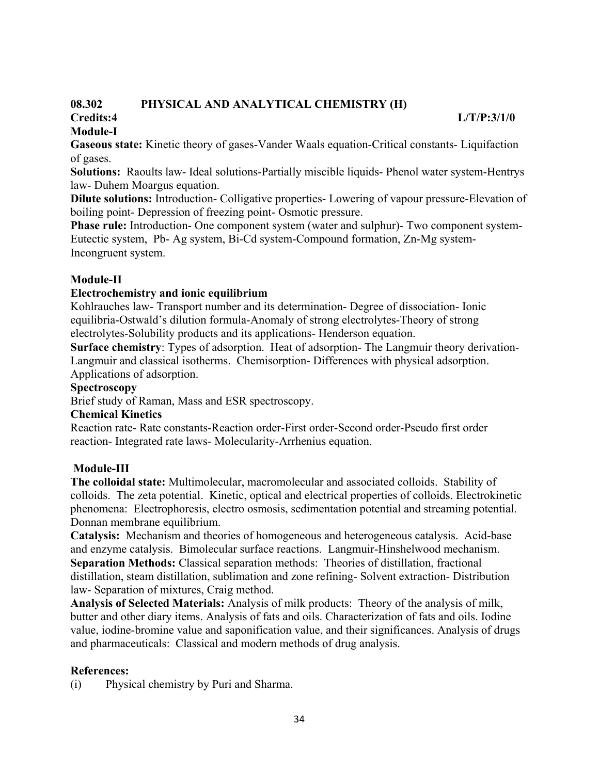#### **08.302 PHYSICAL AND ANALYTICAL CHEMISTRY (H) Credits:4 L/T/P:3/1/0**

# **Module-I**

**Gaseous state:** Kinetic theory of gases-Vander Waals equation-Critical constants- Liquifaction of gases.

**Solutions:** Raoults law- Ideal solutions-Partially miscible liquids- Phenol water system-Hentrys law- Duhem Moargus equation.

**Dilute solutions:** Introduction- Colligative properties- Lowering of vapour pressure-Elevation of boiling point- Depression of freezing point- Osmotic pressure.

**Phase rule:** Introduction- One component system (water and sulphur)- Two component system-Eutectic system, Pb- Ag system, Bi-Cd system-Compound formation, Zn-Mg system-Incongruent system.

# **Module-II**

# **Electrochemistry and ionic equilibrium**

Kohlrauches law- Transport number and its determination- Degree of dissociation- Ionic equilibria-Ostwald's dilution formula-Anomaly of strong electrolytes-Theory of strong electrolytes-Solubility products and its applications- Henderson equation.

**Surface chemistry**: Types of adsorption. Heat of adsorption- The Langmuir theory derivation-Langmuir and classical isotherms. Chemisorption- Differences with physical adsorption. Applications of adsorption.

# **Spectroscopy**

Brief study of Raman, Mass and ESR spectroscopy.

# **Chemical Kinetics**

Reaction rate- Rate constants-Reaction order-First order-Second order-Pseudo first order reaction- Integrated rate laws- Molecularity-Arrhenius equation.

# **Module-III**

**The colloidal state:** Multimolecular, macromolecular and associated colloids. Stability of colloids. The zeta potential. Kinetic, optical and electrical properties of colloids. Electrokinetic phenomena: Electrophoresis, electro osmosis, sedimentation potential and streaming potential. Donnan membrane equilibrium.

**Catalysis:** Mechanism and theories of homogeneous and heterogeneous catalysis. Acid-base and enzyme catalysis. Bimolecular surface reactions. Langmuir-Hinshelwood mechanism. **Separation Methods:** Classical separation methods: Theories of distillation, fractional distillation, steam distillation, sublimation and zone refining- Solvent extraction- Distribution law- Separation of mixtures, Craig method.

**Analysis of Selected Materials:** Analysis of milk products: Theory of the analysis of milk, butter and other diary items. Analysis of fats and oils. Characterization of fats and oils. Iodine value, iodine-bromine value and saponification value, and their significances. Analysis of drugs and pharmaceuticals: Classical and modern methods of drug analysis.

# **References:**

(i) Physical chemistry by Puri and Sharma.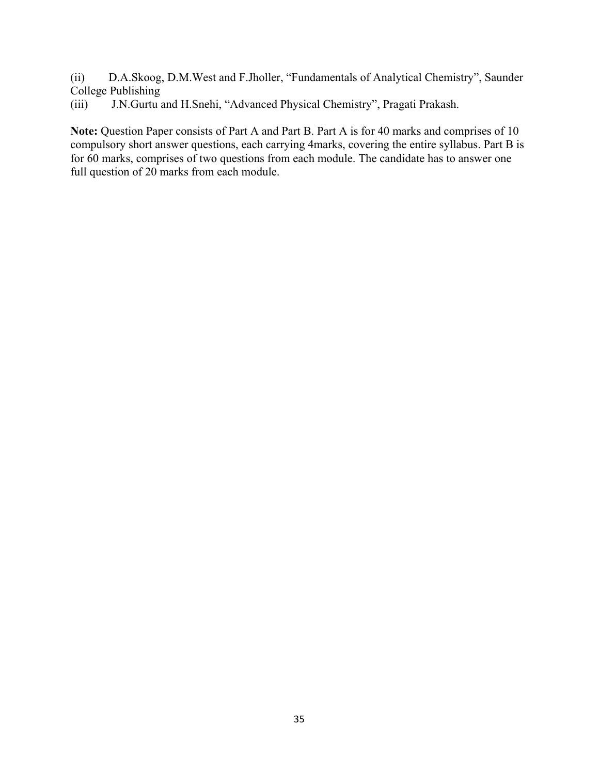(ii) D.A.Skoog, D.M.West and F.Jholler, "Fundamentals of Analytical Chemistry", Saunder College Publishing

(iii) J.N.Gurtu and H.Snehi, "Advanced Physical Chemistry", Pragati Prakash.

**Note:** Question Paper consists of Part A and Part B. Part A is for 40 marks and comprises of 10 compulsory short answer questions, each carrying 4marks, covering the entire syllabus. Part B is for 60 marks, comprises of two questions from each module. The candidate has to answer one full question of 20 marks from each module.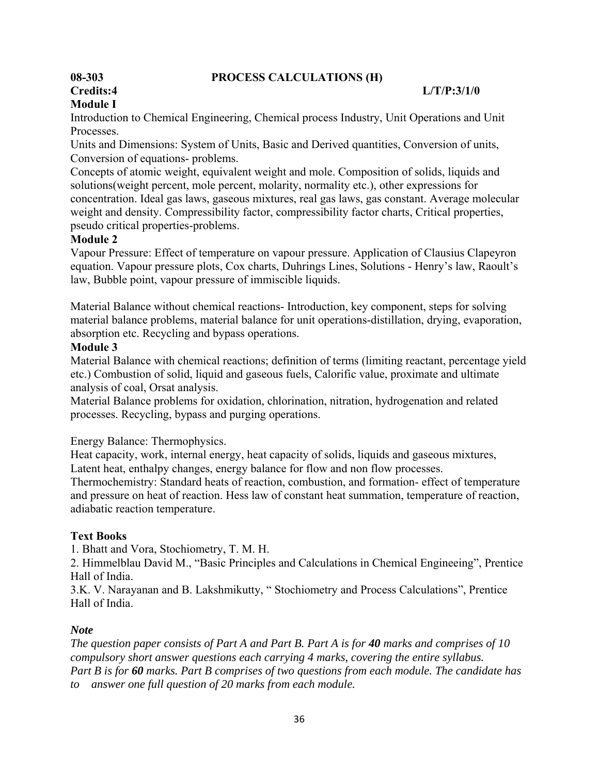#### **08-303 PROCESS CALCULATIONS (H)**

# **Module I**

#### **Credits:4 L/T/P:3/1/0**

Introduction to Chemical Engineering, Chemical process Industry, Unit Operations and Unit Processes.

Units and Dimensions: System of Units, Basic and Derived quantities, Conversion of units, Conversion of equations- problems.

Concepts of atomic weight, equivalent weight and mole. Composition of solids, liquids and solutions(weight percent, mole percent, molarity, normality etc.), other expressions for concentration. Ideal gas laws, gaseous mixtures, real gas laws, gas constant. Average molecular weight and density. Compressibility factor, compressibility factor charts, Critical properties, pseudo critical properties-problems.

#### **Module 2**

Vapour Pressure: Effect of temperature on vapour pressure. Application of Clausius Clapeyron equation. Vapour pressure plots, Cox charts, Duhrings Lines, Solutions - Henry's law, Raoult's law, Bubble point, vapour pressure of immiscible liquids.

Material Balance without chemical reactions- Introduction, key component, steps for solving material balance problems, material balance for unit operations-distillation, drying, evaporation, absorption etc. Recycling and bypass operations.

#### **Module 3**

Material Balance with chemical reactions; definition of terms (limiting reactant, percentage yield etc.) Combustion of solid, liquid and gaseous fuels, Calorific value, proximate and ultimate analysis of coal, Orsat analysis.

Material Balance problems for oxidation, chlorination, nitration, hydrogenation and related processes. Recycling, bypass and purging operations.

Energy Balance: Thermophysics.

Heat capacity, work, internal energy, heat capacity of solids, liquids and gaseous mixtures, Latent heat, enthalpy changes, energy balance for flow and non flow processes.

Thermochemistry: Standard heats of reaction, combustion, and formation- effect of temperature and pressure on heat of reaction. Hess law of constant heat summation, temperature of reaction, adiabatic reaction temperature.

#### **Text Books**

1. Bhatt and Vora, Stochiometry, T. M. H.

2. Himmelblau David M., "Basic Principles and Calculations in Chemical Engineeing", Prentice Hall of India.

3.K. V. Narayanan and B. Lakshmikutty, " Stochiometry and Process Calculations", Prentice Hall of India.

#### *Note*

*The question paper consists of Part A and Part B. Part A is for 40 marks and comprises of 10 compulsory short answer questions each carrying 4 marks, covering the entire syllabus. Part B is for 60 marks. Part B comprises of two questions from each module. The candidate has to answer one full question of 20 marks from each module.*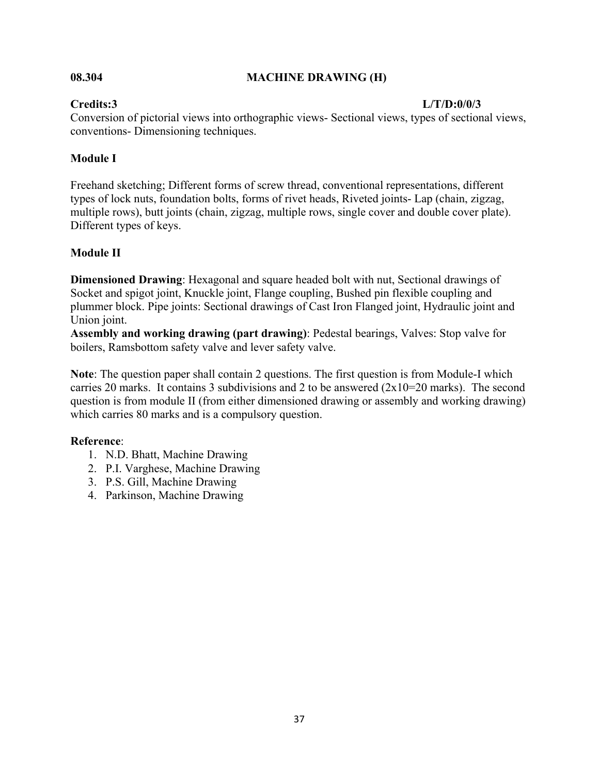#### **08.304 MACHINE DRAWING (H)**

#### **Credits:3 L/T/D:0/0/3**

Conversion of pictorial views into orthographic views- Sectional views, types of sectional views, conventions- Dimensioning techniques.

#### **Module I**

Freehand sketching; Different forms of screw thread, conventional representations, different types of lock nuts, foundation bolts, forms of rivet heads, Riveted joints- Lap (chain, zigzag, multiple rows), butt joints (chain, zigzag, multiple rows, single cover and double cover plate). Different types of keys.

#### **Module II**

**Dimensioned Drawing**: Hexagonal and square headed bolt with nut, Sectional drawings of Socket and spigot joint, Knuckle joint, Flange coupling, Bushed pin flexible coupling and plummer block. Pipe joints: Sectional drawings of Cast Iron Flanged joint, Hydraulic joint and Union joint.

**Assembly and working drawing (part drawing)**: Pedestal bearings, Valves: Stop valve for boilers, Ramsbottom safety valve and lever safety valve.

**Note**: The question paper shall contain 2 questions. The first question is from Module-I which carries 20 marks. It contains 3 subdivisions and 2 to be answered (2x10=20 marks). The second question is from module II (from either dimensioned drawing or assembly and working drawing) which carries 80 marks and is a compulsory question.

#### **Reference**:

- 1. N.D. Bhatt, Machine Drawing
- 2. P.I. Varghese, Machine Drawing
- 3. P.S. Gill, Machine Drawing
- 4. Parkinson, Machine Drawing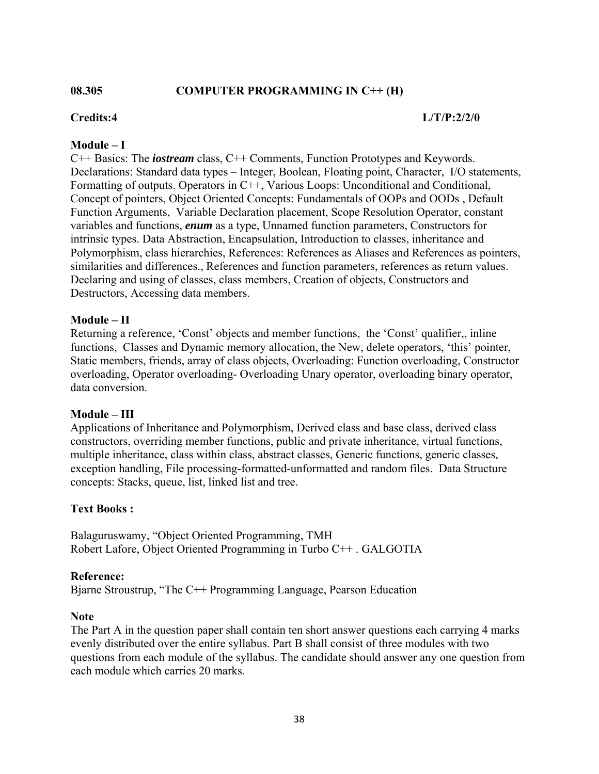#### **08.305 COMPUTER PROGRAMMING IN C++ (H)**

#### **Credits:4 L/T/P:2/2/0**

#### **Module – I**

C++ Basics: The *iostream* class, C++ Comments, Function Prototypes and Keywords. Declarations: Standard data types – Integer, Boolean, Floating point, Character, I/O statements, Formatting of outputs. Operators in C++, Various Loops: Unconditional and Conditional, Concept of pointers, Object Oriented Concepts: Fundamentals of OOPs and OODs , Default Function Arguments, Variable Declaration placement, Scope Resolution Operator, constant variables and functions, *enum* as a type, Unnamed function parameters, Constructors for intrinsic types. Data Abstraction, Encapsulation, Introduction to classes, inheritance and Polymorphism, class hierarchies, References: References as Aliases and References as pointers, similarities and differences., References and function parameters, references as return values. Declaring and using of classes, class members, Creation of objects, Constructors and Destructors, Accessing data members.

#### **Module – II**

Returning a reference, 'Const' objects and member functions, the 'Const' qualifier,, inline functions, Classes and Dynamic memory allocation, the New, delete operators, 'this' pointer, Static members, friends, array of class objects, Overloading: Function overloading, Constructor overloading, Operator overloading- Overloading Unary operator, overloading binary operator, data conversion.

#### **Module – III**

Applications of Inheritance and Polymorphism, Derived class and base class, derived class constructors, overriding member functions, public and private inheritance, virtual functions, multiple inheritance, class within class, abstract classes, Generic functions, generic classes, exception handling, File processing-formatted-unformatted and random files. Data Structure concepts: Stacks, queue, list, linked list and tree.

#### **Text Books :**

Balaguruswamy, "Object Oriented Programming, TMH Robert Lafore, Object Oriented Programming in Turbo C++ . GALGOTIA

#### **Reference:**

Bjarne Stroustrup, "The C++ Programming Language, Pearson Education

#### **Note**

The Part A in the question paper shall contain ten short answer questions each carrying 4 marks evenly distributed over the entire syllabus. Part B shall consist of three modules with two questions from each module of the syllabus. The candidate should answer any one question from each module which carries 20 marks.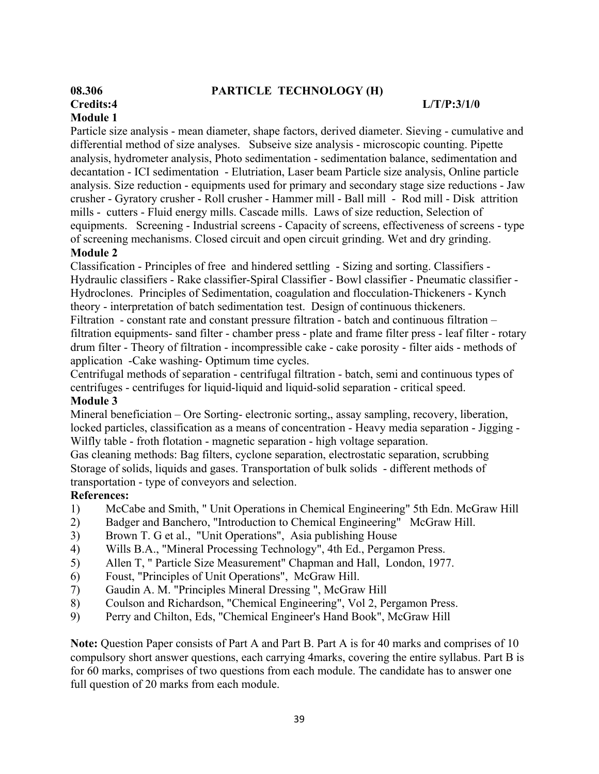#### **08.306 PARTICLE TECHNOLOGY (H)**

# **Module 1**

#### **Credits:4 L/T/P:3/1/0**

Particle size analysis - mean diameter, shape factors, derived diameter. Sieving - cumulative and differential method of size analyses. Subseive size analysis - microscopic counting. Pipette analysis, hydrometer analysis, Photo sedimentation - sedimentation balance, sedimentation and decantation - ICI sedimentation - Elutriation, Laser beam Particle size analysis, Online particle analysis. Size reduction - equipments used for primary and secondary stage size reductions - Jaw crusher - Gyratory crusher - Roll crusher - Hammer mill - Ball mill - Rod mill - Disk attrition mills - cutters - Fluid energy mills. Cascade mills. Laws of size reduction, Selection of equipments. Screening - Industrial screens - Capacity of screens, effectiveness of screens - type of screening mechanisms. Closed circuit and open circuit grinding. Wet and dry grinding.

#### **Module 2**

Classification - Principles of free and hindered settling - Sizing and sorting. Classifiers - Hydraulic classifiers - Rake classifier-Spiral Classifier - Bowl classifier - Pneumatic classifier - Hydroclones. Principles of Sedimentation, coagulation and flocculation-Thickeners - Kynch theory - interpretation of batch sedimentation test. Design of continuous thickeners.

Filtration - constant rate and constant pressure filtration - batch and continuous filtration – filtration equipments- sand filter - chamber press - plate and frame filter press - leaf filter - rotary drum filter - Theory of filtration - incompressible cake - cake porosity - filter aids - methods of application -Cake washing- Optimum time cycles.

Centrifugal methods of separation - centrifugal filtration - batch, semi and continuous types of centrifuges - centrifuges for liquid-liquid and liquid-solid separation - critical speed.

#### **Module 3**

Mineral beneficiation – Ore Sorting- electronic sorting,, assay sampling, recovery, liberation, locked particles, classification as a means of concentration - Heavy media separation - Jigging - Wilfly table - froth flotation - magnetic separation - high voltage separation.

Gas cleaning methods: Bag filters, cyclone separation, electrostatic separation, scrubbing Storage of solids, liquids and gases. Transportation of bulk solids - different methods of transportation - type of conveyors and selection.

#### **References:**

- 1) McCabe and Smith, " Unit Operations in Chemical Engineering" 5th Edn. McGraw Hill
- 2) Badger and Banchero, "Introduction to Chemical Engineering" McGraw Hill.
- 3) Brown T. G et al., "Unit Operations", Asia publishing House
- 4) Wills B.A., "Mineral Processing Technology", 4th Ed., Pergamon Press.
- 5) Allen T, " Particle Size Measurement" Chapman and Hall, London, 1977.
- 6) Foust, "Principles of Unit Operations", McGraw Hill.
- 7) Gaudin A. M. "Principles Mineral Dressing ", McGraw Hill
- 8) Coulson and Richardson, "Chemical Engineering", Vol 2, Pergamon Press.
- 9) Perry and Chilton, Eds, "Chemical Engineer's Hand Book", McGraw Hill

**Note:** Question Paper consists of Part A and Part B. Part A is for 40 marks and comprises of 10 compulsory short answer questions, each carrying 4marks, covering the entire syllabus. Part B is for 60 marks, comprises of two questions from each module. The candidate has to answer one full question of 20 marks from each module.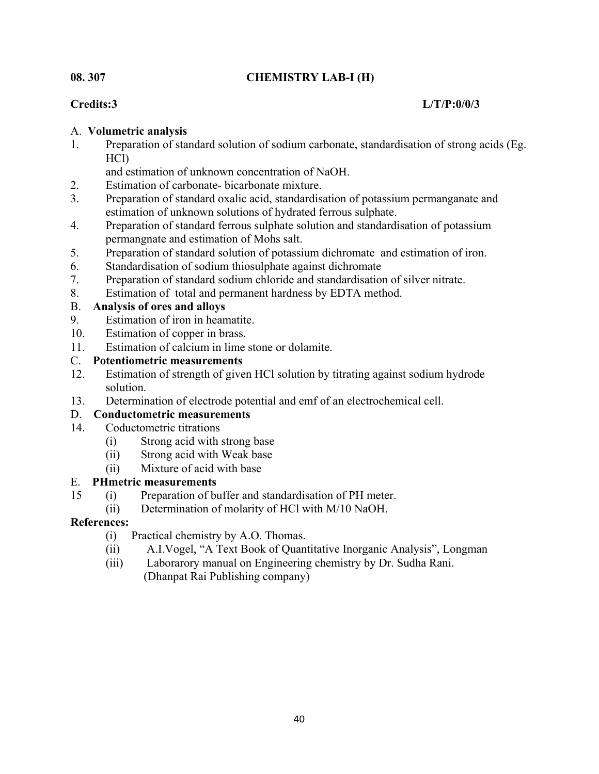### **08. 307 CHEMISTRY LAB-I (H)**

### **Credits:3 L/T/P:0/0/3**

### A. **Volumetric analysis**

1. Preparation of standard solution of sodium carbonate, standardisation of strong acids (Eg. HCl)

and estimation of unknown concentration of NaOH.

- 2. Estimation of carbonate- bicarbonate mixture.
- 3. Preparation of standard oxalic acid, standardisation of potassium permanganate and estimation of unknown solutions of hydrated ferrous sulphate.
- 4. Preparation of standard ferrous sulphate solution and standardisation of potassium permangnate and estimation of Mohs salt.
- 5. Preparation of standard solution of potassium dichromate and estimation of iron.
- 6. Standardisation of sodium thiosulphate against dichromate
- 7. Preparation of standard sodium chloride and standardisation of silver nitrate.
- 8. Estimation of total and permanent hardness by EDTA method.

### B. **Analysis of ores and alloys**

- 9. Estimation of iron in heamatite.
- 10. Estimation of copper in brass.
- 11. Estimation of calcium in lime stone or dolamite.

### C. **Potentiometric measurements**

- 12. Estimation of strength of given HCl solution by titrating against sodium hydrode solution.
- 13. Determination of electrode potential and emf of an electrochemical cell.

### D. **Conductometric measurements**

- 14. Coductometric titrations
	- (i) Strong acid with strong base
	- (ii) Strong acid with Weak base
	- (ii) Mixture of acid with base

### E. **PHmetric measurements**

- 15 (i) Preparation of buffer and standardisation of PH meter.
	- (ii) Determination of molarity of HCl with M/10 NaOH.

### **References:**

- (i) Practical chemistry by A.O. Thomas.
- (ii) A.I.Vogel, "A Text Book of Quantitative Inorganic Analysis", Longman
- (iii) Laborarory manual on Engineering chemistry by Dr. Sudha Rani. (Dhanpat Rai Publishing company)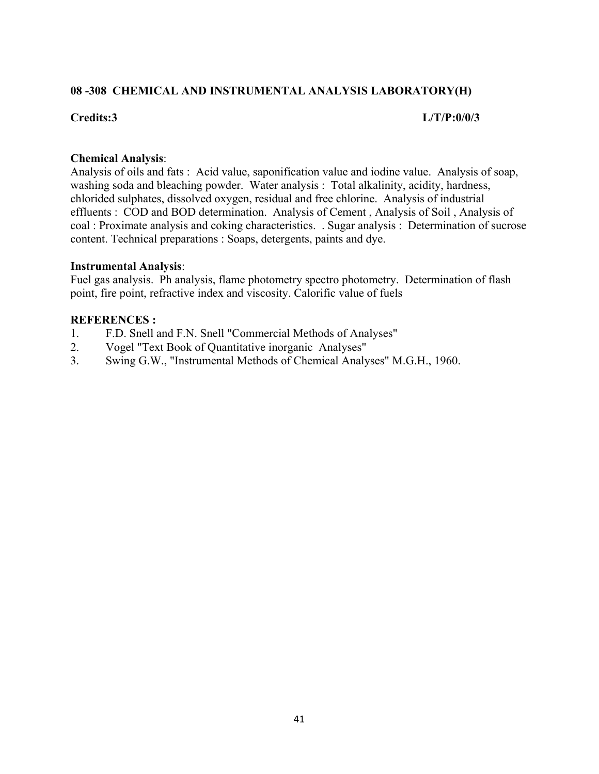#### **08 -308 CHEMICAL AND INSTRUMENTAL ANALYSIS LABORATORY(H)**

#### **Credits:3 L/T/P:0/0/3**

#### **Chemical Analysis**:

Analysis of oils and fats : Acid value, saponification value and iodine value. Analysis of soap, washing soda and bleaching powder. Water analysis : Total alkalinity, acidity, hardness, chlorided sulphates, dissolved oxygen, residual and free chlorine. Analysis of industrial effluents : COD and BOD determination. Analysis of Cement , Analysis of Soil , Analysis of coal : Proximate analysis and coking characteristics. . Sugar analysis : Determination of sucrose content. Technical preparations : Soaps, detergents, paints and dye.

#### **Instrumental Analysis**:

Fuel gas analysis. Ph analysis, flame photometry spectro photometry. Determination of flash point, fire point, refractive index and viscosity. Calorific value of fuels

#### **REFERENCES :**

- 1. F.D. Snell and F.N. Snell "Commercial Methods of Analyses"
- 2. Vogel "Text Book of Quantitative inorganic Analyses"
- 3. Swing G.W., "Instrumental Methods of Chemical Analyses" M.G.H., 1960.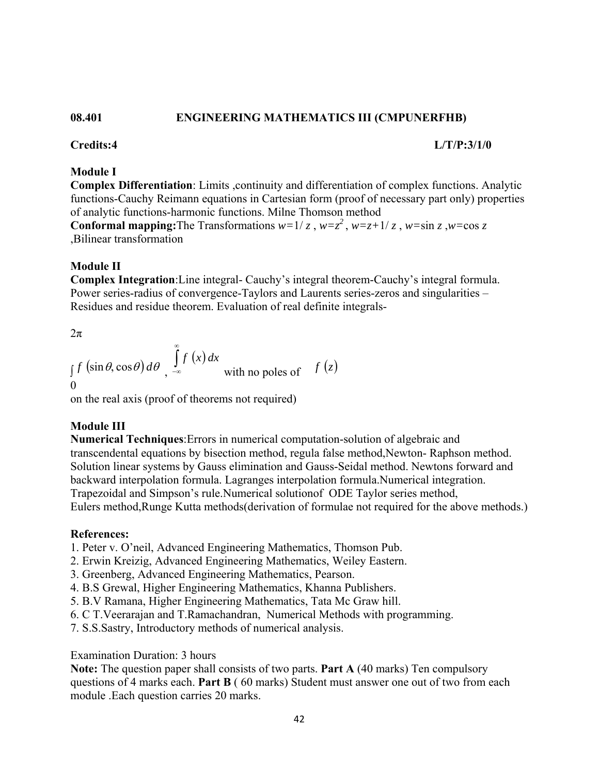#### **08.401 ENGINEERING MATHEMATICS III (CMPUNERFHB)**

#### **Credits:4 L/T/P:3/1/0**

#### **Module I**

**Complex Differentiation**: Limits ,continuity and differentiation of complex functions. Analytic functions-Cauchy Reimann equations in Cartesian form (proof of necessary part only) properties of analytic functions-harmonic functions. Milne Thomson method

**Conformal mapping:**The Transformations  $w=1/z$ ,  $w=z^2$ ,  $w=z+1/z$ ,  $w=\sin z$ ,  $w=\cos z$ ,Bilinear transformation

#### **Module II**

**Complex Integration**:Line integral- Cauchy's integral theorem-Cauchy's integral formula. Power series-radius of convergence-Taylors and Laurents series-zeros and singularities – Residues and residue theorem. Evaluation of real definite integrals-

 $2\pi$ 

$$
\int_{0}^{f} \left(\sin \theta, \cos \theta\right) d\theta \int_{-\infty}^{\infty} f(x) dx
$$
 with no poles of  $f(z)$ 

on the real axis (proof of theorems not required)

#### **Module III**

**Numerical Techniques**:Errors in numerical computation-solution of algebraic and transcendental equations by bisection method, regula false method,Newton- Raphson method. Solution linear systems by Gauss elimination and Gauss-Seidal method. Newtons forward and backward interpolation formula. Lagranges interpolation formula.Numerical integration. Trapezoidal and Simpson's rule.Numerical solutionof ODE Taylor series method, Eulers method,Runge Kutta methods(derivation of formulae not required for the above methods.)

#### **References:**

- 1. Peter v. O'neil, Advanced Engineering Mathematics, Thomson Pub.
- 2. Erwin Kreizig, Advanced Engineering Mathematics, Weiley Eastern.
- 3. Greenberg, Advanced Engineering Mathematics, Pearson.
- 4. B.S Grewal, Higher Engineering Mathematics, Khanna Publishers.
- 5. B.V Ramana, Higher Engineering Mathematics, Tata Mc Graw hill.
- 6. C T.Veerarajan and T.Ramachandran, Numerical Methods with programming.
- 7. S.S.Sastry, Introductory methods of numerical analysis.

#### Examination Duration: 3 hours

**Note:** The question paper shall consists of two parts. **Part A** (40 marks) Ten compulsory questions of 4 marks each. **Part B** ( 60 marks) Student must answer one out of two from each module .Each question carries 20 marks.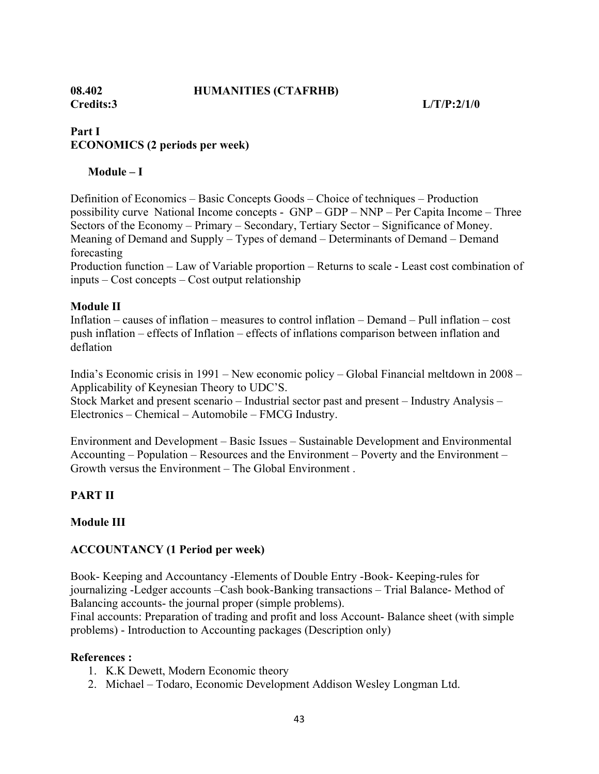#### **08.402 HUMANITIES (CTAFRHB)**

**Credits:3 L/T/P:2/1/0** 

### **Part I ECONOMICS (2 periods per week)**

#### **Module – I**

Definition of Economics – Basic Concepts Goods – Choice of techniques – Production possibility curve National Income concepts - GNP – GDP – NNP – Per Capita Income – Three Sectors of the Economy – Primary – Secondary, Tertiary Sector – Significance of Money. Meaning of Demand and Supply – Types of demand – Determinants of Demand – Demand forecasting

Production function – Law of Variable proportion – Returns to scale - Least cost combination of inputs – Cost concepts – Cost output relationship

#### **Module II**

Inflation – causes of inflation – measures to control inflation – Demand – Pull inflation – cost push inflation – effects of Inflation – effects of inflations comparison between inflation and deflation

India's Economic crisis in 1991 – New economic policy – Global Financial meltdown in 2008 – Applicability of Keynesian Theory to UDC'S.

Stock Market and present scenario – Industrial sector past and present – Industry Analysis – Electronics – Chemical – Automobile – FMCG Industry.

Environment and Development – Basic Issues – Sustainable Development and Environmental Accounting – Population – Resources and the Environment – Poverty and the Environment – Growth versus the Environment – The Global Environment .

#### **PART II**

#### **Module III**

#### **ACCOUNTANCY (1 Period per week)**

Book- Keeping and Accountancy -Elements of Double Entry -Book- Keeping-rules for journalizing -Ledger accounts –Cash book-Banking transactions – Trial Balance- Method of Balancing accounts- the journal proper (simple problems).

Final accounts: Preparation of trading and profit and loss Account- Balance sheet (with simple problems) - Introduction to Accounting packages (Description only)

#### **References :**

- 1. K.K Dewett, Modern Economic theory
- 2. Michael Todaro, Economic Development Addison Wesley Longman Ltd.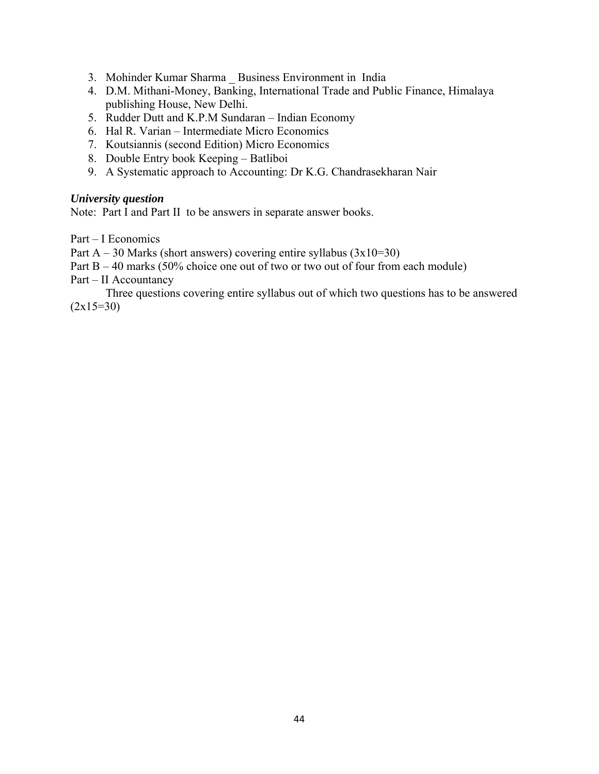- 3. Mohinder Kumar Sharma \_ Business Environment in India
- 4. D.M. Mithani-Money, Banking, International Trade and Public Finance, Himalaya publishing House, New Delhi.
- 5. Rudder Dutt and K.P.M Sundaran Indian Economy
- 6. Hal R. Varian Intermediate Micro Economics
- 7. Koutsiannis (second Edition) Micro Economics
- 8. Double Entry book Keeping Batliboi
- 9. A Systematic approach to Accounting: Dr K.G. Chandrasekharan Nair

#### *University question*

Note: Part I and Part II to be answers in separate answer books.

Part – I Economics

Part  $A - 30$  Marks (short answers) covering entire syllabus  $(3x10=30)$ 

Part  $B - 40$  marks (50% choice one out of two or two out of four from each module)

Part – II Accountancy

 Three questions covering entire syllabus out of which two questions has to be answered  $(2x15=30)$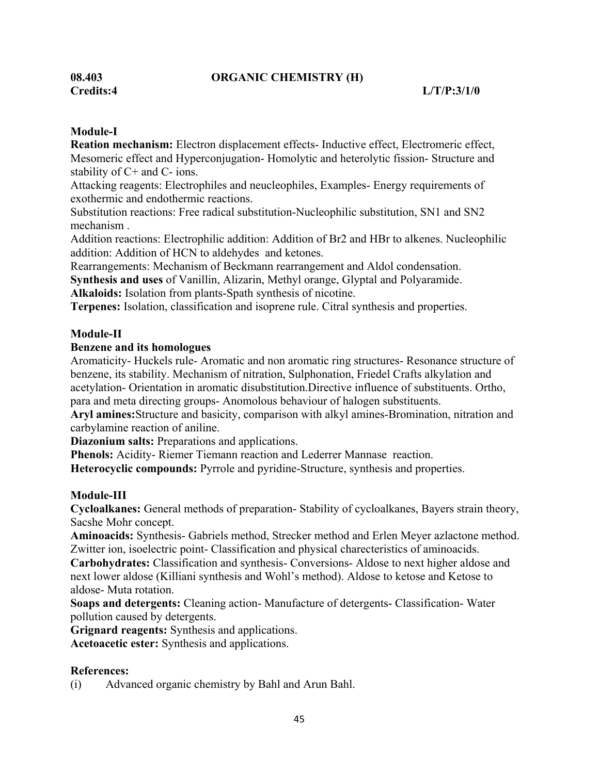#### **08.403 ORGANIC CHEMISTRY (H)**

#### **Module-I**

**Reation mechanism:** Electron displacement effects- Inductive effect, Electromeric effect, Mesomeric effect and Hyperconjugation- Homolytic and heterolytic fission- Structure and stability of C+ and C- ions.

Attacking reagents: Electrophiles and neucleophiles, Examples- Energy requirements of exothermic and endothermic reactions.

Substitution reactions: Free radical substitution-Nucleophilic substitution, SN1 and SN2 mechanism .

Addition reactions: Electrophilic addition: Addition of Br2 and HBr to alkenes. Nucleophilic addition: Addition of HCN to aldehydes and ketones.

Rearrangements: Mechanism of Beckmann rearrangement and Aldol condensation.

**Synthesis and uses** of Vanillin, Alizarin, Methyl orange, Glyptal and Polyaramide.

**Alkaloids:** Isolation from plants-Spath synthesis of nicotine.

**Terpenes:** Isolation, classification and isoprene rule. Citral synthesis and properties.

#### **Module-II**

#### **Benzene and its homologues**

Aromaticity- Huckels rule- Aromatic and non aromatic ring structures- Resonance structure of benzene, its stability. Mechanism of nitration, Sulphonation, Friedel Crafts alkylation and acetylation- Orientation in aromatic disubstitution.Directive influence of substituents. Ortho, para and meta directing groups- Anomolous behaviour of halogen substituents.

**Aryl amines:**Structure and basicity, comparison with alkyl amines-Bromination, nitration and carbylamine reaction of aniline.

**Diazonium salts:** Preparations and applications.

**Phenols:** Acidity- Riemer Tiemann reaction and Lederrer Mannase reaction.

**Heterocyclic compounds:** Pyrrole and pyridine-Structure, synthesis and properties.

#### **Module-III**

**Cycloalkanes:** General methods of preparation- Stability of cycloalkanes, Bayers strain theory, Sacshe Mohr concept.

**Aminoacids:** Synthesis- Gabriels method, Strecker method and Erlen Meyer azlactone method. Zwitter ion, isoelectric point- Classification and physical charecteristics of aminoacids.

**Carbohydrates:** Classification and synthesis- Conversions- Aldose to next higher aldose and next lower aldose (Killiani synthesis and Wohl's method). Aldose to ketose and Ketose to aldose- Muta rotation.

**Soaps and detergents:** Cleaning action- Manufacture of detergents- Classification- Water pollution caused by detergents.

**Grignard reagents:** Synthesis and applications. **Acetoacetic ester:** Synthesis and applications.

#### **References:**

(i) Advanced organic chemistry by Bahl and Arun Bahl.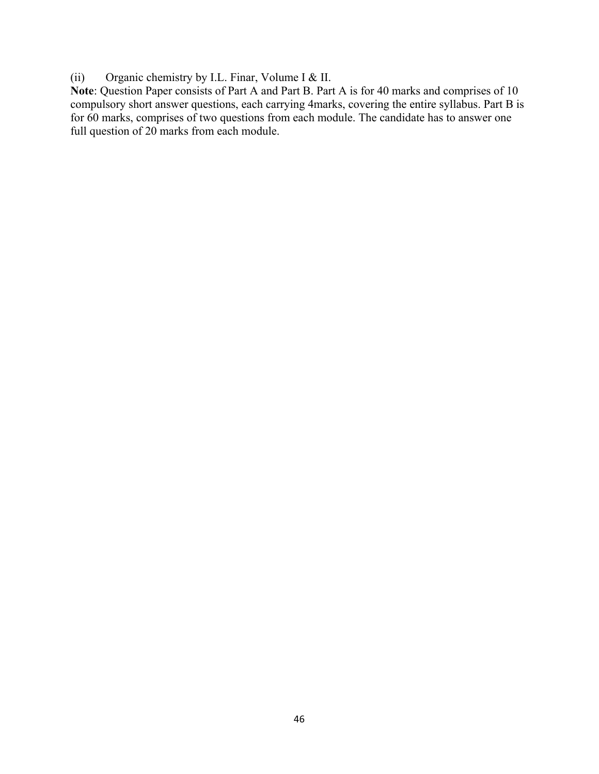(ii) Organic chemistry by I.L. Finar, Volume I & II.

**Note**: Question Paper consists of Part A and Part B. Part A is for 40 marks and comprises of 10 compulsory short answer questions, each carrying 4marks, covering the entire syllabus. Part B is for 60 marks, comprises of two questions from each module. The candidate has to answer one full question of 20 marks from each module.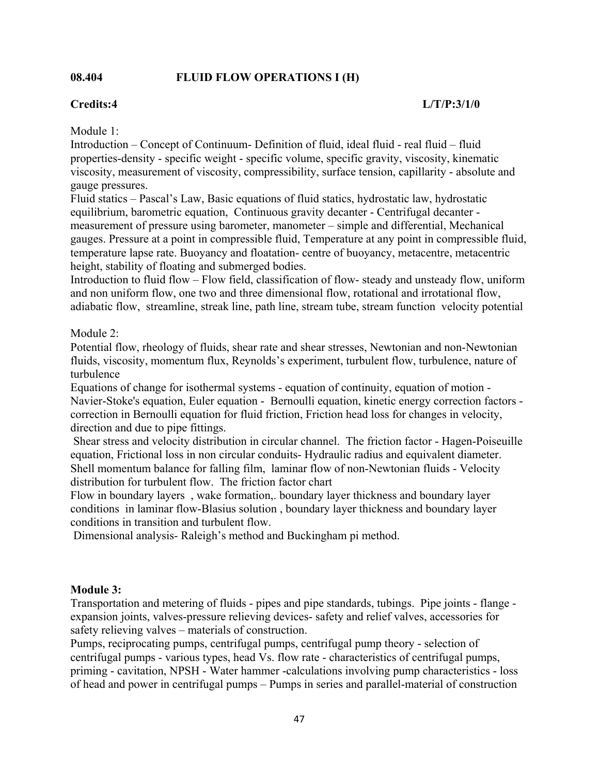#### **08.404 FLUID FLOW OPERATIONS I (H)**

#### **Credits:4 L/T/P:3/1/0**

Module 1:

Introduction – Concept of Continuum- Definition of fluid, ideal fluid - real fluid – fluid properties-density - specific weight - specific volume, specific gravity, viscosity, kinematic viscosity, measurement of viscosity, compressibility, surface tension, capillarity - absolute and gauge pressures.

Fluid statics – Pascal's Law, Basic equations of fluid statics, hydrostatic law, hydrostatic equilibrium, barometric equation, Continuous gravity decanter - Centrifugal decanter measurement of pressure using barometer, manometer – simple and differential, Mechanical gauges. Pressure at a point in compressible fluid, Temperature at any point in compressible fluid, temperature lapse rate. Buoyancy and floatation- centre of buoyancy, metacentre, metacentric height, stability of floating and submerged bodies.

Introduction to fluid flow – Flow field, classification of flow- steady and unsteady flow, uniform and non uniform flow, one two and three dimensional flow, rotational and irrotational flow, adiabatic flow, streamline, streak line, path line, stream tube, stream function velocity potential

#### Module 2:

Potential flow, rheology of fluids, shear rate and shear stresses, Newtonian and non-Newtonian fluids, viscosity, momentum flux, Reynolds's experiment, turbulent flow, turbulence, nature of turbulence

Equations of change for isothermal systems - equation of continuity, equation of motion - Navier-Stoke's equation, Euler equation - Bernoulli equation, kinetic energy correction factors correction in Bernoulli equation for fluid friction, Friction head loss for changes in velocity, direction and due to pipe fittings.

 Shear stress and velocity distribution in circular channel. The friction factor - Hagen-Poiseuille equation, Frictional loss in non circular conduits- Hydraulic radius and equivalent diameter. Shell momentum balance for falling film, laminar flow of non-Newtonian fluids - Velocity distribution for turbulent flow. The friction factor chart

Flow in boundary layers , wake formation,. boundary layer thickness and boundary layer conditions in laminar flow-Blasius solution , boundary layer thickness and boundary layer conditions in transition and turbulent flow.

Dimensional analysis- Raleigh's method and Buckingham pi method.

#### **Module 3:**

Transportation and metering of fluids - pipes and pipe standards, tubings. Pipe joints - flange expansion joints, valves-pressure relieving devices- safety and relief valves, accessories for safety relieving valves – materials of construction.

Pumps, reciprocating pumps, centrifugal pumps, centrifugal pump theory - selection of centrifugal pumps - various types, head Vs. flow rate - characteristics of centrifugal pumps, priming - cavitation, NPSH - Water hammer -calculations involving pump characteristics - loss of head and power in centrifugal pumps – Pumps in series and parallel-material of construction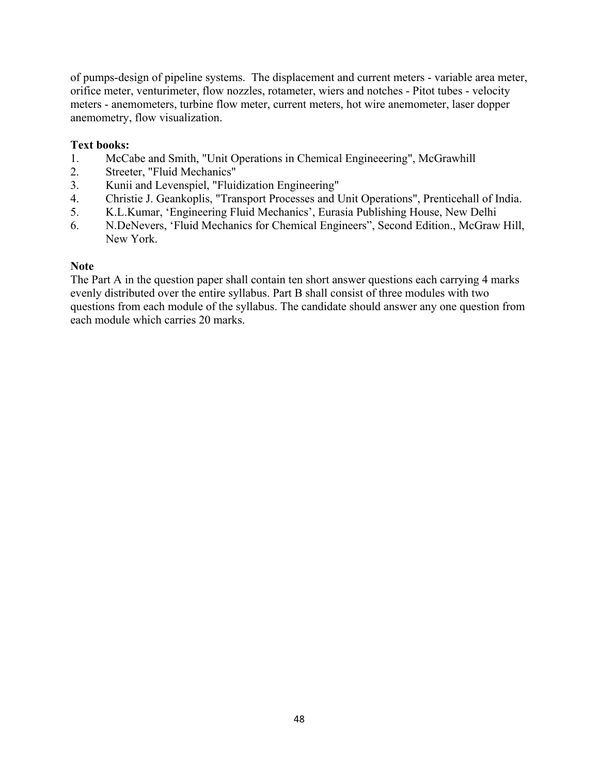of pumps-design of pipeline systems. The displacement and current meters - variable area meter, orifice meter, venturimeter, flow nozzles, rotameter, wiers and notches - Pitot tubes - velocity meters - anemometers, turbine flow meter, current meters, hot wire anemometer, laser dopper anemometry, flow visualization.

#### **Text books:**

- 1. McCabe and Smith, "Unit Operations in Chemical Engineeering", McGrawhill
- 2. Streeter, "Fluid Mechanics"
- 3. Kunii and Levenspiel, "Fluidization Engineering"
- 4. Christie J. Geankoplis, "Transport Processes and Unit Operations", Prenticehall of India.
- 5. K.L.Kumar, 'Engineering Fluid Mechanics', Eurasia Publishing House, New Delhi
- 6. N.DeNevers, 'Fluid Mechanics for Chemical Engineers", Second Edition., McGraw Hill, New York.

#### **Note**

The Part A in the question paper shall contain ten short answer questions each carrying 4 marks evenly distributed over the entire syllabus. Part B shall consist of three modules with two questions from each module of the syllabus. The candidate should answer any one question from each module which carries 20 marks.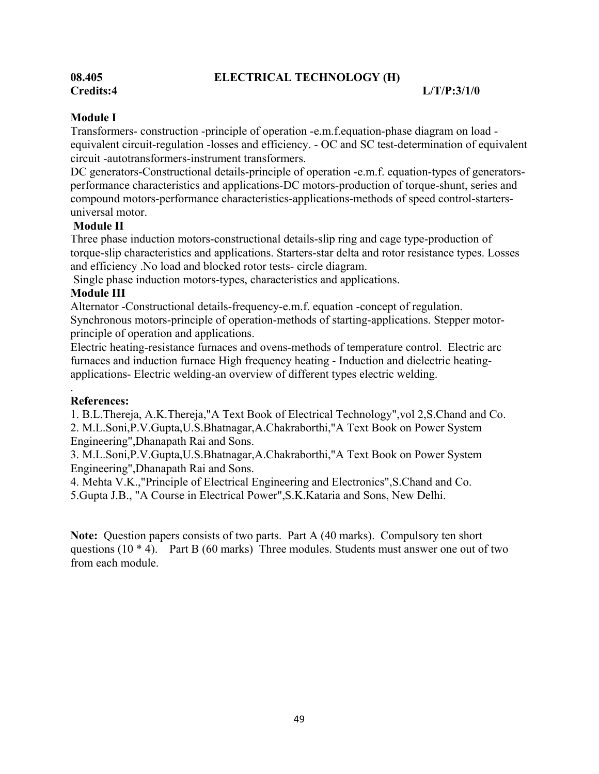#### **08.405 ELECTRICAL TECHNOLOGY (H)**

#### **Credits:4 L/T/P:3/1/0**

#### **Module I**

Transformers- construction -principle of operation -e.m.f.equation-phase diagram on load equivalent circuit-regulation -losses and efficiency. - OC and SC test-determination of equivalent circuit -autotransformers-instrument transformers.

DC generators-Constructional details-principle of operation -e.m.f. equation-types of generatorsperformance characteristics and applications-DC motors-production of torque-shunt, series and compound motors-performance characteristics-applications-methods of speed control-startersuniversal motor.

#### **Module II**

Three phase induction motors-constructional details-slip ring and cage type-production of torque-slip characteristics and applications. Starters-star delta and rotor resistance types. Losses and efficiency .No load and blocked rotor tests- circle diagram.

Single phase induction motors-types, characteristics and applications.

#### **Module III**

Alternator -Constructional details-frequency-e.m.f. equation -concept of regulation. Synchronous motors-principle of operation-methods of starting-applications. Stepper motorprinciple of operation and applications.

Electric heating-resistance furnaces and ovens-methods of temperature control. Electric arc furnaces and induction furnace High frequency heating - Induction and dielectric heatingapplications- Electric welding-an overview of different types electric welding.

#### . **References:**

1. B.L.Thereja, A.K.Thereja,"A Text Book of Electrical Technology",vol 2,S.Chand and Co. 2. M.L.Soni,P.V.Gupta,U.S.Bhatnagar,A.Chakraborthi,"A Text Book on Power System Engineering",Dhanapath Rai and Sons.

3. M.L.Soni,P.V.Gupta,U.S.Bhatnagar,A.Chakraborthi,"A Text Book on Power System Engineering",Dhanapath Rai and Sons.

4. Mehta V.K.,"Principle of Electrical Engineering and Electronics",S.Chand and Co. 5.Gupta J.B., "A Course in Electrical Power",S.K.Kataria and Sons, New Delhi.

**Note:** Question papers consists of two parts. Part A (40 marks). Compulsory ten short questions (10  $*$  4). Part B (60 marks) Three modules. Students must answer one out of two from each module.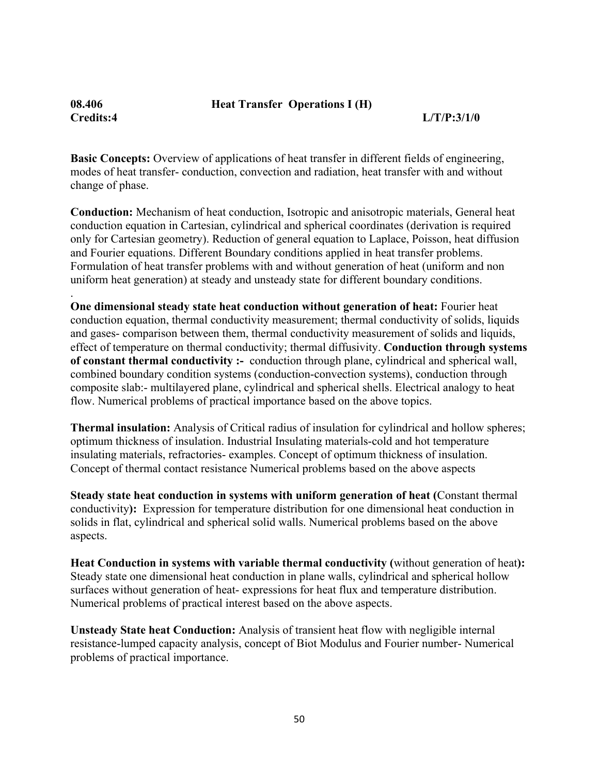**Credits:4 L/T/P:3/1/0** 

**Basic Concepts:** Overview of applications of heat transfer in different fields of engineering, modes of heat transfer- conduction, convection and radiation, heat transfer with and without change of phase.

.

**Conduction:** Mechanism of heat conduction, Isotropic and anisotropic materials, General heat conduction equation in Cartesian, cylindrical and spherical coordinates (derivation is required only for Cartesian geometry). Reduction of general equation to Laplace, Poisson, heat diffusion and Fourier equations. Different Boundary conditions applied in heat transfer problems. Formulation of heat transfer problems with and without generation of heat (uniform and non uniform heat generation) at steady and unsteady state for different boundary conditions.

**One dimensional steady state heat conduction without generation of heat:** Fourier heat conduction equation, thermal conductivity measurement; thermal conductivity of solids, liquids and gases- comparison between them, thermal conductivity measurement of solids and liquids, effect of temperature on thermal conductivity; thermal diffusivity. **Conduction through systems of constant thermal conductivity :-** conduction through plane, cylindrical and spherical wall, combined boundary condition systems (conduction-convection systems), conduction through composite slab:- multilayered plane, cylindrical and spherical shells. Electrical analogy to heat flow. Numerical problems of practical importance based on the above topics.

**Thermal insulation:** Analysis of Critical radius of insulation for cylindrical and hollow spheres; optimum thickness of insulation. Industrial Insulating materials-cold and hot temperature insulating materials, refractories- examples. Concept of optimum thickness of insulation. Concept of thermal contact resistance Numerical problems based on the above aspects

**Steady state heat conduction in systems with uniform generation of heat (**Constant thermal conductivity**):** Expression for temperature distribution for one dimensional heat conduction in solids in flat, cylindrical and spherical solid walls. Numerical problems based on the above aspects.

**Heat Conduction in systems with variable thermal conductivity (**without generation of heat**):** Steady state one dimensional heat conduction in plane walls, cylindrical and spherical hollow surfaces without generation of heat- expressions for heat flux and temperature distribution. Numerical problems of practical interest based on the above aspects.

**Unsteady State heat Conduction:** Analysis of transient heat flow with negligible internal resistance-lumped capacity analysis, concept of Biot Modulus and Fourier number- Numerical problems of practical importance.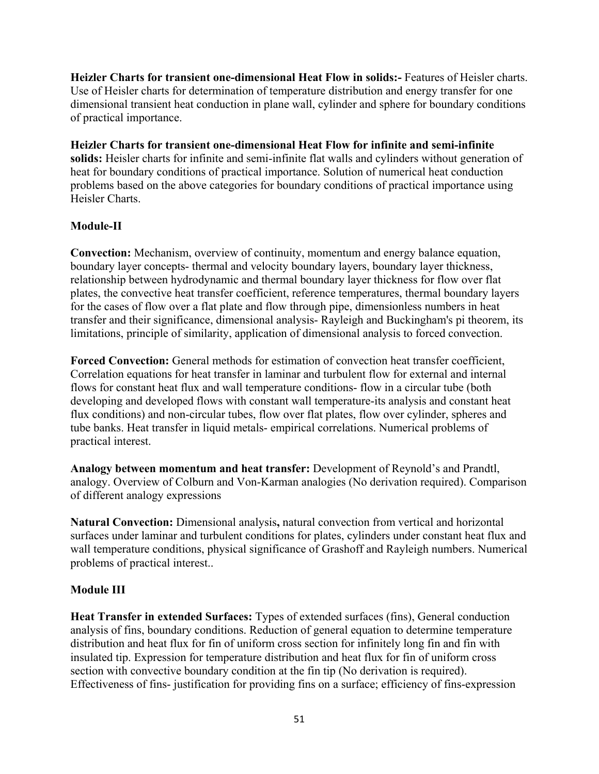**Heizler Charts for transient one-dimensional Heat Flow in solids:-** Features of Heisler charts. Use of Heisler charts for determination of temperature distribution and energy transfer for one dimensional transient heat conduction in plane wall, cylinder and sphere for boundary conditions of practical importance.

**Heizler Charts for transient one-dimensional Heat Flow for infinite and semi-infinite solids:** Heisler charts for infinite and semi-infinite flat walls and cylinders without generation of heat for boundary conditions of practical importance. Solution of numerical heat conduction problems based on the above categories for boundary conditions of practical importance using Heisler Charts.

#### **Module-II**

**Convection:** Mechanism, overview of continuity, momentum and energy balance equation, boundary layer concepts- thermal and velocity boundary layers, boundary layer thickness, relationship between hydrodynamic and thermal boundary layer thickness for flow over flat plates, the convective heat transfer coefficient, reference temperatures, thermal boundary layers for the cases of flow over a flat plate and flow through pipe, dimensionless numbers in heat transfer and their significance, dimensional analysis- Rayleigh and Buckingham's pi theorem, its limitations, principle of similarity, application of dimensional analysis to forced convection.

**Forced Convection:** General methods for estimation of convection heat transfer coefficient, Correlation equations for heat transfer in laminar and turbulent flow for external and internal flows for constant heat flux and wall temperature conditions- flow in a circular tube (both developing and developed flows with constant wall temperature-its analysis and constant heat flux conditions) and non-circular tubes, flow over flat plates, flow over cylinder, spheres and tube banks. Heat transfer in liquid metals- empirical correlations. Numerical problems of practical interest.

**Analogy between momentum and heat transfer:** Development of Reynold's and Prandtl, analogy. Overview of Colburn and Von-Karman analogies (No derivation required). Comparison of different analogy expressions

**Natural Convection:** Dimensional analysis**,** natural convection from vertical and horizontal surfaces under laminar and turbulent conditions for plates, cylinders under constant heat flux and wall temperature conditions, physical significance of Grashoff and Rayleigh numbers. Numerical problems of practical interest..

#### **Module III**

**Heat Transfer in extended Surfaces:** Types of extended surfaces (fins), General conduction analysis of fins, boundary conditions. Reduction of general equation to determine temperature distribution and heat flux for fin of uniform cross section for infinitely long fin and fin with insulated tip. Expression for temperature distribution and heat flux for fin of uniform cross section with convective boundary condition at the fin tip (No derivation is required). Effectiveness of fins- justification for providing fins on a surface; efficiency of fins-expression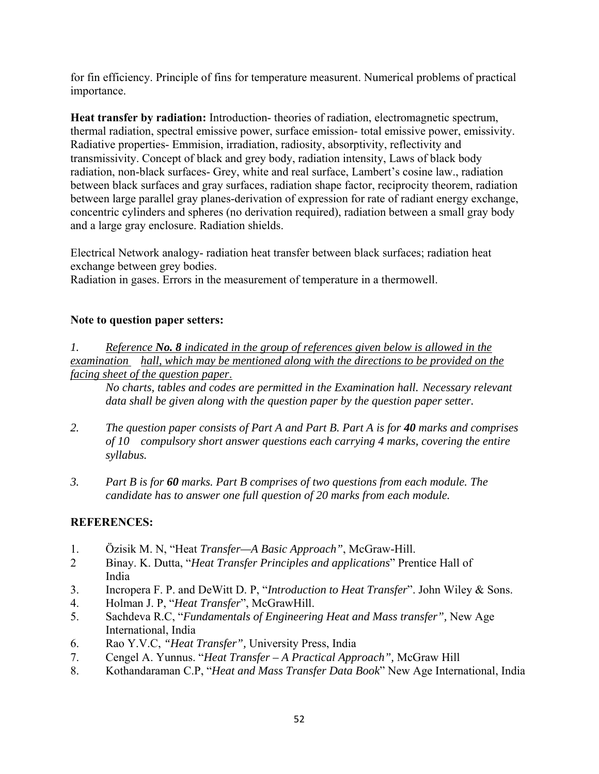for fin efficiency. Principle of fins for temperature measurent. Numerical problems of practical importance.

**Heat transfer by radiation:** Introduction- theories of radiation, electromagnetic spectrum, thermal radiation, spectral emissive power, surface emission- total emissive power, emissivity. Radiative properties- Emmision, irradiation, radiosity, absorptivity, reflectivity and transmissivity. Concept of black and grey body, radiation intensity, Laws of black body radiation, non-black surfaces- Grey, white and real surface, Lambert's cosine law., radiation between black surfaces and gray surfaces, radiation shape factor, reciprocity theorem, radiation between large parallel gray planes-derivation of expression for rate of radiant energy exchange, concentric cylinders and spheres (no derivation required), radiation between a small gray body and a large gray enclosure. Radiation shields.

Electrical Network analogy- radiation heat transfer between black surfaces; radiation heat exchange between grey bodies.

Radiation in gases. Errors in the measurement of temperature in a thermowell.

#### **Note to question paper setters:**

*1. Reference No. 8 indicated in the group of references given below is allowed in the examination hall, which may be mentioned along with the directions to be provided on the facing sheet of the question paper*.

*No charts, tables and codes are permitted in the Examination hall. Necessary relevant data shall be given along with the question paper by the question paper setter.* 

- *2. The question paper consists of Part A and Part B. Part A is for 40 marks and comprises of 10 compulsory short answer questions each carrying 4 marks, covering the entire syllabus.*
- *3. Part B is for 60 marks. Part B comprises of two questions from each module. The candidate has to answer one full question of 20 marks from each module.*

### **REFERENCES:**

- 1. Özisik M. N, "Heat *Transfer—A Basic Approach"*, McGraw-Hill.
- 2 Binay. K. Dutta, "*Heat Transfer Principles and applications*" Prentice Hall of India
- 3. Incropera F. P. and DeWitt D. P, "*Introduction to Heat Transfer*". John Wiley & Sons.
- 4. Holman J. P, "*Heat Transfer*", McGrawHill.
- 5. Sachdeva R.C, "*Fundamentals of Engineering Heat and Mass transfer",* New Age International, India
- 6. Rao Y.V.C, *"Heat Transfer",* University Press, India
- 7. Cengel A. Yunnus. "*Heat Transfer A Practical Approach",* McGraw Hill
- 8. Kothandaraman C.P, "*Heat and Mass Transfer Data Book*" New Age International, India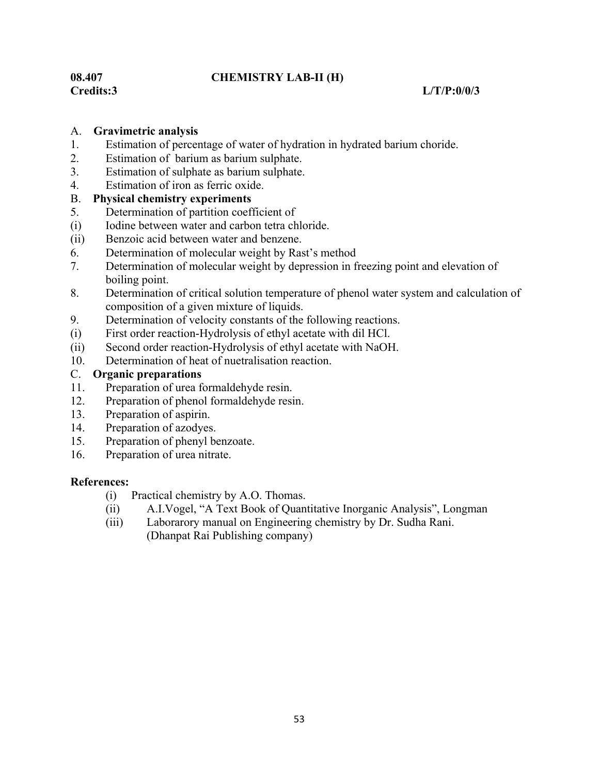#### **08.407 CHEMISTRY LAB-II (H)**

#### **Credits:3 L/T/P:0/0/3**

#### A. **Gravimetric analysis**

- 1. Estimation of percentage of water of hydration in hydrated barium choride.
- 2. Estimation of barium as barium sulphate.
- 3. Estimation of sulphate as barium sulphate.
- 4. Estimation of iron as ferric oxide.

#### B. **Physical chemistry experiments**

- 5. Determination of partition coefficient of
- (i) Iodine between water and carbon tetra chloride.
- (ii) Benzoic acid between water and benzene.
- 6. Determination of molecular weight by Rast's method
- 7. Determination of molecular weight by depression in freezing point and elevation of boiling point.
- 8. Determination of critical solution temperature of phenol water system and calculation of composition of a given mixture of liquids.
- 9. Determination of velocity constants of the following reactions.
- (i) First order reaction-Hydrolysis of ethyl acetate with dil HCl.
- (ii) Second order reaction-Hydrolysis of ethyl acetate with NaOH.
- 10. Determination of heat of nuetralisation reaction.

#### C. **Organic preparations**

- 11. Preparation of urea formaldehyde resin.
- 12. Preparation of phenol formaldehyde resin.
- 13. Preparation of aspirin.
- 14. Preparation of azodyes.
- 15. Preparation of phenyl benzoate.
- 16. Preparation of urea nitrate.

#### **References:**

- (i) Practical chemistry by A.O. Thomas.
- (ii) A.I.Vogel, "A Text Book of Quantitative Inorganic Analysis", Longman
- (iii) Laborarory manual on Engineering chemistry by Dr. Sudha Rani. (Dhanpat Rai Publishing company)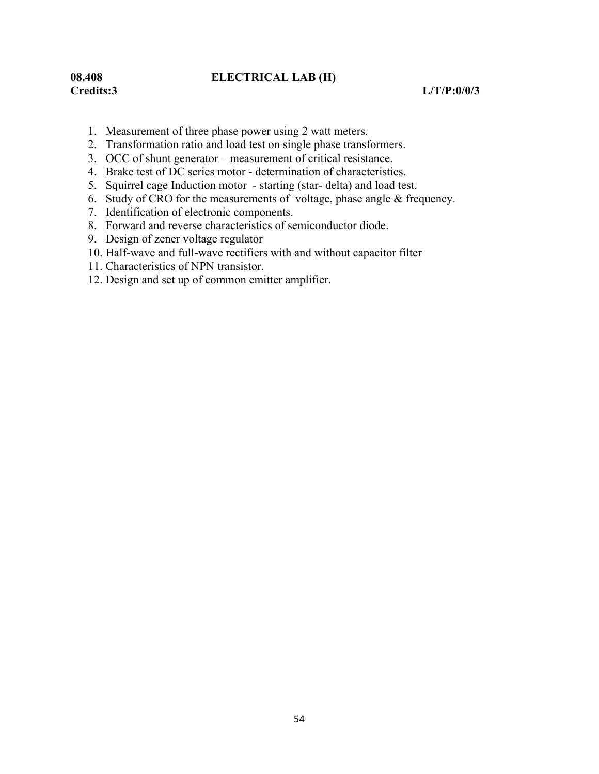### **08.408 ELECTRICAL LAB (H)**

#### **Credits:3 L/T/P:0/0/3**

- 1. Measurement of three phase power using 2 watt meters.
- 2. Transformation ratio and load test on single phase transformers.
- 3. OCC of shunt generator measurement of critical resistance.
- 4. Brake test of DC series motor determination of characteristics.
- 5. Squirrel cage Induction motor starting (star- delta) and load test.
- 6. Study of CRO for the measurements of voltage, phase angle & frequency.
- 7. Identification of electronic components.
- 8. Forward and reverse characteristics of semiconductor diode.
- 9. Design of zener voltage regulator
- 10. Half-wave and full-wave rectifiers with and without capacitor filter
- 11. Characteristics of NPN transistor.
- 12. Design and set up of common emitter amplifier.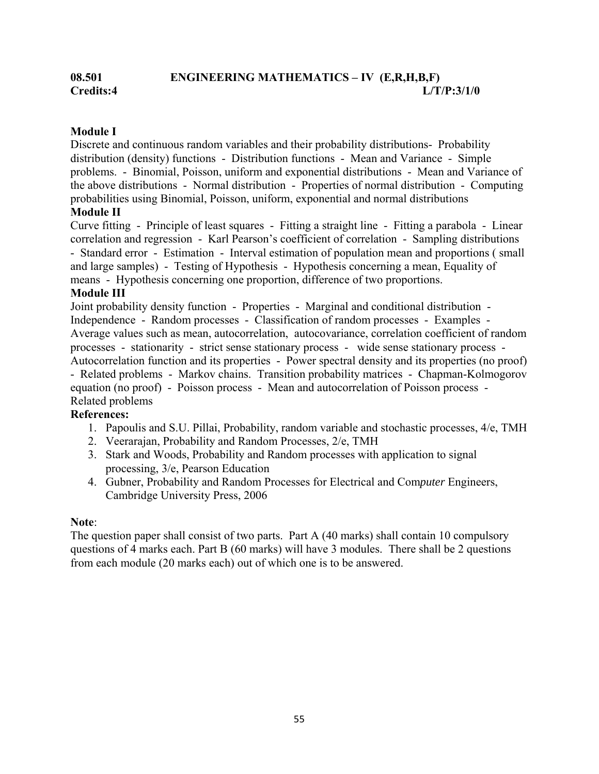#### **Module I**

Discrete and continuous random variables and their probability distributions- Probability distribution (density) functions - Distribution functions - Mean and Variance - Simple problems. - Binomial, Poisson, uniform and exponential distributions - Mean and Variance of the above distributions - Normal distribution - Properties of normal distribution - Computing probabilities using Binomial, Poisson, uniform, exponential and normal distributions

#### **Module II**

Curve fitting - Principle of least squares - Fitting a straight line - Fitting a parabola - Linear correlation and regression - Karl Pearson's coefficient of correlation - Sampling distributions - Standard error - Estimation - Interval estimation of population mean and proportions ( small and large samples) - Testing of Hypothesis - Hypothesis concerning a mean, Equality of means - Hypothesis concerning one proportion, difference of two proportions.

#### **Module III**

Joint probability density function - Properties - Marginal and conditional distribution - Independence - Random processes - Classification of random processes - Examples - Average values such as mean, autocorrelation, autocovariance, correlation coefficient of random processes - stationarity - strict sense stationary process - wide sense stationary process - Autocorrelation function and its properties - Power spectral density and its properties (no proof) - Related problems - Markov chains. Transition probability matrices - Chapman-Kolmogorov equation (no proof) - Poisson process - Mean and autocorrelation of Poisson process - Related problems

#### **References:**

- 1. Papoulis and S.U. Pillai, Probability, random variable and stochastic processes, 4/e, TMH
- 2. Veerarajan, Probability and Random Processes, 2/e, TMH
- 3. Stark and Woods, Probability and Random processes with application to signal processing, 3/e, Pearson Education
- 4. Gubner, Probability and Random Processes for Electrical and Com*puter* Engineers, Cambridge University Press, 2006

#### **Note**:

The question paper shall consist of two parts. Part A (40 marks) shall contain 10 compulsory questions of 4 marks each. Part B (60 marks) will have 3 modules. There shall be 2 questions from each module (20 marks each) out of which one is to be answered.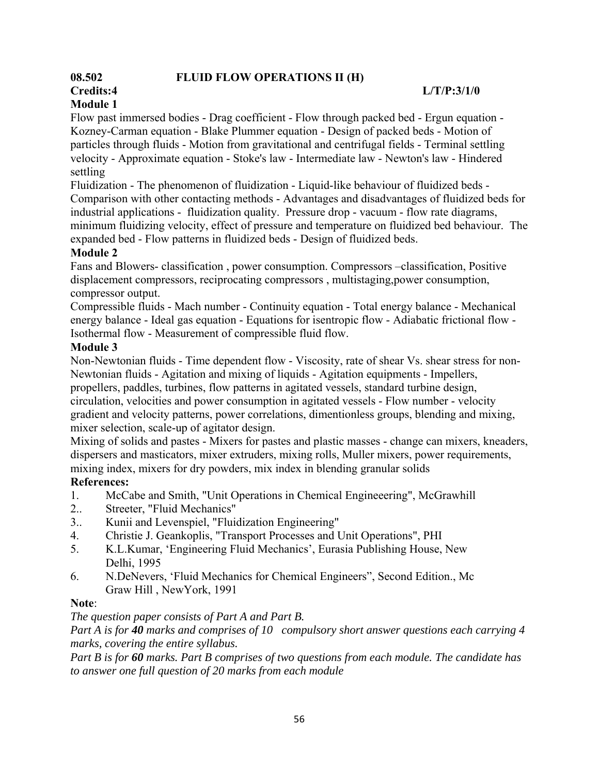### **08.502 FLUID FLOW OPERATIONS II (H)**

#### **Credits:4 L/T/P:3/1/0**

## **Module 1**

Flow past immersed bodies - Drag coefficient - Flow through packed bed - Ergun equation - Kozney-Carman equation - Blake Plummer equation - Design of packed beds - Motion of particles through fluids - Motion from gravitational and centrifugal fields - Terminal settling velocity - Approximate equation - Stoke's law - Intermediate law - Newton's law - Hindered settling

Fluidization - The phenomenon of fluidization - Liquid-like behaviour of fluidized beds - Comparison with other contacting methods - Advantages and disadvantages of fluidized beds for industrial applications - fluidization quality. Pressure drop - vacuum - flow rate diagrams, minimum fluidizing velocity, effect of pressure and temperature on fluidized bed behaviour. The expanded bed - Flow patterns in fluidized beds - Design of fluidized beds.

#### **Module 2**

Fans and Blowers- classification , power consumption. Compressors –classification, Positive displacement compressors, reciprocating compressors , multistaging,power consumption, compressor output.

Compressible fluids - Mach number - Continuity equation - Total energy balance - Mechanical energy balance - Ideal gas equation - Equations for isentropic flow - Adiabatic frictional flow - Isothermal flow - Measurement of compressible fluid flow.

#### **Module 3**

Non-Newtonian fluids - Time dependent flow - Viscosity, rate of shear Vs. shear stress for non-Newtonian fluids - Agitation and mixing of liquids - Agitation equipments - Impellers, propellers, paddles, turbines, flow patterns in agitated vessels, standard turbine design, circulation, velocities and power consumption in agitated vessels - Flow number - velocity gradient and velocity patterns, power correlations, dimentionless groups, blending and mixing, mixer selection, scale-up of agitator design.

Mixing of solids and pastes - Mixers for pastes and plastic masses - change can mixers, kneaders, dispersers and masticators, mixer extruders, mixing rolls, Muller mixers, power requirements, mixing index, mixers for dry powders, mix index in blending granular solids

#### **References:**

- 1. McCabe and Smith, "Unit Operations in Chemical Engineeering", McGrawhill
- 2.. Streeter, "Fluid Mechanics"
- 3.. Kunii and Levenspiel, "Fluidization Engineering"
- 4. Christie J. Geankoplis, "Transport Processes and Unit Operations", PHI
- 5. K.L.Kumar, 'Engineering Fluid Mechanics', Eurasia Publishing House, New Delhi, 1995
- 6. N.DeNevers, 'Fluid Mechanics for Chemical Engineers", Second Edition., Mc Graw Hill , NewYork, 1991

#### **Note**:

*The question paper consists of Part A and Part B.* 

*Part A is for 40 marks and comprises of 10 compulsory short answer questions each carrying 4 marks, covering the entire syllabus.* 

*Part B is for 60 marks. Part B comprises of two questions from each module. The candidate has to answer one full question of 20 marks from each module*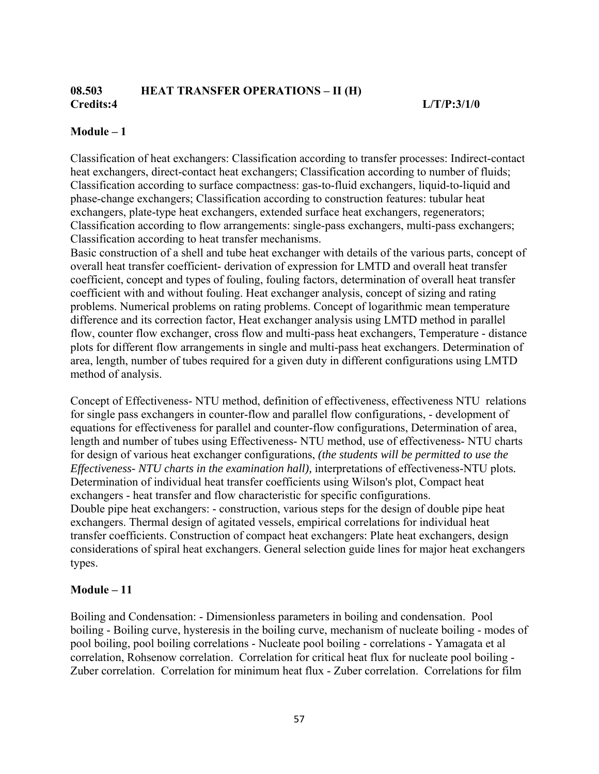#### **08.503 HEAT TRANSFER OPERATIONS – II (H) Credits:4 L/T/P:3/1/0**

#### **Module – 1**

Classification of heat exchangers: Classification according to transfer processes: Indirect-contact heat exchangers, direct-contact heat exchangers; Classification according to number of fluids; Classification according to surface compactness: gas-to-fluid exchangers, liquid-to-liquid and phase-change exchangers; Classification according to construction features: tubular heat exchangers, plate-type heat exchangers, extended surface heat exchangers, regenerators; Classification according to flow arrangements: single-pass exchangers, multi-pass exchangers; Classification according to heat transfer mechanisms.

Basic construction of a shell and tube heat exchanger with details of the various parts, concept of overall heat transfer coefficient- derivation of expression for LMTD and overall heat transfer coefficient, concept and types of fouling, fouling factors, determination of overall heat transfer coefficient with and without fouling. Heat exchanger analysis, concept of sizing and rating problems. Numerical problems on rating problems. Concept of logarithmic mean temperature difference and its correction factor, Heat exchanger analysis using LMTD method in parallel flow, counter flow exchanger, cross flow and multi-pass heat exchangers, Temperature - distance plots for different flow arrangements in single and multi-pass heat exchangers. Determination of area, length, number of tubes required for a given duty in different configurations using LMTD method of analysis.

Concept of Effectiveness- NTU method, definition of effectiveness, effectiveness NTU relations for single pass exchangers in counter-flow and parallel flow configurations, - development of equations for effectiveness for parallel and counter-flow configurations, Determination of area, length and number of tubes using Effectiveness- NTU method, use of effectiveness- NTU charts for design of various heat exchanger configurations, *(the students will be permitted to use the Effectiveness- NTU charts in the examination hall),* interpretations of effectiveness-NTU plots*.* Determination of individual heat transfer coefficients using Wilson's plot, Compact heat exchangers - heat transfer and flow characteristic for specific configurations. Double pipe heat exchangers: - construction, various steps for the design of double pipe heat exchangers. Thermal design of agitated vessels, empirical correlations for individual heat transfer coefficients. Construction of compact heat exchangers: Plate heat exchangers, design considerations of spiral heat exchangers. General selection guide lines for major heat exchangers types.

#### **Module – 11**

Boiling and Condensation: - Dimensionless parameters in boiling and condensation. Pool boiling - Boiling curve, hysteresis in the boiling curve, mechanism of nucleate boiling - modes of pool boiling, pool boiling correlations - Nucleate pool boiling - correlations - Yamagata et al correlation, Rohsenow correlation. Correlation for critical heat flux for nucleate pool boiling - Zuber correlation. Correlation for minimum heat flux - Zuber correlation. Correlations for film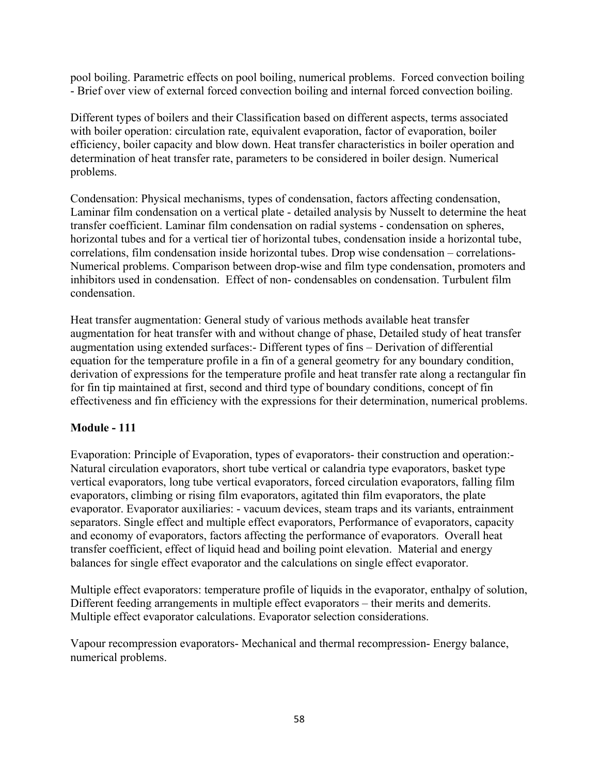pool boiling. Parametric effects on pool boiling, numerical problems. Forced convection boiling - Brief over view of external forced convection boiling and internal forced convection boiling.

Different types of boilers and their Classification based on different aspects, terms associated with boiler operation: circulation rate, equivalent evaporation, factor of evaporation, boiler efficiency, boiler capacity and blow down. Heat transfer characteristics in boiler operation and determination of heat transfer rate, parameters to be considered in boiler design. Numerical problems.

Condensation: Physical mechanisms, types of condensation, factors affecting condensation, Laminar film condensation on a vertical plate - detailed analysis by Nusselt to determine the heat transfer coefficient. Laminar film condensation on radial systems - condensation on spheres, horizontal tubes and for a vertical tier of horizontal tubes, condensation inside a horizontal tube, correlations, film condensation inside horizontal tubes. Drop wise condensation – correlations-Numerical problems. Comparison between drop-wise and film type condensation, promoters and inhibitors used in condensation. Effect of non- condensables on condensation. Turbulent film condensation.

Heat transfer augmentation: General study of various methods available heat transfer augmentation for heat transfer with and without change of phase, Detailed study of heat transfer augmentation using extended surfaces:- Different types of fins – Derivation of differential equation for the temperature profile in a fin of a general geometry for any boundary condition, derivation of expressions for the temperature profile and heat transfer rate along a rectangular fin for fin tip maintained at first, second and third type of boundary conditions, concept of fin effectiveness and fin efficiency with the expressions for their determination, numerical problems.

#### **Module - 111**

Evaporation: Principle of Evaporation, types of evaporators- their construction and operation:- Natural circulation evaporators, short tube vertical or calandria type evaporators, basket type vertical evaporators, long tube vertical evaporators, forced circulation evaporators, falling film evaporators, climbing or rising film evaporators, agitated thin film evaporators, the plate evaporator. Evaporator auxiliaries: - vacuum devices, steam traps and its variants, entrainment separators. Single effect and multiple effect evaporators, Performance of evaporators, capacity and economy of evaporators, factors affecting the performance of evaporators. Overall heat transfer coefficient, effect of liquid head and boiling point elevation. Material and energy balances for single effect evaporator and the calculations on single effect evaporator.

Multiple effect evaporators: temperature profile of liquids in the evaporator, enthalpy of solution, Different feeding arrangements in multiple effect evaporators – their merits and demerits. Multiple effect evaporator calculations. Evaporator selection considerations.

Vapour recompression evaporators- Mechanical and thermal recompression- Energy balance, numerical problems.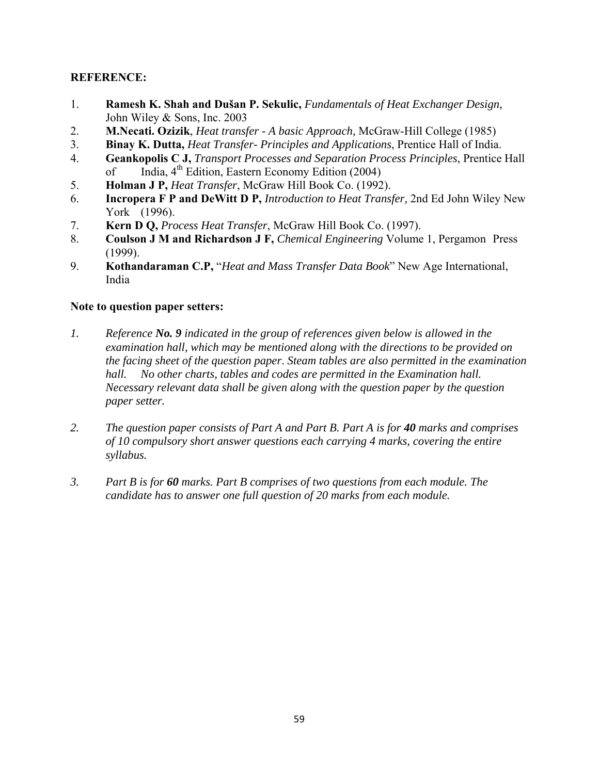#### **REFERENCE:**

- 1. **Ramesh K. Shah and Dušan P. Sekulic,** *Fundamentals of Heat Exchanger Design,*  John Wiley & Sons, Inc. 2003
- 2. **M.Necati. Ozizik**, *Heat transfer A basic Approach,* McGraw-Hill College (1985)
- 3. **Binay K. Dutta,** *Heat Transfer- Principles and Applications*, Prentice Hall of India.
- 4. **Geankopolis C J,** *Transport Processes and Separation Process Principles*, Prentice Hall of India,  $4<sup>th</sup>$  Edition, Eastern Economy Edition (2004)
- 5. **Holman J P,** *Heat Transfer*, McGraw Hill Book Co. (1992).
- 6. **Incropera F P and DeWitt D P,** *Introduction to Heat Transfer,* 2nd Ed John Wiley New York (1996).
- 7. **Kern D Q,** *Process Heat Transfer*, McGraw Hill Book Co. (1997).
- 8. **Coulson J M and Richardson J F,** *Chemical Engineering* Volume 1, Pergamon Press (1999).
- 9. **Kothandaraman C.P,** "*Heat and Mass Transfer Data Book*" New Age International, India

#### **Note to question paper setters:**

- *1. Reference No. 9 indicated in the group of references given below is allowed in the examination hall, which may be mentioned along with the directions to be provided on the facing sheet of the question paper*. *Steam tables are also permitted in the examination hall. No other charts, tables and codes are permitted in the Examination hall. Necessary relevant data shall be given along with the question paper by the question paper setter.*
- *2. The question paper consists of Part A and Part B. Part A is for 40 marks and comprises of 10 compulsory short answer questions each carrying 4 marks, covering the entire syllabus.*
- *3. Part B is for 60 marks. Part B comprises of two questions from each module. The candidate has to answer one full question of 20 marks from each module.*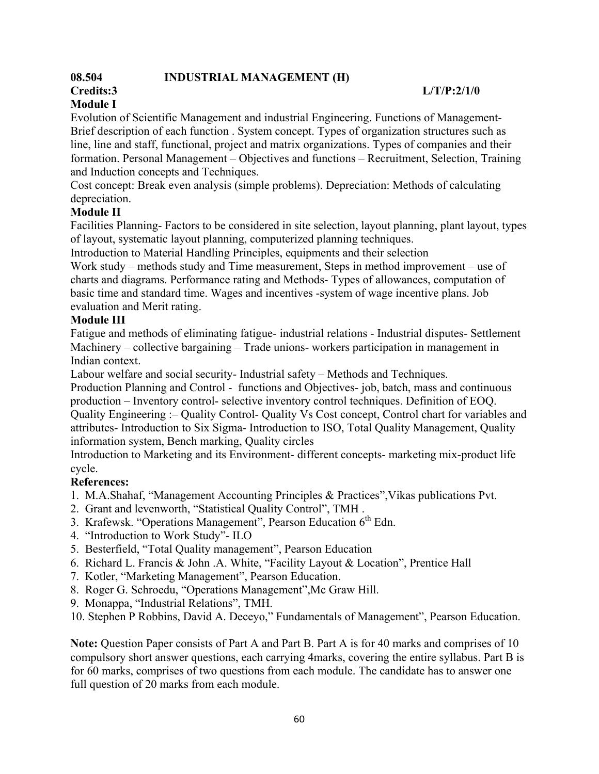### **08.504 INDUSTRIAL MANAGEMENT (H)**

#### **Credits:3 L/T/P:2/1/0**

### **Module I**

Evolution of Scientific Management and industrial Engineering. Functions of Management-Brief description of each function . System concept. Types of organization structures such as line, line and staff, functional, project and matrix organizations. Types of companies and their formation. Personal Management – Objectives and functions – Recruitment, Selection, Training and Induction concepts and Techniques.

Cost concept: Break even analysis (simple problems). Depreciation: Methods of calculating depreciation.

#### **Module II**

Facilities Planning- Factors to be considered in site selection, layout planning, plant layout, types of layout, systematic layout planning, computerized planning techniques.

Introduction to Material Handling Principles, equipments and their selection

Work study – methods study and Time measurement, Steps in method improvement – use of charts and diagrams. Performance rating and Methods- Types of allowances, computation of basic time and standard time. Wages and incentives -system of wage incentive plans. Job evaluation and Merit rating.

#### **Module III**

Fatigue and methods of eliminating fatigue- industrial relations - Industrial disputes- Settlement Machinery – collective bargaining – Trade unions- workers participation in management in Indian context.

Labour welfare and social security- Industrial safety – Methods and Techniques.

Production Planning and Control - functions and Objectives- job, batch, mass and continuous production – Inventory control- selective inventory control techniques. Definition of EOQ. Quality Engineering :– Quality Control- Quality Vs Cost concept, Control chart for variables and attributes- Introduction to Six Sigma- Introduction to ISO, Total Quality Management, Quality information system, Bench marking, Quality circles

Introduction to Marketing and its Environment- different concepts- marketing mix-product life cycle.

#### **References:**

- 1. M.A.Shahaf, "Management Accounting Principles & Practices",Vikas publications Pvt.
- 2. Grant and levenworth, "Statistical Quality Control", TMH .
- 3. Krafewsk. "Operations Management", Pearson Education 6<sup>th</sup> Edn.
- 4. "Introduction to Work Study"- ILO
- 5. Besterfield, "Total Quality management", Pearson Education
- 6. Richard L. Francis & John .A. White, "Facility Layout & Location", Prentice Hall
- 7. Kotler, "Marketing Management", Pearson Education.
- 8. Roger G. Schroedu, "Operations Management",Mc Graw Hill.
- 9. Monappa, "Industrial Relations", TMH.
- 10. Stephen P Robbins, David A. Deceyo," Fundamentals of Management", Pearson Education.

**Note:** Question Paper consists of Part A and Part B. Part A is for 40 marks and comprises of 10 compulsory short answer questions, each carrying 4marks, covering the entire syllabus. Part B is for 60 marks, comprises of two questions from each module. The candidate has to answer one full question of 20 marks from each module.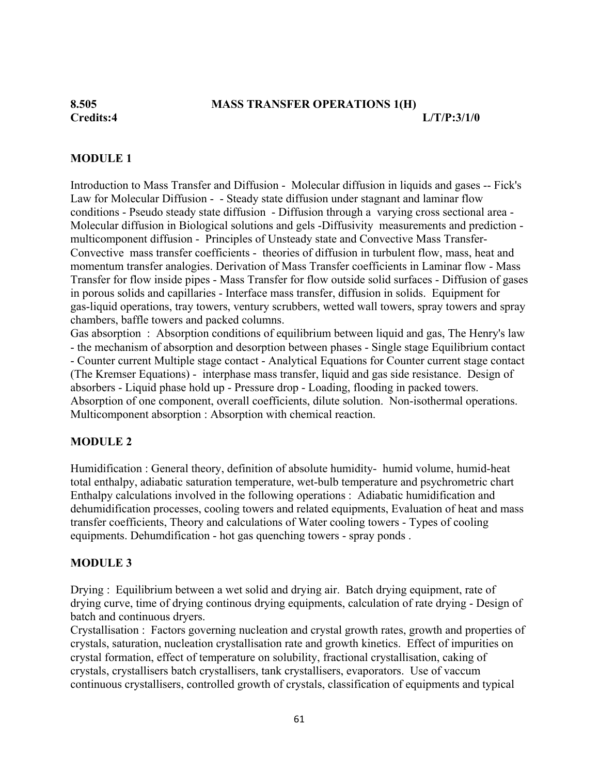#### **8.505 MASS TRANSFER OPERATIONS 1(H)**

**Credits:4 L/T/P:3/1/0** 

#### **MODULE 1**

Introduction to Mass Transfer and Diffusion - Molecular diffusion in liquids and gases -- Fick's Law for Molecular Diffusion - - Steady state diffusion under stagnant and laminar flow conditions - Pseudo steady state diffusion - Diffusion through a varying cross sectional area - Molecular diffusion in Biological solutions and gels -Diffusivity measurements and prediction multicomponent diffusion - Principles of Unsteady state and Convective Mass Transfer-Convective mass transfer coefficients - theories of diffusion in turbulent flow, mass, heat and momentum transfer analogies. Derivation of Mass Transfer coefficients in Laminar flow - Mass Transfer for flow inside pipes - Mass Transfer for flow outside solid surfaces - Diffusion of gases in porous solids and capillaries - Interface mass transfer, diffusion in solids. Equipment for gas-liquid operations, tray towers, ventury scrubbers, wetted wall towers, spray towers and spray chambers, baffle towers and packed columns.

Gas absorption : Absorption conditions of equilibrium between liquid and gas, The Henry's law - the mechanism of absorption and desorption between phases - Single stage Equilibrium contact - Counter current Multiple stage contact - Analytical Equations for Counter current stage contact (The Kremser Equations) - interphase mass transfer, liquid and gas side resistance. Design of absorbers - Liquid phase hold up - Pressure drop - Loading, flooding in packed towers. Absorption of one component, overall coefficients, dilute solution. Non-isothermal operations. Multicomponent absorption : Absorption with chemical reaction.

#### **MODULE 2**

Humidification : General theory, definition of absolute humidity- humid volume, humid-heat total enthalpy, adiabatic saturation temperature, wet-bulb temperature and psychrometric chart Enthalpy calculations involved in the following operations : Adiabatic humidification and dehumidification processes, cooling towers and related equipments, Evaluation of heat and mass transfer coefficients, Theory and calculations of Water cooling towers - Types of cooling equipments. Dehumdification - hot gas quenching towers - spray ponds .

#### **MODULE 3**

Drying : Equilibrium between a wet solid and drying air. Batch drying equipment, rate of drying curve, time of drying continous drying equipments, calculation of rate drying - Design of batch and continuous dryers.

Crystallisation : Factors governing nucleation and crystal growth rates, growth and properties of crystals, saturation, nucleation crystallisation rate and growth kinetics. Effect of impurities on crystal formation, effect of temperature on solubility, fractional crystallisation, caking of crystals, crystallisers batch crystallisers, tank crystallisers, evaporators. Use of vaccum continuous crystallisers, controlled growth of crystals, classification of equipments and typical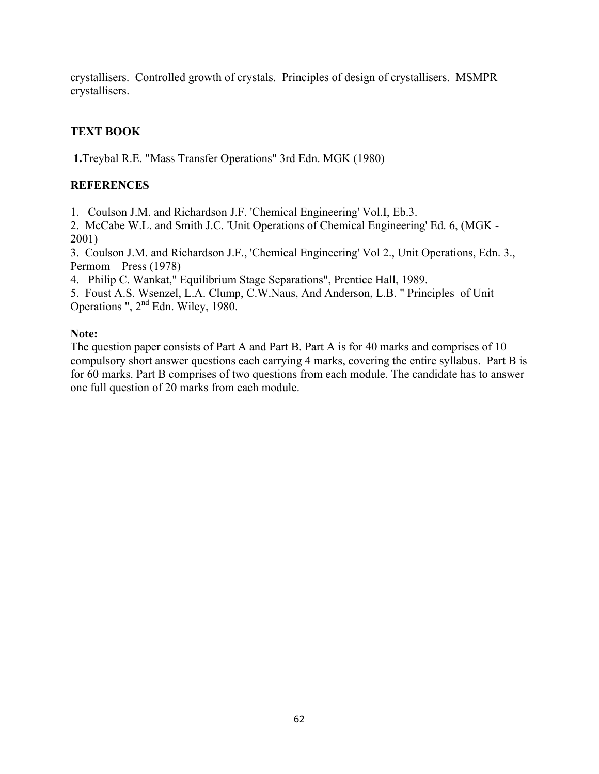crystallisers. Controlled growth of crystals. Principles of design of crystallisers. MSMPR crystallisers.

### **TEXT BOOK**

 **1.**Treybal R.E. "Mass Transfer Operations" 3rd Edn. MGK (1980)

#### **REFERENCES**

1. Coulson J.M. and Richardson J.F. 'Chemical Engineering' Vol.I, Eb.3.

2. McCabe W.L. and Smith J.C. 'Unit Operations of Chemical Engineering' Ed. 6, (MGK - 2001)

3. Coulson J.M. and Richardson J.F., 'Chemical Engineering' Vol 2., Unit Operations, Edn. 3., Permom Press (1978)

4. Philip C. Wankat," Equilibrium Stage Separations", Prentice Hall, 1989.

5. Foust A.S. Wsenzel, L.A. Clump, C.W.Naus, And Anderson, L.B. " Principles of Unit Operations ", 2<sup>nd</sup> Edn. Wiley, 1980.

#### **Note:**

The question paper consists of Part A and Part B. Part A is for 40 marks and comprises of 10 compulsory short answer questions each carrying 4 marks, covering the entire syllabus. Part B is for 60 marks. Part B comprises of two questions from each module. The candidate has to answer one full question of 20 marks from each module.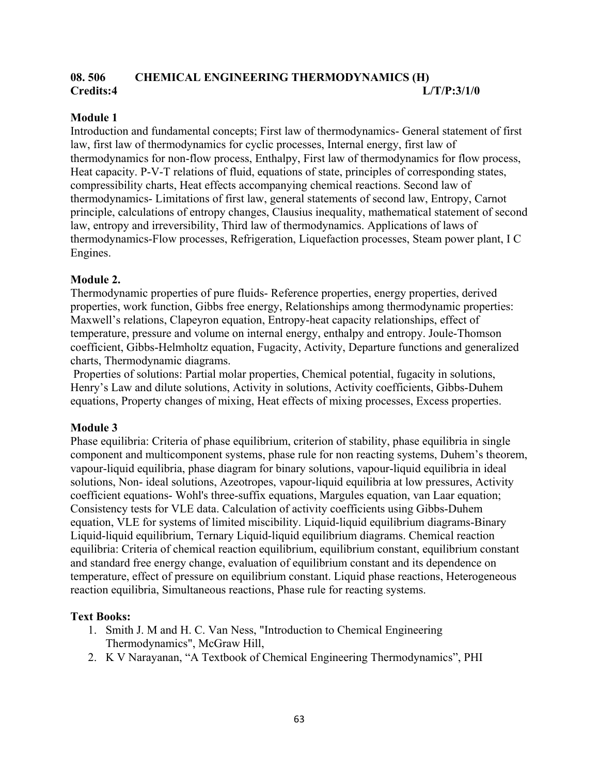### **08. 506 CHEMICAL ENGINEERING THERMODYNAMICS (H) Credits:4 L/T/P:3/1/0**

#### **Module 1**

Introduction and fundamental concepts; First law of thermodynamics- General statement of first law, first law of thermodynamics for cyclic processes, Internal energy, first law of thermodynamics for non-flow process, Enthalpy, First law of thermodynamics for flow process, Heat capacity. P-V-T relations of fluid, equations of state, principles of corresponding states, compressibility charts, Heat effects accompanying chemical reactions. Second law of thermodynamics- Limitations of first law, general statements of second law, Entropy, Carnot principle, calculations of entropy changes, Clausius inequality, mathematical statement of second law, entropy and irreversibility, Third law of thermodynamics. Applications of laws of thermodynamics-Flow processes, Refrigeration, Liquefaction processes, Steam power plant, I C Engines.

#### **Module 2.**

Thermodynamic properties of pure fluids- Reference properties, energy properties, derived properties, work function, Gibbs free energy, Relationships among thermodynamic properties: Maxwell's relations, Clapeyron equation, Entropy-heat capacity relationships, effect of temperature, pressure and volume on internal energy, enthalpy and entropy. Joule-Thomson coefficient, Gibbs-Helmholtz equation, Fugacity, Activity, Departure functions and generalized charts, Thermodynamic diagrams.

 Properties of solutions: Partial molar properties, Chemical potential, fugacity in solutions, Henry's Law and dilute solutions, Activity in solutions, Activity coefficients, Gibbs-Duhem equations, Property changes of mixing, Heat effects of mixing processes, Excess properties.

#### **Module 3**

Phase equilibria: Criteria of phase equilibrium, criterion of stability, phase equilibria in single component and multicomponent systems, phase rule for non reacting systems, Duhem's theorem, vapour-liquid equilibria, phase diagram for binary solutions, vapour-liquid equilibria in ideal solutions, Non- ideal solutions, Azeotropes, vapour-liquid equilibria at low pressures, Activity coefficient equations- Wohl's three-suffix equations, Margules equation, van Laar equation; Consistency tests for VLE data. Calculation of activity coefficients using Gibbs-Duhem equation, VLE for systems of limited miscibility. Liquid-liquid equilibrium diagrams-Binary Liquid-liquid equilibrium, Ternary Liquid-liquid equilibrium diagrams. Chemical reaction equilibria: Criteria of chemical reaction equilibrium, equilibrium constant, equilibrium constant and standard free energy change, evaluation of equilibrium constant and its dependence on temperature, effect of pressure on equilibrium constant. Liquid phase reactions, Heterogeneous reaction equilibria, Simultaneous reactions, Phase rule for reacting systems.

#### **Text Books:**

- 1. Smith J. M and H. C. Van Ness, "Introduction to Chemical Engineering Thermodynamics", McGraw Hill,
- 2. K V Narayanan, "A Textbook of Chemical Engineering Thermodynamics", PHI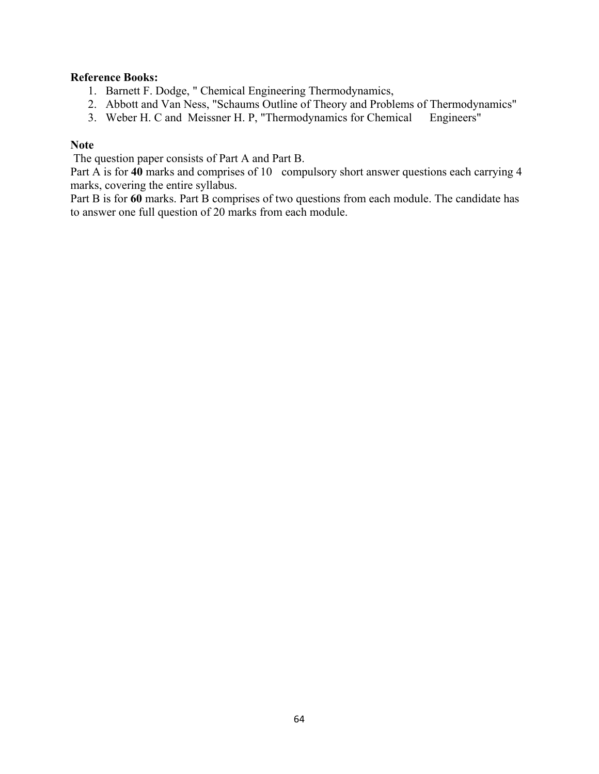#### **Reference Books:**

- 1. Barnett F. Dodge, " Chemical Engineering Thermodynamics,
- 2. Abbott and Van Ness, "Schaums Outline of Theory and Problems of Thermodynamics"
- 3. Weber H. C and Meissner H. P, "Thermodynamics for Chemical Engineers"

#### **Note**

The question paper consists of Part A and Part B.

Part A is for 40 marks and comprises of 10 compulsory short answer questions each carrying 4 marks, covering the entire syllabus.

Part B is for 60 marks. Part B comprises of two questions from each module. The candidate has to answer one full question of 20 marks from each module.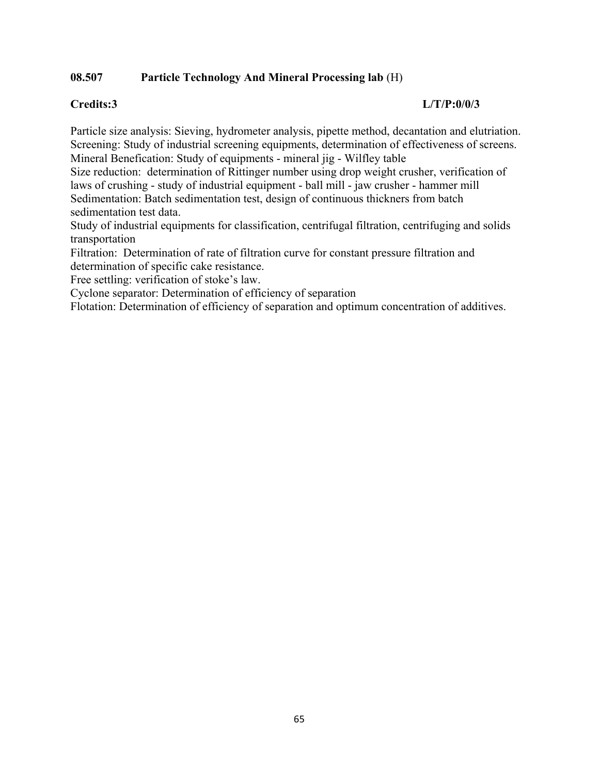#### **08.507 Particle Technology And Mineral Processing lab** (H)

#### **Credits:3 L/T/P:0/0/3**

Particle size analysis: Sieving, hydrometer analysis, pipette method, decantation and elutriation. Screening: Study of industrial screening equipments, determination of effectiveness of screens. Mineral Benefication: Study of equipments - mineral jig - Wilfley table

Size reduction: determination of Rittinger number using drop weight crusher, verification of laws of crushing - study of industrial equipment - ball mill - jaw crusher - hammer mill Sedimentation: Batch sedimentation test, design of continuous thickners from batch sedimentation test data.

Study of industrial equipments for classification, centrifugal filtration, centrifuging and solids transportation

Filtration: Determination of rate of filtration curve for constant pressure filtration and determination of specific cake resistance.

Free settling: verification of stoke's law.

Cyclone separator: Determination of efficiency of separation

Flotation: Determination of efficiency of separation and optimum concentration of additives.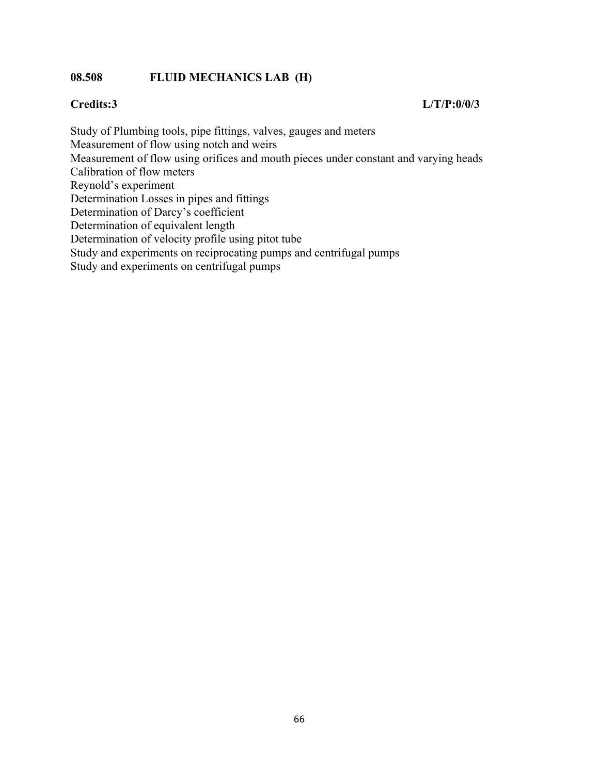#### **08.508 FLUID MECHANICS LAB (H)**

#### **Credits:3 L/T/P:0/0/3**

Study of Plumbing tools, pipe fittings, valves, gauges and meters Measurement of flow using notch and weirs Measurement of flow using orifices and mouth pieces under constant and varying heads Calibration of flow meters Reynold's experiment Determination Losses in pipes and fittings Determination of Darcy's coefficient Determination of equivalent length Determination of velocity profile using pitot tube Study and experiments on reciprocating pumps and centrifugal pumps Study and experiments on centrifugal pumps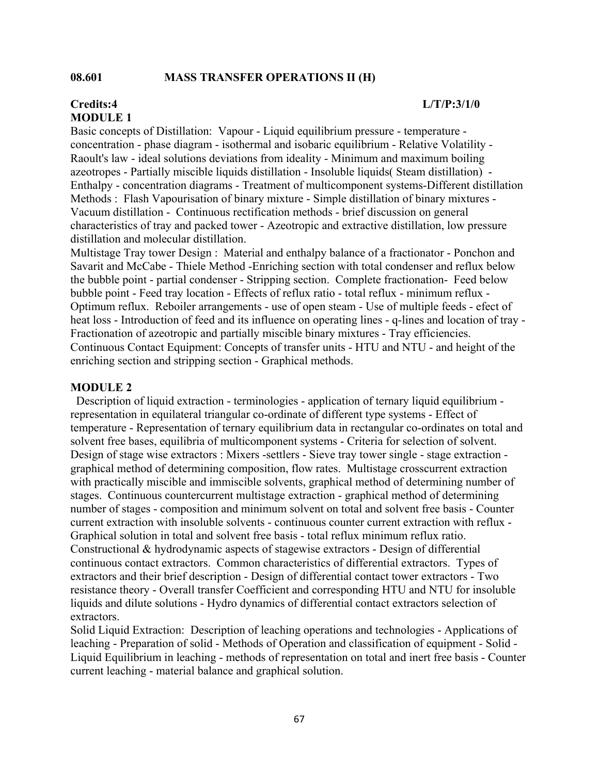#### **08.601 MASS TRANSFER OPERATIONS II (H)**

## **MODULE 1**

#### Basic concepts of Distillation: Vapour - Liquid equilibrium pressure - temperature concentration - phase diagram - isothermal and isobaric equilibrium - Relative Volatility - Raoult's law - ideal solutions deviations from ideality - Minimum and maximum boiling azeotropes - Partially miscible liquids distillation - Insoluble liquids( Steam distillation) - Enthalpy - concentration diagrams - Treatment of multicomponent systems-Different distillation Methods : Flash Vapourisation of binary mixture - Simple distillation of binary mixtures - Vacuum distillation - Continuous rectification methods - brief discussion on general characteristics of tray and packed tower - Azeotropic and extractive distillation, low pressure distillation and molecular distillation.

Multistage Tray tower Design : Material and enthalpy balance of a fractionator - Ponchon and Savarit and McCabe - Thiele Method -Enriching section with total condenser and reflux below the bubble point - partial condenser - Stripping section. Complete fractionation- Feed below bubble point - Feed tray location - Effects of reflux ratio - total reflux - minimum reflux - Optimum reflux. Reboiler arrangements - use of open steam - Use of multiple feeds - efect of heat loss - Introduction of feed and its influence on operating lines - q-lines and location of tray - Fractionation of azeotropic and partially miscible binary mixtures - Tray efficiencies. Continuous Contact Equipment: Concepts of transfer units - HTU and NTU - and height of the enriching section and stripping section - Graphical methods.

#### **MODULE 2**

Description of liquid extraction - terminologies - application of ternary liquid equilibrium representation in equilateral triangular co-ordinate of different type systems - Effect of temperature - Representation of ternary equilibrium data in rectangular co-ordinates on total and solvent free bases, equilibria of multicomponent systems - Criteria for selection of solvent. Design of stage wise extractors : Mixers -settlers - Sieve tray tower single - stage extraction graphical method of determining composition, flow rates. Multistage crosscurrent extraction with practically miscible and immiscible solvents, graphical method of determining number of stages. Continuous countercurrent multistage extraction - graphical method of determining number of stages - composition and minimum solvent on total and solvent free basis - Counter current extraction with insoluble solvents - continuous counter current extraction with reflux - Graphical solution in total and solvent free basis - total reflux minimum reflux ratio. Constructional & hydrodynamic aspects of stagewise extractors - Design of differential continuous contact extractors. Common characteristics of differential extractors. Types of extractors and their brief description - Design of differential contact tower extractors - Two resistance theory - Overall transfer Coefficient and corresponding HTU and NTU for insoluble liquids and dilute solutions - Hydro dynamics of differential contact extractors selection of extractors.

Solid Liquid Extraction: Description of leaching operations and technologies - Applications of leaching - Preparation of solid - Methods of Operation and classification of equipment - Solid - Liquid Equilibrium in leaching - methods of representation on total and inert free basis - Counter current leaching - material balance and graphical solution.

#### **Credits:4 L/T/P:3/1/0**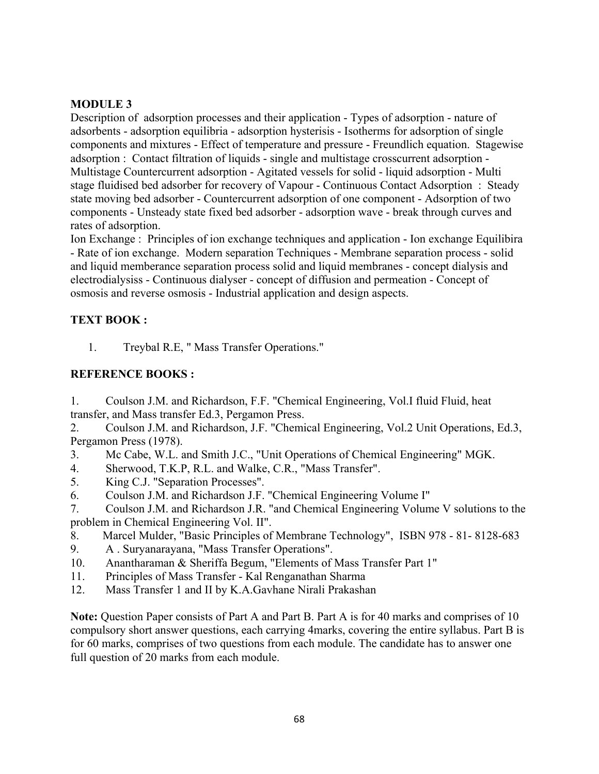#### **MODULE 3**

Description of adsorption processes and their application - Types of adsorption - nature of adsorbents - adsorption equilibria - adsorption hysterisis - Isotherms for adsorption of single components and mixtures - Effect of temperature and pressure - Freundlich equation. Stagewise adsorption : Contact filtration of liquids - single and multistage crosscurrent adsorption - Multistage Countercurrent adsorption - Agitated vessels for solid - liquid adsorption - Multi stage fluidised bed adsorber for recovery of Vapour - Continuous Contact Adsorption : Steady state moving bed adsorber - Countercurrent adsorption of one component - Adsorption of two components - Unsteady state fixed bed adsorber - adsorption wave - break through curves and rates of adsorption.

Ion Exchange : Principles of ion exchange techniques and application - Ion exchange Equilibira - Rate of ion exchange. Modern separation Techniques - Membrane separation process - solid and liquid memberance separation process solid and liquid membranes - concept dialysis and electrodialysiss - Continuous dialyser - concept of diffusion and permeation - Concept of osmosis and reverse osmosis - Industrial application and design aspects.

#### **TEXT BOOK :**

1. Treybal R.E, " Mass Transfer Operations."

#### **REFERENCE BOOKS :**

1. Coulson J.M. and Richardson, F.F. "Chemical Engineering, Vol.I fluid Fluid, heat transfer, and Mass transfer Ed.3, Pergamon Press.

2. Coulson J.M. and Richardson, J.F. "Chemical Engineering, Vol.2 Unit Operations, Ed.3, Pergamon Press (1978).

3. Mc Cabe, W.L. and Smith J.C., "Unit Operations of Chemical Engineering" MGK.

- 4. Sherwood, T.K.P, R.L. and Walke, C.R., "Mass Transfer".
- 5. King C.J. "Separation Processes".
- 6. Coulson J.M. and Richardson J.F. "Chemical Engineering Volume I"

7. Coulson J.M. and Richardson J.R. "and Chemical Engineering Volume V solutions to the problem in Chemical Engineering Vol. II".

- 8. Marcel Mulder, "Basic Principles of Membrane Technology", ISBN 978 81- 8128-683
- 9. A . Suryanarayana, "Mass Transfer Operations".
- 10. Anantharaman & Sheriffa Begum, "Elements of Mass Transfer Part 1"
- 11. Principles of Mass Transfer Kal Renganathan Sharma
- 12. Mass Transfer 1 and II by K.A.Gavhane Nirali Prakashan

**Note:** Question Paper consists of Part A and Part B. Part A is for 40 marks and comprises of 10 compulsory short answer questions, each carrying 4marks, covering the entire syllabus. Part B is for 60 marks, comprises of two questions from each module. The candidate has to answer one full question of 20 marks from each module.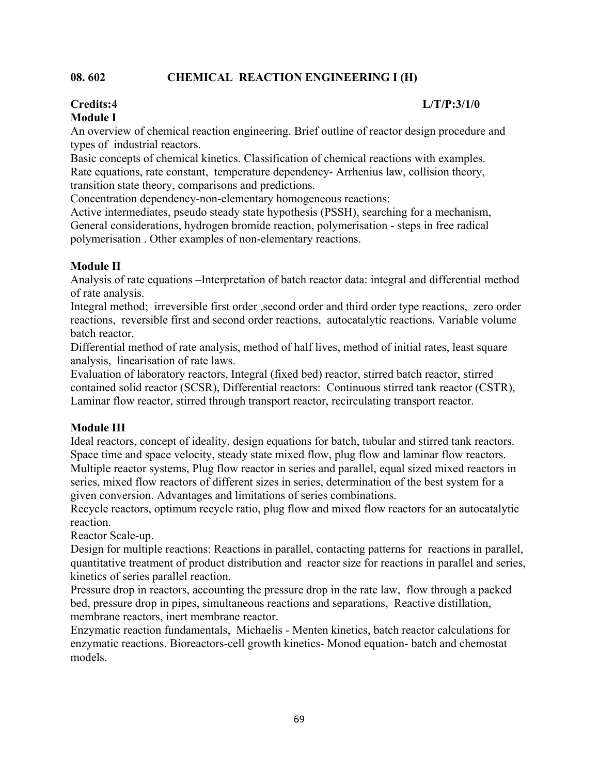#### **08. 602 CHEMICAL REACTION ENGINEERING I (H)**

#### **Credits:4 L/T/P:3/1/0**

### **Module I**

An overview of chemical reaction engineering. Brief outline of reactor design procedure and types of industrial reactors.

Basic concepts of chemical kinetics. Classification of chemical reactions with examples. Rate equations, rate constant, temperature dependency- Arrhenius law, collision theory, transition state theory, comparisons and predictions.

Concentration dependency-non-elementary homogeneous reactions:

Active intermediates, pseudo steady state hypothesis (PSSH), searching for a mechanism, General considerations, hydrogen bromide reaction, polymerisation - steps in free radical polymerisation . Other examples of non-elementary reactions.

#### **Module II**

Analysis of rate equations –Interpretation of batch reactor data: integral and differential method of rate analysis.

Integral method; irreversible first order ,second order and third order type reactions, zero order reactions, reversible first and second order reactions, autocatalytic reactions. Variable volume batch reactor.

Differential method of rate analysis, method of half lives, method of initial rates, least square analysis, linearisation of rate laws.

Evaluation of laboratory reactors, Integral (fixed bed) reactor, stirred batch reactor, stirred contained solid reactor (SCSR), Differential reactors: Continuous stirred tank reactor (CSTR), Laminar flow reactor, stirred through transport reactor, recirculating transport reactor.

#### **Module III**

Ideal reactors, concept of ideality, design equations for batch, tubular and stirred tank reactors. Space time and space velocity, steady state mixed flow, plug flow and laminar flow reactors. Multiple reactor systems, Plug flow reactor in series and parallel, equal sized mixed reactors in series, mixed flow reactors of different sizes in series, determination of the best system for a given conversion. Advantages and limitations of series combinations.

Recycle reactors, optimum recycle ratio, plug flow and mixed flow reactors for an autocatalytic reaction.

Reactor Scale-up.

Design for multiple reactions: Reactions in parallel, contacting patterns for reactions in parallel, quantitative treatment of product distribution and reactor size for reactions in parallel and series, kinetics of series parallel reaction.

Pressure drop in reactors, accounting the pressure drop in the rate law, flow through a packed bed, pressure drop in pipes, simultaneous reactions and separations, Reactive distillation, membrane reactors, inert membrane reactor.

Enzymatic reaction fundamentals, Michaelis - Menten kinetics, batch reactor calculations for enzymatic reactions. Bioreactors-cell growth kinetics- Monod equation- batch and chemostat models.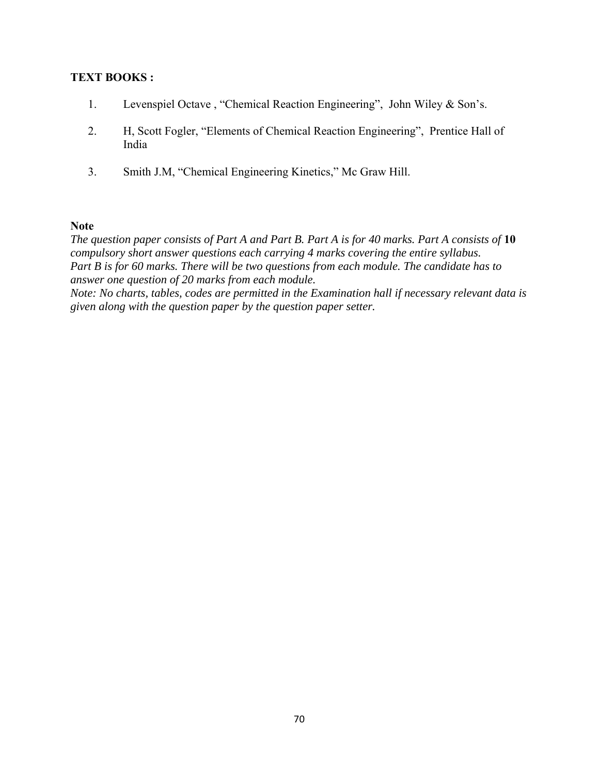#### **TEXT BOOKS :**

- 1. Levenspiel Octave , "Chemical Reaction Engineering", John Wiley & Son's.
- 2. H, Scott Fogler, "Elements of Chemical Reaction Engineering", Prentice Hall of India
- 3. Smith J.M, "Chemical Engineering Kinetics," Mc Graw Hill.

#### **Note**

*The question paper consists of Part A and Part B. Part A is for 40 marks. Part A consists of* **10**  *compulsory short answer questions each carrying 4 marks covering the entire syllabus. Part B is for 60 marks. There will be two questions from each module. The candidate has to answer one question of 20 marks from each module.* 

*Note: No charts, tables, codes are permitted in the Examination hall if necessary relevant data is given along with the question paper by the question paper setter.*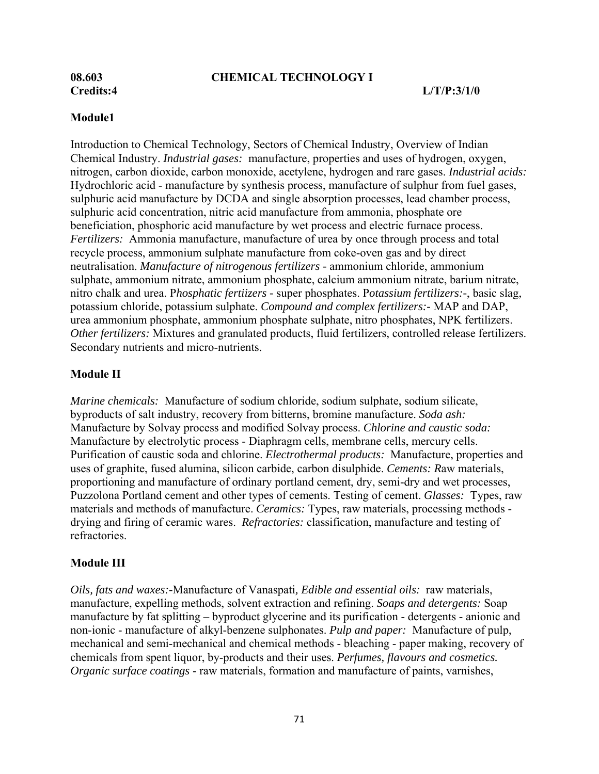#### **08.603 CHEMICAL TECHNOLOGY I**

#### **Module1**

Introduction to Chemical Technology, Sectors of Chemical Industry, Overview of Indian Chemical Industry. *Industrial gases:* manufacture, properties and uses of hydrogen, oxygen, nitrogen, carbon dioxide, carbon monoxide, acetylene, hydrogen and rare gases. *Industrial acids:*  Hydrochloric acid - manufacture by synthesis process, manufacture of sulphur from fuel gases, sulphuric acid manufacture by DCDA and single absorption processes, lead chamber process, sulphuric acid concentration, nitric acid manufacture from ammonia, phosphate ore beneficiation, phosphoric acid manufacture by wet process and electric furnace process. *Fertilizers:* Ammonia manufacture, manufacture of urea by once through process and total recycle process, ammonium sulphate manufacture from coke-oven gas and by direct neutralisation. *Manufacture of nitrogenous fertilizers -* ammonium chloride, ammonium sulphate, ammonium nitrate, ammonium phosphate, calcium ammonium nitrate, barium nitrate, nitro chalk and urea. P*hosphatic fertiizers -* super phosphates. P*otassium fertilizers:-*, basic slag, potassium chloride, potassium sulphate. *Compound and complex fertilizers:-* MAP and DAP, urea ammonium phosphate, ammonium phosphate sulphate, nitro phosphates, NPK fertilizers. *Other fertilizers:* Mixtures and granulated products, fluid fertilizers, controlled release fertilizers. Secondary nutrients and micro-nutrients.

#### **Module II**

*Marine chemicals:* Manufacture of sodium chloride, sodium sulphate, sodium silicate, byproducts of salt industry, recovery from bitterns, bromine manufacture. *Soda ash:* Manufacture by Solvay process and modified Solvay process. *Chlorine and caustic soda:* Manufacture by electrolytic process - Diaphragm cells, membrane cells, mercury cells. Purification of caustic soda and chlorine. *Electrothermal products:* Manufacture, properties and uses of graphite, fused alumina, silicon carbide, carbon disulphide. *Cements: R*aw materials, proportioning and manufacture of ordinary portland cement, dry, semi-dry and wet processes, Puzzolona Portland cement and other types of cements. Testing of cement. *Glasses:* Types, raw materials and methods of manufacture. *Ceramics:* Types, raw materials, processing methods drying and firing of ceramic wares. *Refractories:* classification, manufacture and testing of refractories.

#### **Module III**

*Oils, fats and waxes:-*Manufacture of Vanaspati*, Edible and essential oils:* raw materials, manufacture, expelling methods, solvent extraction and refining. *Soaps and detergents:* Soap manufacture by fat splitting – byproduct glycerine and its purification - detergents - anionic and non-ionic - manufacture of alkyl-benzene sulphonates. *Pulp and paper:* Manufacture of pulp, mechanical and semi-mechanical and chemical methods - bleaching - paper making, recovery of chemicals from spent liquor, by-products and their uses. *Perfumes, flavours and cosmetics. Organic surface coatings* - raw materials, formation and manufacture of paints, varnishes,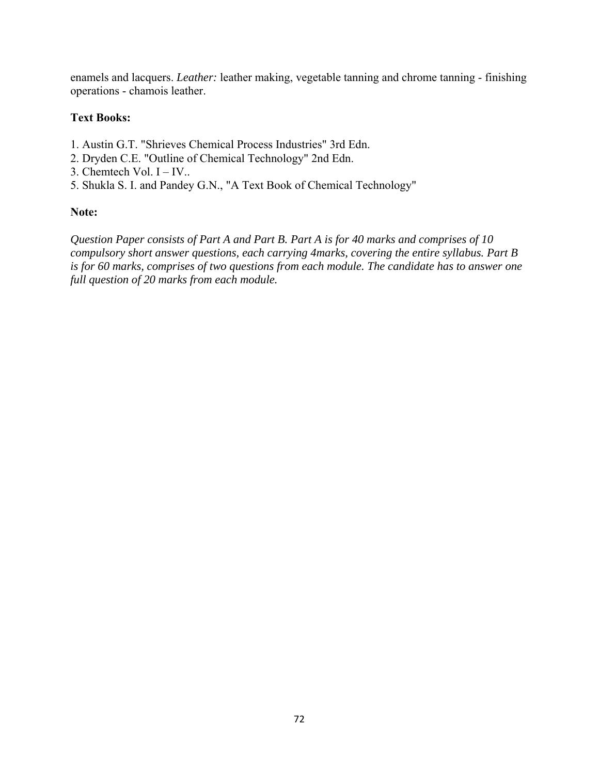enamels and lacquers. *Leather:* leather making, vegetable tanning and chrome tanning - finishing operations - chamois leather.

# **Text Books:**

- 1. Austin G.T. "Shrieves Chemical Process Industries" 3rd Edn.
- 2. Dryden C.E. "Outline of Chemical Technology" 2nd Edn.
- 3. Chemtech Vol. I IV..
- 5. Shukla S. I. and Pandey G.N., "A Text Book of Chemical Technology"

# **Note:**

*Question Paper consists of Part A and Part B. Part A is for 40 marks and comprises of 10 compulsory short answer questions, each carrying 4marks, covering the entire syllabus. Part B is for 60 marks, comprises of two questions from each module. The candidate has to answer one full question of 20 marks from each module.*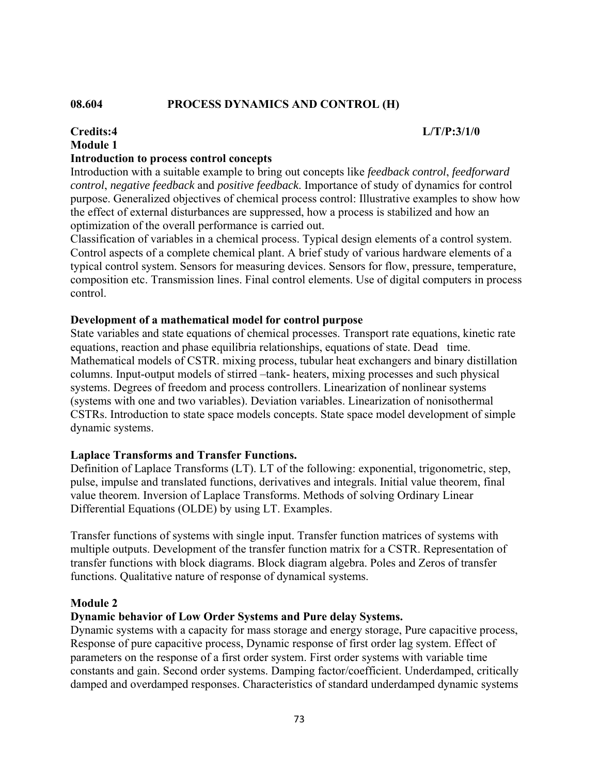#### **08.604 PROCESS DYNAMICS AND CONTROL (H)**

# **Credits:4 L/T/P:3/1/0 Module 1 Introduction to process control concepts**

### Introduction with a suitable example to bring out concepts like *feedback control*, *feedforward control*, *negative feedback* and *positive feedback*. Importance of study of dynamics for control purpose. Generalized objectives of chemical process control: Illustrative examples to show how the effect of external disturbances are suppressed, how a process is stabilized and how an optimization of the overall performance is carried out.

Classification of variables in a chemical process. Typical design elements of a control system. Control aspects of a complete chemical plant. A brief study of various hardware elements of a typical control system. Sensors for measuring devices. Sensors for flow, pressure, temperature, composition etc. Transmission lines. Final control elements. Use of digital computers in process control.

#### **Development of a mathematical model for control purpose**

State variables and state equations of chemical processes. Transport rate equations, kinetic rate equations, reaction and phase equilibria relationships, equations of state. Dead time. Mathematical models of CSTR. mixing process, tubular heat exchangers and binary distillation columns. Input-output models of stirred –tank- heaters, mixing processes and such physical systems. Degrees of freedom and process controllers. Linearization of nonlinear systems (systems with one and two variables). Deviation variables. Linearization of nonisothermal CSTRs. Introduction to state space models concepts. State space model development of simple dynamic systems.

#### **Laplace Transforms and Transfer Functions.**

Definition of Laplace Transforms (LT). LT of the following: exponential, trigonometric, step, pulse, impulse and translated functions, derivatives and integrals. Initial value theorem, final value theorem. Inversion of Laplace Transforms. Methods of solving Ordinary Linear Differential Equations (OLDE) by using LT. Examples.

Transfer functions of systems with single input. Transfer function matrices of systems with multiple outputs. Development of the transfer function matrix for a CSTR. Representation of transfer functions with block diagrams. Block diagram algebra. Poles and Zeros of transfer functions. Qualitative nature of response of dynamical systems.

#### **Module 2**

#### **Dynamic behavior of Low Order Systems and Pure delay Systems.**

Dynamic systems with a capacity for mass storage and energy storage, Pure capacitive process, Response of pure capacitive process, Dynamic response of first order lag system. Effect of parameters on the response of a first order system. First order systems with variable time constants and gain. Second order systems. Damping factor/coefficient. Underdamped, critically damped and overdamped responses. Characteristics of standard underdamped dynamic systems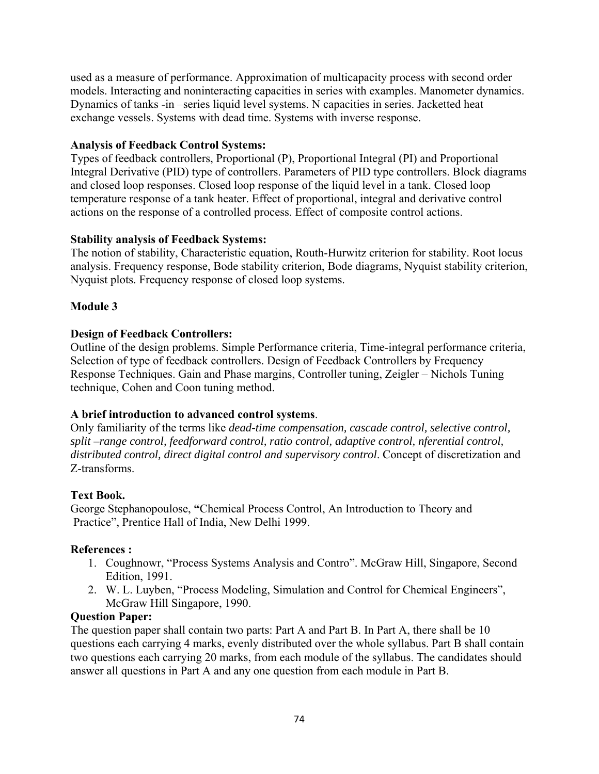used as a measure of performance. Approximation of multicapacity process with second order models. Interacting and noninteracting capacities in series with examples. Manometer dynamics. Dynamics of tanks -in –series liquid level systems. N capacities in series. Jacketted heat exchange vessels. Systems with dead time. Systems with inverse response.

## **Analysis of Feedback Control Systems:**

Types of feedback controllers, Proportional (P), Proportional Integral (PI) and Proportional Integral Derivative (PID) type of controllers. Parameters of PID type controllers. Block diagrams and closed loop responses. Closed loop response of the liquid level in a tank. Closed loop temperature response of a tank heater. Effect of proportional, integral and derivative control actions on the response of a controlled process. Effect of composite control actions.

### **Stability analysis of Feedback Systems:**

The notion of stability, Characteristic equation, Routh-Hurwitz criterion for stability. Root locus analysis. Frequency response, Bode stability criterion, Bode diagrams, Nyquist stability criterion, Nyquist plots. Frequency response of closed loop systems.

# **Module 3**

### **Design of Feedback Controllers:**

Outline of the design problems. Simple Performance criteria, Time-integral performance criteria, Selection of type of feedback controllers. Design of Feedback Controllers by Frequency Response Techniques. Gain and Phase margins, Controller tuning, Zeigler – Nichols Tuning technique, Cohen and Coon tuning method.

# **A brief introduction to advanced control systems**.

Only familiarity of the terms like *dead-time compensation, cascade control, selective control, split –range control, feedforward control, ratio control, adaptive control, nferential control, distributed control, direct digital control and supervisory control*. Concept of discretization and Z-transforms.

#### **Text Book.**

George Stephanopoulose, **"**Chemical Process Control, An Introduction to Theory and Practice", Prentice Hall of India, New Delhi 1999.

#### **References :**

- 1. Coughnowr, "Process Systems Analysis and Contro". McGraw Hill, Singapore, Second Edition, 1991.
- 2. W. L. Luyben, "Process Modeling, Simulation and Control for Chemical Engineers", McGraw Hill Singapore, 1990.

#### **Question Paper:**

The question paper shall contain two parts: Part A and Part B. In Part A, there shall be 10 questions each carrying 4 marks, evenly distributed over the whole syllabus. Part B shall contain two questions each carrying 20 marks, from each module of the syllabus. The candidates should answer all questions in Part A and any one question from each module in Part B.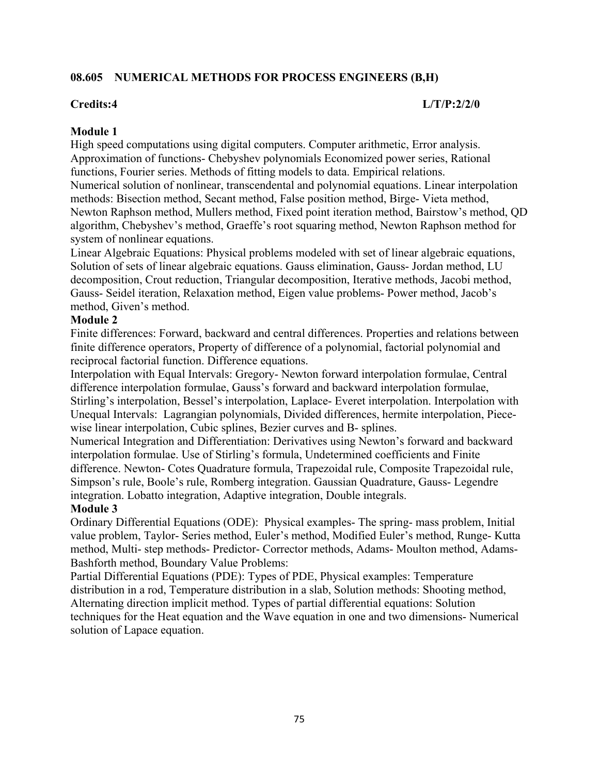## **08.605 NUMERICAL METHODS FOR PROCESS ENGINEERS (B,H)**

#### **Credits:4 L/T/P:2/2/0**

#### **Module 1**

High speed computations using digital computers. Computer arithmetic, Error analysis. Approximation of functions- Chebyshev polynomials Economized power series, Rational functions, Fourier series. Methods of fitting models to data. Empirical relations. Numerical solution of nonlinear, transcendental and polynomial equations. Linear interpolation methods: Bisection method, Secant method, False position method, Birge- Vieta method, Newton Raphson method, Mullers method, Fixed point iteration method, Bairstow's method, QD algorithm, Chebyshev's method, Graeffe's root squaring method, Newton Raphson method for system of nonlinear equations.

Linear Algebraic Equations: Physical problems modeled with set of linear algebraic equations, Solution of sets of linear algebraic equations. Gauss elimination, Gauss- Jordan method, LU decomposition, Crout reduction, Triangular decomposition, Iterative methods, Jacobi method, Gauss- Seidel iteration, Relaxation method, Eigen value problems- Power method, Jacob's method, Given's method.

#### **Module 2**

Finite differences: Forward, backward and central differences. Properties and relations between finite difference operators, Property of difference of a polynomial, factorial polynomial and reciprocal factorial function. Difference equations.

Interpolation with Equal Intervals: Gregory- Newton forward interpolation formulae, Central difference interpolation formulae, Gauss's forward and backward interpolation formulae, Stirling's interpolation, Bessel's interpolation, Laplace- Everet interpolation. Interpolation with Unequal Intervals: Lagrangian polynomials, Divided differences, hermite interpolation, Piecewise linear interpolation, Cubic splines, Bezier curves and B- splines.

Numerical Integration and Differentiation: Derivatives using Newton's forward and backward interpolation formulae. Use of Stirling's formula, Undetermined coefficients and Finite difference. Newton- Cotes Quadrature formula, Trapezoidal rule, Composite Trapezoidal rule, Simpson's rule, Boole's rule, Romberg integration. Gaussian Quadrature, Gauss- Legendre integration. Lobatto integration, Adaptive integration, Double integrals.

#### **Module 3**

Ordinary Differential Equations (ODE): Physical examples- The spring- mass problem, Initial value problem, Taylor- Series method, Euler's method, Modified Euler's method, Runge- Kutta method, Multi- step methods- Predictor- Corrector methods, Adams- Moulton method, Adams-Bashforth method, Boundary Value Problems:

Partial Differential Equations (PDE): Types of PDE, Physical examples: Temperature distribution in a rod, Temperature distribution in a slab, Solution methods: Shooting method, Alternating direction implicit method. Types of partial differential equations: Solution techniques for the Heat equation and the Wave equation in one and two dimensions- Numerical solution of Lapace equation.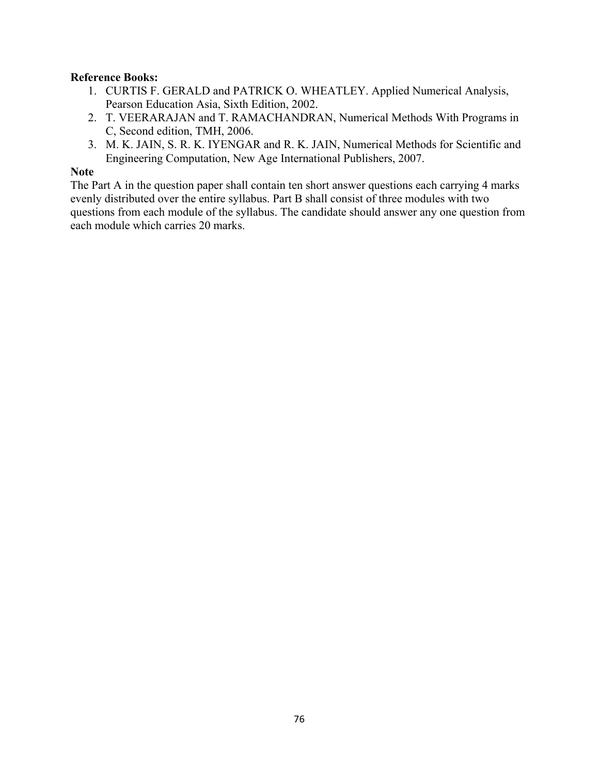# **Reference Books:**

- 1. CURTIS F. GERALD and PATRICK O. WHEATLEY. Applied Numerical Analysis, Pearson Education Asia, Sixth Edition, 2002.
- 2. T. VEERARAJAN and T. RAMACHANDRAN, Numerical Methods With Programs in C, Second edition, TMH, 2006.
- 3. M. K. JAIN, S. R. K. IYENGAR and R. K. JAIN, Numerical Methods for Scientific and Engineering Computation, New Age International Publishers, 2007.

#### **Note**

The Part A in the question paper shall contain ten short answer questions each carrying 4 marks evenly distributed over the entire syllabus. Part B shall consist of three modules with two questions from each module of the syllabus. The candidate should answer any one question from each module which carries 20 marks.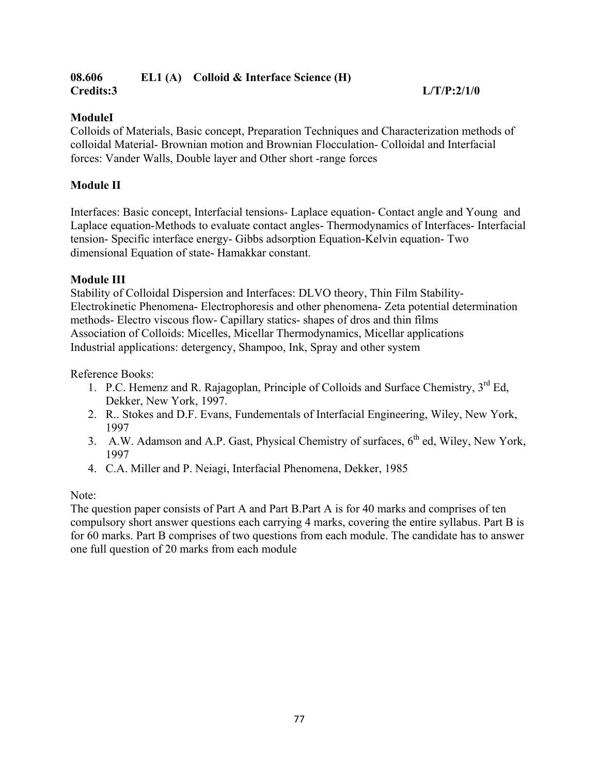#### **08.606 EL1 (A) Colloid & Interface Science (H) Credits:3 L/T/P:2/1/0**

# **ModuleI**

Colloids of Materials, Basic concept, Preparation Techniques and Characterization methods of colloidal Material- Brownian motion and Brownian Flocculation- Colloidal and Interfacial forces: Vander Walls, Double layer and Other short -range forces

# **Module II**

Interfaces: Basic concept, Interfacial tensions- Laplace equation- Contact angle and Young and Laplace equation-Methods to evaluate contact angles- Thermodynamics of Interfaces- Interfacial tension- Specific interface energy- Gibbs adsorption Equation-Kelvin equation- Two dimensional Equation of state- Hamakkar constant.

# **Module III**

Stability of Colloidal Dispersion and Interfaces: DLVO theory, Thin Film Stability-Electrokinetic Phenomena- Electrophoresis and other phenomena- Zeta potential determination methods- Electro viscous flow- Capillary statics- shapes of dros and thin films Association of Colloids: Micelles, Micellar Thermodynamics, Micellar applications Industrial applications: detergency, Shampoo, Ink, Spray and other system

Reference Books:

- 1. P.C. Hemenz and R. Rajagoplan, Principle of Colloids and Surface Chemistry, 3<sup>rd</sup> Ed, Dekker, New York, 1997.
- 2. R.. Stokes and D.F. Evans, Fundementals of Interfacial Engineering, Wiley, New York, 1997
- 3. A.W. Adamson and A.P. Gast, Physical Chemistry of surfaces,  $6<sup>th</sup>$  ed, Wiley, New York, 1997
- 4. C.A. Miller and P. Neiagi, Interfacial Phenomena, Dekker, 1985

Note:

The question paper consists of Part A and Part B.Part A is for 40 marks and comprises of ten compulsory short answer questions each carrying 4 marks, covering the entire syllabus. Part B is for 60 marks. Part B comprises of two questions from each module. The candidate has to answer one full question of 20 marks from each module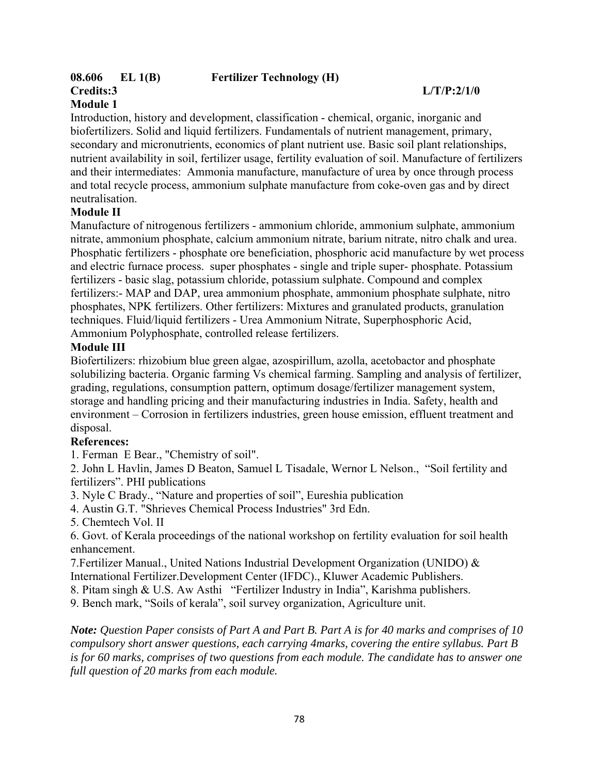# **Credits:3 L/T/P:2/1/0**

# **Module 1**

Introduction, history and development, classification - chemical, organic, inorganic and biofertilizers. Solid and liquid fertilizers. Fundamentals of nutrient management, primary, secondary and micronutrients, economics of plant nutrient use. Basic soil plant relationships, nutrient availability in soil, fertilizer usage, fertility evaluation of soil. Manufacture of fertilizers and their intermediates: Ammonia manufacture, manufacture of urea by once through process and total recycle process, ammonium sulphate manufacture from coke-oven gas and by direct neutralisation.

# **Module II**

Manufacture of nitrogenous fertilizers - ammonium chloride, ammonium sulphate, ammonium nitrate, ammonium phosphate, calcium ammonium nitrate, barium nitrate, nitro chalk and urea. Phosphatic fertilizers - phosphate ore beneficiation, phosphoric acid manufacture by wet process and electric furnace process. super phosphates - single and triple super- phosphate. Potassium fertilizers - basic slag, potassium chloride, potassium sulphate. Compound and complex fertilizers:- MAP and DAP, urea ammonium phosphate, ammonium phosphate sulphate, nitro phosphates, NPK fertilizers. Other fertilizers: Mixtures and granulated products, granulation techniques. Fluid/liquid fertilizers - Urea Ammonium Nitrate, Superphosphoric Acid, Ammonium Polyphosphate, controlled release fertilizers.

# **Module III**

Biofertilizers: rhizobium blue green algae, azospirillum, azolla, acetobactor and phosphate solubilizing bacteria. Organic farming Vs chemical farming. Sampling and analysis of fertilizer, grading, regulations, consumption pattern, optimum dosage/fertilizer management system, storage and handling pricing and their manufacturing industries in India. Safety, health and environment – Corrosion in fertilizers industries, green house emission, effluent treatment and disposal.

# **References:**

1. Ferman E Bear., "Chemistry of soil".

2. John L Havlin, James D Beaton, Samuel L Tisadale, Wernor L Nelson., "Soil fertility and fertilizers". PHI publications

3. Nyle C Brady., "Nature and properties of soil", Eureshia publication

4. Austin G.T. "Shrieves Chemical Process Industries" 3rd Edn.

5. Chemtech Vol. II

6. Govt. of Kerala proceedings of the national workshop on fertility evaluation for soil health enhancement.

7.Fertilizer Manual., United Nations Industrial Development Organization (UNIDO) & International Fertilizer.Development Center (IFDC)., Kluwer Academic Publishers.

8. Pitam singh & U.S. Aw Asthi "Fertilizer Industry in India", Karishma publishers.

9. Bench mark, "Soils of kerala", soil survey organization, Agriculture unit.

*Note: Question Paper consists of Part A and Part B. Part A is for 40 marks and comprises of 10 compulsory short answer questions, each carrying 4marks, covering the entire syllabus. Part B is for 60 marks, comprises of two questions from each module. The candidate has to answer one full question of 20 marks from each module.*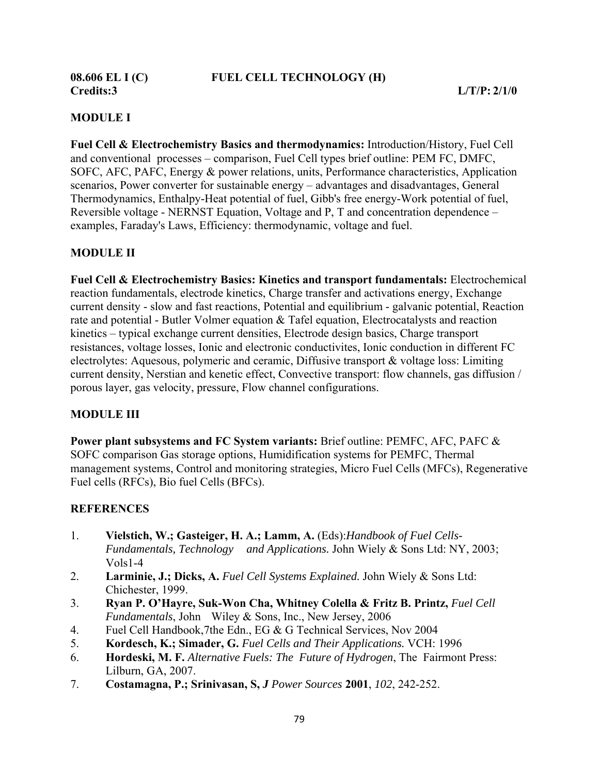**Credits:3 L/T/P: 2/1/0** 

# **MODULE I**

**Fuel Cell & Electrochemistry Basics and thermodynamics:** Introduction/History, Fuel Cell and conventional processes – comparison, Fuel Cell types brief outline: PEM FC, DMFC, SOFC, AFC, PAFC, Energy & power relations, units, Performance characteristics, Application scenarios, Power converter for sustainable energy – advantages and disadvantages, General Thermodynamics, Enthalpy-Heat potential of fuel, Gibb's free energy-Work potential of fuel, Reversible voltage - NERNST Equation, Voltage and P, T and concentration dependence – examples, Faraday's Laws, Efficiency: thermodynamic, voltage and fuel.

# **MODULE II**

**Fuel Cell & Electrochemistry Basics: Kinetics and transport fundamentals:** Electrochemical reaction fundamentals, electrode kinetics, Charge transfer and activations energy, Exchange current density - slow and fast reactions, Potential and equilibrium - galvanic potential, Reaction rate and potential - Butler Volmer equation & Tafel equation, Electrocatalysts and reaction kinetics – typical exchange current densities, Electrode design basics, Charge transport resistances, voltage losses, Ionic and electronic conductivites, Ionic conduction in different FC electrolytes: Aquesous, polymeric and ceramic, Diffusive transport & voltage loss: Limiting current density, Nerstian and kenetic effect, Convective transport: flow channels, gas diffusion / porous layer, gas velocity, pressure, Flow channel configurations.

# **MODULE III**

**Power plant subsystems and FC System variants:** Brief outline: PEMFC, AFC, PAFC & SOFC comparison Gas storage options, Humidification systems for PEMFC, Thermal management systems, Control and monitoring strategies, Micro Fuel Cells (MFCs), Regenerative Fuel cells (RFCs), Bio fuel Cells (BFCs).

# **REFERENCES**

- 1.**Vielstich, W.; Gasteiger, H. A.; Lamm, A.** (Eds):*Handbook of Fuel Cells-Fundamentals, Technology and Applications.* John Wiely & Sons Ltd: NY, 2003; Vols1-4
- 2. **Larminie, J.; Dicks, A.** *Fuel Cell Systems Explained.* John Wiely & Sons Ltd: Chichester, 1999.
- 3. **Ryan P. O'Hayre, Suk-Won Cha, Whitney Colella & Fritz B. Printz,** *Fuel Cell Fundamentals*, John Wiley & Sons, Inc., New Jersey, 2006
- 4. Fuel Cell Handbook,7the Edn., EG & G Technical Services, Nov 2004
- 5. **Kordesch, K.; Simader, G.** *Fuel Cells and Their Applications.* VCH: 1996
- 6. **Hordeski, M. F.** *Alternative Fuels: The Future of Hydrogen*, The Fairmont Press: Lilburn, GA, 2007.
- 7. **Costamagna, P.; Srinivasan, S,** *J Power Sources* **2001**, *102*, 242-252.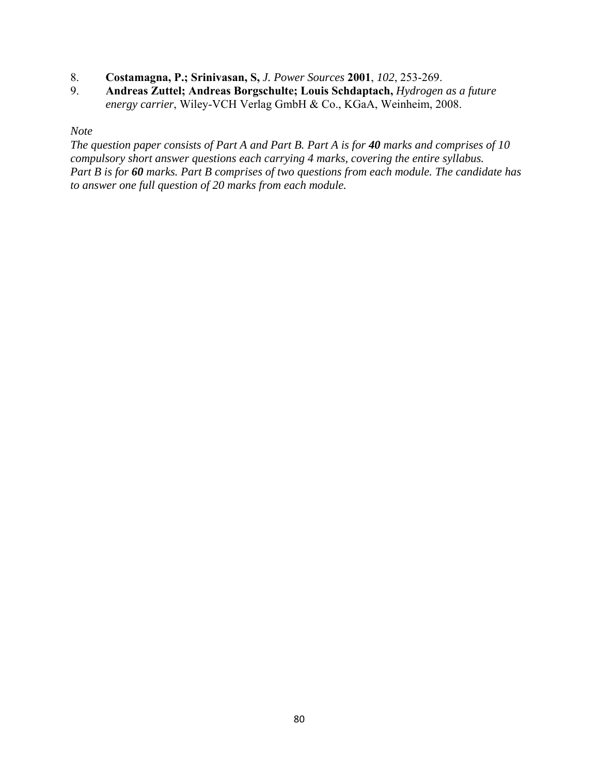- 8. **Costamagna, P.; Srinivasan, S,** *J. Power Sources* **2001**, *102*, 253-269.
- 9. **Andreas Zuttel; Andreas Borgschulte; Louis Schdaptach,** *Hydrogen as a future energy carrier*, Wiley-VCH Verlag GmbH & Co., KGaA, Weinheim, 2008.

#### *Note*

*The question paper consists of Part A and Part B. Part A is for 40 marks and comprises of 10 compulsory short answer questions each carrying 4 marks, covering the entire syllabus. Part B is for 60 marks. Part B comprises of two questions from each module. The candidate has to answer one full question of 20 marks from each module.*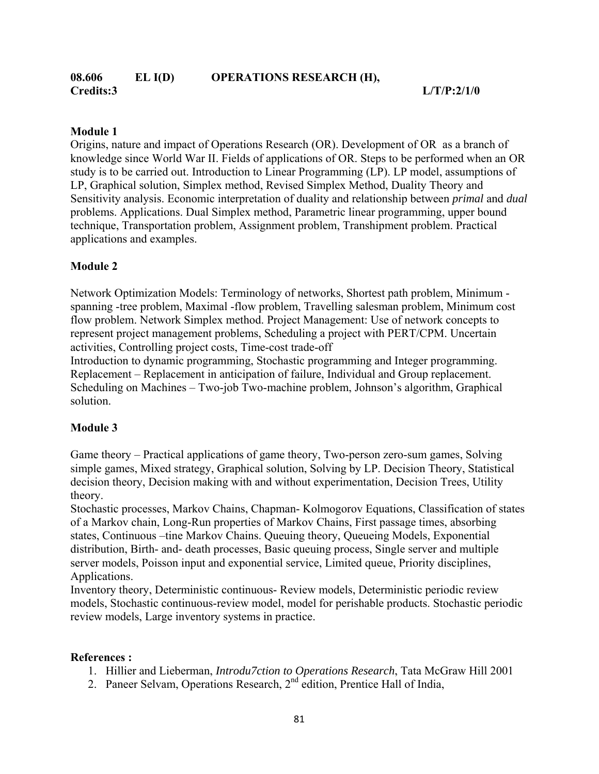#### **08.606 EL I(D) OPERATIONS RESEARCH (H), Credits:3 L/T/P:2/1/0**

#### **Module 1**

Origins, nature and impact of Operations Research (OR). Development of OR as a branch of knowledge since World War II. Fields of applications of OR. Steps to be performed when an OR study is to be carried out. Introduction to Linear Programming (LP). LP model, assumptions of LP, Graphical solution, Simplex method, Revised Simplex Method, Duality Theory and Sensitivity analysis. Economic interpretation of duality and relationship between *primal* and *dual* problems. Applications. Dual Simplex method, Parametric linear programming, upper bound technique, Transportation problem, Assignment problem, Transhipment problem. Practical applications and examples.

#### **Module 2**

Network Optimization Models: Terminology of networks, Shortest path problem, Minimum spanning -tree problem, Maximal -flow problem, Travelling salesman problem, Minimum cost flow problem. Network Simplex method. Project Management: Use of network concepts to represent project management problems, Scheduling a project with PERT/CPM. Uncertain activities, Controlling project costs, Time-cost trade-off

Introduction to dynamic programming, Stochastic programming and Integer programming. Replacement – Replacement in anticipation of failure, Individual and Group replacement. Scheduling on Machines – Two-job Two-machine problem, Johnson's algorithm, Graphical solution.

#### **Module 3**

Game theory – Practical applications of game theory, Two-person zero-sum games, Solving simple games, Mixed strategy, Graphical solution, Solving by LP. Decision Theory, Statistical decision theory, Decision making with and without experimentation, Decision Trees, Utility theory.

Stochastic processes, Markov Chains, Chapman- Kolmogorov Equations, Classification of states of a Markov chain, Long-Run properties of Markov Chains, First passage times, absorbing states, Continuous –tine Markov Chains. Queuing theory, Queueing Models, Exponential distribution, Birth- and- death processes, Basic queuing process, Single server and multiple server models, Poisson input and exponential service, Limited queue, Priority disciplines, Applications.

Inventory theory, Deterministic continuous- Review models, Deterministic periodic review models, Stochastic continuous-review model, model for perishable products. Stochastic periodic review models, Large inventory systems in practice.

#### **References :**

- 1. Hillier and Lieberman, *Introdu7ction to Operations Research*, Tata McGraw Hill 2001
- 2. Paneer Selvam, Operations Research, 2<sup>nd</sup> edition, Prentice Hall of India,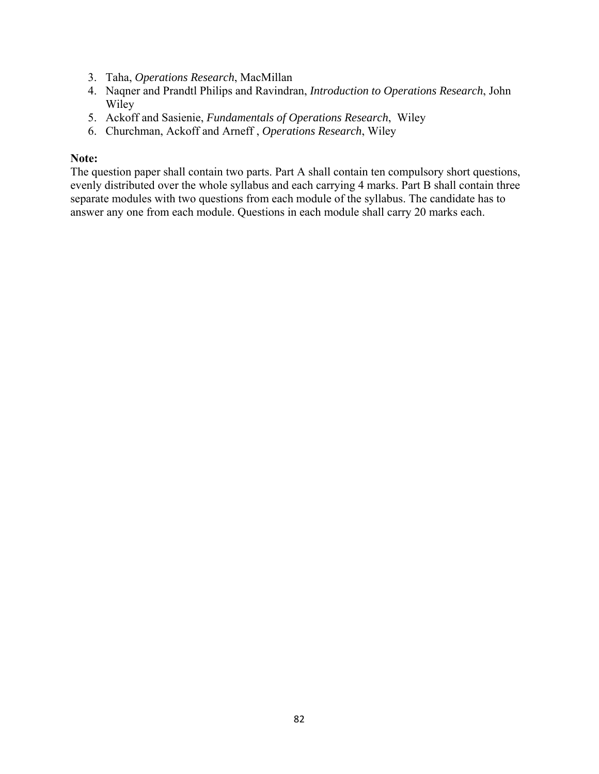- 3. Taha, *Operations Research*, MacMillan
- 4. Naqner and Prandtl Philips and Ravindran, *Introduction to Operations Research*, John Wiley
- 5. Ackoff and Sasienie, *Fundamentals of Operations Research*, Wiley
- 6. Churchman, Ackoff and Arneff , *Operations Research*, Wiley

#### **Note:**

The question paper shall contain two parts. Part A shall contain ten compulsory short questions, evenly distributed over the whole syllabus and each carrying 4 marks. Part B shall contain three separate modules with two questions from each module of the syllabus. The candidate has to answer any one from each module. Questions in each module shall carry 20 marks each.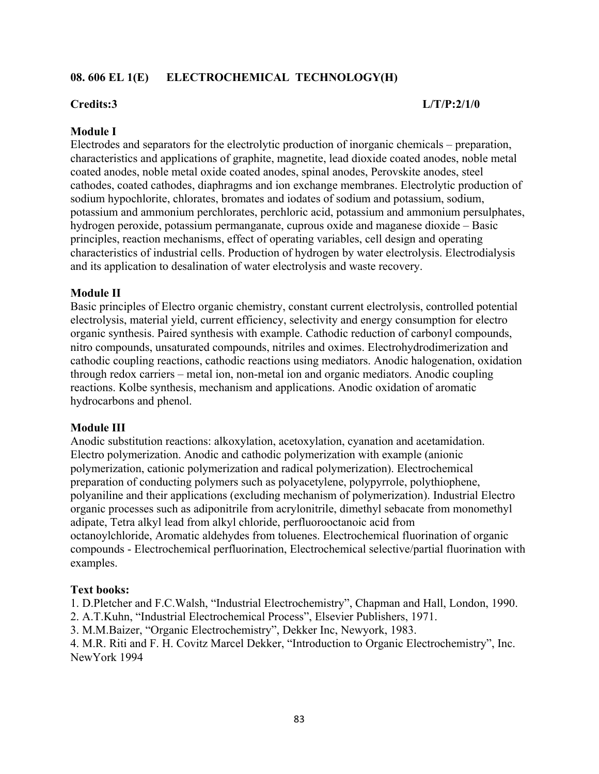# **08. 606 EL 1(E) ELECTROCHEMICAL TECHNOLOGY(H)**

#### **Credits:3 L/T/P:2/1/0**

#### **Module I**

Electrodes and separators for the electrolytic production of inorganic chemicals – preparation, characteristics and applications of graphite, magnetite, lead dioxide coated anodes, noble metal coated anodes, noble metal oxide coated anodes, spinal anodes, Perovskite anodes, steel cathodes, coated cathodes, diaphragms and ion exchange membranes. Electrolytic production of sodium hypochlorite, chlorates, bromates and iodates of sodium and potassium, sodium, potassium and ammonium perchlorates, perchloric acid, potassium and ammonium persulphates, hydrogen peroxide, potassium permanganate, cuprous oxide and maganese dioxide – Basic principles, reaction mechanisms, effect of operating variables, cell design and operating characteristics of industrial cells. Production of hydrogen by water electrolysis. Electrodialysis and its application to desalination of water electrolysis and waste recovery.

#### **Module II**

Basic principles of Electro organic chemistry, constant current electrolysis, controlled potential electrolysis, material yield, current efficiency, selectivity and energy consumption for electro organic synthesis. Paired synthesis with example. Cathodic reduction of carbonyl compounds, nitro compounds, unsaturated compounds, nitriles and oximes. Electrohydrodimerization and cathodic coupling reactions, cathodic reactions using mediators. Anodic halogenation, oxidation through redox carriers – metal ion, non-metal ion and organic mediators. Anodic coupling reactions. Kolbe synthesis, mechanism and applications. Anodic oxidation of aromatic hydrocarbons and phenol.

#### **Module III**

Anodic substitution reactions: alkoxylation, acetoxylation, cyanation and acetamidation. Electro polymerization. Anodic and cathodic polymerization with example (anionic polymerization, cationic polymerization and radical polymerization). Electrochemical preparation of conducting polymers such as polyacetylene, polypyrrole, polythiophene, polyaniline and their applications (excluding mechanism of polymerization). Industrial Electro organic processes such as adiponitrile from acrylonitrile, dimethyl sebacate from monomethyl adipate, Tetra alkyl lead from alkyl chloride, perfluorooctanoic acid from octanoylchloride, Aromatic aldehydes from toluenes. Electrochemical fluorination of organic compounds - Electrochemical perfluorination, Electrochemical selective/partial fluorination with examples.

#### **Text books:**

1. D.Pletcher and F.C.Walsh, "Industrial Electrochemistry", Chapman and Hall, London, 1990.

2. A.T.Kuhn, "Industrial Electrochemical Process", Elsevier Publishers, 1971.

3. M.M.Baizer, "Organic Electrochemistry", Dekker Inc, Newyork, 1983.

4. M.R. Riti and F. H. Covitz Marcel Dekker, "Introduction to Organic Electrochemistry", Inc. NewYork 1994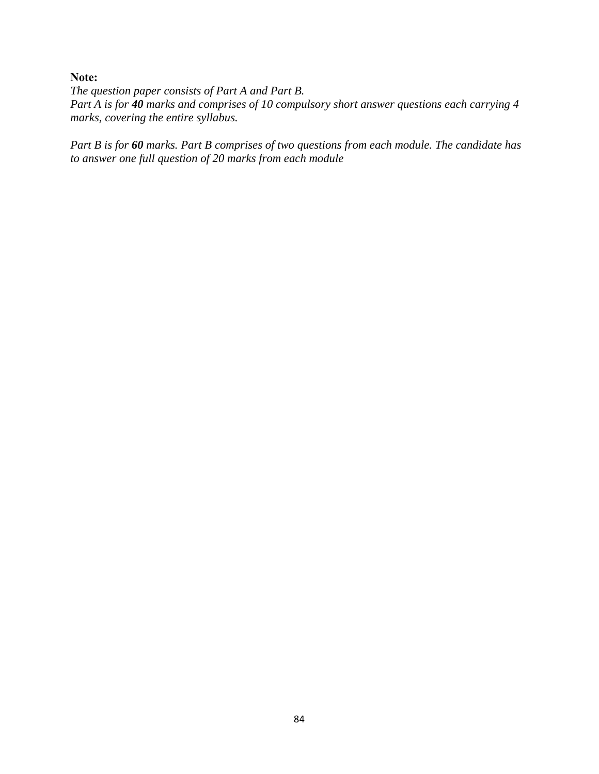**Note:** 

*The question paper consists of Part A and Part B. Part A is for 40 marks and comprises of 10 compulsory short answer questions each carrying 4 marks, covering the entire syllabus.* 

*Part B is for 60 marks. Part B comprises of two questions from each module. The candidate has to answer one full question of 20 marks from each module*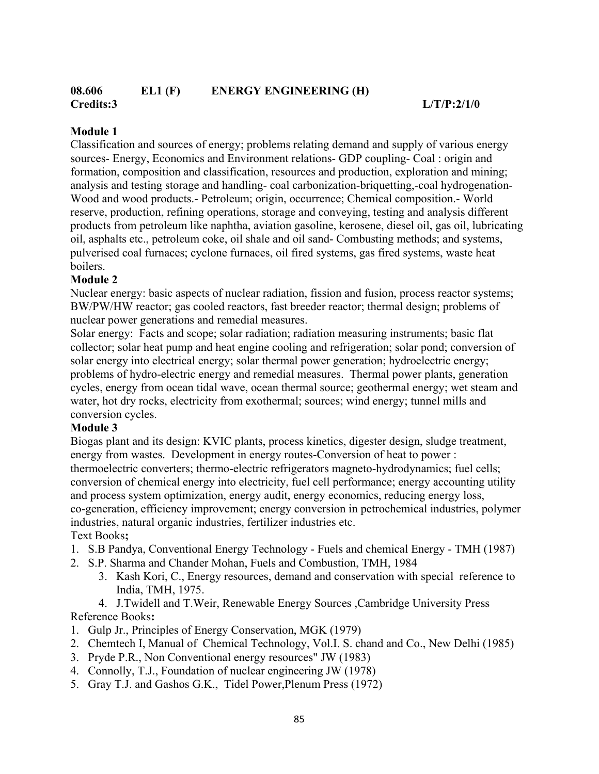### **08.606 EL1 (F) ENERGY ENGINEERING (H) Credits:3 L/T/P:2/1/0**

# **Module 1**

Classification and sources of energy; problems relating demand and supply of various energy sources- Energy, Economics and Environment relations- GDP coupling- Coal : origin and formation, composition and classification, resources and production, exploration and mining; analysis and testing storage and handling- coal carbonization-briquetting,-coal hydrogenation-Wood and wood products.- Petroleum; origin, occurrence; Chemical composition.- World reserve, production, refining operations, storage and conveying, testing and analysis different products from petroleum like naphtha, aviation gasoline, kerosene, diesel oil, gas oil, lubricating oil, asphalts etc., petroleum coke, oil shale and oil sand- Combusting methods; and systems, pulverised coal furnaces; cyclone furnaces, oil fired systems, gas fired systems, waste heat boilers.

# **Module 2**

Nuclear energy: basic aspects of nuclear radiation, fission and fusion, process reactor systems; BW/PW/HW reactor; gas cooled reactors, fast breeder reactor; thermal design; problems of nuclear power generations and remedial measures.

Solar energy: Facts and scope; solar radiation; radiation measuring instruments; basic flat collector; solar heat pump and heat engine cooling and refrigeration; solar pond; conversion of solar energy into electrical energy; solar thermal power generation; hydroelectric energy; problems of hydro-electric energy and remedial measures. Thermal power plants, generation cycles, energy from ocean tidal wave, ocean thermal source; geothermal energy; wet steam and water, hot dry rocks, electricity from exothermal; sources; wind energy; tunnel mills and conversion cycles.

# **Module 3**

Biogas plant and its design: KVIC plants, process kinetics, digester design, sludge treatment, energy from wastes. Development in energy routes-Conversion of heat to power : thermoelectric converters; thermo-electric refrigerators magneto-hydrodynamics; fuel cells; conversion of chemical energy into electricity, fuel cell performance; energy accounting utility and process system optimization, energy audit, energy economics, reducing energy loss, co-generation, efficiency improvement; energy conversion in petrochemical industries, polymer industries, natural organic industries, fertilizer industries etc. Text Books**;** 

- 1. S.B Pandya, Conventional Energy Technology Fuels and chemical Energy TMH (1987)
- 2. S.P. Sharma and Chander Mohan, Fuels and Combustion, TMH, 1984
	- 3. Kash Kori, C., Energy resources, demand and conservation with special reference to India, TMH, 1975.

4. J.Twidell and T.Weir, Renewable Energy Sources ,Cambridge University Press Reference Books**:**

- 1. Gulp Jr., Principles of Energy Conservation, MGK (1979)
- 2. Chemtech I, Manual of Chemical Technology, Vol.I. S. chand and Co., New Delhi (1985)
- 3. Pryde P.R., Non Conventional energy resources" JW (1983)
- 4. Connolly, T.J., Foundation of nuclear engineering JW (1978)
- 5. Gray T.J. and Gashos G.K., Tidel Power,Plenum Press (1972)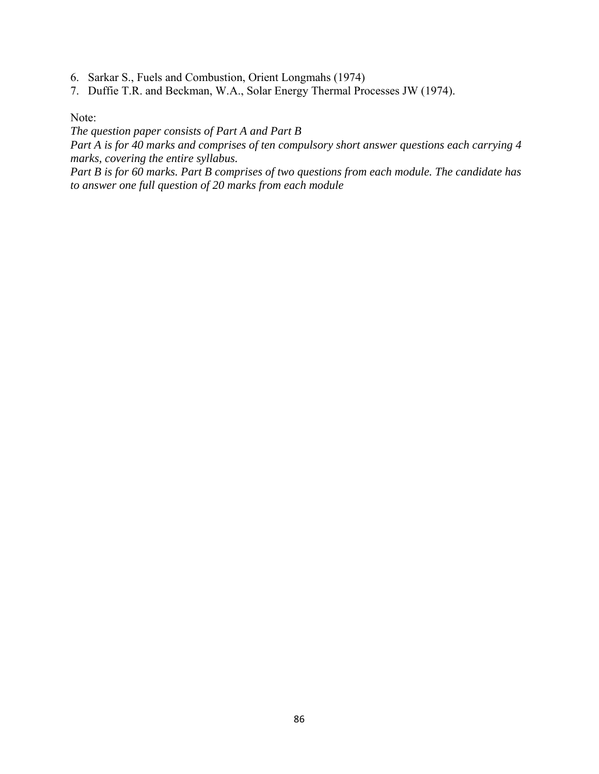- 6. Sarkar S., Fuels and Combustion, Orient Longmahs (1974)
- 7. Duffie T.R. and Beckman, W.A., Solar Energy Thermal Processes JW (1974).

Note:

*The question paper consists of Part A and Part B* 

*Part A is for 40 marks and comprises of ten compulsory short answer questions each carrying 4 marks, covering the entire syllabus.* 

*Part B is for 60 marks. Part B comprises of two questions from each module. The candidate has to answer one full question of 20 marks from each module*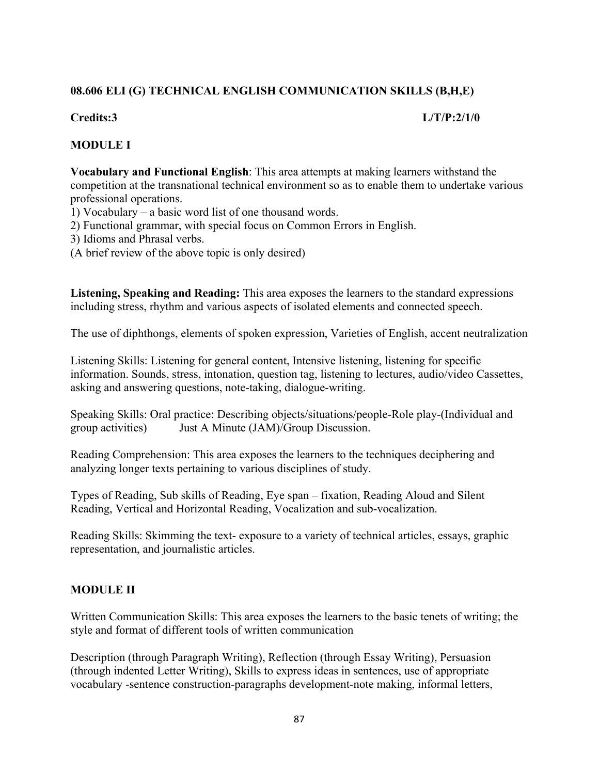# **08.606 ELI (G) TECHNICAL ENGLISH COMMUNICATION SKILLS (B,H,E)**

#### **Credits:3 L/T/P:2/1/0**

# **MODULE I**

**Vocabulary and Functional English**: This area attempts at making learners withstand the competition at the transnational technical environment so as to enable them to undertake various professional operations.

1) Vocabulary – a basic word list of one thousand words.

2) Functional grammar, with special focus on Common Errors in English.

3) Idioms and Phrasal verbs.

(A brief review of the above topic is only desired)

**Listening, Speaking and Reading:** This area exposes the learners to the standard expressions including stress, rhythm and various aspects of isolated elements and connected speech.

The use of diphthongs, elements of spoken expression, Varieties of English, accent neutralization

Listening Skills: Listening for general content, Intensive listening, listening for specific information. Sounds, stress, intonation, question tag, listening to lectures, audio/video Cassettes, asking and answering questions, note-taking, dialogue-writing.

Speaking Skills: Oral practice: Describing objects/situations/people-Role play-(Individual and group activities) Just A Minute (JAM)/Group Discussion.

Reading Comprehension: This area exposes the learners to the techniques deciphering and analyzing longer texts pertaining to various disciplines of study.

Types of Reading, Sub skills of Reading, Eye span – fixation, Reading Aloud and Silent Reading, Vertical and Horizontal Reading, Vocalization and sub-vocalization.

Reading Skills: Skimming the text- exposure to a variety of technical articles, essays, graphic representation, and journalistic articles.

# **MODULE II**

Written Communication Skills: This area exposes the learners to the basic tenets of writing; the style and format of different tools of written communication

Description (through Paragraph Writing), Reflection (through Essay Writing), Persuasion (through indented Letter Writing), Skills to express ideas in sentences, use of appropriate vocabulary -sentence construction-paragraphs development-note making, informal letters,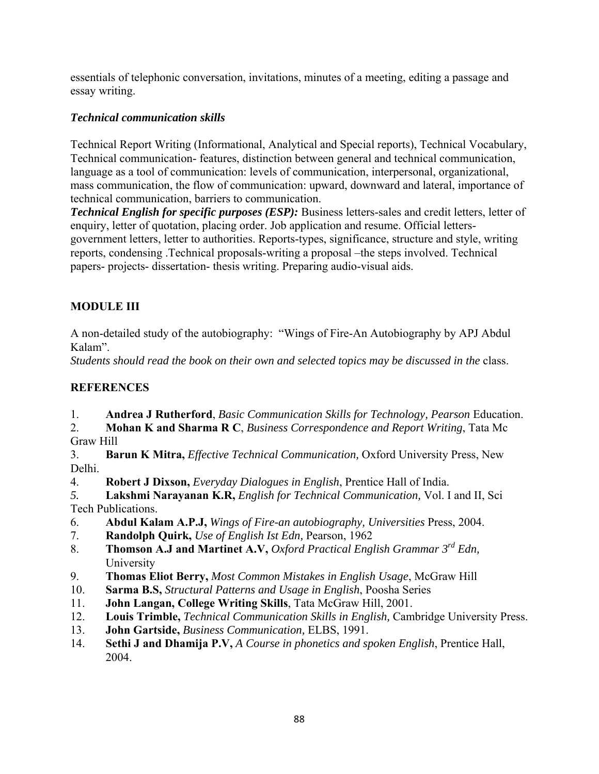essentials of telephonic conversation, invitations, minutes of a meeting, editing a passage and essay writing.

# *Technical communication skills*

Technical Report Writing (Informational, Analytical and Special reports), Technical Vocabulary, Technical communication- features, distinction between general and technical communication, language as a tool of communication: levels of communication, interpersonal, organizational, mass communication, the flow of communication: upward, downward and lateral, importance of technical communication, barriers to communication.

*Technical English for specific purposes (ESP):* Business letters-sales and credit letters, letter of enquiry, letter of quotation, placing order. Job application and resume. Official lettersgovernment letters, letter to authorities. Reports-types, significance, structure and style, writing reports, condensing .Technical proposals-writing a proposal –the steps involved. Technical papers- projects- dissertation- thesis writing. Preparing audio-visual aids.

# **MODULE III**

A non-detailed study of the autobiography: "Wings of Fire-An Autobiography by APJ Abdul Kalam".

*Students should read the book on their own and selected topics may be discussed in the* class.

# **REFERENCES**

1. **Andrea J Rutherford**, *Basic Communication Skills for Technology, Pearson* Education.

2. **Mohan K and Sharma R C**, *Business Correspondence and Report Writing*, Tata Mc Graw Hill

3. **Barun K Mitra,** *Effective Technical Communication,* Oxford University Press, New Delhi.

4. **Robert J Dixson,** *Everyday Dialogues in English*, Prentice Hall of India.

*5.* **Lakshmi Narayanan K.R,** *English for Technical Communication,* Vol. I and II, Sci Tech Publications.

- 6. **Abdul Kalam A.P.J,** *Wings of Fire-an autobiography, Universities* Press, 2004.
- 7. **Randolph Quirk,** *Use of English Ist Edn,* Pearson, 1962
- 8. **Thomson A.J and Martinet A.V,** *Oxford Practical English Grammar 3rd Edn,* University
- 9. **Thomas Eliot Berry,** *Most Common Mistakes in English Usage*, McGraw Hill
- 10. **Sarma B.S,** *Structural Patterns and Usage in English*, Poosha Series
- 11. **John Langan, College Writing Skills**, Tata McGraw Hill, 2001.
- 12. **Louis Trimble,** *Technical Communication Skills in English,* Cambridge University Press.
- 13. **John Gartside,** *Business Communication,* ELBS, 1991.
- 14. **Sethi J and Dhamija P.V,** *A Course in phonetics and spoken English*, Prentice Hall, 2004.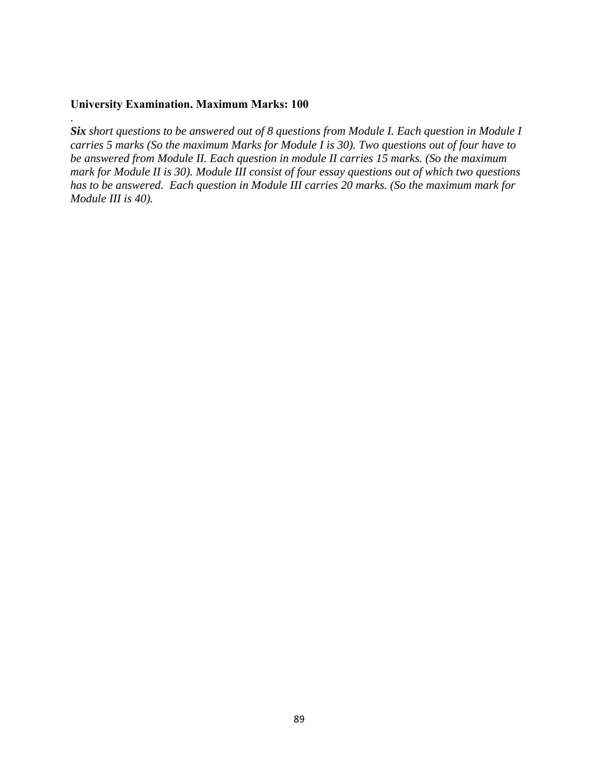### **University Examination. Maximum Marks: 100**

.

*Six short questions to be answered out of 8 questions from Module I. Each question in Module I carries 5 marks (So the maximum Marks for Module I is 30). Two questions out of four have to be answered from Module II. Each question in module II carries 15 marks. (So the maximum mark for Module II is 30). Module III consist of four essay questions out of which two questions has to be answered. Each question in Module III carries 20 marks. (So the maximum mark for Module III is 40).*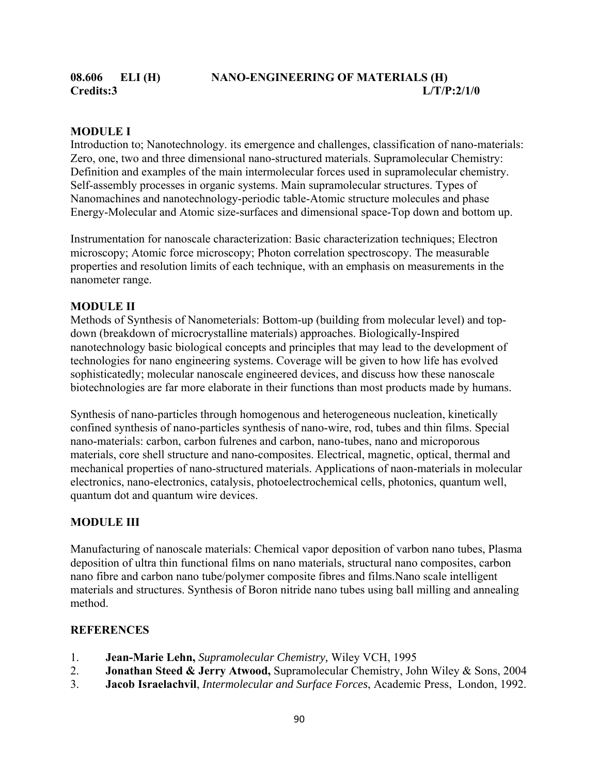### **MODULE I**

Introduction to; Nanotechnology. its emergence and challenges, classification of nano-materials: Zero, one, two and three dimensional nano-structured materials. Supramolecular Chemistry: Definition and examples of the main intermolecular forces used in supramolecular chemistry. Self-assembly processes in organic systems. Main supramolecular structures. Types of Nanomachines and nanotechnology-periodic table-Atomic structure molecules and phase Energy-Molecular and Atomic size-surfaces and dimensional space-Top down and bottom up.

Instrumentation for nanoscale characterization: Basic characterization techniques; Electron microscopy; Atomic force microscopy; Photon correlation spectroscopy. The measurable properties and resolution limits of each technique, with an emphasis on measurements in the nanometer range.

#### **MODULE II**

Methods of Synthesis of Nanometerials: Bottom-up (building from molecular level) and topdown (breakdown of microcrystalline materials) approaches. Biologically-Inspired nanotechnology basic biological concepts and principles that may lead to the development of technologies for nano engineering systems. Coverage will be given to how life has evolved sophisticatedly; molecular nanoscale engineered devices, and discuss how these nanoscale biotechnologies are far more elaborate in their functions than most products made by humans.

Synthesis of nano-particles through homogenous and heterogeneous nucleation, kinetically confined synthesis of nano-particles synthesis of nano-wire, rod, tubes and thin films. Special nano-materials: carbon, carbon fulrenes and carbon, nano-tubes, nano and microporous materials, core shell structure and nano-composites. Electrical, magnetic, optical, thermal and mechanical properties of nano-structured materials. Applications of naon-materials in molecular electronics, nano-electronics, catalysis, photoelectrochemical cells, photonics, quantum well, quantum dot and quantum wire devices.

#### **MODULE III**

Manufacturing of nanoscale materials: Chemical vapor deposition of varbon nano tubes, Plasma deposition of ultra thin functional films on nano materials, structural nano composites, carbon nano fibre and carbon nano tube/polymer composite fibres and films.Nano scale intelligent materials and structures. Synthesis of Boron nitride nano tubes using ball milling and annealing method.

#### **REFERENCES**

- 1. **Jean-Marie Lehn,** *Supramolecular Chemistry,* Wiley VCH, 1995
- 2. **Jonathan Steed & Jerry Atwood,** Supramolecular Chemistry, John Wiley & Sons, 2004
- 3. **Jacob Israelachvil**, *Intermolecular and Surface Forces*, Academic Press, London, 1992.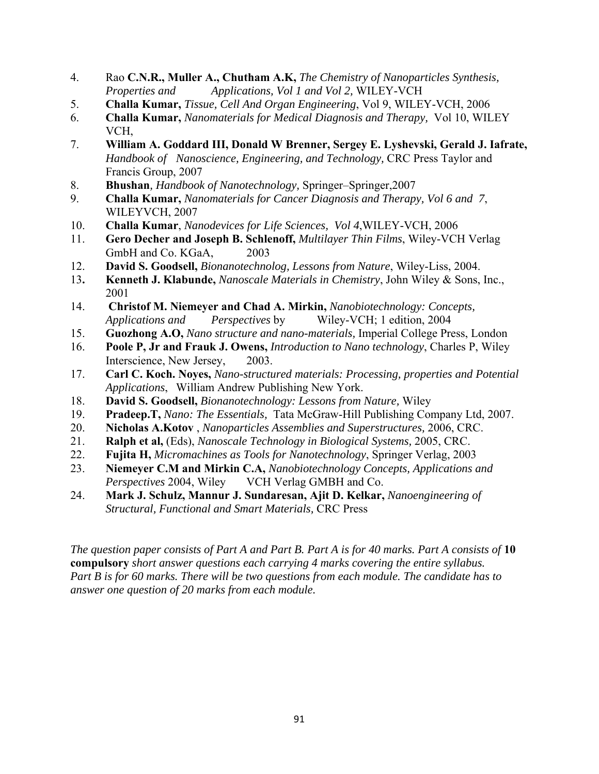- 4. Rao **C.N.R., Muller A., Chutham A.K,** *The Chemistry of Nanoparticles Synthesis, Properties and Applications, Vol 1 and Vol 2,* WILEY-VCH
- 5. **Challa Kumar,** *Tissue, Cell And Organ Engineering*, Vol 9, WILEY-VCH, 2006
- 6. **Challa Kumar,** *Nanomaterials for Medical Diagnosis and Therapy,* Vol 10, WILEY VCH,
- 7. **William A. Goddard III, Donald W Brenner, Sergey E. Lyshevski, Gerald J. Iafrate,**  *Handbook of Nanoscience, Engineering, and Technology,* CRC Press Taylor and Francis Group, 2007
- 8. **Bhushan***, Handbook of Nanotechnology,* Springer–Springer,2007
- 9. **Challa Kumar,** *Nanomaterials for Cancer Diagnosis and Therapy, Vol 6 and 7*, WILEYVCH, 2007
- 10. **Challa Kumar**, *Nanodevices for Life Sciences, Vol 4*,WILEY-VCH, 2006
- 11. **Gero Decher and Joseph B. Schlenoff,** *Multilayer Thin Films*, Wiley-VCH Verlag GmbH and Co. KGaA, 2003
- 12. **David S. Goodsell,** *Bionanotechnolog, Lessons from Nature*, Wiley-Liss, 2004.
- 13**. Kenneth J. Klabunde,** *Nanoscale Materials in Chemistry*, John Wiley & Sons, Inc., 2001
- 14. **Christof M. Niemeyer and Chad A. Mirkin,** *Nanobiotechnology: Concepts, Applications and Perspectives* by Wiley-VCH; 1 edition, 2004
- 15. **Guozhong A.O,** *Nano structure and nano-materials,* Imperial College Press, London
- 16. **Poole P, Jr and Frauk J. Owens,** *Introduction to Nano technology*, Charles P, Wiley Interscience, New Jersey, 2003.
- 17. **Carl C. Koch. Noyes,** *Nano-structured materials: Processing, properties and Potential Applications*, William Andrew Publishing New York.
- 18. **David S. Goodsell,** *Bionanotechnology: Lessons from Nature,* Wiley
- 19. **Pradeep.T,** *Nano: The Essentials,* Tata McGraw-Hill Publishing Company Ltd, 2007.
- 20. **Nicholas A.Kotov** , *Nanoparticles Assemblies and Superstructures,* 2006, CRC.
- 21. **Ralph et al,** (Eds), *Nanoscale Technology in Biological Systems,* 2005, CRC.
- 22. **Fujita H,** *Micromachines as Tools for Nanotechnology*, Springer Verlag, 2003
- 23. **Niemeyer C.M and Mirkin C.A,** *Nanobiotechnology Concepts, Applications and*  Perspectives 2004, Wiley VCH Verlag GMBH and Co.
- 24. **Mark J. Schulz, Mannur J. Sundaresan, Ajit D. Kelkar,** *Nanoengineering of Structural, Functional and Smart Materials,* CRC Press

*The question paper consists of Part A and Part B. Part A is for 40 marks. Part A consists of* **10 compulsory** *short answer questions each carrying 4 marks covering the entire syllabus. Part B is for 60 marks. There will be two questions from each module. The candidate has to answer one question of 20 marks from each module.*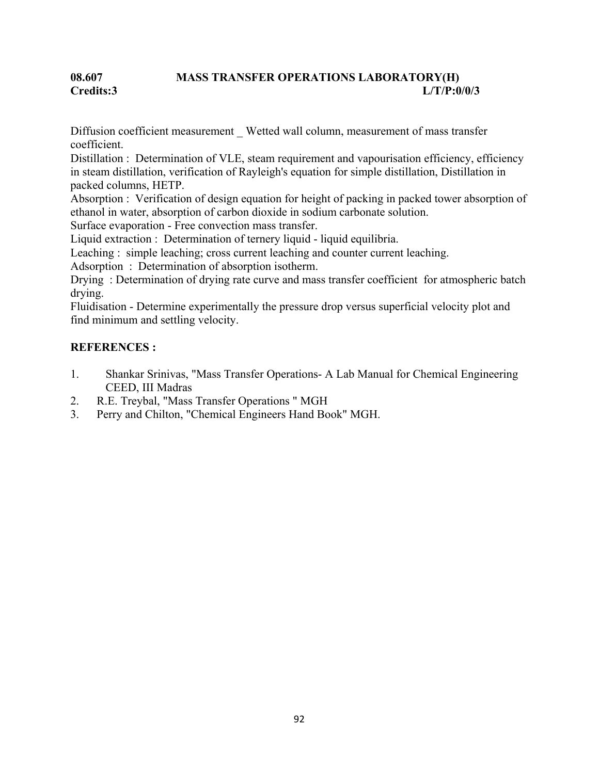# **08.607 MASS TRANSFER OPERATIONS LABORATORY(H) Credits:3 L/T/P:0/0/3**

Diffusion coefficient measurement Wetted wall column, measurement of mass transfer coefficient.

Distillation : Determination of VLE, steam requirement and vapourisation efficiency, efficiency in steam distillation, verification of Rayleigh's equation for simple distillation, Distillation in packed columns, HETP.

Absorption : Verification of design equation for height of packing in packed tower absorption of ethanol in water, absorption of carbon dioxide in sodium carbonate solution.

Surface evaporation - Free convection mass transfer.

Liquid extraction : Determination of ternery liquid - liquid equilibria.

Leaching : simple leaching; cross current leaching and counter current leaching.

Adsorption : Determination of absorption isotherm.

Drying : Determination of drying rate curve and mass transfer coefficient for atmospheric batch drying.

Fluidisation - Determine experimentally the pressure drop versus superficial velocity plot and find minimum and settling velocity.

# **REFERENCES :**

- 1. Shankar Srinivas, "Mass Transfer Operations- A Lab Manual for Chemical Engineering CEED, III Madras
- 2. R.E. Treybal, "Mass Transfer Operations " MGH
- 3. Perry and Chilton, "Chemical Engineers Hand Book" MGH.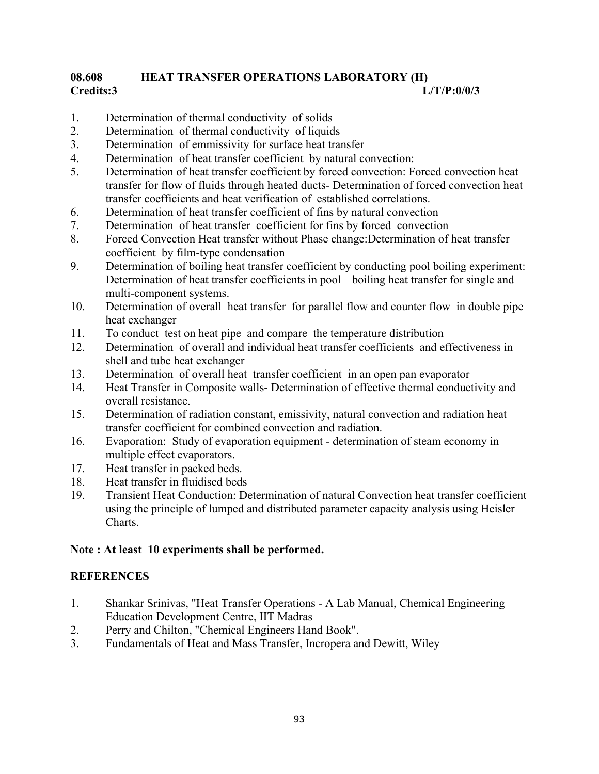# **08.608 HEAT TRANSFER OPERATIONS LABORATORY (H) Credits:3 L/T/P:0/0/3**

- 1. Determination of thermal conductivity of solids
- 2. Determination of thermal conductivity of liquids
- 3. Determination of emmissivity for surface heat transfer
- 4. Determination of heat transfer coefficient by natural convection:
- 5. Determination of heat transfer coefficient by forced convection: Forced convection heat transfer for flow of fluids through heated ducts- Determination of forced convection heat transfer coefficients and heat verification of established correlations.
- 6. Determination of heat transfer coefficient of fins by natural convection
- 7. Determination of heat transfer coefficient for fins by forced convection
- 8. Forced Convection Heat transfer without Phase change:Determination of heat transfer coefficient by film-type condensation
- 9. Determination of boiling heat transfer coefficient by conducting pool boiling experiment: Determination of heat transfer coefficients in pool boiling heat transfer for single and multi-component systems.
- 10. Determination of overall heat transfer for parallel flow and counter flow in double pipe heat exchanger
- 11. To conduct test on heat pipe and compare the temperature distribution
- 12. Determination of overall and individual heat transfer coefficients and effectiveness in shell and tube heat exchanger
- 13. Determination of overall heat transfer coefficient in an open pan evaporator
- 14. Heat Transfer in Composite walls- Determination of effective thermal conductivity and overall resistance.
- 15. Determination of radiation constant, emissivity, natural convection and radiation heat transfer coefficient for combined convection and radiation.
- 16. Evaporation: Study of evaporation equipment determination of steam economy in multiple effect evaporators.
- 17. Heat transfer in packed beds.
- 18. Heat transfer in fluidised beds
- 19. Transient Heat Conduction: Determination of natural Convection heat transfer coefficient using the principle of lumped and distributed parameter capacity analysis using Heisler Charts.

#### **Note : At least 10 experiments shall be performed.**

#### **REFERENCES**

- 1. Shankar Srinivas, "Heat Transfer Operations A Lab Manual, Chemical Engineering Education Development Centre, IIT Madras
- 2. Perry and Chilton, "Chemical Engineers Hand Book".
- 3. Fundamentals of Heat and Mass Transfer, Incropera and Dewitt, Wiley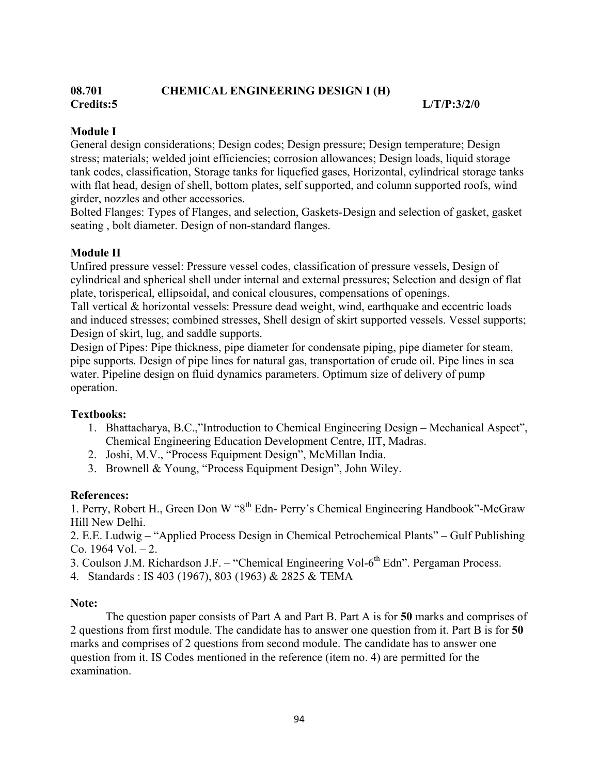# **08.701 CHEMICAL ENGINEERING DESIGN I (H) Credits:5 L/T/P:3/2/0**

# **Module I**

General design considerations; Design codes; Design pressure; Design temperature; Design stress; materials; welded joint efficiencies; corrosion allowances; Design loads, liquid storage tank codes, classification, Storage tanks for liquefied gases, Horizontal, cylindrical storage tanks with flat head, design of shell, bottom plates, self supported, and column supported roofs, wind girder, nozzles and other accessories.

Bolted Flanges: Types of Flanges, and selection, Gaskets-Design and selection of gasket, gasket seating , bolt diameter. Design of non-standard flanges.

# **Module II**

Unfired pressure vessel: Pressure vessel codes, classification of pressure vessels, Design of cylindrical and spherical shell under internal and external pressures; Selection and design of flat plate, torisperical, ellipsoidal, and conical clousures, compensations of openings.

Tall vertical & horizontal vessels: Pressure dead weight, wind, earthquake and eccentric loads and induced stresses; combined stresses, Shell design of skirt supported vessels. Vessel supports; Design of skirt, lug, and saddle supports.

Design of Pipes: Pipe thickness, pipe diameter for condensate piping, pipe diameter for steam, pipe supports. Design of pipe lines for natural gas, transportation of crude oil. Pipe lines in sea water. Pipeline design on fluid dynamics parameters. Optimum size of delivery of pump operation.

# **Textbooks:**

- 1. Bhattacharya, B.C.,"Introduction to Chemical Engineering Design Mechanical Aspect", Chemical Engineering Education Development Centre, IIT, Madras.
- 2. Joshi, M.V., "Process Equipment Design", McMillan India.
- 3. Brownell & Young, "Process Equipment Design", John Wiley.

# **References:**

1. Perry, Robert H., Green Don W "8th Edn- Perry's Chemical Engineering Handbook"-McGraw Hill New Delhi.

2. E.E. Ludwig – "Applied Process Design in Chemical Petrochemical Plants" – Gulf Publishing Co.  $1964$  Vol.  $-2$ .

3. Coulson J.M. Richardson J.F. – "Chemical Engineering Vol- $6<sup>th</sup>$  Edn". Pergaman Process.

4. Standards : IS 403 (1967), 803 (1963) & 2825 & TEMA

# **Note:**

 The question paper consists of Part A and Part B. Part A is for **50** marks and comprises of 2 questions from first module. The candidate has to answer one question from it. Part B is for **50**  marks and comprises of 2 questions from second module. The candidate has to answer one question from it. IS Codes mentioned in the reference (item no. 4) are permitted for the examination.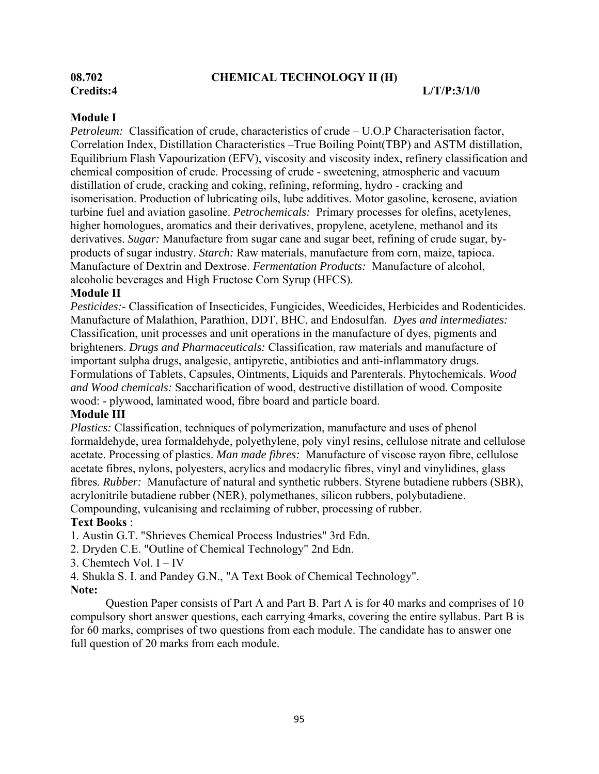# **08.702 CHEMICAL TECHNOLOGY II (H)**

#### **Module I**

*Petroleum:* Classification of crude, characteristics of crude – U.O.P Characterisation factor, Correlation Index, Distillation Characteristics –True Boiling Point(TBP) and ASTM distillation, Equilibrium Flash Vapourization (EFV), viscosity and viscosity index, refinery classification and chemical composition of crude. Processing of crude - sweetening, atmospheric and vacuum distillation of crude, cracking and coking, refining, reforming, hydro - cracking and isomerisation. Production of lubricating oils, lube additives. Motor gasoline, kerosene, aviation turbine fuel and aviation gasoline. *Petrochemicals:* Primary processes for olefins, acetylenes, higher homologues, aromatics and their derivatives, propylene, acetylene, methanol and its derivatives. *Sugar:* Manufacture from sugar cane and sugar beet, refining of crude sugar, byproducts of sugar industry. *Starch:* Raw materials, manufacture from corn, maize, tapioca. Manufacture of Dextrin and Dextrose. *Fermentation Products:* Manufacture of alcohol, alcoholic beverages and High Fructose Corn Syrup (HFCS).

#### **Module II**

*Pesticides:-* Classification of Insecticides, Fungicides, Weedicides, Herbicides and Rodenticides. Manufacture of Malathion, Parathion, DDT, BHC, and Endosulfan. *Dyes and intermediates:*  Classification, unit processes and unit operations in the manufacture of dyes, pigments and brighteners. *Drugs and Pharmaceuticals:* Classification, raw materials and manufacture of important sulpha drugs, analgesic, antipyretic, antibiotics and anti-inflammatory drugs. Formulations of Tablets, Capsules, Ointments, Liquids and Parenterals. Phytochemicals. *Wood and Wood chemicals:* Saccharification of wood, destructive distillation of wood. Composite wood: - plywood, laminated wood, fibre board and particle board.

#### **Module III**

*Plastics:* Classification, techniques of polymerization, manufacture and uses of phenol formaldehyde, urea formaldehyde, polyethylene, poly vinyl resins, cellulose nitrate and cellulose acetate. Processing of plastics. *Man made fibres:* Manufacture of viscose rayon fibre, cellulose acetate fibres, nylons, polyesters, acrylics and modacrylic fibres, vinyl and vinylidines, glass fibres. *Rubber:* Manufacture of natural and synthetic rubbers. Styrene butadiene rubbers (SBR), acrylonitrile butadiene rubber (NER), polymethanes, silicon rubbers, polybutadiene. Compounding, vulcanising and reclaiming of rubber, processing of rubber.

#### **Text Books** :

1. Austin G.T. "Shrieves Chemical Process Industries" 3rd Edn.

- 2. Dryden C.E. "Outline of Chemical Technology" 2nd Edn.
- 3. Chemtech Vol. I IV

4. Shukla S. I. and Pandey G.N., "A Text Book of Chemical Technology".

#### **Note:**

 Question Paper consists of Part A and Part B. Part A is for 40 marks and comprises of 10 compulsory short answer questions, each carrying 4marks, covering the entire syllabus. Part B is for 60 marks, comprises of two questions from each module. The candidate has to answer one full question of 20 marks from each module.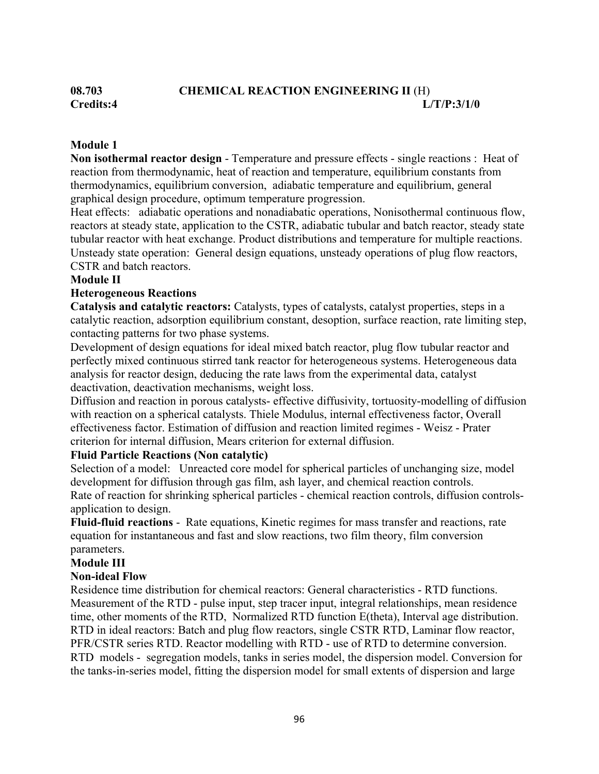# **08.703 CHEMICAL REACTION ENGINEERING II** (H) **Credits:4 L/T/P:3/1/0**

### **Module 1**

**Non isothermal reactor design** - Temperature and pressure effects - single reactions : Heat of reaction from thermodynamic, heat of reaction and temperature, equilibrium constants from thermodynamics, equilibrium conversion, adiabatic temperature and equilibrium, general graphical design procedure, optimum temperature progression.

Heat effects: adiabatic operations and nonadiabatic operations, Nonisothermal continuous flow, reactors at steady state, application to the CSTR, adiabatic tubular and batch reactor, steady state tubular reactor with heat exchange. Product distributions and temperature for multiple reactions. Unsteady state operation: General design equations, unsteady operations of plug flow reactors, CSTR and batch reactors.

#### **Module II**

#### **Heterogeneous Reactions**

**Catalysis and catalytic reactors:** Catalysts, types of catalysts, catalyst properties, steps in a catalytic reaction, adsorption equilibrium constant, desoption, surface reaction, rate limiting step, contacting patterns for two phase systems.

Development of design equations for ideal mixed batch reactor, plug flow tubular reactor and perfectly mixed continuous stirred tank reactor for heterogeneous systems. Heterogeneous data analysis for reactor design, deducing the rate laws from the experimental data, catalyst deactivation, deactivation mechanisms, weight loss.

Diffusion and reaction in porous catalysts- effective diffusivity, tortuosity-modelling of diffusion with reaction on a spherical catalysts. Thiele Modulus, internal effectiveness factor, Overall effectiveness factor. Estimation of diffusion and reaction limited regimes - Weisz - Prater criterion for internal diffusion, Mears criterion for external diffusion.

#### **Fluid Particle Reactions (Non catalytic)**

Selection of a model: Unreacted core model for spherical particles of unchanging size, model development for diffusion through gas film, ash layer, and chemical reaction controls. Rate of reaction for shrinking spherical particles - chemical reaction controls, diffusion controlsapplication to design.

**Fluid-fluid reactions** - Rate equations, Kinetic regimes for mass transfer and reactions, rate equation for instantaneous and fast and slow reactions, two film theory, film conversion parameters.

#### **Module III**

#### **Non-ideal Flow**

Residence time distribution for chemical reactors: General characteristics - RTD functions. Measurement of the RTD - pulse input, step tracer input, integral relationships, mean residence time, other moments of the RTD, Normalized RTD function E(theta), Interval age distribution. RTD in ideal reactors: Batch and plug flow reactors, single CSTR RTD, Laminar flow reactor, PFR/CSTR series RTD. Reactor modelling with RTD - use of RTD to determine conversion. RTD models - segregation models, tanks in series model, the dispersion model. Conversion for the tanks-in-series model, fitting the dispersion model for small extents of dispersion and large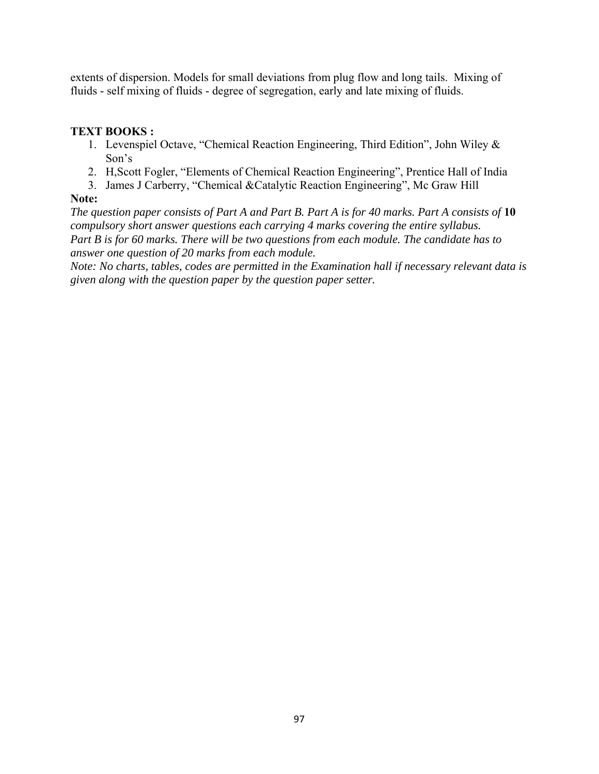extents of dispersion. Models for small deviations from plug flow and long tails. Mixing of fluids - self mixing of fluids - degree of segregation, early and late mixing of fluids.

# **TEXT BOOKS :**

- 1. Levenspiel Octave, "Chemical Reaction Engineering, Third Edition", John Wiley & Son's
- 2. H,Scott Fogler, "Elements of Chemical Reaction Engineering", Prentice Hall of India
- 3. James J Carberry, "Chemical &Catalytic Reaction Engineering", Mc Graw Hill

# **Note:**

*The question paper consists of Part A and Part B. Part A is for 40 marks. Part A consists of* **10**  *compulsory short answer questions each carrying 4 marks covering the entire syllabus. Part B is for 60 marks. There will be two questions from each module. The candidate has to answer one question of 20 marks from each module.* 

*Note: No charts, tables, codes are permitted in the Examination hall if necessary relevant data is given along with the question paper by the question paper setter.*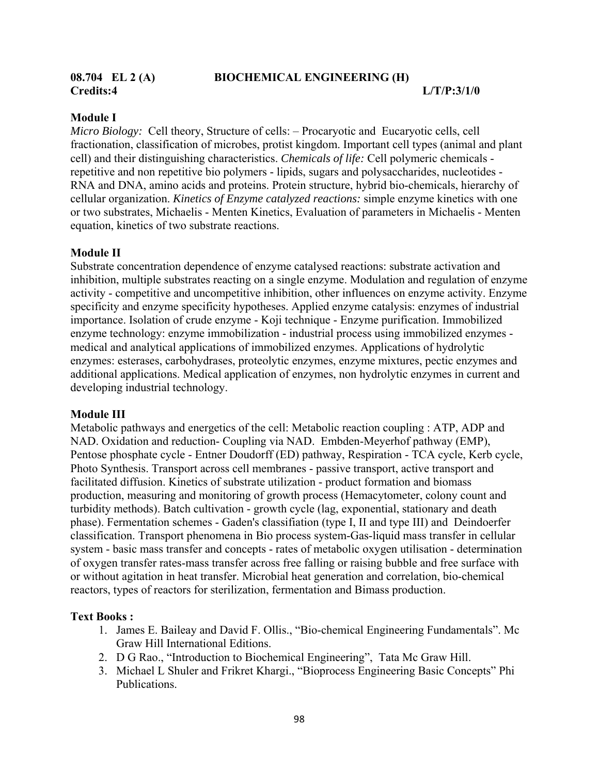**Credits:4 L/T/P:3/1/0** 

#### **08.704 EL 2 (A) BIOCHEMICAL ENGINEERING (H)**

#### **Module I**

*Micro Biology:* Cell theory, Structure of cells: – Procaryotic and Eucaryotic cells, cell fractionation, classification of microbes, protist kingdom. Important cell types (animal and plant cell) and their distinguishing characteristics. *Chemicals of life:* Cell polymeric chemicals repetitive and non repetitive bio polymers - lipids, sugars and polysaccharides, nucleotides - RNA and DNA, amino acids and proteins. Protein structure, hybrid bio-chemicals, hierarchy of cellular organization. *Kinetics of Enzyme catalyzed reactions:* simple enzyme kinetics with one or two substrates, Michaelis - Menten Kinetics, Evaluation of parameters in Michaelis - Menten equation, kinetics of two substrate reactions.

#### **Module II**

Substrate concentration dependence of enzyme catalysed reactions: substrate activation and inhibition, multiple substrates reacting on a single enzyme. Modulation and regulation of enzyme activity - competitive and uncompetitive inhibition, other influences on enzyme activity. Enzyme specificity and enzyme specificity hypotheses. Applied enzyme catalysis: enzymes of industrial importance. Isolation of crude enzyme - Koji technique - Enzyme purification. Immobilized enzyme technology: enzyme immobilization - industrial process using immobilized enzymes medical and analytical applications of immobilized enzymes. Applications of hydrolytic enzymes: esterases, carbohydrases, proteolytic enzymes, enzyme mixtures, pectic enzymes and additional applications. Medical application of enzymes, non hydrolytic enzymes in current and developing industrial technology.

#### **Module III**

Metabolic pathways and energetics of the cell: Metabolic reaction coupling : ATP, ADP and NAD. Oxidation and reduction- Coupling via NAD. Embden-Meyerhof pathway (EMP), Pentose phosphate cycle - Entner Doudorff (ED) pathway, Respiration - TCA cycle, Kerb cycle, Photo Synthesis. Transport across cell membranes - passive transport, active transport and facilitated diffusion. Kinetics of substrate utilization - product formation and biomass production, measuring and monitoring of growth process (Hemacytometer, colony count and turbidity methods). Batch cultivation - growth cycle (lag, exponential, stationary and death phase). Fermentation schemes - Gaden's classifiation (type I, II and type III) and Deindoerfer classification. Transport phenomena in Bio process system-Gas-liquid mass transfer in cellular system - basic mass transfer and concepts - rates of metabolic oxygen utilisation - determination of oxygen transfer rates-mass transfer across free falling or raising bubble and free surface with or without agitation in heat transfer. Microbial heat generation and correlation, bio-chemical reactors, types of reactors for sterilization, fermentation and Bimass production.

#### **Text Books :**

- 1. James E. Baileay and David F. Ollis., "Bio-chemical Engineering Fundamentals". Mc Graw Hill International Editions.
- 2. D G Rao., "Introduction to Biochemical Engineering", Tata Mc Graw Hill.
- 3. Michael L Shuler and Frikret Khargi., "Bioprocess Engineering Basic Concepts" Phi Publications.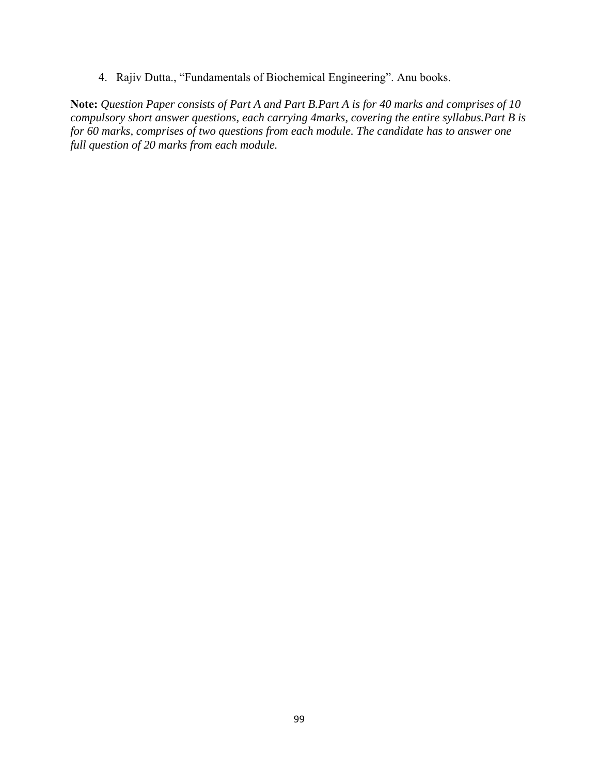4. Rajiv Dutta., "Fundamentals of Biochemical Engineering". Anu books.

**Note:** *Question Paper consists of Part A and Part B.Part A is for 40 marks and comprises of 10 compulsory short answer questions, each carrying 4marks, covering the entire syllabus.Part B is for 60 marks, comprises of two questions from each module. The candidate has to answer one full question of 20 marks from each module.*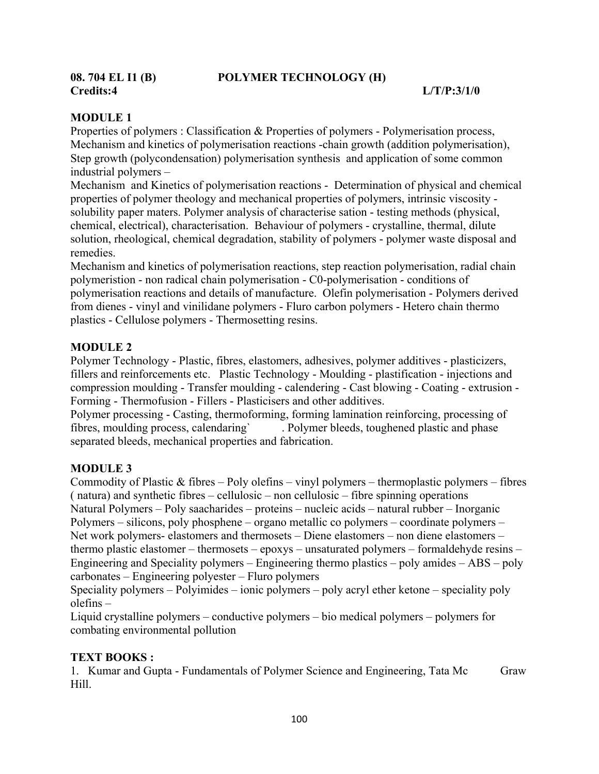**Credits:4 L/T/P:3/1/0** 

# **08. 704 EL I1 (B) POLYMER TECHNOLOGY (H)**

### **MODULE 1**

Properties of polymers : Classification & Properties of polymers - Polymerisation process, Mechanism and kinetics of polymerisation reactions -chain growth (addition polymerisation), Step growth (polycondensation) polymerisation synthesis and application of some common industrial polymers –

Mechanism and Kinetics of polymerisation reactions - Determination of physical and chemical properties of polymer theology and mechanical properties of polymers, intrinsic viscosity solubility paper maters. Polymer analysis of characterise sation - testing methods (physical, chemical, electrical), characterisation. Behaviour of polymers - crystalline, thermal, dilute solution, rheological, chemical degradation, stability of polymers - polymer waste disposal and remedies.

Mechanism and kinetics of polymerisation reactions, step reaction polymerisation, radial chain polymeristion - non radical chain polymerisation - C0-polymerisation - conditions of polymerisation reactions and details of manufacture. Olefin polymerisation - Polymers derived from dienes - vinyl and vinilidane polymers - Fluro carbon polymers - Hetero chain thermo plastics - Cellulose polymers - Thermosetting resins.

# **MODULE 2**

Polymer Technology - Plastic, fibres, elastomers, adhesives, polymer additives - plasticizers, fillers and reinforcements etc. Plastic Technology - Moulding - plastification - injections and compression moulding - Transfer moulding - calendering - Cast blowing - Coating - extrusion - Forming - Thermofusion - Fillers - Plasticisers and other additives.

Polymer processing - Casting, thermoforming, forming lamination reinforcing, processing of fibres, moulding process, calendaring` . Polymer bleeds, toughened plastic and phase separated bleeds, mechanical properties and fabrication.

# **MODULE 3**

Commodity of Plastic  $&$  fibres – Poly olefins – vinyl polymers – thermoplastic polymers – fibres ( natura) and synthetic fibres – cellulosic – non cellulosic – fibre spinning operations Natural Polymers – Poly saacharides – proteins – nucleic acids – natural rubber – Inorganic Polymers – silicons, poly phosphene – organo metallic co polymers – coordinate polymers – Net work polymers- elastomers and thermosets – Diene elastomers – non diene elastomers – thermo plastic elastomer – thermosets – epoxys – unsaturated polymers – formaldehyde resins – Engineering and Speciality polymers – Engineering thermo plastics – poly amides – ABS – poly carbonates – Engineering polyester – Fluro polymers

Speciality polymers – Polyimides – ionic polymers – poly acryl ether ketone – speciality poly olefins –

Liquid crystalline polymers – conductive polymers – bio medical polymers – polymers for combating environmental pollution

# **TEXT BOOKS :**

1. Kumar and Gupta - Fundamentals of Polymer Science and Engineering, Tata Mc Graw Hill.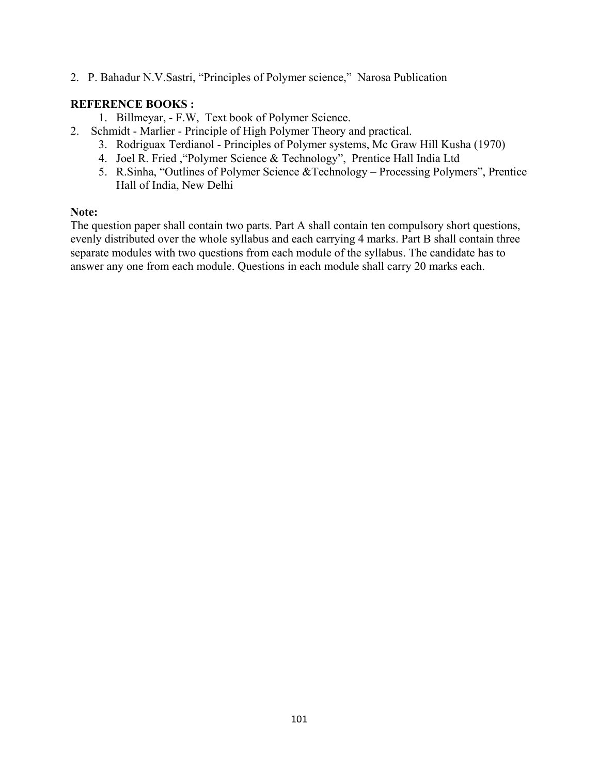2. P. Bahadur N.V.Sastri, "Principles of Polymer science," Narosa Publication

# **REFERENCE BOOKS :**

- 1. Billmeyar, F.W, Text book of Polymer Science.
- 2. Schmidt Marlier Principle of High Polymer Theory and practical.
	- 3. Rodriguax Terdianol Principles of Polymer systems, Mc Graw Hill Kusha (1970)
	- 4. Joel R. Fried ,"Polymer Science & Technology", Prentice Hall India Ltd
	- 5. R.Sinha, "Outlines of Polymer Science &Technology Processing Polymers", Prentice Hall of India, New Delhi

#### **Note:**

The question paper shall contain two parts. Part A shall contain ten compulsory short questions, evenly distributed over the whole syllabus and each carrying 4 marks. Part B shall contain three separate modules with two questions from each module of the syllabus. The candidate has to answer any one from each module. Questions in each module shall carry 20 marks each.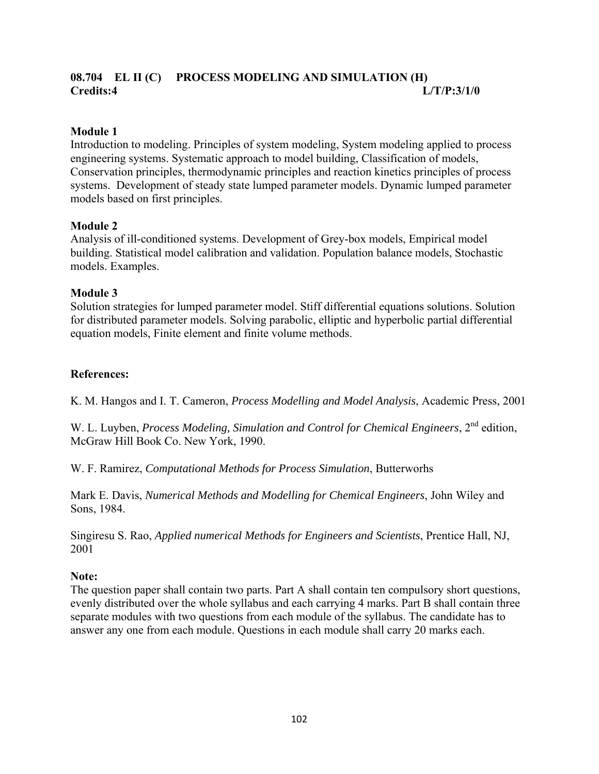# **08.704 EL II (C) PROCESS MODELING AND SIMULATION (H) Credits:4 L/T/P:3/1/0**

## **Module 1**

Introduction to modeling. Principles of system modeling, System modeling applied to process engineering systems. Systematic approach to model building, Classification of models, Conservation principles, thermodynamic principles and reaction kinetics principles of process systems. Development of steady state lumped parameter models. Dynamic lumped parameter models based on first principles.

#### **Module 2**

Analysis of ill-conditioned systems. Development of Grey-box models, Empirical model building. Statistical model calibration and validation. Population balance models, Stochastic models. Examples.

### **Module 3**

Solution strategies for lumped parameter model. Stiff differential equations solutions. Solution for distributed parameter models. Solving parabolic, elliptic and hyperbolic partial differential equation models, Finite element and finite volume methods.

### **References:**

K. M. Hangos and I. T. Cameron, *Process Modelling and Model Analysis*, Academic Press, 2001

W. L. Luyben, *Process Modeling, Simulation and Control for Chemical Engineers*, 2<sup>nd</sup> edition, McGraw Hill Book Co. New York, 1990.

W. F. Ramirez, *Computational Methods for Process Simulation*, Butterworhs

Mark E. Davis, *Numerical Methods and Modelling for Chemical Engineers*, John Wiley and Sons, 1984.

Singiresu S. Rao, *Applied numerical Methods for Engineers and Scientists*, Prentice Hall, NJ, 2001

#### **Note:**

The question paper shall contain two parts. Part A shall contain ten compulsory short questions, evenly distributed over the whole syllabus and each carrying 4 marks. Part B shall contain three separate modules with two questions from each module of the syllabus. The candidate has to answer any one from each module. Questions in each module shall carry 20 marks each.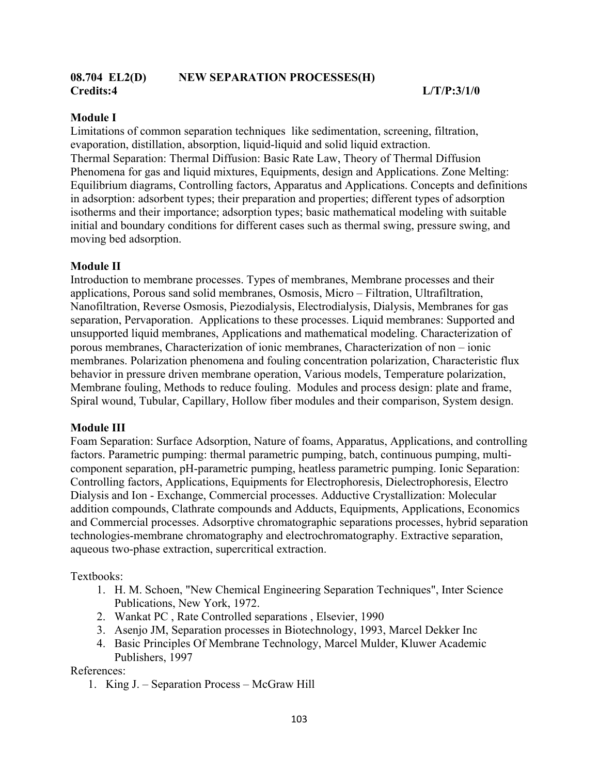#### **Module I**

Limitations of common separation techniques like sedimentation, screening, filtration, evaporation, distillation, absorption, liquid-liquid and solid liquid extraction. Thermal Separation: Thermal Diffusion: Basic Rate Law, Theory of Thermal Diffusion Phenomena for gas and liquid mixtures, Equipments, design and Applications. Zone Melting: Equilibrium diagrams, Controlling factors, Apparatus and Applications. Concepts and definitions in adsorption: adsorbent types; their preparation and properties; different types of adsorption isotherms and their importance; adsorption types; basic mathematical modeling with suitable initial and boundary conditions for different cases such as thermal swing, pressure swing, and moving bed adsorption.

### **Module II**

Introduction to membrane processes. Types of membranes, Membrane processes and their applications, Porous sand solid membranes, Osmosis, Micro – Filtration, Ultrafiltration, Nanofiltration, Reverse Osmosis, Piezodialysis, Electrodialysis, Dialysis, Membranes for gas separation, Pervaporation. Applications to these processes. Liquid membranes: Supported and unsupported liquid membranes, Applications and mathematical modeling. Characterization of porous membranes, Characterization of ionic membranes, Characterization of non – ionic membranes. Polarization phenomena and fouling concentration polarization, Characteristic flux behavior in pressure driven membrane operation, Various models, Temperature polarization, Membrane fouling, Methods to reduce fouling. Modules and process design: plate and frame, Spiral wound, Tubular, Capillary, Hollow fiber modules and their comparison, System design.

#### **Module III**

Foam Separation: Surface Adsorption, Nature of foams, Apparatus, Applications, and controlling factors. Parametric pumping: thermal parametric pumping, batch, continuous pumping, multicomponent separation, pH-parametric pumping, heatless parametric pumping. Ionic Separation: Controlling factors, Applications, Equipments for Electrophoresis, Dielectrophoresis, Electro Dialysis and Ion - Exchange, Commercial processes. Adductive Crystallization: Molecular addition compounds, Clathrate compounds and Adducts, Equipments, Applications, Economics and Commercial processes. Adsorptive chromatographic separations processes, hybrid separation technologies-membrane chromatography and electrochromatography. Extractive separation, aqueous two-phase extraction, supercritical extraction.

Textbooks:

- 1. H. M. Schoen, "New Chemical Engineering Separation Techniques", Inter Science Publications, New York, 1972.
- 2. Wankat PC , Rate Controlled separations , Elsevier, 1990
- 3. Asenjo JM, Separation processes in Biotechnology, 1993, Marcel Dekker Inc
- 4. Basic Principles Of Membrane Technology, Marcel Mulder, Kluwer Academic Publishers, 1997

References:

1. King J. – Separation Process – McGraw Hill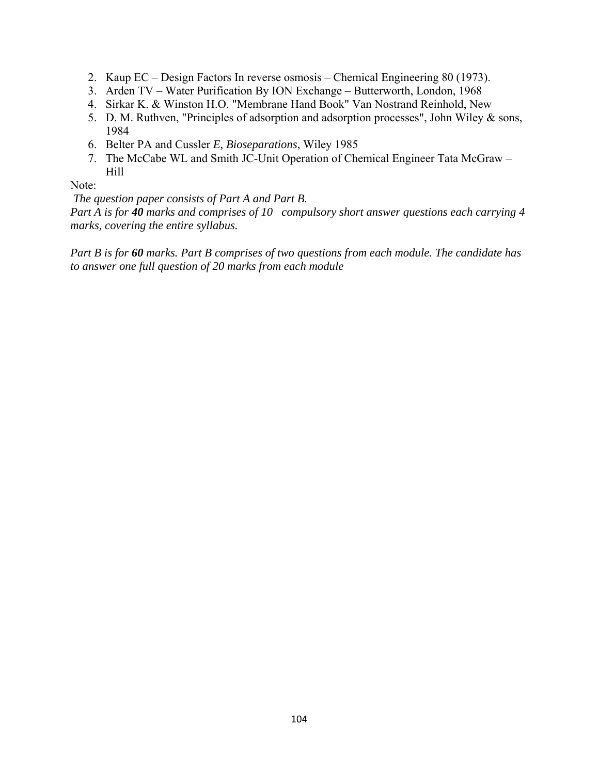- 2. Kaup EC Design Factors In reverse osmosis Chemical Engineering 80 (1973).
- 3. Arden TV Water Purification By ION Exchange Butterworth, London, 1968
- 4. Sirkar K. & Winston H.O. "Membrane Hand Book" Van Nostrand Reinhold, New
- 5. D. M. Ruthven, "Principles of adsorption and adsorption processes", John Wiley & sons, 1984
- 6. Belter PA and Cussler *E, Bioseparations*, Wiley 1985
- 7. The McCabe WL and Smith JC-Unit Operation of Chemical Engineer Tata McGraw Hill

### Note:

*The question paper consists of Part A and Part B.* 

*Part A is for 40 marks and comprises of 10 compulsory short answer questions each carrying 4 marks, covering the entire syllabus.* 

*Part B is for 60 marks. Part B comprises of two questions from each module. The candidate has to answer one full question of 20 marks from each module*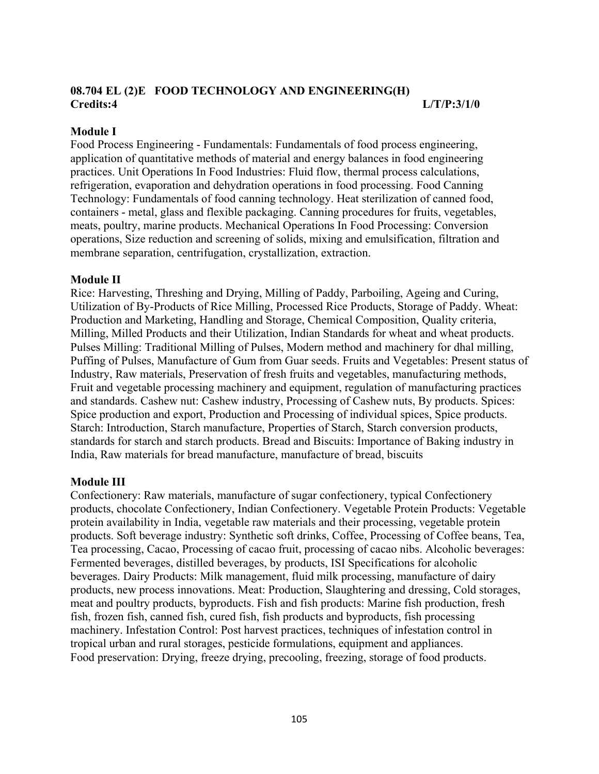# **08.704 EL (2)E FOOD TECHNOLOGY AND ENGINEERING(H) Credits:4 L/T/P:3/1/0**

#### **Module I**

Food Process Engineering - Fundamentals: Fundamentals of food process engineering, application of quantitative methods of material and energy balances in food engineering practices. Unit Operations In Food Industries: Fluid flow, thermal process calculations, refrigeration, evaporation and dehydration operations in food processing. Food Canning Technology: Fundamentals of food canning technology. Heat sterilization of canned food, containers - metal, glass and flexible packaging. Canning procedures for fruits, vegetables, meats, poultry, marine products. Mechanical Operations In Food Processing: Conversion operations, Size reduction and screening of solids, mixing and emulsification, filtration and membrane separation, centrifugation, crystallization, extraction.

### **Module II**

Rice: Harvesting, Threshing and Drying, Milling of Paddy, Parboiling, Ageing and Curing, Utilization of By-Products of Rice Milling, Processed Rice Products, Storage of Paddy. Wheat: Production and Marketing, Handling and Storage, Chemical Composition, Quality criteria, Milling, Milled Products and their Utilization, Indian Standards for wheat and wheat products. Pulses Milling: Traditional Milling of Pulses, Modern method and machinery for dhal milling, Puffing of Pulses, Manufacture of Gum from Guar seeds. Fruits and Vegetables: Present status of Industry, Raw materials, Preservation of fresh fruits and vegetables, manufacturing methods, Fruit and vegetable processing machinery and equipment, regulation of manufacturing practices and standards. Cashew nut: Cashew industry, Processing of Cashew nuts, By products. Spices: Spice production and export, Production and Processing of individual spices, Spice products. Starch: Introduction, Starch manufacture, Properties of Starch, Starch conversion products, standards for starch and starch products. Bread and Biscuits: Importance of Baking industry in India, Raw materials for bread manufacture, manufacture of bread, biscuits

# **Module III**

Confectionery: Raw materials, manufacture of sugar confectionery, typical Confectionery products, chocolate Confectionery, Indian Confectionery. Vegetable Protein Products: Vegetable protein availability in India, vegetable raw materials and their processing, vegetable protein products. Soft beverage industry: Synthetic soft drinks, Coffee, Processing of Coffee beans, Tea, Tea processing, Cacao, Processing of cacao fruit, processing of cacao nibs. Alcoholic beverages: Fermented beverages, distilled beverages, by products, ISI Specifications for alcoholic beverages. Dairy Products: Milk management, fluid milk processing, manufacture of dairy products, new process innovations. Meat: Production, Slaughtering and dressing, Cold storages, meat and poultry products, byproducts. Fish and fish products: Marine fish production, fresh fish, frozen fish, canned fish, cured fish, fish products and byproducts, fish processing machinery. Infestation Control: Post harvest practices, techniques of infestation control in tropical urban and rural storages, pesticide formulations, equipment and appliances. Food preservation: Drying, freeze drying, precooling, freezing, storage of food products.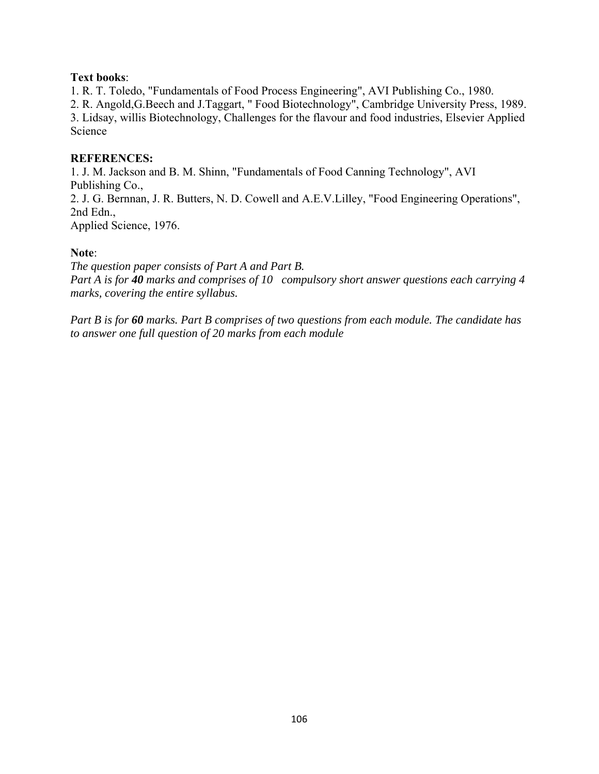## **Text books**:

1. R. T. Toledo, "Fundamentals of Food Process Engineering", AVI Publishing Co., 1980.

2. R. Angold,G.Beech and J.Taggart, " Food Biotechnology", Cambridge University Press, 1989. 3. Lidsay, willis Biotechnology, Challenges for the flavour and food industries, Elsevier Applied Science

## **REFERENCES:**

1. J. M. Jackson and B. M. Shinn, "Fundamentals of Food Canning Technology", AVI Publishing Co., 2. J. G. Bernnan, J. R. Butters, N. D. Cowell and A.E.V.Lilley, "Food Engineering Operations", 2nd Edn.,

Applied Science, 1976.

### **Note**:

*The question paper consists of Part A and Part B. Part A is for 40 marks and comprises of 10 compulsory short answer questions each carrying 4 marks, covering the entire syllabus.* 

*Part B is for 60 marks. Part B comprises of two questions from each module. The candidate has to answer one full question of 20 marks from each module*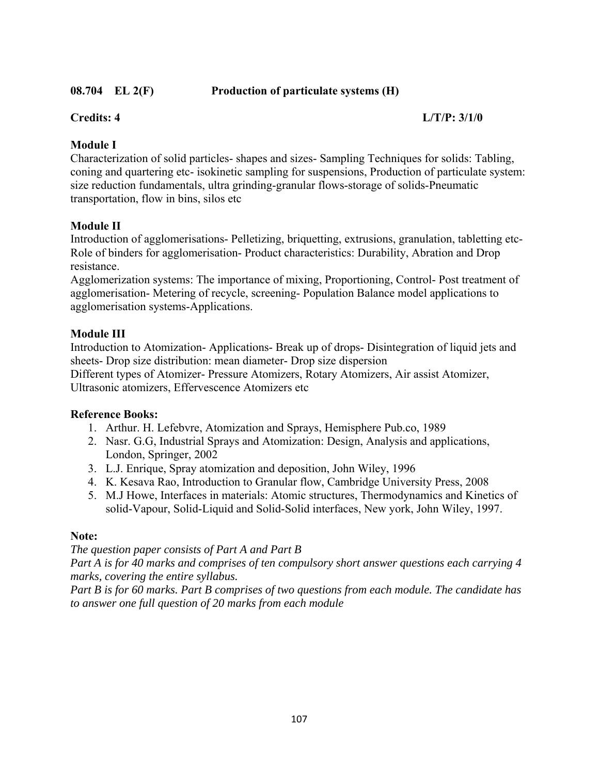# **08.704 EL 2(F) Production of particulate systems (H)**

## **Credits: 4 L/T/P: 3/1/0**

# **Module I**

Characterization of solid particles- shapes and sizes- Sampling Techniques for solids: Tabling, coning and quartering etc- isokinetic sampling for suspensions, Production of particulate system: size reduction fundamentals, ultra grinding-granular flows-storage of solids-Pneumatic transportation, flow in bins, silos etc

# **Module II**

Introduction of agglomerisations- Pelletizing, briquetting, extrusions, granulation, tabletting etc-Role of binders for agglomerisation- Product characteristics: Durability, Abration and Drop resistance.

Agglomerization systems: The importance of mixing, Proportioning, Control- Post treatment of agglomerisation- Metering of recycle, screening- Population Balance model applications to agglomerisation systems-Applications.

# **Module III**

Introduction to Atomization- Applications- Break up of drops- Disintegration of liquid jets and sheets- Drop size distribution: mean diameter- Drop size dispersion Different types of Atomizer- Pressure Atomizers, Rotary Atomizers, Air assist Atomizer, Ultrasonic atomizers, Effervescence Atomizers etc

# **Reference Books:**

- 1. Arthur. H. Lefebvre, Atomization and Sprays, Hemisphere Pub.co, 1989
- 2. Nasr. G.G, Industrial Sprays and Atomization: Design, Analysis and applications, London, Springer, 2002
- 3. L.J. Enrique, Spray atomization and deposition, John Wiley, 1996
- 4. K. Kesava Rao, Introduction to Granular flow, Cambridge University Press, 2008
- 5. M.J Howe, Interfaces in materials: Atomic structures, Thermodynamics and Kinetics of solid-Vapour, Solid-Liquid and Solid-Solid interfaces, New york, John Wiley, 1997.

#### **Note:**

#### *The question paper consists of Part A and Part B*

*Part A is for 40 marks and comprises of ten compulsory short answer questions each carrying 4 marks, covering the entire syllabus.* 

*Part B is for 60 marks. Part B comprises of two questions from each module. The candidate has to answer one full question of 20 marks from each module*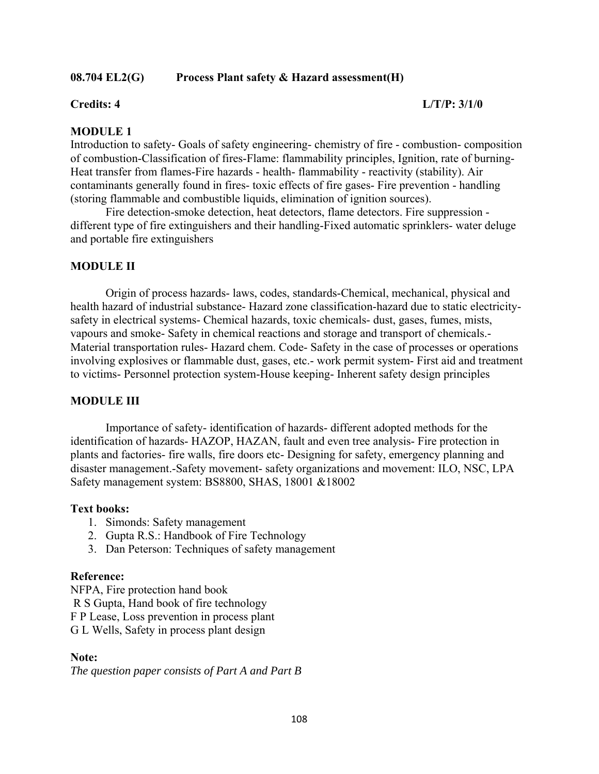### **08.704 EL2(G) Process Plant safety & Hazard assessment(H)**

### **Credits: 4 L/T/P: 3/1/0**

## **MODULE 1**

Introduction to safety- Goals of safety engineering- chemistry of fire - combustion- composition of combustion-Classification of fires-Flame: flammability principles, Ignition, rate of burning-Heat transfer from flames-Fire hazards - health- flammability - reactivity (stability). Air contaminants generally found in fires- toxic effects of fire gases- Fire prevention - handling (storing flammable and combustible liquids, elimination of ignition sources).

 Fire detection-smoke detection, heat detectors, flame detectors. Fire suppression different type of fire extinguishers and their handling-Fixed automatic sprinklers- water deluge and portable fire extinguishers

### **MODULE II**

 Origin of process hazards- laws, codes, standards-Chemical, mechanical, physical and health hazard of industrial substance- Hazard zone classification-hazard due to static electricitysafety in electrical systems- Chemical hazards, toxic chemicals- dust, gases, fumes, mists, vapours and smoke- Safety in chemical reactions and storage and transport of chemicals.- Material transportation rules- Hazard chem. Code- Safety in the case of processes or operations involving explosives or flammable dust, gases, etc.- work permit system- First aid and treatment to victims- Personnel protection system-House keeping- Inherent safety design principles

### **MODULE III**

 Importance of safety- identification of hazards- different adopted methods for the identification of hazards- HAZOP, HAZAN, fault and even tree analysis- Fire protection in plants and factories- fire walls, fire doors etc- Designing for safety, emergency planning and disaster management.-Safety movement- safety organizations and movement: ILO, NSC, LPA Safety management system: BS8800, SHAS, 18001 &18002

### **Text books:**

- 1. Simonds: Safety management
- 2. Gupta R.S.: Handbook of Fire Technology
- 3. Dan Peterson: Techniques of safety management

### **Reference:**

NFPA, Fire protection hand book

R S Gupta, Hand book of fire technology

F P Lease, Loss prevention in process plant

G L Wells, Safety in process plant design

## **Note:**

*The question paper consists of Part A and Part B*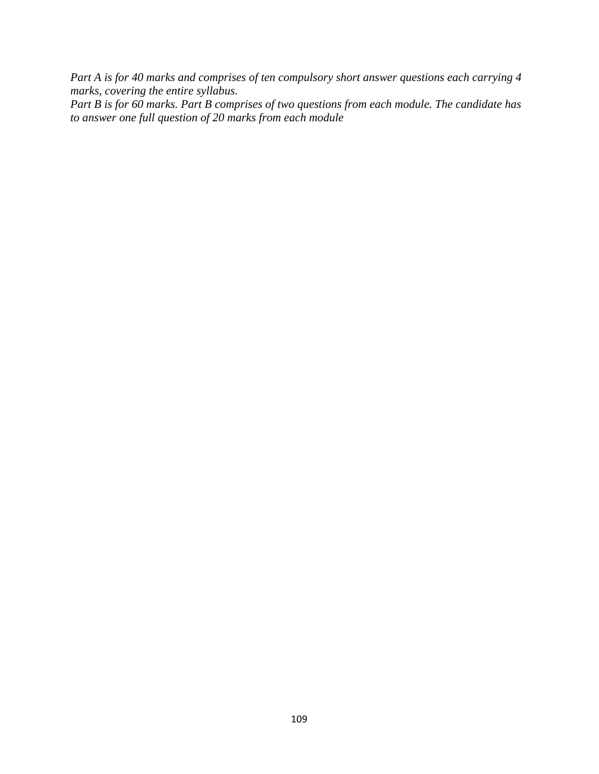*Part A is for 40 marks and comprises of ten compulsory short answer questions each carrying 4 marks, covering the entire syllabus.* 

*Part B is for 60 marks. Part B comprises of two questions from each module. The candidate has to answer one full question of 20 marks from each module*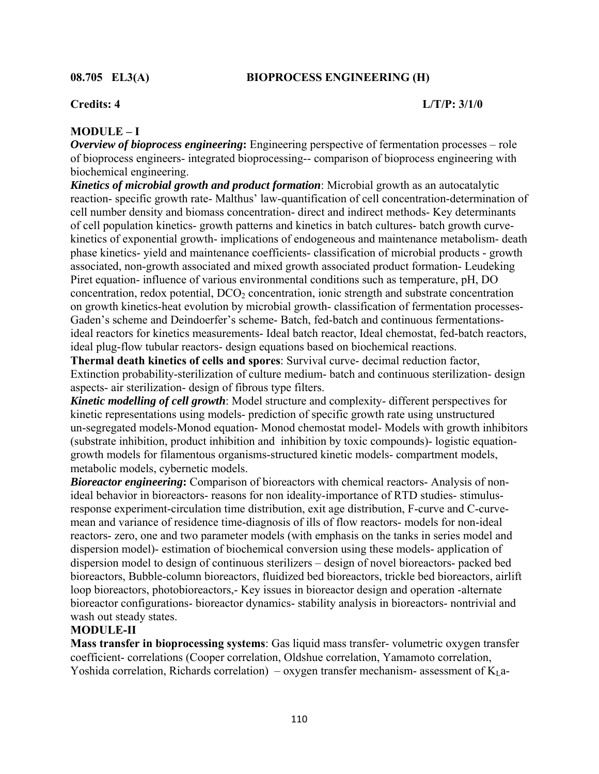## **08.705 EL3(A) BIOPROCESS ENGINEERING (H)**

## **Credits: 4 L/T/P: 3/1/0**

# **MODULE – I**

*Overview of bioprocess engineering***:** Engineering perspective of fermentation processes – role of bioprocess engineers- integrated bioprocessing-- comparison of bioprocess engineering with biochemical engineering.

*Kinetics of microbial growth and product formation*: Microbial growth as an autocatalytic reaction- specific growth rate- Malthus' law-quantification of cell concentration-determination of cell number density and biomass concentration- direct and indirect methods- Key determinants of cell population kinetics- growth patterns and kinetics in batch cultures- batch growth curvekinetics of exponential growth- implications of endogeneous and maintenance metabolism- death phase kinetics- yield and maintenance coefficients- classification of microbial products - growth associated, non-growth associated and mixed growth associated product formation- Leudeking Piret equation- influence of various environmental conditions such as temperature, pH, DO concentration, redox potential,  $DCO<sub>2</sub>$  concentration, ionic strength and substrate concentration on growth kinetics-heat evolution by microbial growth- classification of fermentation processes-Gaden's scheme and Deindoerfer's scheme- Batch, fed-batch and continuous fermentationsideal reactors for kinetics measurements- Ideal batch reactor, Ideal chemostat, fed-batch reactors, ideal plug-flow tubular reactors- design equations based on biochemical reactions.

**Thermal death kinetics of cells and spores**: Survival curve- decimal reduction factor, Extinction probability-sterilization of culture medium- batch and continuous sterilization- design aspects- air sterilization- design of fibrous type filters.

*Kinetic modelling of cell growth*: Model structure and complexity- different perspectives for kinetic representations using models- prediction of specific growth rate using unstructured un-segregated models-Monod equation- Monod chemostat model- Models with growth inhibitors (substrate inhibition, product inhibition and inhibition by toxic compounds)- logistic equationgrowth models for filamentous organisms-structured kinetic models- compartment models, metabolic models, cybernetic models.

**Bioreactor engineering:** Comparison of bioreactors with chemical reactors- Analysis of nonideal behavior in bioreactors- reasons for non ideality-importance of RTD studies- stimulusresponse experiment-circulation time distribution, exit age distribution, F-curve and C-curvemean and variance of residence time-diagnosis of ills of flow reactors- models for non-ideal reactors- zero, one and two parameter models (with emphasis on the tanks in series model and dispersion model)- estimation of biochemical conversion using these models- application of dispersion model to design of continuous sterilizers – design of novel bioreactors- packed bed bioreactors, Bubble-column bioreactors, fluidized bed bioreactors, trickle bed bioreactors, airlift loop bioreactors, photobioreactors,- Key issues in bioreactor design and operation -alternate bioreactor configurations- bioreactor dynamics- stability analysis in bioreactors- nontrivial and wash out steady states.

# **MODULE-II**

**Mass transfer in bioprocessing systems**: Gas liquid mass transfer- volumetric oxygen transfer coefficient- correlations (Cooper correlation, Oldshue correlation, Yamamoto correlation, Yoshida correlation, Richards correlation) – oxygen transfer mechanism- assessment of  $K<sub>L</sub>a$ -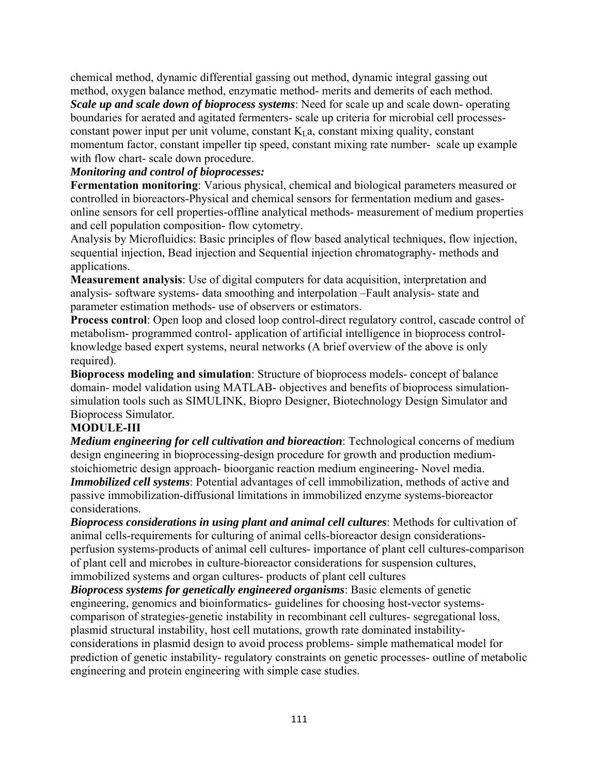chemical method, dynamic differential gassing out method, dynamic integral gassing out method, oxygen balance method, enzymatic method- merits and demerits of each method.

*Scale up and scale down of bioprocess systems*: Need for scale up and scale down- operating boundaries for aerated and agitated fermenters- scale up criteria for microbial cell processesconstant power input per unit volume, constant  $K_I$  a, constant mixing quality, constant momentum factor, constant impeller tip speed, constant mixing rate number- scale up example with flow chart- scale down procedure.

## *Monitoring and control of bioprocesses:*

**Fermentation monitoring**: Various physical, chemical and biological parameters measured or controlled in bioreactors-Physical and chemical sensors for fermentation medium and gasesonline sensors for cell properties-offline analytical methods- measurement of medium properties and cell population composition- flow cytometry.

Analysis by Microfluidics: Basic principles of flow based analytical techniques, flow injection, sequential injection, Bead injection and Sequential injection chromatography- methods and applications.

**Measurement analysis**: Use of digital computers for data acquisition, interpretation and analysis- software systems- data smoothing and interpolation –Fault analysis- state and parameter estimation methods- use of observers or estimators.

**Process control**: Open loop and closed loop control-direct regulatory control, cascade control of metabolism- programmed control- application of artificial intelligence in bioprocess controlknowledge based expert systems, neural networks (A brief overview of the above is only required).

**Bioprocess modeling and simulation**: Structure of bioprocess models- concept of balance domain- model validation using MATLAB- objectives and benefits of bioprocess simulationsimulation tools such as SIMULINK, Biopro Designer, Biotechnology Design Simulator and Bioprocess Simulator.

# **MODULE-III**

*Medium engineering for cell cultivation and bioreaction*: Technological concerns of medium design engineering in bioprocessing-design procedure for growth and production mediumstoichiometric design approach- bioorganic reaction medium engineering- Novel media. *Immobilized cell systems*: Potential advantages of cell immobilization, methods of active and passive immobilization-diffusional limitations in immobilized enzyme systems-bioreactor considerations.

*Bioprocess considerations in using plant and animal cell cultures*: Methods for cultivation of animal cells-requirements for culturing of animal cells-bioreactor design considerationsperfusion systems-products of animal cell cultures- importance of plant cell cultures-comparison of plant cell and microbes in culture-bioreactor considerations for suspension cultures, immobilized systems and organ cultures- products of plant cell cultures

*Bioprocess systems for genetically engineered organisms*: Basic elements of genetic engineering, genomics and bioinformatics- guidelines for choosing host-vector systemscomparison of strategies-genetic instability in recombinant cell cultures- segregational loss, plasmid structural instability, host cell mutations, growth rate dominated instabilityconsiderations in plasmid design to avoid process problems- simple mathematical model for prediction of genetic instability- regulatory constraints on genetic processes- outline of metabolic engineering and protein engineering with simple case studies.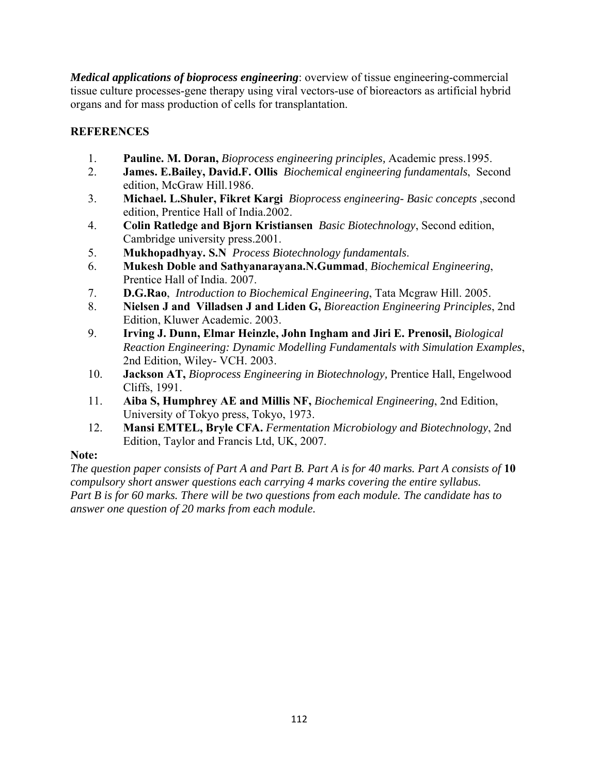*Medical applications of bioprocess engineering*: overview of tissue engineering-commercial tissue culture processes-gene therapy using viral vectors-use of bioreactors as artificial hybrid organs and for mass production of cells for transplantation.

# **REFERENCES**

- 1. **Pauline. M. Doran,** *Bioprocess engineering principles,* Academic press.1995.
- 2. **James. E.Bailey, David.F. Ollis** *Biochemical engineering fundamentals*, Second edition, McGraw Hill.1986.
- 3. **Michael. L.Shuler, Fikret Kargi** *Bioprocess engineering- Basic concepts* ,second edition, Prentice Hall of India.2002.
- 4. **Colin Ratledge and Bjorn Kristiansen** *Basic Biotechnology*, Second edition, Cambridge university press.2001.
- 5. **Mukhopadhyay. S.N** *Process Biotechnology fundamentals*.
- 6. **Mukesh Doble and Sathyanarayana.N.Gummad**, *Biochemical Engineering*, Prentice Hall of India. 2007.
- 7. **D.G.Rao**, *Introduction to Biochemical Engineering*, Tata Mcgraw Hill. 2005.
- 8. **Nielsen J and Villadsen J and Liden G,** *Bioreaction Engineering Principles*, 2nd Edition, Kluwer Academic. 2003.
- 9. **Irving J. Dunn, Elmar Heinzle, John Ingham and Jiri E. Prenosil,** *Biological Reaction Engineering: Dynamic Modelling Fundamentals with Simulation Examples*, 2nd Edition, Wiley- VCH. 2003.
- 10. **Jackson AT,** *Bioprocess Engineering in Biotechnology,* Prentice Hall, Engelwood Cliffs, 1991.
- 11. **Aiba S, Humphrey AE and Millis NF,** *Biochemical Engineering*, 2nd Edition, University of Tokyo press, Tokyo, 1973.
- 12. **Mansi EMTEL, Bryle CFA.** *Fermentation Microbiology and Biotechnology*, 2nd Edition, Taylor and Francis Ltd, UK, 2007.

# **Note:**

*The question paper consists of Part A and Part B. Part A is for 40 marks. Part A consists of* **10**  *compulsory short answer questions each carrying 4 marks covering the entire syllabus. Part B is for 60 marks. There will be two questions from each module. The candidate has to answer one question of 20 marks from each module.*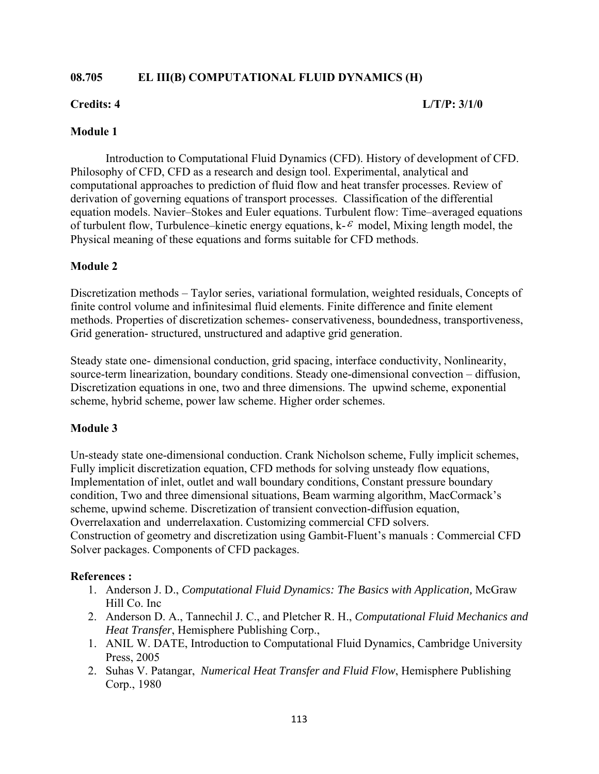# **08.705 EL III(B) COMPUTATIONAL FLUID DYNAMICS (H)**

## **Credits: 4 L/T/P: 3/1/0**

## **Module 1**

Introduction to Computational Fluid Dynamics (CFD). History of development of CFD. Philosophy of CFD, CFD as a research and design tool. Experimental, analytical and computational approaches to prediction of fluid flow and heat transfer processes. Review of derivation of governing equations of transport processes. Classification of the differential equation models. Navier–Stokes and Euler equations. Turbulent flow: Time–averaged equations of turbulent flow, Turbulence–kinetic energy equations,  $k-\epsilon$  model, Mixing length model, the Physical meaning of these equations and forms suitable for CFD methods.

## **Module 2**

Discretization methods – Taylor series, variational formulation, weighted residuals, Concepts of finite control volume and infinitesimal fluid elements. Finite difference and finite element methods. Properties of discretization schemes- conservativeness, boundedness, transportiveness, Grid generation- structured, unstructured and adaptive grid generation.

Steady state one- dimensional conduction, grid spacing, interface conductivity, Nonlinearity, source-term linearization, boundary conditions. Steady one-dimensional convection – diffusion, Discretization equations in one, two and three dimensions. The upwind scheme, exponential scheme, hybrid scheme, power law scheme. Higher order schemes.

# **Module 3**

Un-steady state one-dimensional conduction. Crank Nicholson scheme, Fully implicit schemes, Fully implicit discretization equation, CFD methods for solving unsteady flow equations, Implementation of inlet, outlet and wall boundary conditions, Constant pressure boundary condition, Two and three dimensional situations, Beam warming algorithm, MacCormack's scheme, upwind scheme. Discretization of transient convection-diffusion equation, Overrelaxation and underrelaxation. Customizing commercial CFD solvers. Construction of geometry and discretization using Gambit-Fluent's manuals : Commercial CFD Solver packages. Components of CFD packages.

### **References :**

- 1. Anderson J. D., *Computational Fluid Dynamics: The Basics with Application,* McGraw Hill Co. Inc
- 2. Anderson D. A., Tannechil J. C., and Pletcher R. H., *Computational Fluid Mechanics and Heat Transfer*, Hemisphere Publishing Corp.,
- 1. ANIL W. DATE, Introduction to Computational Fluid Dynamics, Cambridge University Press, 2005
- 2. Suhas V. Patangar, *Numerical Heat Transfer and Fluid Flow*, Hemisphere Publishing Corp., 1980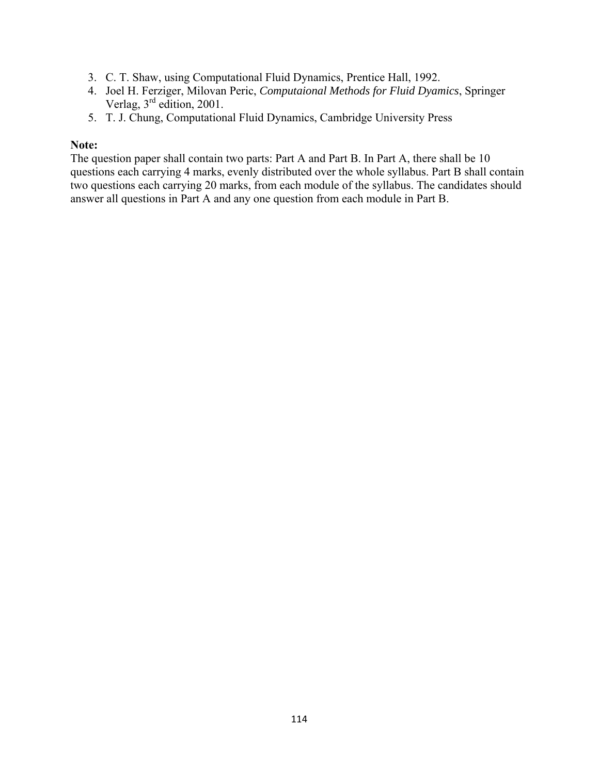- 3. C. T. Shaw, using Computational Fluid Dynamics, Prentice Hall, 1992.
- 4. Joel H. Ferziger, Milovan Peric, *Computaional Methods for Fluid Dyamics*, Springer Verlag, 3rd edition, 2001.
- 5. T. J. Chung, Computational Fluid Dynamics, Cambridge University Press

## **Note:**

The question paper shall contain two parts: Part A and Part B. In Part A, there shall be 10 questions each carrying 4 marks, evenly distributed over the whole syllabus. Part B shall contain two questions each carrying 20 marks, from each module of the syllabus. The candidates should answer all questions in Part A and any one question from each module in Part B.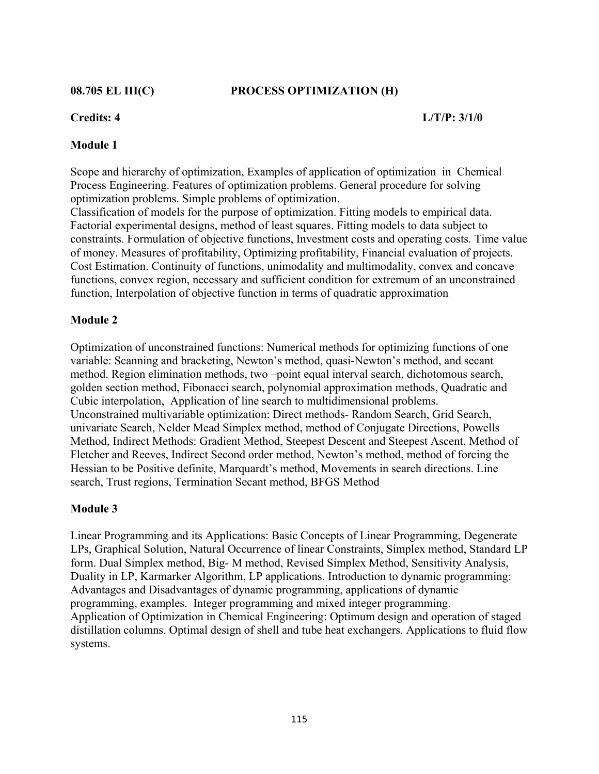### **08.705 EL III(C) PROCESS OPTIMIZATION (H)**

### **Credits: 4 L/T/P: 3/1/0**

### **Module 1**

Scope and hierarchy of optimization, Examples of application of optimization in Chemical Process Engineering. Features of optimization problems. General procedure for solving optimization problems. Simple problems of optimization. Classification of models for the purpose of optimization. Fitting models to empirical data. Factorial experimental designs, method of least squares. Fitting models to data subject to constraints. Formulation of objective functions, Investment costs and operating costs. Time value of money. Measures of profitability, Optimizing profitability, Financial evaluation of projects. Cost Estimation. Continuity of functions, unimodality and multimodality, convex and concave functions, convex region, necessary and sufficient condition for extremum of an unconstrained function, Interpolation of objective function in terms of quadratic approximation

### **Module 2**

Optimization of unconstrained functions: Numerical methods for optimizing functions of one variable: Scanning and bracketing, Newton's method, quasi-Newton's method, and secant method. Region elimination methods, two –point equal interval search, dichotomous search, golden section method, Fibonacci search, polynomial approximation methods, Quadratic and Cubic interpolation, Application of line search to multidimensional problems. Unconstrained multivariable optimization: Direct methods- Random Search, Grid Search, univariate Search, Nelder Mead Simplex method, method of Conjugate Directions, Powells Method, Indirect Methods: Gradient Method, Steepest Descent and Steepest Ascent, Method of Fletcher and Reeves, Indirect Second order method, Newton's method, method of forcing the Hessian to be Positive definite, Marquardt's method, Movements in search directions. Line search, Trust regions, Termination Secant method, BFGS Method

### **Module 3**

Linear Programming and its Applications: Basic Concepts of Linear Programming, Degenerate LPs, Graphical Solution, Natural Occurrence of linear Constraints, Simplex method, Standard LP form. Dual Simplex method, Big- M method, Revised Simplex Method, Sensitivity Analysis, Duality in LP, Karmarker Algorithm, LP applications. Introduction to dynamic programming: Advantages and Disadvantages of dynamic programming, applications of dynamic programming, examples. Integer programming and mixed integer programming. Application of Optimization in Chemical Engineering: Optimum design and operation of staged distillation columns. Optimal design of shell and tube heat exchangers. Applications to fluid flow systems.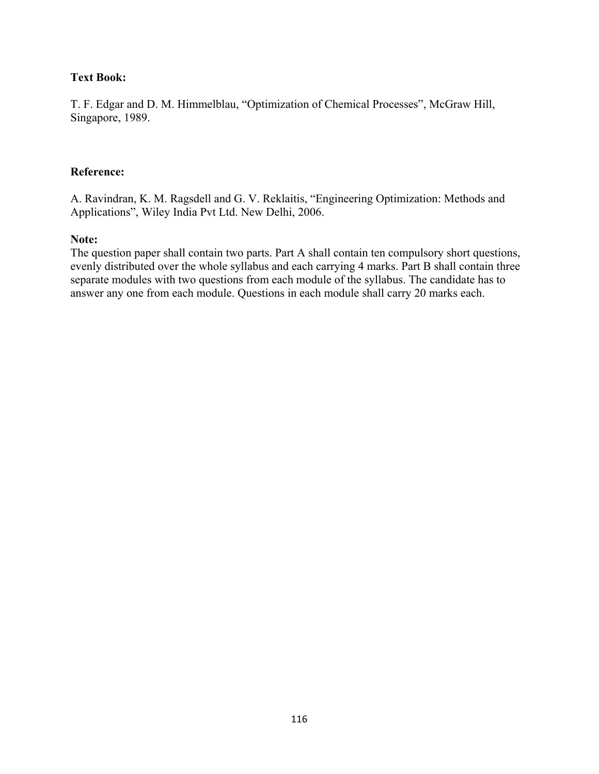# **Text Book:**

T. F. Edgar and D. M. Himmelblau, "Optimization of Chemical Processes", McGraw Hill, Singapore, 1989.

## **Reference:**

A. Ravindran, K. M. Ragsdell and G. V. Reklaitis, "Engineering Optimization: Methods and Applications", Wiley India Pvt Ltd. New Delhi, 2006.

### **Note:**

The question paper shall contain two parts. Part A shall contain ten compulsory short questions, evenly distributed over the whole syllabus and each carrying 4 marks. Part B shall contain three separate modules with two questions from each module of the syllabus. The candidate has to answer any one from each module. Questions in each module shall carry 20 marks each.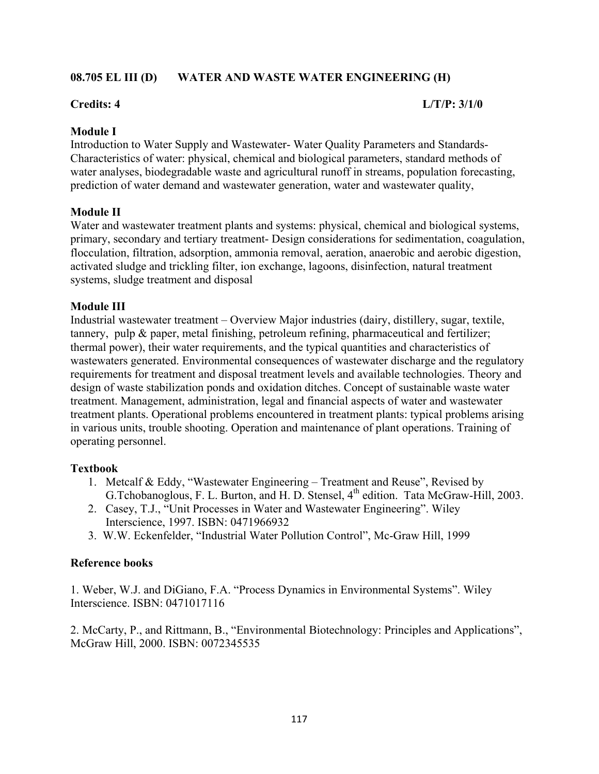## **08.705 EL III (D) WATER AND WASTE WATER ENGINEERING (H)**

### **Credits: 4 L/T/P: 3/1/0**

## **Module I**

Introduction to Water Supply and Wastewater- Water Quality Parameters and Standards-Characteristics of water: physical, chemical and biological parameters, standard methods of water analyses, biodegradable waste and agricultural runoff in streams, population forecasting, prediction of water demand and wastewater generation, water and wastewater quality,

## **Module II**

Water and wastewater treatment plants and systems: physical, chemical and biological systems, primary, secondary and tertiary treatment- Design considerations for sedimentation, coagulation, flocculation, filtration, adsorption, ammonia removal, aeration, anaerobic and aerobic digestion, activated sludge and trickling filter, ion exchange, lagoons, disinfection, natural treatment systems, sludge treatment and disposal

## **Module III**

Industrial wastewater treatment – Overview Major industries (dairy, distillery, sugar, textile, tannery, pulp & paper, metal finishing, petroleum refining, pharmaceutical and fertilizer; thermal power), their water requirements, and the typical quantities and characteristics of wastewaters generated. Environmental consequences of wastewater discharge and the regulatory requirements for treatment and disposal treatment levels and available technologies. Theory and design of waste stabilization ponds and oxidation ditches. Concept of sustainable waste water treatment. Management, administration, legal and financial aspects of water and wastewater treatment plants. Operational problems encountered in treatment plants: typical problems arising in various units, trouble shooting. Operation and maintenance of plant operations. Training of operating personnel.

### **Textbook**

- 1. Metcalf & Eddy, "Wastewater Engineering Treatment and Reuse", Revised by G.Tchobanoglous, F. L. Burton, and H. D. Stensel, 4<sup>th</sup> edition. Tata McGraw-Hill, 2003.
- 2. Casey, T.J., "Unit Processes in Water and Wastewater Engineering". Wiley Interscience, 1997. ISBN: 0471966932
- 3. W.W. Eckenfelder, "Industrial Water Pollution Control", Mc-Graw Hill, 1999

### **Reference books**

1. Weber, W.J. and DiGiano, F.A. "Process Dynamics in Environmental Systems". Wiley Interscience. ISBN: 0471017116

2. McCarty, P., and Rittmann, B., "Environmental Biotechnology: Principles and Applications", McGraw Hill, 2000. ISBN: 0072345535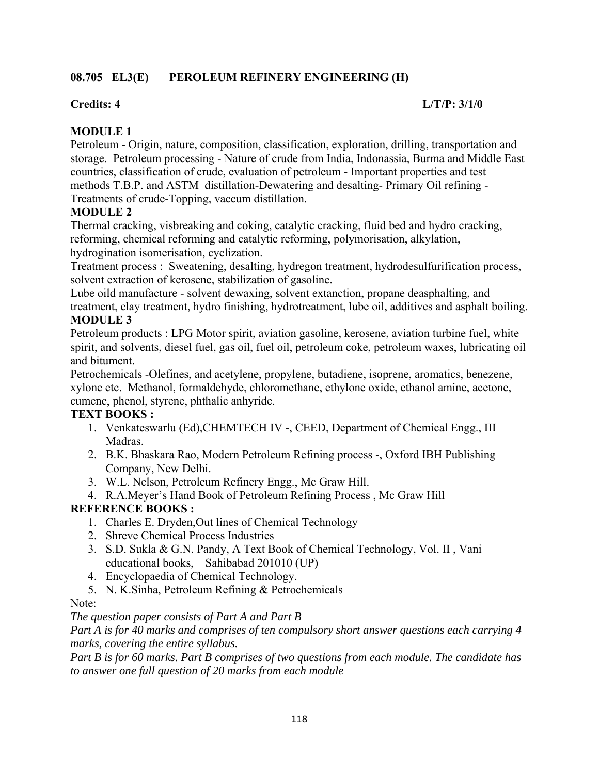# **08.705 EL3(E) PEROLEUM REFINERY ENGINEERING (H)**

## **Credits: 4 L/T/P: 3/1/0**

# **MODULE 1**

Petroleum - Origin, nature, composition, classification, exploration, drilling, transportation and storage. Petroleum processing - Nature of crude from India, Indonassia, Burma and Middle East countries, classification of crude, evaluation of petroleum - Important properties and test methods T.B.P. and ASTM distillation-Dewatering and desalting- Primary Oil refining - Treatments of crude-Topping, vaccum distillation.

# **MODULE 2**

Thermal cracking, visbreaking and coking, catalytic cracking, fluid bed and hydro cracking, reforming, chemical reforming and catalytic reforming, polymorisation, alkylation, hydrogination isomerisation, cyclization.

Treatment process : Sweatening, desalting, hydregon treatment, hydrodesulfurification process, solvent extraction of kerosene, stabilization of gasoline.

Lube oild manufacture - solvent dewaxing, solvent extanction, propane deasphalting, and treatment, clay treatment, hydro finishing, hydrotreatment, lube oil, additives and asphalt boiling. **MODULE 3**

Petroleum products : LPG Motor spirit, aviation gasoline, kerosene, aviation turbine fuel, white spirit, and solvents, diesel fuel, gas oil, fuel oil, petroleum coke, petroleum waxes, lubricating oil and bitument.

Petrochemicals -Olefines, and acetylene, propylene, butadiene, isoprene, aromatics, benezene, xylone etc. Methanol, formaldehyde, chloromethane, ethylone oxide, ethanol amine, acetone, cumene, phenol, styrene, phthalic anhyride.

# **TEXT BOOKS :**

- 1. Venkateswarlu (Ed),CHEMTECH IV -, CEED, Department of Chemical Engg., III Madras.
- 2. B.K. Bhaskara Rao, Modern Petroleum Refining process -, Oxford IBH Publishing Company, New Delhi.
- 3. W.L. Nelson, Petroleum Refinery Engg., Mc Graw Hill.
- 4. R.A.Meyer's Hand Book of Petroleum Refining Process , Mc Graw Hill

# **REFERENCE BOOKS :**

- 1. Charles E. Dryden,Out lines of Chemical Technology
- 2. Shreve Chemical Process Industries
- 3. S.D. Sukla & G.N. Pandy, A Text Book of Chemical Technology, Vol. II , Vani educational books, Sahibabad 201010 (UP)
- 4. Encyclopaedia of Chemical Technology.
- 5. N. K.Sinha, Petroleum Refining & Petrochemicals

Note:

*The question paper consists of Part A and Part B* 

*Part A is for 40 marks and comprises of ten compulsory short answer questions each carrying 4 marks, covering the entire syllabus.* 

*Part B is for 60 marks. Part B comprises of two questions from each module. The candidate has to answer one full question of 20 marks from each module*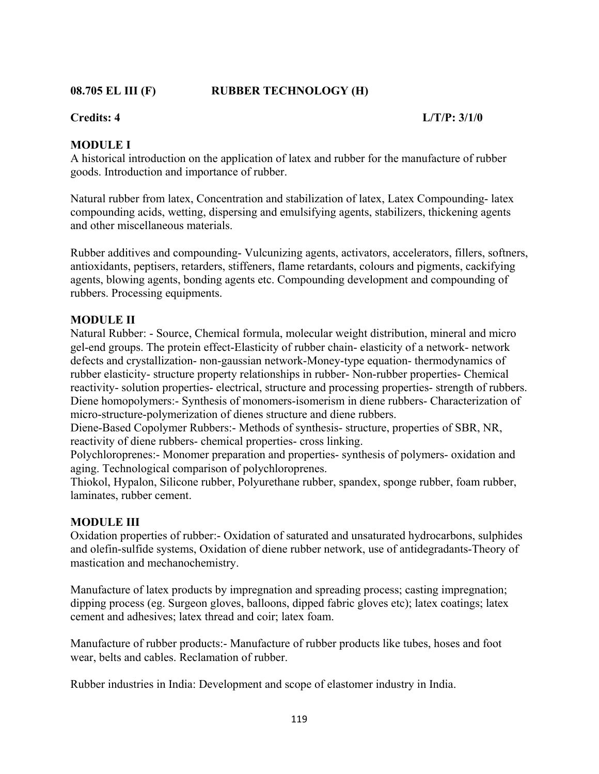**08.705 EL III (F) RUBBER TECHNOLOGY (H)** 

## **Credits: 4 L/T/P: 3/1/0**

# **MODULE I**

A historical introduction on the application of latex and rubber for the manufacture of rubber goods. Introduction and importance of rubber.

Natural rubber from latex, Concentration and stabilization of latex, Latex Compounding- latex compounding acids, wetting, dispersing and emulsifying agents, stabilizers, thickening agents and other miscellaneous materials.

Rubber additives and compounding- Vulcunizing agents, activators, accelerators, fillers, softners, antioxidants, peptisers, retarders, stiffeners, flame retardants, colours and pigments, cackifying agents, blowing agents, bonding agents etc. Compounding development and compounding of rubbers. Processing equipments.

# **MODULE II**

Natural Rubber: - Source, Chemical formula, molecular weight distribution, mineral and micro gel-end groups. The protein effect-Elasticity of rubber chain- elasticity of a network- network defects and crystallization- non-gaussian network-Money-type equation- thermodynamics of rubber elasticity- structure property relationships in rubber- Non-rubber properties- Chemical reactivity- solution properties- electrical, structure and processing properties- strength of rubbers. Diene homopolymers:- Synthesis of monomers-isomerism in diene rubbers- Characterization of micro-structure-polymerization of dienes structure and diene rubbers.

Diene-Based Copolymer Rubbers:- Methods of synthesis- structure, properties of SBR, NR, reactivity of diene rubbers- chemical properties- cross linking.

Polychloroprenes:- Monomer preparation and properties- synthesis of polymers- oxidation and aging. Technological comparison of polychloroprenes.

Thiokol, Hypalon, Silicone rubber, Polyurethane rubber, spandex, sponge rubber, foam rubber, laminates, rubber cement.

### **MODULE III**

Oxidation properties of rubber:- Oxidation of saturated and unsaturated hydrocarbons, sulphides and olefin-sulfide systems, Oxidation of diene rubber network, use of antidegradants-Theory of mastication and mechanochemistry.

Manufacture of latex products by impregnation and spreading process; casting impregnation; dipping process (eg. Surgeon gloves, balloons, dipped fabric gloves etc); latex coatings; latex cement and adhesives; latex thread and coir; latex foam.

Manufacture of rubber products:- Manufacture of rubber products like tubes, hoses and foot wear, belts and cables. Reclamation of rubber.

Rubber industries in India: Development and scope of elastomer industry in India.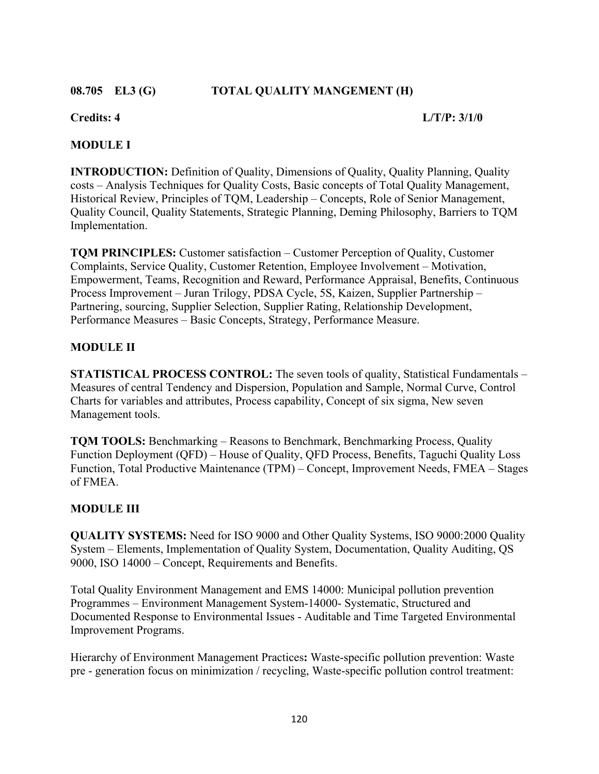# **08.705 EL3 (G) TOTAL QUALITY MANGEMENT (H)**

## **Credits: 4 L/T/P: 3/1/0**

# **MODULE I**

**INTRODUCTION:** Definition of Quality, Dimensions of Quality, Quality Planning, Quality costs – Analysis Techniques for Quality Costs, Basic concepts of Total Quality Management, Historical Review, Principles of TQM, Leadership – Concepts, Role of Senior Management, Quality Council, Quality Statements, Strategic Planning, Deming Philosophy, Barriers to TQM Implementation.

**TQM PRINCIPLES:** Customer satisfaction – Customer Perception of Quality, Customer Complaints, Service Quality, Customer Retention, Employee Involvement – Motivation, Empowerment, Teams, Recognition and Reward, Performance Appraisal, Benefits, Continuous Process Improvement – Juran Trilogy, PDSA Cycle, 5S, Kaizen, Supplier Partnership – Partnering, sourcing, Supplier Selection, Supplier Rating, Relationship Development, Performance Measures – Basic Concepts, Strategy, Performance Measure.

# **MODULE II**

**STATISTICAL PROCESS CONTROL:** The seven tools of quality, Statistical Fundamentals – Measures of central Tendency and Dispersion, Population and Sample, Normal Curve, Control Charts for variables and attributes, Process capability, Concept of six sigma, New seven Management tools.

**TQM TOOLS:** Benchmarking – Reasons to Benchmark, Benchmarking Process, Quality Function Deployment (QFD) – House of Quality, QFD Process, Benefits, Taguchi Quality Loss Function, Total Productive Maintenance (TPM) – Concept, Improvement Needs, FMEA – Stages of FMEA.

# **MODULE III**

**QUALITY SYSTEMS:** Need for ISO 9000 and Other Quality Systems, ISO 9000:2000 Quality System – Elements, Implementation of Quality System, Documentation, Quality Auditing, QS 9000, ISO 14000 – Concept, Requirements and Benefits.

Total Quality Environment Management and EMS 14000: Municipal pollution prevention Programmes – Environment Management System-14000- Systematic, Structured and Documented Response to Environmental Issues - Auditable and Time Targeted Environmental Improvement Programs.

Hierarchy of Environment Management Practices**:** Waste-specific pollution prevention: Waste pre - generation focus on minimization / recycling, Waste-specific pollution control treatment: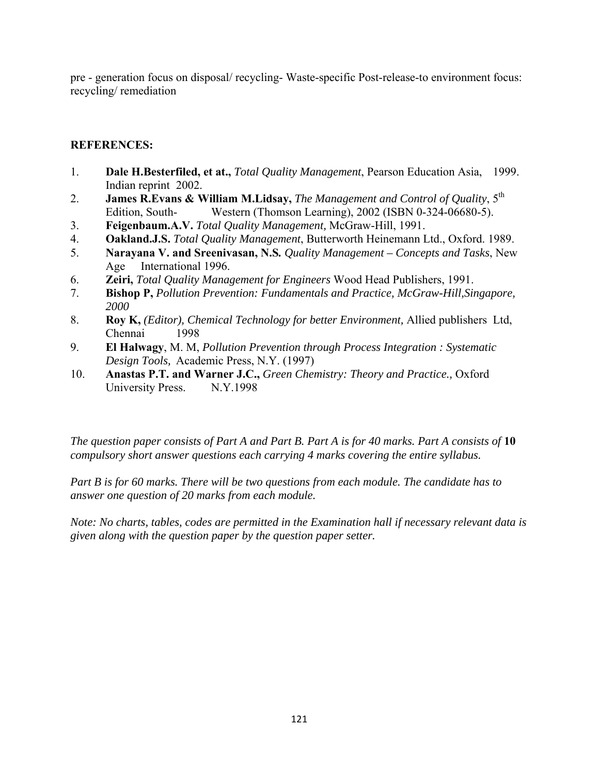pre - generation focus on disposal/ recycling- Waste-specific Post-release-to environment focus: recycling/ remediation

# **REFERENCES:**

- 1. **Dale H.Besterfiled, et at.,** *Total Quality Management*, Pearson Education Asia, 1999. Indian reprint 2002.
- 2. **James R.Evans & William M.Lidsay,** *The Management and Control of Quality*, 5th Edition, South-<br>Western (Thomson Learning), 2002 (ISBN 0-324-06680-5).
- 3. **Feigenbaum.A.V.** *Total Quality Management,* McGraw-Hill, 1991.
- 4. **Oakland.J.S.** *Total Quality Management*, Butterworth Heinemann Ltd., Oxford. 1989.
- 5. **Narayana V. and Sreenivasan, N.S***. Quality Management Concepts and Tasks*, New Age International 1996.
- 6. **Zeiri,** *Total Quality Management for Engineers* Wood Head Publishers, 1991.
- 7.**Bishop P,** *Pollution Prevention: Fundamentals and Practice, McGraw-Hill,Singapore, 2000*
- 8. **Roy K,** *(Editor), Chemical Technology for better Environment,* Allied publishers Ltd, Chennai 1998
- 9. **El Halwagy**, M. M, *Pollution Prevention through Process Integration : Systematic Design Tools,* Academic Press, N.Y. (1997)
- 10. **Anastas P.T. and Warner J.C.,** *Green Chemistry: Theory and Practice.,* Oxford University Press. N.Y.1998

*The question paper consists of Part A and Part B. Part A is for 40 marks. Part A consists of* **10**  *compulsory short answer questions each carrying 4 marks covering the entire syllabus.* 

*Part B is for 60 marks. There will be two questions from each module. The candidate has to answer one question of 20 marks from each module.* 

*Note: No charts, tables, codes are permitted in the Examination hall if necessary relevant data is given along with the question paper by the question paper setter.*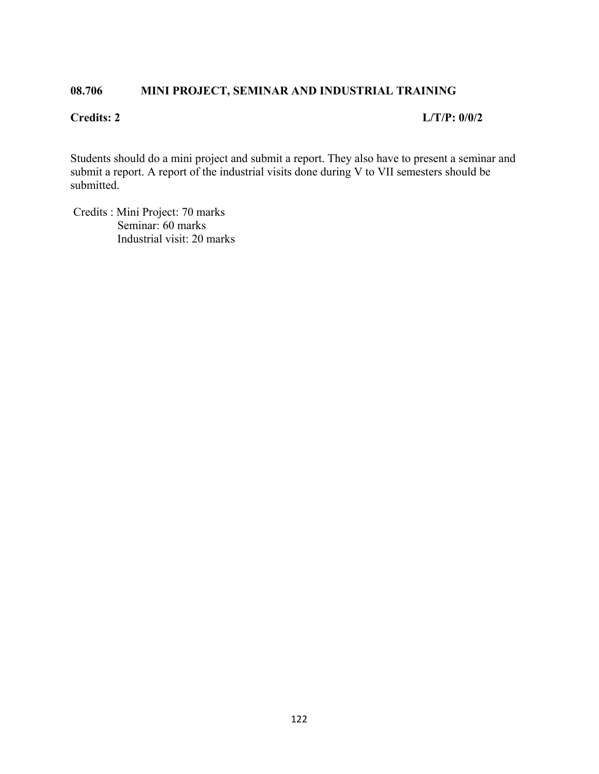# **08.706 MINI PROJECT, SEMINAR AND INDUSTRIAL TRAINING**

### **Credits: 2 L/T/P: 0/0/2**

Students should do a mini project and submit a report. They also have to present a seminar and submit a report. A report of the industrial visits done during V to VII semesters should be submitted.

 Credits : Mini Project: 70 marks Seminar: 60 marks Industrial visit: 20 marks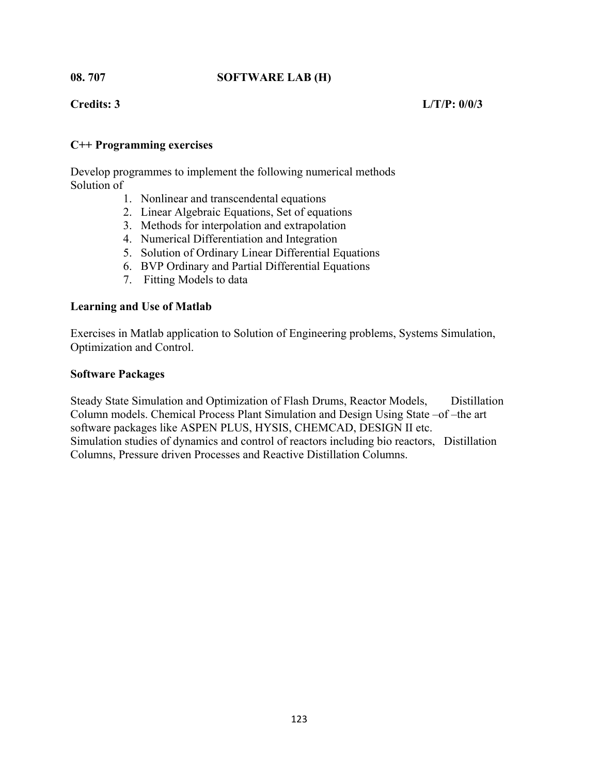# **08. 707 SOFTWARE LAB (H)**

## **Credits: 3 L/T/P: 0/0/3**

## **C++ Programming exercises**

Develop programmes to implement the following numerical methods Solution of

- 1. Nonlinear and transcendental equations
- 2. Linear Algebraic Equations, Set of equations
- 3. Methods for interpolation and extrapolation
- 4. Numerical Differentiation and Integration
- 5. Solution of Ordinary Linear Differential Equations
- 6. BVP Ordinary and Partial Differential Equations
- 7. Fitting Models to data

### **Learning and Use of Matlab**

Exercises in Matlab application to Solution of Engineering problems, Systems Simulation, Optimization and Control.

### **Software Packages**

Steady State Simulation and Optimization of Flash Drums, Reactor Models, Distillation Column models. Chemical Process Plant Simulation and Design Using State –of –the art software packages like ASPEN PLUS, HYSIS, CHEMCAD, DESIGN II etc. Simulation studies of dynamics and control of reactors including bio reactors, Distillation Columns, Pressure driven Processes and Reactive Distillation Columns.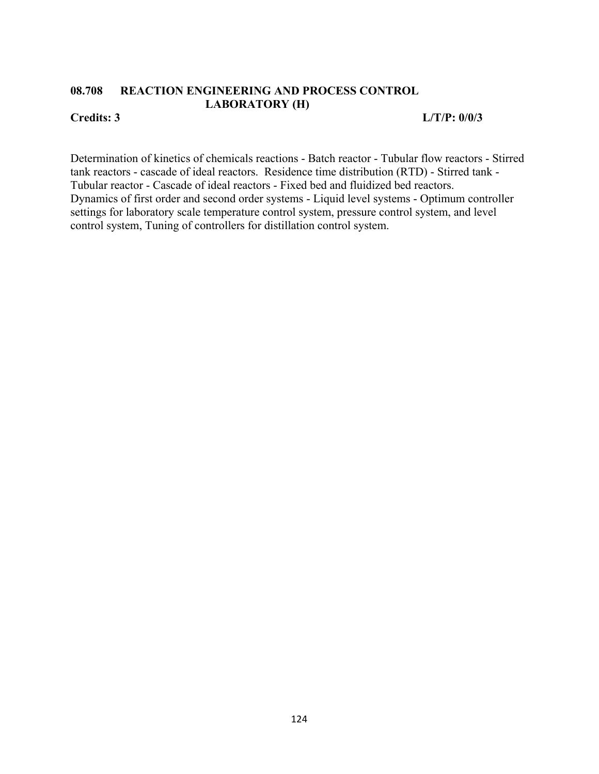# **08.708 REACTION ENGINEERING AND PROCESS CONTROL LABORATORY (H)**

**Credits: 3 L/T/P: 0/0/3** 

Determination of kinetics of chemicals reactions - Batch reactor - Tubular flow reactors - Stirred tank reactors - cascade of ideal reactors. Residence time distribution (RTD) - Stirred tank - Tubular reactor - Cascade of ideal reactors - Fixed bed and fluidized bed reactors. Dynamics of first order and second order systems - Liquid level systems - Optimum controller settings for laboratory scale temperature control system, pressure control system, and level control system, Tuning of controllers for distillation control system.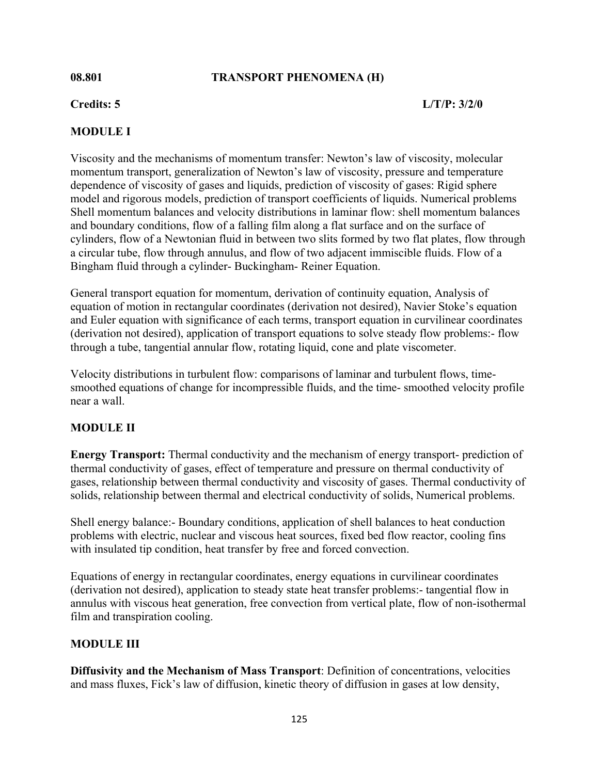# **08.801 TRANSPORT PHENOMENA (H)**

## **Credits: 5 L/T/P: 3/2/0**

# **MODULE I**

Viscosity and the mechanisms of momentum transfer: Newton's law of viscosity, molecular momentum transport, generalization of Newton's law of viscosity, pressure and temperature dependence of viscosity of gases and liquids, prediction of viscosity of gases: Rigid sphere model and rigorous models, prediction of transport coefficients of liquids. Numerical problems Shell momentum balances and velocity distributions in laminar flow: shell momentum balances and boundary conditions, flow of a falling film along a flat surface and on the surface of cylinders, flow of a Newtonian fluid in between two slits formed by two flat plates, flow through a circular tube, flow through annulus, and flow of two adjacent immiscible fluids. Flow of a Bingham fluid through a cylinder- Buckingham- Reiner Equation.

General transport equation for momentum, derivation of continuity equation, Analysis of equation of motion in rectangular coordinates (derivation not desired), Navier Stoke's equation and Euler equation with significance of each terms, transport equation in curvilinear coordinates (derivation not desired), application of transport equations to solve steady flow problems:- flow through a tube, tangential annular flow, rotating liquid, cone and plate viscometer.

Velocity distributions in turbulent flow: comparisons of laminar and turbulent flows, timesmoothed equations of change for incompressible fluids, and the time- smoothed velocity profile near a wall.

### **MODULE II**

**Energy Transport:** Thermal conductivity and the mechanism of energy transport- prediction of thermal conductivity of gases, effect of temperature and pressure on thermal conductivity of gases, relationship between thermal conductivity and viscosity of gases. Thermal conductivity of solids, relationship between thermal and electrical conductivity of solids, Numerical problems.

Shell energy balance:- Boundary conditions, application of shell balances to heat conduction problems with electric, nuclear and viscous heat sources, fixed bed flow reactor, cooling fins with insulated tip condition, heat transfer by free and forced convection.

Equations of energy in rectangular coordinates, energy equations in curvilinear coordinates (derivation not desired), application to steady state heat transfer problems:- tangential flow in annulus with viscous heat generation, free convection from vertical plate, flow of non-isothermal film and transpiration cooling.

# **MODULE III**

**Diffusivity and the Mechanism of Mass Transport**: Definition of concentrations, velocities and mass fluxes, Fick's law of diffusion, kinetic theory of diffusion in gases at low density,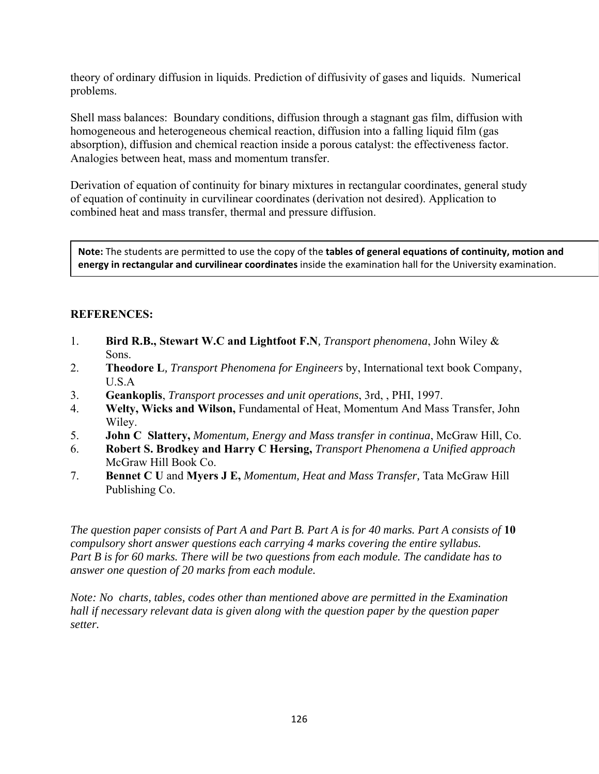theory of ordinary diffusion in liquids. Prediction of diffusivity of gases and liquids. Numerical problems.

Shell mass balances: Boundary conditions, diffusion through a stagnant gas film, diffusion with homogeneous and heterogeneous chemical reaction, diffusion into a falling liquid film (gas absorption), diffusion and chemical reaction inside a porous catalyst: the effectiveness factor. Analogies between heat, mass and momentum transfer.

Derivation of equation of continuity for binary mixtures in rectangular coordinates, general study of equation of continuity in curvilinear coordinates (derivation not desired). Application to combined heat and mass transfer, thermal and pressure diffusion.

**Note:** The students are permitted to use the copy of the **tables of general equations of continuity, motion and energy in rectangular and curvilinear coordinates** inside the examination hall for the University examination.

# **REFERENCES:**

- 1. **Bird R.B., Stewart W.C and Lightfoot F.N***, Transport phenomena*, John Wiley & Sons.
- 2. **Theodore L***, Transport Phenomena for Engineers* by, International text book Company, U.S.A
- 3. **Geankoplis**, *Transport processes and unit operations*, 3rd, , PHI, 1997.
- 4. **Welty, Wicks and Wilson,** Fundamental of Heat, Momentum And Mass Transfer, John Wiley.
- 5. **John C Slattery,** *Momentum, Energy and Mass transfer in continua*, McGraw Hill, Co.
- 6. **Robert S. Brodkey and Harry C Hersing,** *Transport Phenomena a Unified approach* McGraw Hill Book Co.
- 7. **Bennet C U** and **Myers J E,** *Momentum, Heat and Mass Transfer,* Tata McGraw Hill Publishing Co.

*The question paper consists of Part A and Part B. Part A is for 40 marks. Part A consists of* **10**  *compulsory short answer questions each carrying 4 marks covering the entire syllabus. Part B is for 60 marks. There will be two questions from each module. The candidate has to answer one question of 20 marks from each module.* 

*Note: No charts, tables, codes other than mentioned above are permitted in the Examination hall if necessary relevant data is given along with the question paper by the question paper setter.*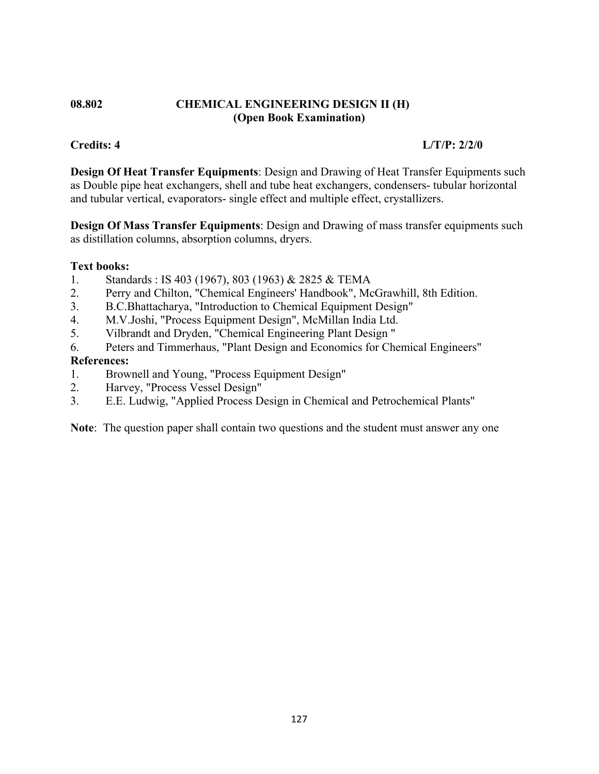## **08.802 CHEMICAL ENGINEERING DESIGN II (H) (Open Book Examination)**

# **Credits: 4 L/T/P: 2/2/0**

**Design Of Heat Transfer Equipments**: Design and Drawing of Heat Transfer Equipments such as Double pipe heat exchangers, shell and tube heat exchangers, condensers- tubular horizontal and tubular vertical, evaporators- single effect and multiple effect, crystallizers.

**Design Of Mass Transfer Equipments**: Design and Drawing of mass transfer equipments such as distillation columns, absorption columns, dryers.

## **Text books:**

- 1. Standards : IS 403 (1967), 803 (1963) & 2825 & TEMA
- 2. Perry and Chilton, "Chemical Engineers' Handbook", McGrawhill, 8th Edition.
- 3. B.C.Bhattacharya, "Introduction to Chemical Equipment Design"
- 4. M.V.Joshi, "Process Equipment Design", McMillan India Ltd.
- 5. Vilbrandt and Dryden, "Chemical Engineering Plant Design "
- 6. Peters and Timmerhaus, "Plant Design and Economics for Chemical Engineers"

## **References:**

- 1. Brownell and Young, "Process Equipment Design"
- 2. Harvey, "Process Vessel Design"
- 3. E.E. Ludwig, "Applied Process Design in Chemical and Petrochemical Plants"

**Note**: The question paper shall contain two questions and the student must answer any one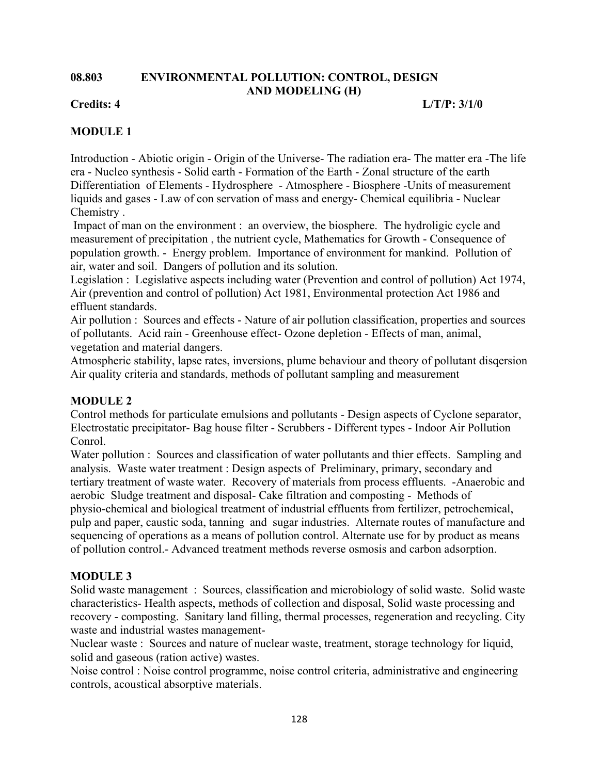### **08.803 ENVIRONMENTAL POLLUTION: CONTROL, DESIGN AND MODELING (H)**

**Credits: 4 L/T/P: 3/1/0** 

# **MODULE 1**

Introduction - Abiotic origin - Origin of the Universe- The radiation era- The matter era -The life era - Nucleo synthesis - Solid earth - Formation of the Earth - Zonal structure of the earth Differentiation of Elements - Hydrosphere - Atmosphere - Biosphere -Units of measurement liquids and gases - Law of con servation of mass and energy- Chemical equilibria - Nuclear Chemistry .

 Impact of man on the environment : an overview, the biosphere. The hydroligic cycle and measurement of precipitation , the nutrient cycle, Mathematics for Growth - Consequence of population growth. - Energy problem. Importance of environment for mankind. Pollution of air, water and soil. Dangers of pollution and its solution.

Legislation : Legislative aspects including water (Prevention and control of pollution) Act 1974, Air (prevention and control of pollution) Act 1981, Environmental protection Act 1986 and effluent standards.

Air pollution : Sources and effects - Nature of air pollution classification, properties and sources of pollutants. Acid rain - Greenhouse effect- Ozone depletion - Effects of man, animal, vegetation and material dangers.

Atmospheric stability, lapse rates, inversions, plume behaviour and theory of pollutant disqersion Air quality criteria and standards, methods of pollutant sampling and measurement

# **MODULE 2**

Control methods for particulate emulsions and pollutants - Design aspects of Cyclone separator, Electrostatic precipitator- Bag house filter - Scrubbers - Different types - Indoor Air Pollution Conrol.

Water pollution : Sources and classification of water pollutants and thier effects. Sampling and analysis. Waste water treatment : Design aspects of Preliminary, primary, secondary and tertiary treatment of waste water. Recovery of materials from process effluents. -Anaerobic and aerobic Sludge treatment and disposal- Cake filtration and composting - Methods of physio-chemical and biological treatment of industrial effluents from fertilizer, petrochemical, pulp and paper, caustic soda, tanning and sugar industries. Alternate routes of manufacture and sequencing of operations as a means of pollution control. Alternate use for by product as means of pollution control.- Advanced treatment methods reverse osmosis and carbon adsorption.

# **MODULE 3**

Solid waste management : Sources, classification and microbiology of solid waste. Solid waste characteristics- Health aspects, methods of collection and disposal, Solid waste processing and recovery - composting. Sanitary land filling, thermal processes, regeneration and recycling. City waste and industrial wastes management-

Nuclear waste : Sources and nature of nuclear waste, treatment, storage technology for liquid, solid and gaseous (ration active) wastes.

Noise control : Noise control programme, noise control criteria, administrative and engineering controls, acoustical absorptive materials.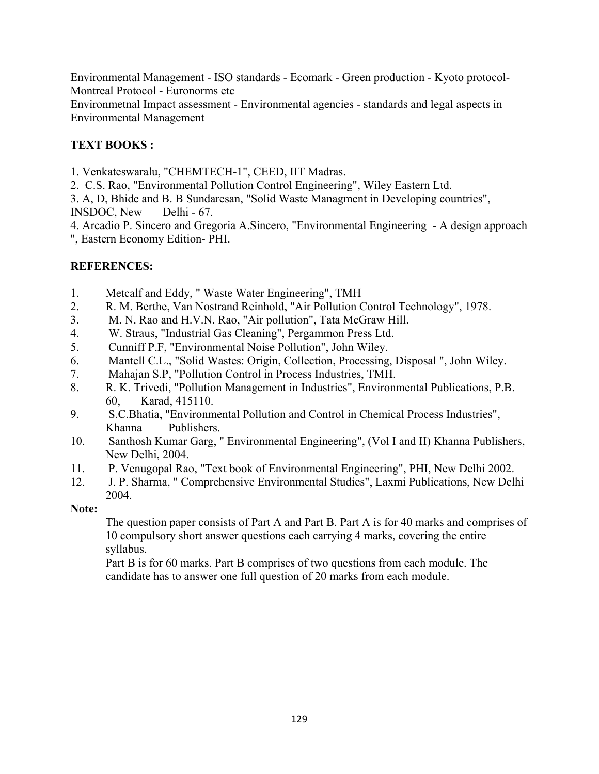Environmental Management - ISO standards - Ecomark - Green production - Kyoto protocol-Montreal Protocol - Euronorms etc

Environmetnal Impact assessment - Environmental agencies - standards and legal aspects in Environmental Management

# **TEXT BOOKS :**

1. Venkateswaralu, "CHEMTECH-1", CEED, IIT Madras.

2. C.S. Rao, "Environmental Pollution Control Engineering", Wiley Eastern Ltd.

3. A, D, Bhide and B. B Sundaresan, "Solid Waste Managment in Developing countries", INSDOC, New Delhi - 67.

4. Arcadio P. Sincero and Gregoria A.Sincero, "Environmental Engineering - A design approach ", Eastern Economy Edition- PHI.

# **REFERENCES:**

- 1. Metcalf and Eddy, " Waste Water Engineering", TMH
- 2. R. M. Berthe, Van Nostrand Reinhold, "Air Pollution Control Technology", 1978.
- 3. M. N. Rao and H.V.N. Rao, "Air pollution", Tata McGraw Hill.
- 4. W. Straus, "Industrial Gas Cleaning", Pergammon Press Ltd.
- 5. Cunniff P.F, "Environmental Noise Pollution", John Wiley.
- 6. Mantell C.L., "Solid Wastes: Origin, Collection, Processing, Disposal ", John Wiley.
- 7. Mahajan S.P, "Pollution Control in Process Industries, TMH.
- 8. R. K. Trivedi, "Pollution Management in Industries", Environmental Publications, P.B. 60, Karad, 415110.
- 9. S.C.Bhatia, "Environmental Pollution and Control in Chemical Process Industries", Khanna Publishers.
- 10. Santhosh Kumar Garg, " Environmental Engineering", (Vol I and II) Khanna Publishers, New Delhi, 2004.
- 11. P. Venugopal Rao, "Text book of Environmental Engineering", PHI, New Delhi 2002.
- 12. J. P. Sharma, " Comprehensive Environmental Studies", Laxmi Publications, New Delhi 2004.

# **Note:**

The question paper consists of Part A and Part B. Part A is for 40 marks and comprises of 10 compulsory short answer questions each carrying 4 marks, covering the entire syllabus.

Part B is for 60 marks. Part B comprises of two questions from each module. The candidate has to answer one full question of 20 marks from each module.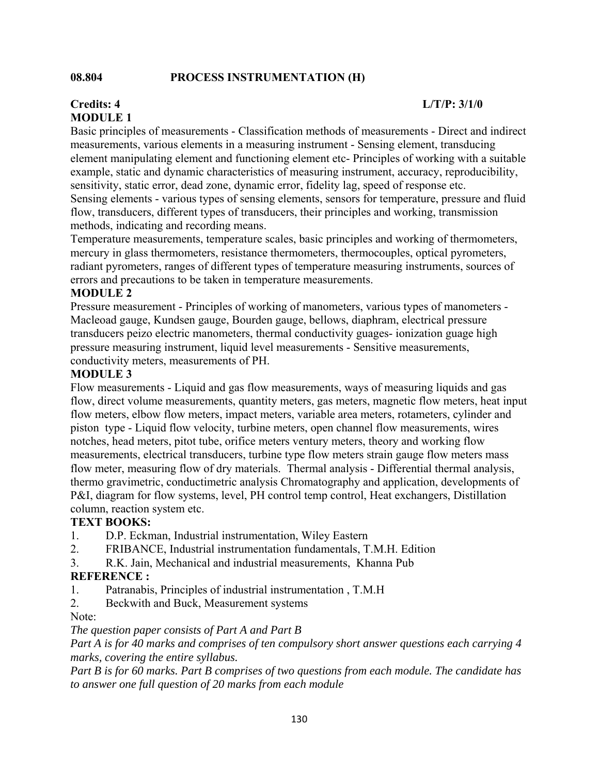### **08.804 PROCESS INSTRUMENTATION (H)**

### **Credits: 4 L/T/P: 3/1/0 MODULE 1**

Basic principles of measurements - Classification methods of measurements - Direct and indirect measurements, various elements in a measuring instrument - Sensing element, transducing element manipulating element and functioning element etc- Principles of working with a suitable example, static and dynamic characteristics of measuring instrument, accuracy, reproducibility, sensitivity, static error, dead zone, dynamic error, fidelity lag, speed of response etc. Sensing elements - various types of sensing elements, sensors for temperature, pressure and fluid flow, transducers, different types of transducers, their principles and working, transmission methods, indicating and recording means.

Temperature measurements, temperature scales, basic principles and working of thermometers, mercury in glass thermometers, resistance thermometers, thermocouples, optical pyrometers, radiant pyrometers, ranges of different types of temperature measuring instruments, sources of errors and precautions to be taken in temperature measurements.

### **MODULE 2**

Pressure measurement - Principles of working of manometers, various types of manometers - Macleoad gauge, Kundsen gauge, Bourden gauge, bellows, diaphram, electrical pressure transducers peizo electric manometers, thermal conductivity guages- ionization guage high pressure measuring instrument, liquid level measurements - Sensitive measurements, conductivity meters, measurements of PH.

### **MODULE 3**

Flow measurements - Liquid and gas flow measurements, ways of measuring liquids and gas flow, direct volume measurements, quantity meters, gas meters, magnetic flow meters, heat input flow meters, elbow flow meters, impact meters, variable area meters, rotameters, cylinder and piston type - Liquid flow velocity, turbine meters, open channel flow measurements, wires notches, head meters, pitot tube, orifice meters ventury meters, theory and working flow measurements, electrical transducers, turbine type flow meters strain gauge flow meters mass flow meter, measuring flow of dry materials. Thermal analysis - Differential thermal analysis, thermo gravimetric, conductimetric analysis Chromatography and application, developments of P&I, diagram for flow systems, level, PH control temp control, Heat exchangers, Distillation column, reaction system etc.

### **TEXT BOOKS:**

- 1. D.P. Eckman, Industrial instrumentation, Wiley Eastern
- 2. FRIBANCE, Industrial instrumentation fundamentals, T.M.H. Edition
- 3. R.K. Jain, Mechanical and industrial measurements, Khanna Pub

### **REFERENCE :**

- 1. Patranabis, Principles of industrial instrumentation , T.M.H
- 2. Beckwith and Buck, Measurement systems

Note:

### *The question paper consists of Part A and Part B*

*Part A is for 40 marks and comprises of ten compulsory short answer questions each carrying 4 marks, covering the entire syllabus.* 

*Part B is for 60 marks. Part B comprises of two questions from each module. The candidate has to answer one full question of 20 marks from each module*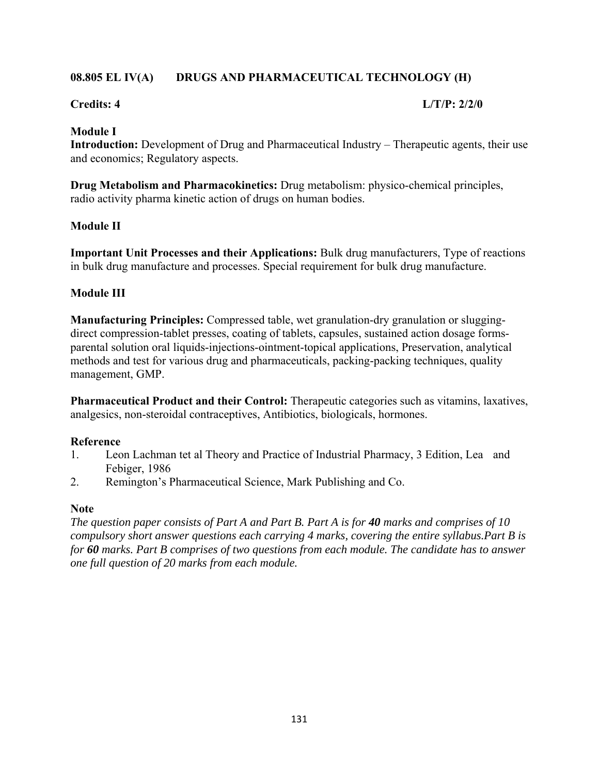# **08.805 EL IV(A) DRUGS AND PHARMACEUTICAL TECHNOLOGY (H)**

## **Credits: 4 L/T/P: 2/2/0**

## **Module I**

**Introduction:** Development of Drug and Pharmaceutical Industry – Therapeutic agents, their use and economics; Regulatory aspects.

**Drug Metabolism and Pharmacokinetics:** Drug metabolism: physico-chemical principles, radio activity pharma kinetic action of drugs on human bodies.

## **Module II**

**Important Unit Processes and their Applications:** Bulk drug manufacturers, Type of reactions in bulk drug manufacture and processes. Special requirement for bulk drug manufacture.

# **Module III**

**Manufacturing Principles:** Compressed table, wet granulation-dry granulation or sluggingdirect compression-tablet presses, coating of tablets, capsules, sustained action dosage formsparental solution oral liquids-injections-ointment-topical applications, Preservation, analytical methods and test for various drug and pharmaceuticals, packing-packing techniques, quality management, GMP.

**Pharmaceutical Product and their Control:** Therapeutic categories such as vitamins, laxatives, analgesics, non-steroidal contraceptives, Antibiotics, biologicals, hormones.

# **Reference**

- 1. Leon Lachman tet al Theory and Practice of Industrial Pharmacy, 3 Edition, Lea and Febiger, 1986
- 2. Remington's Pharmaceutical Science, Mark Publishing and Co.

### **Note**

*The question paper consists of Part A and Part B. Part A is for 40 marks and comprises of 10 compulsory short answer questions each carrying 4 marks, covering the entire syllabus.Part B is for 60 marks. Part B comprises of two questions from each module. The candidate has to answer one full question of 20 marks from each module.*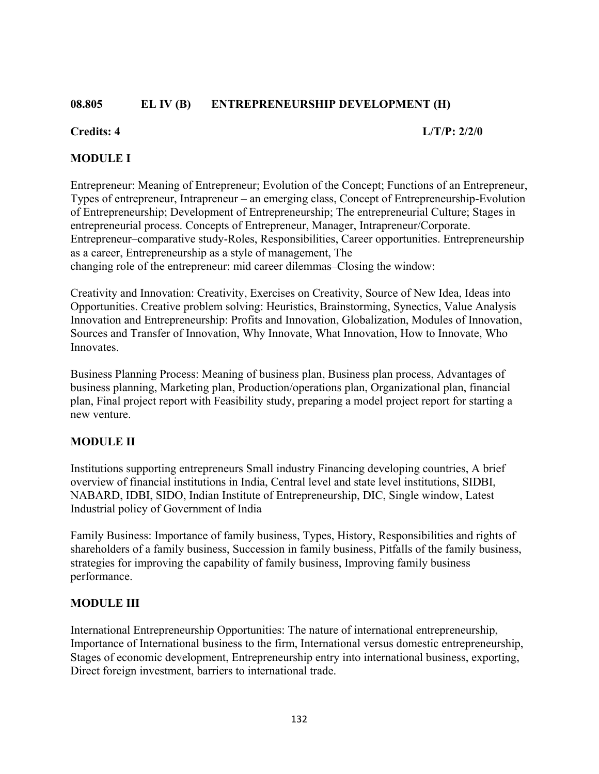## **08.805 EL IV (B) ENTREPRENEURSHIP DEVELOPMENT (H)**

### **Credits: 4 L/T/P: 2/2/0**

## **MODULE I**

Entrepreneur: Meaning of Entrepreneur; Evolution of the Concept; Functions of an Entrepreneur, Types of entrepreneur, Intrapreneur – an emerging class, Concept of Entrepreneurship-Evolution of Entrepreneurship; Development of Entrepreneurship; The entrepreneurial Culture; Stages in entrepreneurial process. Concepts of Entrepreneur, Manager, Intrapreneur/Corporate. Entrepreneur–comparative study-Roles, Responsibilities, Career opportunities. Entrepreneurship as a career, Entrepreneurship as a style of management, The changing role of the entrepreneur: mid career dilemmas–Closing the window:

Creativity and Innovation: Creativity, Exercises on Creativity, Source of New Idea, Ideas into Opportunities. Creative problem solving: Heuristics, Brainstorming, Synectics, Value Analysis Innovation and Entrepreneurship: Profits and Innovation, Globalization, Modules of Innovation, Sources and Transfer of Innovation, Why Innovate, What Innovation, How to Innovate, Who Innovates.

Business Planning Process: Meaning of business plan, Business plan process, Advantages of business planning, Marketing plan, Production/operations plan, Organizational plan, financial plan, Final project report with Feasibility study, preparing a model project report for starting a new venture.

### **MODULE II**

Institutions supporting entrepreneurs Small industry Financing developing countries, A brief overview of financial institutions in India, Central level and state level institutions, SIDBI, NABARD, IDBI, SIDO, Indian Institute of Entrepreneurship, DIC, Single window, Latest Industrial policy of Government of India

Family Business: Importance of family business, Types, History, Responsibilities and rights of shareholders of a family business, Succession in family business, Pitfalls of the family business, strategies for improving the capability of family business, Improving family business performance.

### **MODULE III**

International Entrepreneurship Opportunities: The nature of international entrepreneurship, Importance of International business to the firm, International versus domestic entrepreneurship, Stages of economic development, Entrepreneurship entry into international business, exporting, Direct foreign investment, barriers to international trade.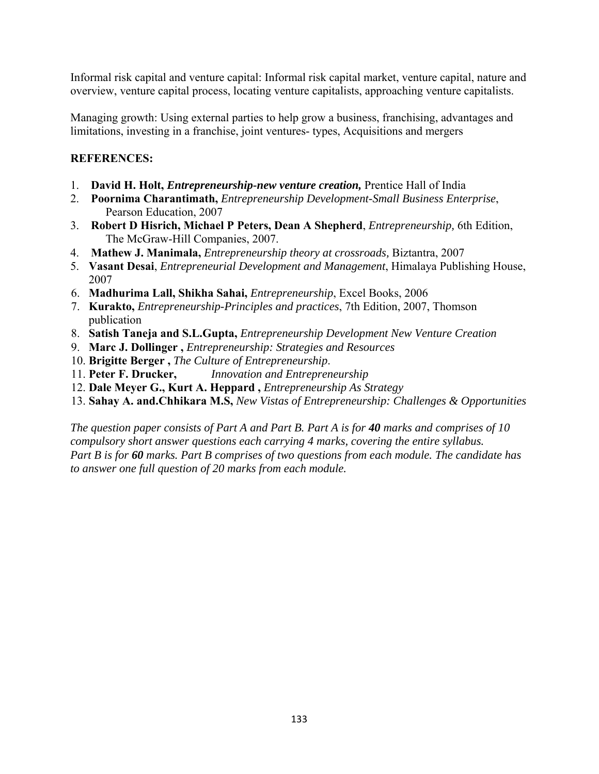Informal risk capital and venture capital: Informal risk capital market, venture capital, nature and overview, venture capital process, locating venture capitalists, approaching venture capitalists.

Managing growth: Using external parties to help grow a business, franchising, advantages and limitations, investing in a franchise, joint ventures- types, Acquisitions and mergers

# **REFERENCES:**

- 1. **David H. Holt,** *Entrepreneurship-new venture creation,* Prentice Hall of India
- 2. **Poornima Charantimath,** *Entrepreneurship Development-Small Business Enterprise*, Pearson Education, 2007
- 3. **Robert D Hisrich, Michael P Peters, Dean A Shepherd**, *Entrepreneurship,* 6th Edition, The McGraw-Hill Companies, 2007.
- 4. **Mathew J. Manimala,** *Entrepreneurship theory at crossroads,* Biztantra, 2007
- 5. **Vasant Desai**, *Entrepreneurial Development and Management*, Himalaya Publishing House, 2007
- 6. **Madhurima Lall, Shikha Sahai,** *Entrepreneurship*, Excel Books, 2006
- 7. **Kurakto,** *Entrepreneurship-Principles and practices*, 7th Edition, 2007, Thomson publication
- 8. **Satish Taneja and S.L.Gupta,** *Entrepreneurship Development New Venture Creation*
- 9. **Marc J. Dollinger ,** *Entrepreneurship: Strategies and Resources*
- 10. **Brigitte Berger ,** *The Culture of Entrepreneurship*.
- 11. **Peter F. Drucker,** *Innovation and Entrepreneurship*
- 12. **Dale Meyer G., Kurt A. Heppard ,** *Entrepreneurship As Strategy*
- 13. **Sahay A. and.Chhikara M.S,** *New Vistas of Entrepreneurship: Challenges & Opportunities*

*The question paper consists of Part A and Part B. Part A is for 40 marks and comprises of 10 compulsory short answer questions each carrying 4 marks, covering the entire syllabus. Part B is for 60 marks. Part B comprises of two questions from each module. The candidate has to answer one full question of 20 marks from each module.*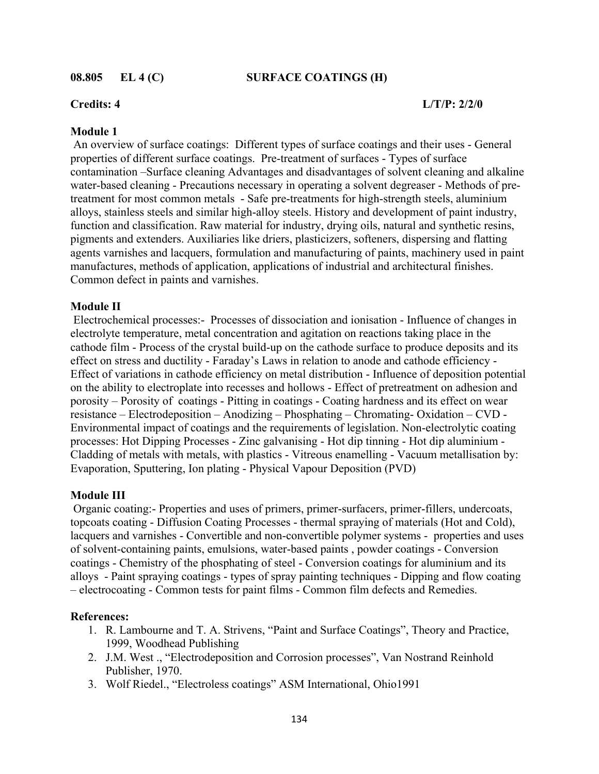### **08.805 EL 4 (C) SURFACE COATINGS (H)**

## **Credits: 4 L/T/P: 2/2/0**

### **Module 1**

An overview of surface coatings: Different types of surface coatings and their uses - General properties of different surface coatings. Pre-treatment of surfaces - Types of surface contamination –Surface cleaning Advantages and disadvantages of solvent cleaning and alkaline water-based cleaning - Precautions necessary in operating a solvent degreaser - Methods of pretreatment for most common metals - Safe pre-treatments for high-strength steels, aluminium alloys, stainless steels and similar high-alloy steels. History and development of paint industry, function and classification. Raw material for industry, drying oils, natural and synthetic resins, pigments and extenders. Auxiliaries like driers, plasticizers, softeners, dispersing and flatting agents varnishes and lacquers, formulation and manufacturing of paints, machinery used in paint manufactures, methods of application, applications of industrial and architectural finishes. Common defect in paints and varnishes.

### **Module II**

Electrochemical processes:- Processes of dissociation and ionisation - Influence of changes in electrolyte temperature, metal concentration and agitation on reactions taking place in the cathode film - Process of the crystal build-up on the cathode surface to produce deposits and its effect on stress and ductility - Faraday's Laws in relation to anode and cathode efficiency - Effect of variations in cathode efficiency on metal distribution - Influence of deposition potential on the ability to electroplate into recesses and hollows - Effect of pretreatment on adhesion and porosity – Porosity of coatings - Pitting in coatings - Coating hardness and its effect on wear resistance – Electrodeposition – Anodizing – Phosphating – Chromating- Oxidation – CVD - Environmental impact of coatings and the requirements of legislation. Non-electrolytic coating processes: Hot Dipping Processes - Zinc galvanising - Hot dip tinning - Hot dip aluminium - Cladding of metals with metals, with plastics - Vitreous enamelling - Vacuum metallisation by: Evaporation, Sputtering, Ion plating - Physical Vapour Deposition (PVD)

### **Module III**

Organic coating: Properties and uses of primers, primer-surfacers, primer-fillers, undercoats, topcoats coating - Diffusion Coating Processes - thermal spraying of materials (Hot and Cold), lacquers and varnishes - Convertible and non-convertible polymer systems - properties and uses of solvent-containing paints, emulsions, water-based paints , powder coatings - Conversion coatings - Chemistry of the phosphating of steel - Conversion coatings for aluminium and its alloys - Paint spraying coatings - types of spray painting techniques - Dipping and flow coating – electrocoating - Common tests for paint films - Common film defects and Remedies.

### **References:**

- 1. R. Lambourne and T. A. Strivens, "Paint and Surface Coatings", Theory and Practice, 1999, Woodhead Publishing
- 2. J.M. West ., "Electrodeposition and Corrosion processes", Van Nostrand Reinhold Publisher, 1970.
- 3. Wolf Riedel., "Electroless coatings" ASM International, Ohio1991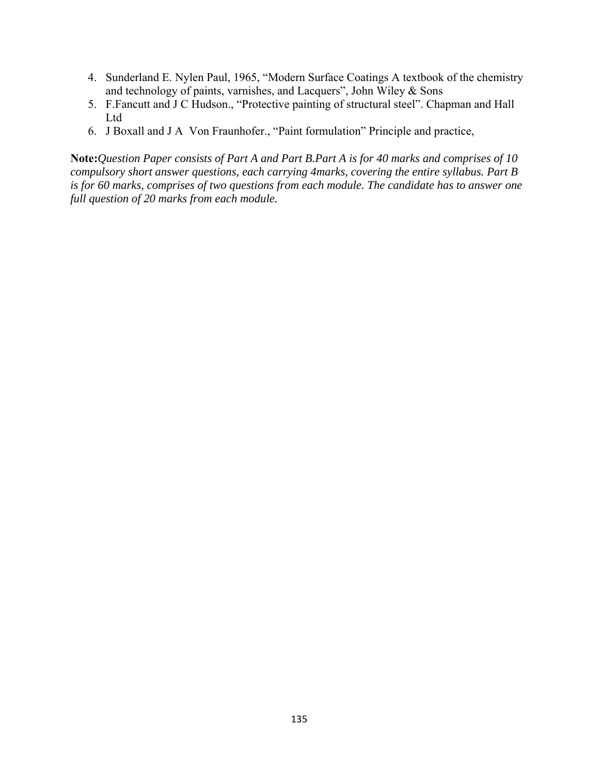- 4. Sunderland E. Nylen Paul, 1965, "Modern Surface Coatings A textbook of the chemistry and technology of paints, varnishes, and Lacquers", John Wiley & Sons
- 5. F.Fancutt and J C Hudson., "Protective painting of structural steel". Chapman and Hall Ltd
- 6. J Boxall and J A Von Fraunhofer., "Paint formulation" Principle and practice,

**Note:***Question Paper consists of Part A and Part B.Part A is for 40 marks and comprises of 10 compulsory short answer questions, each carrying 4marks, covering the entire syllabus. Part B is for 60 marks, comprises of two questions from each module. The candidate has to answer one full question of 20 marks from each module.*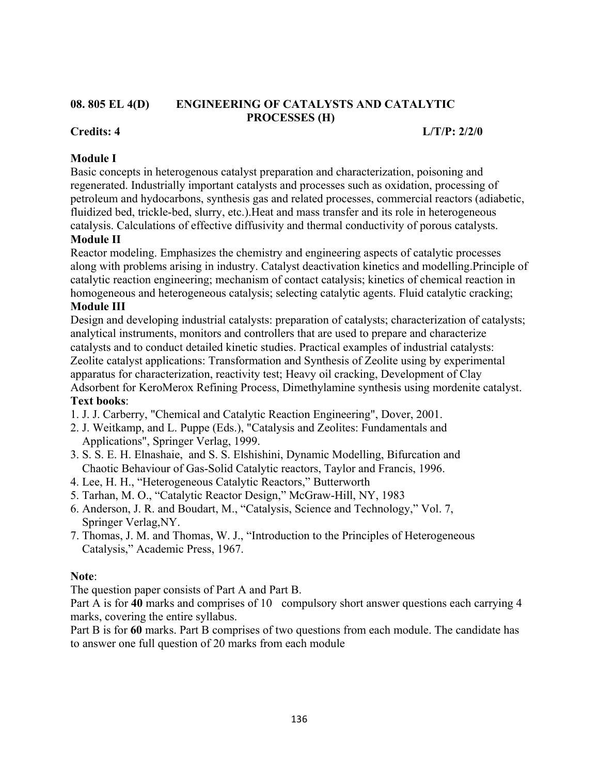### **08. 805 EL 4(D) ENGINEERING OF CATALYSTS AND CATALYTIC PROCESSES (H)**

# **Credits: 4 L/T/P: 2/2/0**

# **Module I**

Basic concepts in heterogenous catalyst preparation and characterization, poisoning and regenerated. Industrially important catalysts and processes such as oxidation, processing of petroleum and hydocarbons, synthesis gas and related processes, commercial reactors (adiabetic, fluidized bed, trickle-bed, slurry, etc.).Heat and mass transfer and its role in heterogeneous catalysis. Calculations of effective diffusivity and thermal conductivity of porous catalysts.

## **Module II**

Reactor modeling. Emphasizes the chemistry and engineering aspects of catalytic processes along with problems arising in industry. Catalyst deactivation kinetics and modelling.Principle of catalytic reaction engineering; mechanism of contact catalysis; kinetics of chemical reaction in homogeneous and heterogeneous catalysis; selecting catalytic agents. Fluid catalytic cracking;

# **Module III**

Design and developing industrial catalysts: preparation of catalysts; characterization of catalysts; analytical instruments, monitors and controllers that are used to prepare and characterize catalysts and to conduct detailed kinetic studies. Practical examples of industrial catalysts: Zeolite catalyst applications: Transformation and Synthesis of Zeolite using by experimental apparatus for characterization, reactivity test; Heavy oil cracking, Development of Clay Adsorbent for KeroMerox Refining Process, Dimethylamine synthesis using mordenite catalyst. **Text books**:

- 1. J. J. Carberry, "Chemical and Catalytic Reaction Engineering", Dover, 2001.
- 2. J. Weitkamp, and L. Puppe (Eds.), "Catalysis and Zeolites: Fundamentals and Applications", Springer Verlag, 1999.
- 3. S. S. E. H. Elnashaie, and S. S. Elshishini, Dynamic Modelling, Bifurcation and Chaotic Behaviour of Gas-Solid Catalytic reactors, Taylor and Francis, 1996.
- 4. Lee, H. H., "Heterogeneous Catalytic Reactors," Butterworth
- 5. Tarhan, M. O., "Catalytic Reactor Design," McGraw-Hill, NY, 1983
- 6. Anderson, J. R. and Boudart, M., "Catalysis, Science and Technology," Vol. 7, Springer Verlag,NY.
- 7. Thomas, J. M. and Thomas, W. J., "Introduction to the Principles of Heterogeneous Catalysis," Academic Press, 1967.

### **Note**:

The question paper consists of Part A and Part B.

Part A is for 40 marks and comprises of 10 compulsory short answer questions each carrying 4 marks, covering the entire syllabus.

Part B is for **60** marks. Part B comprises of two questions from each module. The candidate has to answer one full question of 20 marks from each module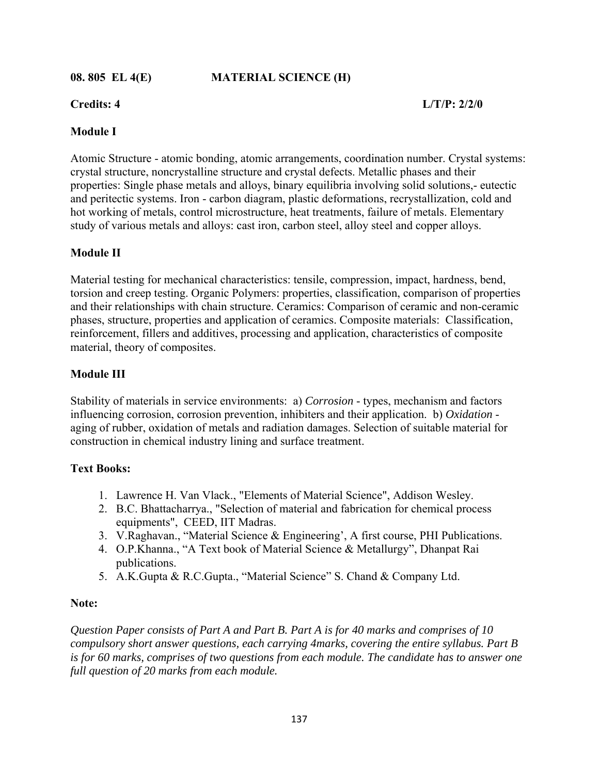**08. 805 EL 4(E) MATERIAL SCIENCE (H)** 

**Credits: 4 L/T/P: 2/2/0** 

# **Module I**

Atomic Structure - atomic bonding, atomic arrangements, coordination number. Crystal systems: crystal structure, noncrystalline structure and crystal defects. Metallic phases and their properties: Single phase metals and alloys, binary equilibria involving solid solutions,- eutectic and peritectic systems. Iron - carbon diagram, plastic deformations, recrystallization, cold and hot working of metals, control microstructure, heat treatments, failure of metals. Elementary study of various metals and alloys: cast iron, carbon steel, alloy steel and copper alloys.

# **Module II**

Material testing for mechanical characteristics: tensile, compression, impact, hardness, bend, torsion and creep testing. Organic Polymers: properties, classification, comparison of properties and their relationships with chain structure. Ceramics: Comparison of ceramic and non-ceramic phases, structure, properties and application of ceramics. Composite materials: Classification, reinforcement, fillers and additives, processing and application, characteristics of composite material, theory of composites.

# **Module III**

Stability of materials in service environments: a) *Corrosion* - types, mechanism and factors influencing corrosion, corrosion prevention, inhibiters and their application. b) *Oxidation* aging of rubber, oxidation of metals and radiation damages. Selection of suitable material for construction in chemical industry lining and surface treatment.

# **Text Books:**

- 1. Lawrence H. Van Vlack., "Elements of Material Science", Addison Wesley.
- 2. B.C. Bhattacharrya., "Selection of material and fabrication for chemical process equipments", CEED, IIT Madras.
- 3. V.Raghavan., "Material Science & Engineering', A first course, PHI Publications.
- 4. O.P.Khanna., "A Text book of Material Science & Metallurgy", Dhanpat Rai publications.
- 5. A.K.Gupta & R.C.Gupta., "Material Science" S. Chand & Company Ltd.

# **Note:**

*Question Paper consists of Part A and Part B. Part A is for 40 marks and comprises of 10 compulsory short answer questions, each carrying 4marks, covering the entire syllabus. Part B is for 60 marks, comprises of two questions from each module. The candidate has to answer one full question of 20 marks from each module.*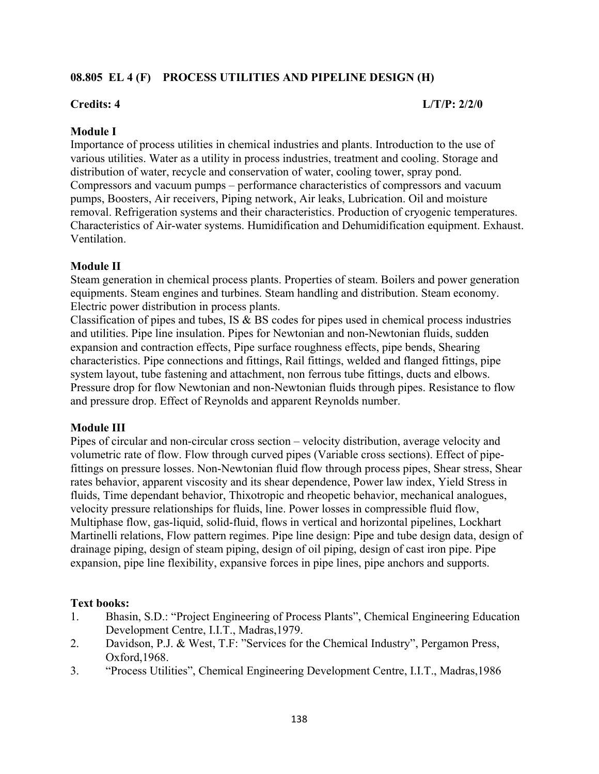# **08.805 EL 4 (F) PROCESS UTILITIES AND PIPELINE DESIGN (H)**

## **Credits: 4 L/T/P: 2/2/0**

## **Module I**

Importance of process utilities in chemical industries and plants. Introduction to the use of various utilities. Water as a utility in process industries, treatment and cooling. Storage and distribution of water, recycle and conservation of water, cooling tower, spray pond. Compressors and vacuum pumps – performance characteristics of compressors and vacuum pumps, Boosters, Air receivers, Piping network, Air leaks, Lubrication. Oil and moisture removal. Refrigeration systems and their characteristics. Production of cryogenic temperatures. Characteristics of Air-water systems. Humidification and Dehumidification equipment. Exhaust. Ventilation.

## **Module II**

Steam generation in chemical process plants. Properties of steam. Boilers and power generation equipments. Steam engines and turbines. Steam handling and distribution. Steam economy. Electric power distribution in process plants.

Classification of pipes and tubes, IS & BS codes for pipes used in chemical process industries and utilities. Pipe line insulation. Pipes for Newtonian and non-Newtonian fluids, sudden expansion and contraction effects, Pipe surface roughness effects, pipe bends, Shearing characteristics. Pipe connections and fittings, Rail fittings, welded and flanged fittings, pipe system layout, tube fastening and attachment, non ferrous tube fittings, ducts and elbows. Pressure drop for flow Newtonian and non-Newtonian fluids through pipes. Resistance to flow and pressure drop. Effect of Reynolds and apparent Reynolds number.

### **Module III**

Pipes of circular and non-circular cross section – velocity distribution, average velocity and volumetric rate of flow. Flow through curved pipes (Variable cross sections). Effect of pipefittings on pressure losses. Non-Newtonian fluid flow through process pipes, Shear stress, Shear rates behavior, apparent viscosity and its shear dependence, Power law index, Yield Stress in fluids, Time dependant behavior, Thixotropic and rheopetic behavior, mechanical analogues, velocity pressure relationships for fluids, line. Power losses in compressible fluid flow, Multiphase flow, gas-liquid, solid-fluid, flows in vertical and horizontal pipelines, Lockhart Martinelli relations, Flow pattern regimes. Pipe line design: Pipe and tube design data, design of drainage piping, design of steam piping, design of oil piping, design of cast iron pipe. Pipe expansion, pipe line flexibility, expansive forces in pipe lines, pipe anchors and supports.

# **Text books:**

- 1. Bhasin, S.D.: "Project Engineering of Process Plants", Chemical Engineering Education Development Centre, I.I.T., Madras,1979.
- 2. Davidson, P.J. & West, T.F: "Services for the Chemical Industry", Pergamon Press, Oxford,1968.
- 3. "Process Utilities", Chemical Engineering Development Centre, I.I.T., Madras,1986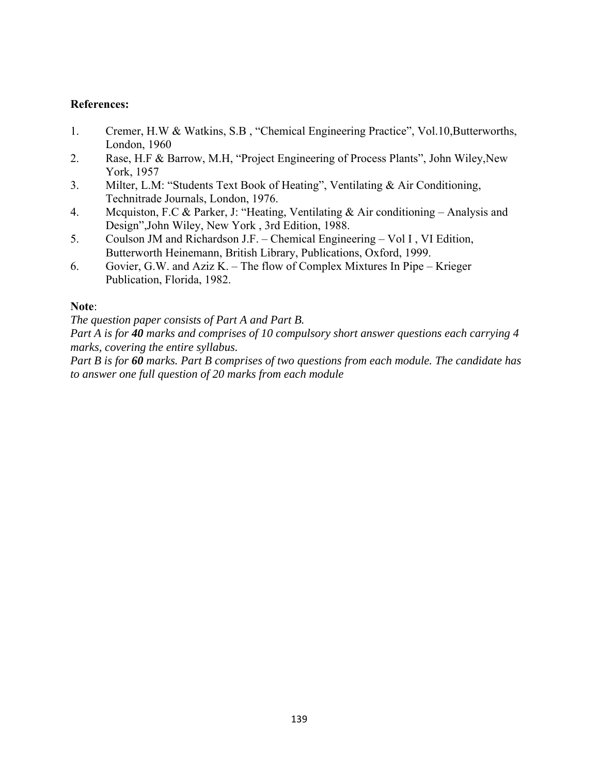# **References:**

- 1. Cremer, H.W & Watkins, S.B , "Chemical Engineering Practice", Vol.10,Butterworths, London, 1960
- 2. Rase, H.F & Barrow, M.H, "Project Engineering of Process Plants", John Wiley,New York, 1957
- 3. Milter, L.M: "Students Text Book of Heating", Ventilating & Air Conditioning, Technitrade Journals, London, 1976.
- 4. Mcquiston, F.C & Parker, J: "Heating, Ventilating & Air conditioning Analysis and Design",John Wiley, New York , 3rd Edition, 1988.
- 5. Coulson JM and Richardson J.F. Chemical Engineering Vol I , VI Edition, Butterworth Heinemann, British Library, Publications, Oxford, 1999.
- 6. Govier, G.W. and Aziz K. The flow of Complex Mixtures In Pipe Krieger Publication, Florida, 1982.

# **Note**:

*The question paper consists of Part A and Part B.* 

*Part A is for 40 marks and comprises of 10 compulsory short answer questions each carrying 4 marks, covering the entire syllabus.* 

*Part B is for 60 marks. Part B comprises of two questions from each module. The candidate has to answer one full question of 20 marks from each module*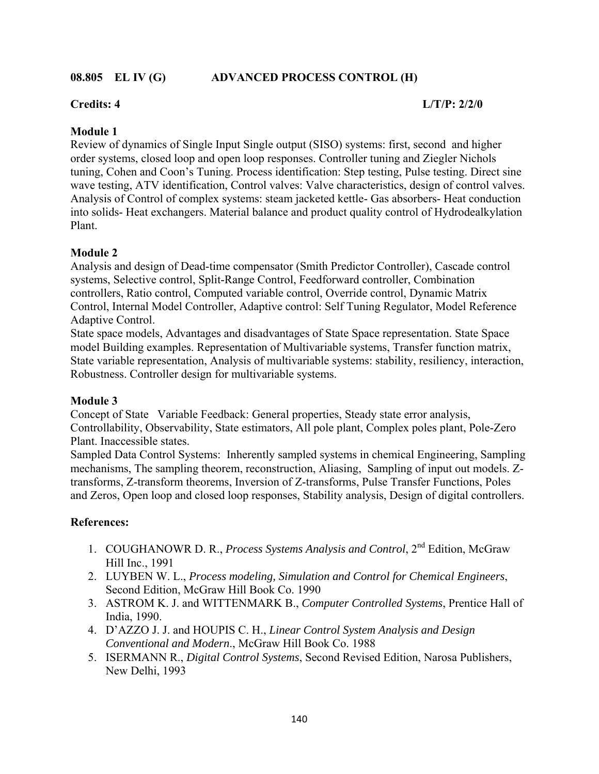## **08.805 EL IV (G) ADVANCED PROCESS CONTROL (H)**

# **Credits: 4 L/T/P: 2/2/0**

## **Module 1**

Review of dynamics of Single Input Single output (SISO) systems: first, second and higher order systems, closed loop and open loop responses. Controller tuning and Ziegler Nichols tuning, Cohen and Coon's Tuning. Process identification: Step testing, Pulse testing. Direct sine wave testing, ATV identification, Control valves: Valve characteristics, design of control valves. Analysis of Control of complex systems: steam jacketed kettle- Gas absorbers- Heat conduction into solids- Heat exchangers. Material balance and product quality control of Hydrodealkylation Plant.

### **Module 2**

Analysis and design of Dead-time compensator (Smith Predictor Controller), Cascade control systems, Selective control, Split-Range Control, Feedforward controller, Combination controllers, Ratio control, Computed variable control, Override control, Dynamic Matrix Control, Internal Model Controller, Adaptive control: Self Tuning Regulator, Model Reference Adaptive Control.

State space models, Advantages and disadvantages of State Space representation. State Space model Building examples. Representation of Multivariable systems, Transfer function matrix, State variable representation, Analysis of multivariable systems: stability, resiliency, interaction, Robustness. Controller design for multivariable systems.

### **Module 3**

Concept of State Variable Feedback: General properties, Steady state error analysis, Controllability, Observability, State estimators, All pole plant, Complex poles plant, Pole-Zero Plant. Inaccessible states.

Sampled Data Control Systems: Inherently sampled systems in chemical Engineering, Sampling mechanisms, The sampling theorem, reconstruction, Aliasing, Sampling of input out models. Ztransforms, Z-transform theorems, Inversion of Z-transforms, Pulse Transfer Functions, Poles and Zeros, Open loop and closed loop responses, Stability analysis, Design of digital controllers.

## **References:**

- 1. COUGHANOWR D. R., *Process Systems Analysis and Control*, 2nd Edition, McGraw Hill Inc., 1991
- 2. LUYBEN W. L., *Process modeling, Simulation and Control for Chemical Engineers*, Second Edition, McGraw Hill Book Co. 1990
- 3. ASTROM K. J. and WITTENMARK B., *Computer Controlled Systems*, Prentice Hall of India, 1990.
- 4. D'AZZO J. J. and HOUPIS C. H., *Linear Control System Analysis and Design Conventional and Modern*., McGraw Hill Book Co. 1988
- 5. ISERMANN R., *Digital Control Systems*, Second Revised Edition, Narosa Publishers, New Delhi, 1993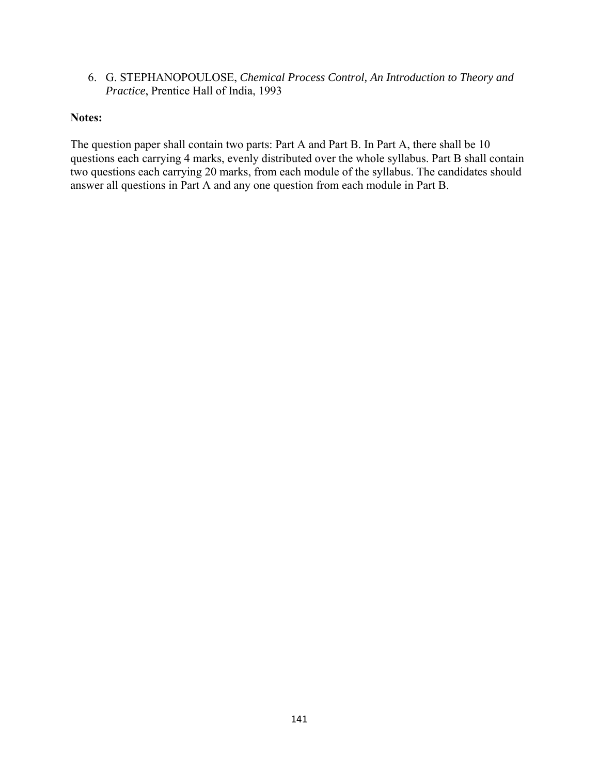6. G. STEPHANOPOULOSE, *Chemical Process Control, An Introduction to Theory and Practice*, Prentice Hall of India, 1993

## **Notes:**

The question paper shall contain two parts: Part A and Part B. In Part A, there shall be 10 questions each carrying 4 marks, evenly distributed over the whole syllabus. Part B shall contain two questions each carrying 20 marks, from each module of the syllabus. The candidates should answer all questions in Part A and any one question from each module in Part B.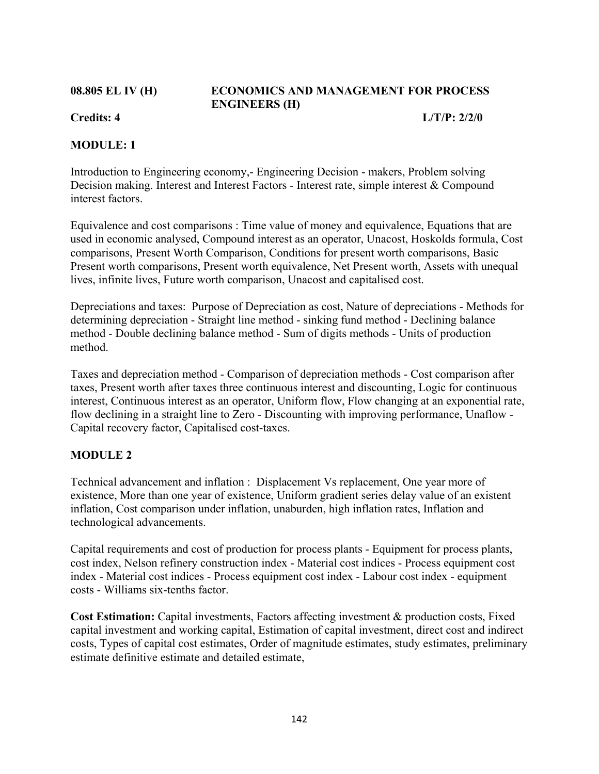# **08.805 EL IV (H) ECONOMICS AND MANAGEMENT FOR PROCESS ENGINEERS (H)**

**Credits: 4 L/T/P: 2/2/0** 

# **MODULE: 1**

Introduction to Engineering economy,- Engineering Decision - makers, Problem solving Decision making. Interest and Interest Factors - Interest rate, simple interest & Compound interest factors.

Equivalence and cost comparisons : Time value of money and equivalence, Equations that are used in economic analysed, Compound interest as an operator, Unacost, Hoskolds formula, Cost comparisons, Present Worth Comparison, Conditions for present worth comparisons, Basic Present worth comparisons, Present worth equivalence, Net Present worth, Assets with unequal lives, infinite lives, Future worth comparison, Unacost and capitalised cost.

Depreciations and taxes: Purpose of Depreciation as cost, Nature of depreciations - Methods for determining depreciation - Straight line method - sinking fund method - Declining balance method - Double declining balance method - Sum of digits methods - Units of production method.

Taxes and depreciation method - Comparison of depreciation methods - Cost comparison after taxes, Present worth after taxes three continuous interest and discounting, Logic for continuous interest, Continuous interest as an operator, Uniform flow, Flow changing at an exponential rate, flow declining in a straight line to Zero - Discounting with improving performance, Unaflow - Capital recovery factor, Capitalised cost-taxes.

# **MODULE 2**

Technical advancement and inflation : Displacement Vs replacement, One year more of existence, More than one year of existence, Uniform gradient series delay value of an existent inflation, Cost comparison under inflation, unaburden, high inflation rates, Inflation and technological advancements.

Capital requirements and cost of production for process plants - Equipment for process plants, cost index, Nelson refinery construction index - Material cost indices - Process equipment cost index - Material cost indices - Process equipment cost index - Labour cost index - equipment costs - Williams six-tenths factor.

**Cost Estimation:** Capital investments, Factors affecting investment & production costs, Fixed capital investment and working capital, Estimation of capital investment, direct cost and indirect costs, Types of capital cost estimates, Order of magnitude estimates, study estimates, preliminary estimate definitive estimate and detailed estimate,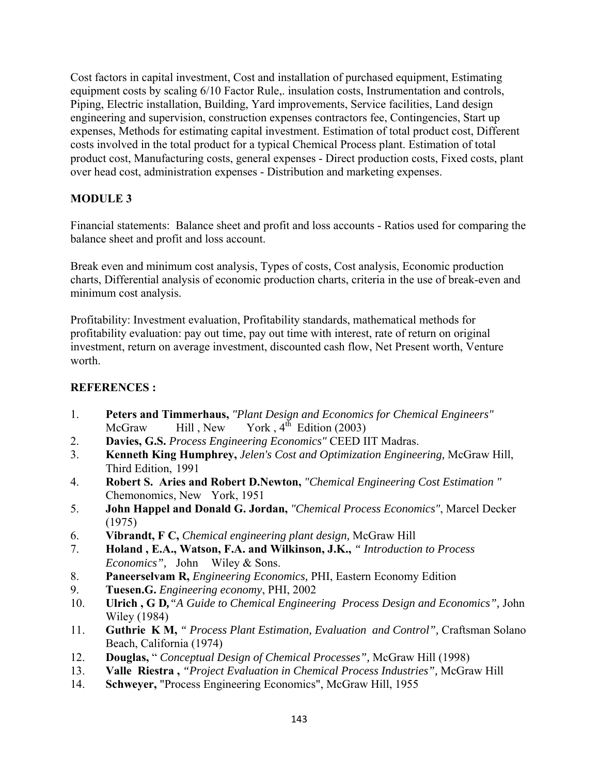Cost factors in capital investment, Cost and installation of purchased equipment, Estimating equipment costs by scaling  $6/10$  Factor Rule,. insulation costs, Instrumentation and controls, Piping, Electric installation, Building, Yard improvements, Service facilities, Land design engineering and supervision, construction expenses contractors fee, Contingencies, Start up expenses, Methods for estimating capital investment. Estimation of total product cost, Different costs involved in the total product for a typical Chemical Process plant. Estimation of total product cost, Manufacturing costs, general expenses - Direct production costs, Fixed costs, plant over head cost, administration expenses - Distribution and marketing expenses.

# **MODULE 3**

Financial statements: Balance sheet and profit and loss accounts - Ratios used for comparing the balance sheet and profit and loss account.

Break even and minimum cost analysis, Types of costs, Cost analysis, Economic production charts, Differential analysis of economic production charts, criteria in the use of break-even and minimum cost analysis.

Profitability: Investment evaluation, Profitability standards, mathematical methods for profitability evaluation: pay out time, pay out time with interest, rate of return on original investment, return on average investment, discounted cash flow, Net Present worth, Venture worth.

# **REFERENCES :**

- 1. **Peters and Timmerhaus,** *"Plant Design and Economics for Chemical Engineers"* McGraw Hill, New York,  $4^{th}$  Edition (2003)
- 2. **Davies, G.S.** *Process Engineering Economics"* CEED IIT Madras.
- 3. **Kenneth King Humphrey,** *Jelen's Cost and Optimization Engineering,* McGraw Hill, Third Edition, 1991
- 4. **Robert S. Aries and Robert D.Newton,** *"Chemical Engineering Cost Estimation "* Chemonomics, New York, 1951
- 5. **John Happel and Donald G. Jordan,** *"Chemical Process Economics"*, Marcel Decker (1975)
- 6. **Vibrandt, F C,** *Chemical engineering plant design,* McGraw Hill
- 7. **Holand , E.A., Watson, F.A. and Wilkinson, J.K.,** *" Introduction to Process Economics",* John Wiley & Sons.
- 8. **Paneerselvam R,** *Engineering Economics,* PHI, Eastern Economy Edition
- 9. **Tuesen.G.** *Engineering economy*, PHI, 2002
- 10. **Ulrich , G D***,"A Guide to Chemical Engineering Process Design and Economics",* John Wiley (1984)
- 11. **Guthrie K M,** *" Process Plant Estimation, Evaluation and Control",* Craftsman Solano Beach, California (1974)
- 12. **Douglas,** " *Conceptual Design of Chemical Processes",* McGraw Hill (1998)
- 13. **Valle Riestra ,** *"Project Evaluation in Chemical Process Industries",* McGraw Hill
- 14. **Schweyer,** "Process Engineering Economics", McGraw Hill, 1955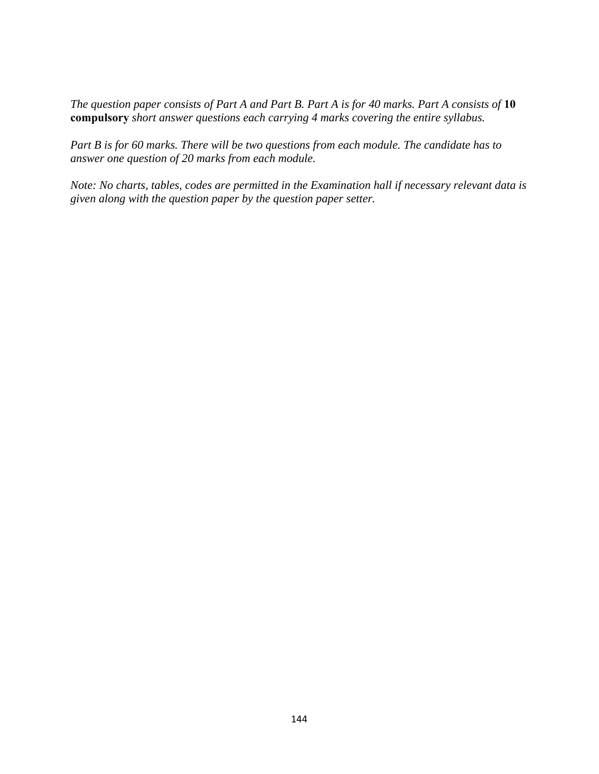*The question paper consists of Part A and Part B. Part A is for 40 marks. Part A consists of* **10 compulsory** *short answer questions each carrying 4 marks covering the entire syllabus.* 

*Part B is for 60 marks. There will be two questions from each module. The candidate has to answer one question of 20 marks from each module.* 

*Note: No charts, tables, codes are permitted in the Examination hall if necessary relevant data is given along with the question paper by the question paper setter.*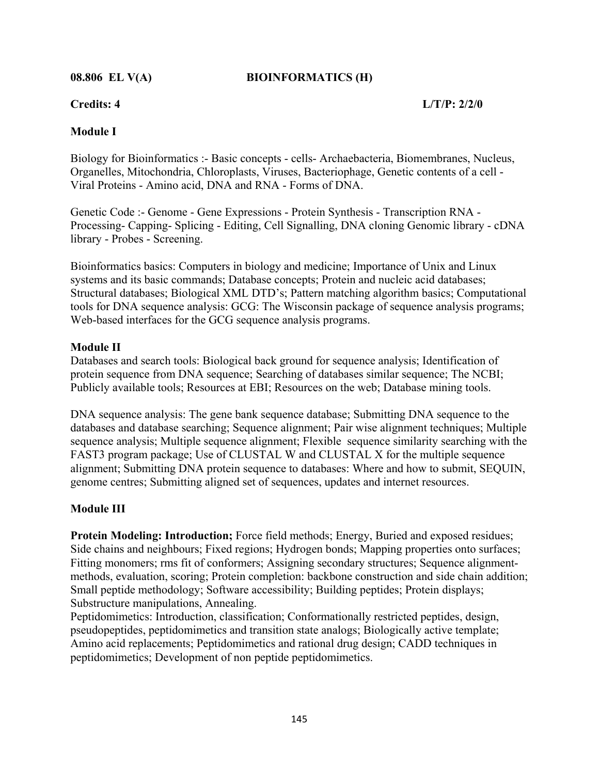## **08.806 EL V(A) BIOINFORMATICS (H)**

**Credits: 4 L/T/P: 2/2/0** 

## **Module I**

Biology for Bioinformatics :- Basic concepts - cells- Archaebacteria, Biomembranes, Nucleus, Organelles, Mitochondria, Chloroplasts, Viruses, Bacteriophage, Genetic contents of a cell - Viral Proteins - Amino acid, DNA and RNA - Forms of DNA.

Genetic Code :- Genome - Gene Expressions - Protein Synthesis - Transcription RNA - Processing- Capping- Splicing - Editing, Cell Signalling, DNA cloning Genomic library - cDNA library - Probes - Screening.

Bioinformatics basics: Computers in biology and medicine; Importance of Unix and Linux systems and its basic commands; Database concepts; Protein and nucleic acid databases; Structural databases; Biological XML DTD's; Pattern matching algorithm basics; Computational tools for DNA sequence analysis: GCG: The Wisconsin package of sequence analysis programs; Web-based interfaces for the GCG sequence analysis programs.

### **Module II**

Databases and search tools: Biological back ground for sequence analysis; Identification of protein sequence from DNA sequence; Searching of databases similar sequence; The NCBI; Publicly available tools; Resources at EBI; Resources on the web; Database mining tools.

DNA sequence analysis: The gene bank sequence database; Submitting DNA sequence to the databases and database searching; Sequence alignment; Pair wise alignment techniques; Multiple sequence analysis; Multiple sequence alignment; Flexible sequence similarity searching with the FAST3 program package; Use of CLUSTAL W and CLUSTAL X for the multiple sequence alignment; Submitting DNA protein sequence to databases: Where and how to submit, SEQUIN, genome centres; Submitting aligned set of sequences, updates and internet resources.

## **Module III**

**Protein Modeling: Introduction;** Force field methods; Energy, Buried and exposed residues; Side chains and neighbours; Fixed regions; Hydrogen bonds; Mapping properties onto surfaces; Fitting monomers; rms fit of conformers; Assigning secondary structures; Sequence alignmentmethods, evaluation, scoring; Protein completion: backbone construction and side chain addition; Small peptide methodology; Software accessibility; Building peptides; Protein displays; Substructure manipulations, Annealing.

Peptidomimetics: Introduction, classification; Conformationally restricted peptides, design, pseudopeptides, peptidomimetics and transition state analogs; Biologically active template; Amino acid replacements; Peptidomimetics and rational drug design; CADD techniques in peptidomimetics; Development of non peptide peptidomimetics.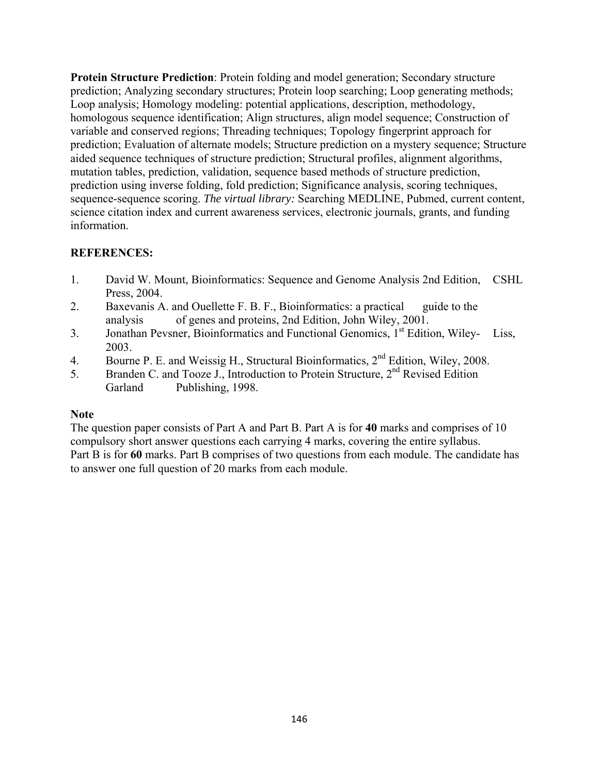**Protein Structure Prediction**: Protein folding and model generation; Secondary structure prediction; Analyzing secondary structures; Protein loop searching; Loop generating methods; Loop analysis; Homology modeling: potential applications, description, methodology, homologous sequence identification; Align structures, align model sequence; Construction of variable and conserved regions; Threading techniques; Topology fingerprint approach for prediction; Evaluation of alternate models; Structure prediction on a mystery sequence; Structure aided sequence techniques of structure prediction; Structural profiles, alignment algorithms, mutation tables, prediction, validation, sequence based methods of structure prediction, prediction using inverse folding, fold prediction; Significance analysis, scoring techniques, sequence-sequence scoring. *The virtual library:* Searching MEDLINE, Pubmed, current content, science citation index and current awareness services, electronic journals, grants, and funding information.

# **REFERENCES:**

- 1. David W. Mount, Bioinformatics: Sequence and Genome Analysis 2nd Edition, CSHL Press, 2004.
- 2. Baxevanis A. and Ouellette F. B. F., Bioinformatics: a practical guide to the analysis of genes and proteins, 2nd Edition, John Wiley, 2001.
- 3. Jonathan Pevsner, Bioinformatics and Functional Genomics, 1<sup>st</sup> Edition, Wiley- Liss, 2003.
- 4. Bourne P. E. and Weissig H., Structural Bioinformatics, 2<sup>nd</sup> Edition, Wiley, 2008.
- 5. Branden C. and Tooze J., Introduction to Protein Structure, 2<sup>nd</sup> Revised Edition Garland Publishing, 1998.

## **Note**

The question paper consists of Part A and Part B. Part A is for **40** marks and comprises of 10 compulsory short answer questions each carrying 4 marks, covering the entire syllabus. Part B is for **60** marks. Part B comprises of two questions from each module. The candidate has to answer one full question of 20 marks from each module.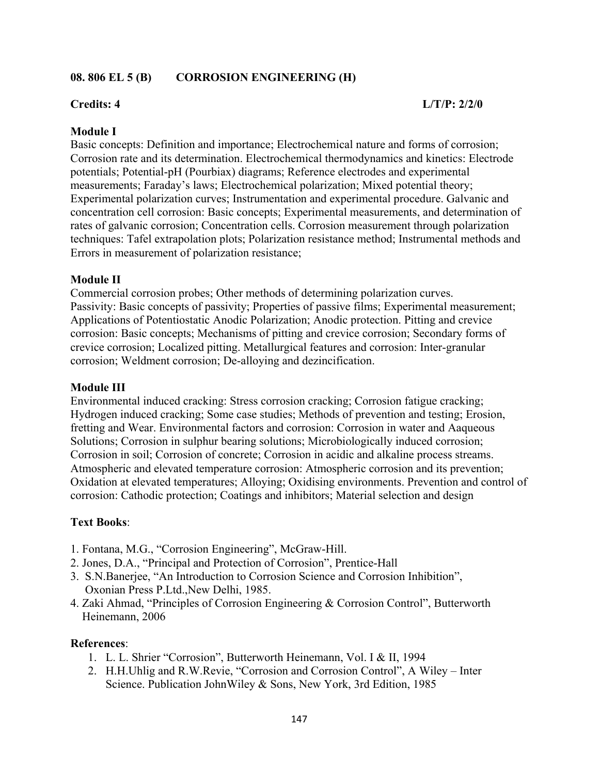## **08. 806 EL 5 (B) CORROSION ENGINEERING (H)**

#### **Credits: 4 L/T/P: 2/2/0**

#### **Module I**

Basic concepts: Definition and importance; Electrochemical nature and forms of corrosion; Corrosion rate and its determination. Electrochemical thermodynamics and kinetics: Electrode potentials; Potential-pH (Pourbiax) diagrams; Reference electrodes and experimental measurements; Faraday's laws; Electrochemical polarization; Mixed potential theory; Experimental polarization curves; Instrumentation and experimental procedure. Galvanic and concentration cell corrosion: Basic concepts; Experimental measurements, and determination of rates of galvanic corrosion; Concentration cells. Corrosion measurement through polarization techniques: Tafel extrapolation plots; Polarization resistance method; Instrumental methods and Errors in measurement of polarization resistance;

#### **Module II**

Commercial corrosion probes; Other methods of determining polarization curves. Passivity: Basic concepts of passivity; Properties of passive films; Experimental measurement; Applications of Potentiostatic Anodic Polarization; Anodic protection. Pitting and crevice corrosion: Basic concepts; Mechanisms of pitting and crevice corrosion; Secondary forms of crevice corrosion; Localized pitting. Metallurgical features and corrosion: Inter-granular corrosion; Weldment corrosion; De-alloying and dezincification.

#### **Module III**

Environmental induced cracking: Stress corrosion cracking; Corrosion fatigue cracking; Hydrogen induced cracking; Some case studies; Methods of prevention and testing; Erosion, fretting and Wear. Environmental factors and corrosion: Corrosion in water and Aaqueous Solutions; Corrosion in sulphur bearing solutions; Microbiologically induced corrosion; Corrosion in soil; Corrosion of concrete; Corrosion in acidic and alkaline process streams. Atmospheric and elevated temperature corrosion: Atmospheric corrosion and its prevention; Oxidation at elevated temperatures; Alloying; Oxidising environments. Prevention and control of corrosion: Cathodic protection; Coatings and inhibitors; Material selection and design

### **Text Books**:

- 1. Fontana, M.G., "Corrosion Engineering", McGraw-Hill.
- 2. Jones, D.A., "Principal and Protection of Corrosion", Prentice-Hall
- 3. S.N.Banerjee, "An Introduction to Corrosion Science and Corrosion Inhibition", Oxonian Press P.Ltd.,New Delhi, 1985.
- 4. Zaki Ahmad, "Principles of Corrosion Engineering & Corrosion Control", Butterworth Heinemann, 2006

#### **References**:

- 1. L. L. Shrier "Corrosion", Butterworth Heinemann, Vol. I & II, 1994
- 2. H.H.Uhlig and R.W.Revie, "Corrosion and Corrosion Control", A Wiley Inter Science. Publication JohnWiley & Sons, New York, 3rd Edition, 1985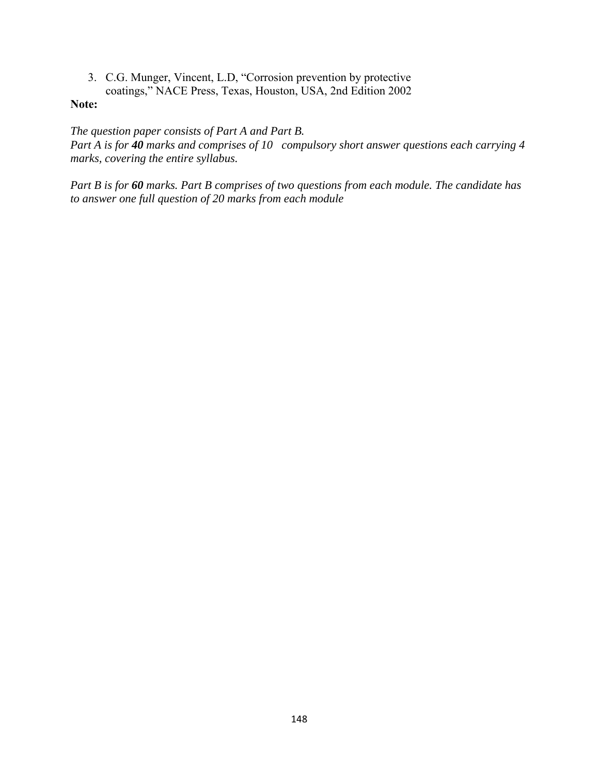3. C.G. Munger, Vincent, L.D, "Corrosion prevention by protective coatings," NACE Press, Texas, Houston, USA, 2nd Edition 2002

#### **Note:**

*The question paper consists of Part A and Part B.* 

*Part A is for 40 marks and comprises of 10 compulsory short answer questions each carrying 4 marks, covering the entire syllabus.* 

*Part B is for 60 marks. Part B comprises of two questions from each module. The candidate has to answer one full question of 20 marks from each module*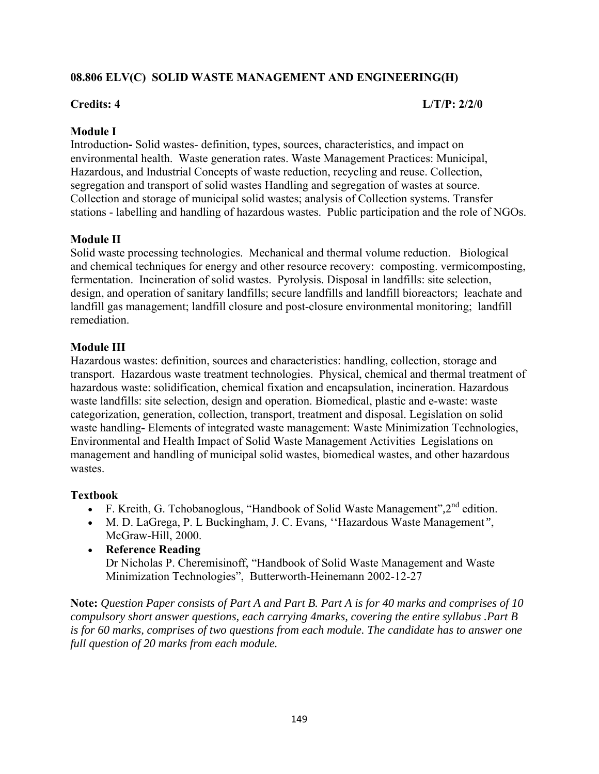## **08.806 ELV(C) SOLID WASTE MANAGEMENT AND ENGINEERING(H)**

## **Credits: 4 L/T/P: 2/2/0**

## **Module I**

Introduction**-** Solid wastes- definition, types, sources, characteristics, and impact on environmental health. Waste generation rates. Waste Management Practices: Municipal, Hazardous, and Industrial Concepts of waste reduction, recycling and reuse. Collection, segregation and transport of solid wastes Handling and segregation of wastes at source. Collection and storage of municipal solid wastes; analysis of Collection systems. Transfer stations - labelling and handling of hazardous wastes. Public participation and the role of NGOs.

## **Module II**

Solid waste processing technologies. Mechanical and thermal volume reduction. Biological and chemical techniques for energy and other resource recovery: composting. vermicomposting, fermentation. Incineration of solid wastes. Pyrolysis. Disposal in landfills: site selection, design, and operation of sanitary landfills; secure landfills and landfill bioreactors; leachate and landfill gas management; landfill closure and post-closure environmental monitoring; landfill remediation.

## **Module III**

Hazardous wastes: definition, sources and characteristics: handling, collection, storage and transport. Hazardous waste treatment technologies. Physical, chemical and thermal treatment of hazardous waste: solidification, chemical fixation and encapsulation, incineration. Hazardous waste landfills: site selection, design and operation. Biomedical, plastic and e-waste: waste categorization, generation, collection, transport, treatment and disposal. Legislation on solid waste handling**-** Elements of integrated waste management: Waste Minimization Technologies, Environmental and Health Impact of Solid Waste Management Activities Legislations on management and handling of municipal solid wastes, biomedical wastes, and other hazardous wastes.

### **Textbook**

- F. Kreith, G. Tchobanoglous, "Handbook of Solid Waste Management"*,*2nd edition.
- M. D. LaGrega, P. L Buckingham, J. C. Evans*,* ''Hazardous Waste Management*"*, McGraw-Hill, 2000.
- **Reference Reading**  Dr Nicholas P. Cheremisinoff, "Handbook of Solid Waste Management and Waste Minimization Technologies", Butterworth-Heinemann 2002-12-27

**Note:** *Question Paper consists of Part A and Part B. Part A is for 40 marks and comprises of 10 compulsory short answer questions, each carrying 4marks, covering the entire syllabus .Part B is for 60 marks, comprises of two questions from each module. The candidate has to answer one full question of 20 marks from each module.*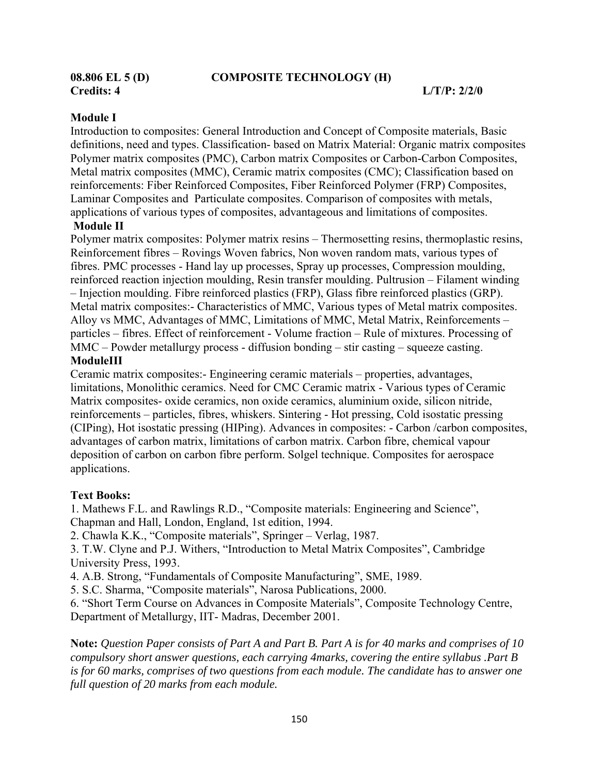#### **Module I**

Introduction to composites: General Introduction and Concept of Composite materials, Basic definitions, need and types. Classification- based on Matrix Material: Organic matrix composites Polymer matrix composites (PMC), Carbon matrix Composites or Carbon-Carbon Composites, Metal matrix composites (MMC), Ceramic matrix composites (CMC); Classification based on reinforcements: Fiber Reinforced Composites, Fiber Reinforced Polymer (FRP) Composites, Laminar Composites and Particulate composites. Comparison of composites with metals, applications of various types of composites, advantageous and limitations of composites.

# **Module II**

Polymer matrix composites: Polymer matrix resins – Thermosetting resins, thermoplastic resins, Reinforcement fibres – Rovings Woven fabrics, Non woven random mats, various types of fibres. PMC processes - Hand lay up processes, Spray up processes, Compression moulding, reinforced reaction injection moulding, Resin transfer moulding. Pultrusion – Filament winding – Injection moulding. Fibre reinforced plastics (FRP), Glass fibre reinforced plastics (GRP). Metal matrix composites:- Characteristics of MMC, Various types of Metal matrix composites. Alloy vs MMC, Advantages of MMC, Limitations of MMC, Metal Matrix, Reinforcements – particles – fibres. Effect of reinforcement - Volume fraction – Rule of mixtures. Processing of MMC – Powder metallurgy process - diffusion bonding – stir casting – squeeze casting. **ModuleIII**

Ceramic matrix composites:- Engineering ceramic materials – properties, advantages, limitations, Monolithic ceramics. Need for CMC Ceramic matrix - Various types of Ceramic Matrix composites- oxide ceramics, non oxide ceramics, aluminium oxide, silicon nitride, reinforcements – particles, fibres, whiskers. Sintering - Hot pressing, Cold isostatic pressing (CIPing), Hot isostatic pressing (HIPing). Advances in composites: - Carbon /carbon composites, advantages of carbon matrix, limitations of carbon matrix. Carbon fibre, chemical vapour deposition of carbon on carbon fibre perform. Solgel technique. Composites for aerospace applications.

### **Text Books:**

1. Mathews F.L. and Rawlings R.D., "Composite materials: Engineering and Science", Chapman and Hall, London, England, 1st edition, 1994.

2. Chawla K.K., "Composite materials", Springer – Verlag, 1987.

3. T.W. Clyne and P.J. Withers, "Introduction to Metal Matrix Composites", Cambridge University Press, 1993.

4. A.B. Strong, "Fundamentals of Composite Manufacturing", SME, 1989.

5. S.C. Sharma, "Composite materials", Narosa Publications, 2000.

6. "Short Term Course on Advances in Composite Materials", Composite Technology Centre, Department of Metallurgy, IIT- Madras, December 2001.

**Note:** *Question Paper consists of Part A and Part B. Part A is for 40 marks and comprises of 10 compulsory short answer questions, each carrying 4marks, covering the entire syllabus .Part B is for 60 marks, comprises of two questions from each module. The candidate has to answer one full question of 20 marks from each module.*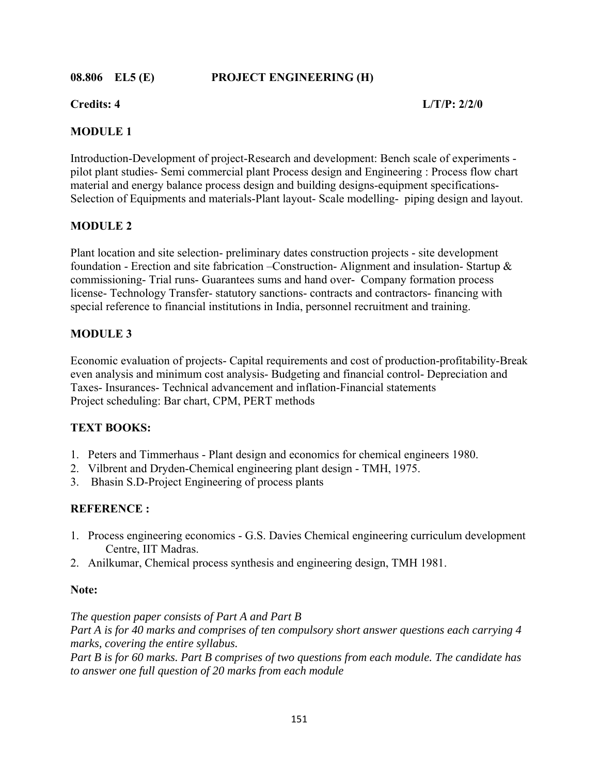**08.806 EL5 (E) PROJECT ENGINEERING (H)** 

**Credits: 4 L/T/P: 2/2/0** 

## **MODULE 1**

Introduction-Development of project-Research and development: Bench scale of experiments pilot plant studies- Semi commercial plant Process design and Engineering : Process flow chart material and energy balance process design and building designs-equipment specifications-Selection of Equipments and materials-Plant layout- Scale modelling- piping design and layout.

## **MODULE 2**

Plant location and site selection- preliminary dates construction projects - site development foundation - Erection and site fabrication –Construction- Alignment and insulation- Startup & commissioning- Trial runs- Guarantees sums and hand over- Company formation process license- Technology Transfer- statutory sanctions- contracts and contractors- financing with special reference to financial institutions in India, personnel recruitment and training.

## **MODULE 3**

Economic evaluation of projects- Capital requirements and cost of production-profitability-Break even analysis and minimum cost analysis- Budgeting and financial control- Depreciation and Taxes- Insurances- Technical advancement and inflation-Financial statements Project scheduling: Bar chart, CPM, PERT methods

## **TEXT BOOKS:**

- 1. Peters and Timmerhaus Plant design and economics for chemical engineers 1980.
- 2. Vilbrent and Dryden-Chemical engineering plant design TMH, 1975.
- 3. Bhasin S.D-Project Engineering of process plants

## **REFERENCE :**

- 1. Process engineering economics G.S. Davies Chemical engineering curriculum development Centre, IIT Madras.
- 2. Anilkumar, Chemical process synthesis and engineering design, TMH 1981.

### **Note:**

*The question paper consists of Part A and Part B Part A is for 40 marks and comprises of ten compulsory short answer questions each carrying 4 marks, covering the entire syllabus. Part B is for 60 marks. Part B comprises of two questions from each module. The candidate has to answer one full question of 20 marks from each module*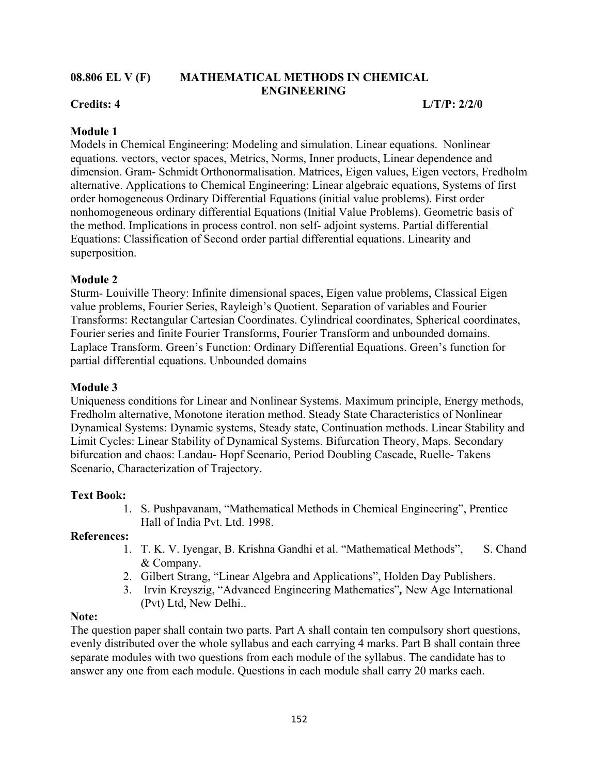### **08.806 EL V (F) MATHEMATICAL METHODS IN CHEMICAL ENGINEERING**

## **Credits: 4 L/T/P: 2/2/0**

## **Module 1**

Models in Chemical Engineering: Modeling and simulation. Linear equations. Nonlinear equations. vectors, vector spaces, Metrics, Norms, Inner products, Linear dependence and dimension. Gram- Schmidt Orthonormalisation. Matrices, Eigen values, Eigen vectors, Fredholm alternative. Applications to Chemical Engineering: Linear algebraic equations, Systems of first order homogeneous Ordinary Differential Equations (initial value problems). First order nonhomogeneous ordinary differential Equations (Initial Value Problems). Geometric basis of the method. Implications in process control. non self- adjoint systems. Partial differential Equations: Classification of Second order partial differential equations. Linearity and superposition.

## **Module 2**

Sturm- Louiville Theory: Infinite dimensional spaces, Eigen value problems, Classical Eigen value problems, Fourier Series, Rayleigh's Quotient. Separation of variables and Fourier Transforms: Rectangular Cartesian Coordinates. Cylindrical coordinates, Spherical coordinates, Fourier series and finite Fourier Transforms, Fourier Transform and unbounded domains. Laplace Transform. Green's Function: Ordinary Differential Equations. Green's function for partial differential equations. Unbounded domains

### **Module 3**

Uniqueness conditions for Linear and Nonlinear Systems. Maximum principle, Energy methods, Fredholm alternative, Monotone iteration method. Steady State Characteristics of Nonlinear Dynamical Systems: Dynamic systems, Steady state, Continuation methods. Linear Stability and Limit Cycles: Linear Stability of Dynamical Systems. Bifurcation Theory, Maps. Secondary bifurcation and chaos: Landau- Hopf Scenario, Period Doubling Cascade, Ruelle- Takens Scenario, Characterization of Trajectory.

### **Text Book:**

1. S. Pushpavanam, "Mathematical Methods in Chemical Engineering", Prentice Hall of India Pvt. Ltd. 1998.

### **References:**

- 1. T. K. V. Iyengar, B. Krishna Gandhi et al. "Mathematical Methods", S. Chand & Company.
- 2. Gilbert Strang, "Linear Algebra and Applications", Holden Day Publishers.
- 3. Irvin Kreyszig, "Advanced Engineering Mathematics"*,* New Age International (Pvt) Ltd, New Delhi..

### **Note:**

The question paper shall contain two parts. Part A shall contain ten compulsory short questions, evenly distributed over the whole syllabus and each carrying 4 marks. Part B shall contain three separate modules with two questions from each module of the syllabus. The candidate has to answer any one from each module. Questions in each module shall carry 20 marks each.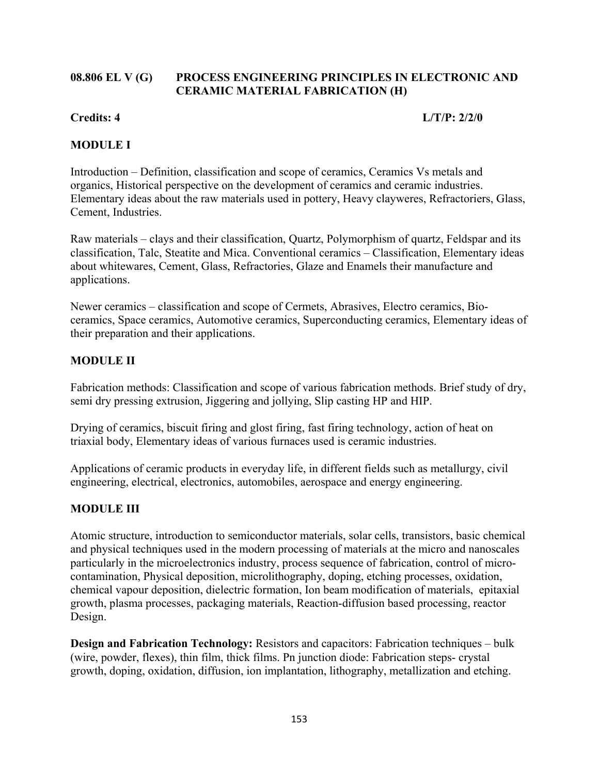## **08.806 EL V (G) PROCESS ENGINEERING PRINCIPLES IN ELECTRONIC AND CERAMIC MATERIAL FABRICATION (H)**

## **Credits: 4 L/T/P: 2/2/0**

## **MODULE I**

Introduction – Definition, classification and scope of ceramics, Ceramics Vs metals and organics, Historical perspective on the development of ceramics and ceramic industries. Elementary ideas about the raw materials used in pottery, Heavy clayweres, Refractoriers, Glass, Cement, Industries.

Raw materials – clays and their classification, Quartz, Polymorphism of quartz, Feldspar and its classification, Talc, Steatite and Mica. Conventional ceramics – Classification, Elementary ideas about whitewares, Cement, Glass, Refractories, Glaze and Enamels their manufacture and applications.

Newer ceramics – classification and scope of Cermets, Abrasives, Electro ceramics, Bioceramics, Space ceramics, Automotive ceramics, Superconducting ceramics, Elementary ideas of their preparation and their applications.

# **MODULE II**

Fabrication methods: Classification and scope of various fabrication methods. Brief study of dry, semi dry pressing extrusion, Jiggering and jollying, Slip casting HP and HIP.

Drying of ceramics, biscuit firing and glost firing, fast firing technology, action of heat on triaxial body, Elementary ideas of various furnaces used is ceramic industries.

Applications of ceramic products in everyday life, in different fields such as metallurgy, civil engineering, electrical, electronics, automobiles, aerospace and energy engineering.

## **MODULE III**

Atomic structure, introduction to semiconductor materials, solar cells, transistors, basic chemical and physical techniques used in the modern processing of materials at the micro and nanoscales particularly in the microelectronics industry, process sequence of fabrication, control of microcontamination, Physical deposition, microlithography, doping, etching processes, oxidation, chemical vapour deposition, dielectric formation, Ion beam modification of materials, epitaxial growth, plasma processes, packaging materials, Reaction-diffusion based processing, reactor Design.

**Design and Fabrication Technology:** Resistors and capacitors: Fabrication techniques – bulk (wire, powder, flexes), thin film, thick films. Pn junction diode: Fabrication steps- crystal growth, doping, oxidation, diffusion, ion implantation, lithography, metallization and etching.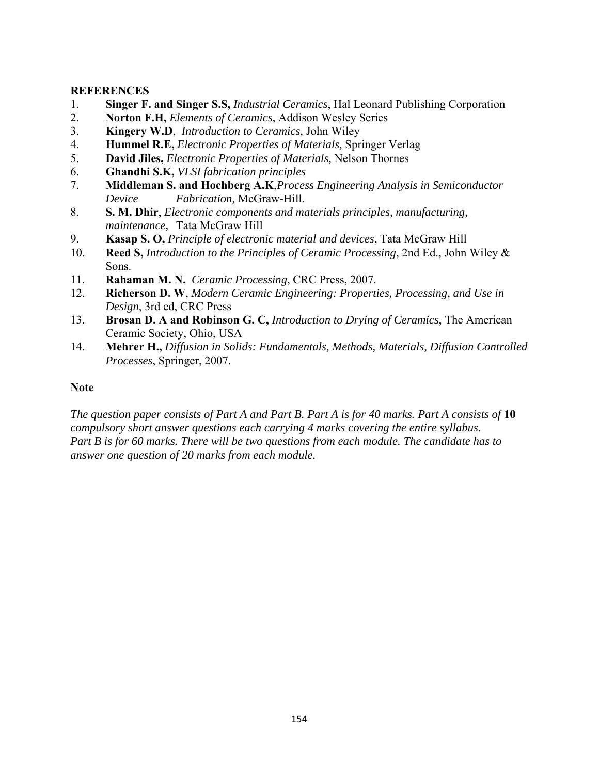#### **REFERENCES**

- 1. **Singer F. and Singer S.S,** *Industrial Ceramics*, Hal Leonard Publishing Corporation
- 2. **Norton F.H,** *Elements of Ceramics*, Addison Wesley Series
- 3. **Kingery W.D**, *Introduction to Ceramics,* John Wiley
- 4. **Hummel R.E,** *Electronic Properties of Materials,* Springer Verlag
- 5. **David Jiles,** *Electronic Properties of Materials,* Nelson Thornes
- 6. **Ghandhi S.K,** *VLSI fabrication principles*
- 7. **Middleman S. and Hochberg A.K**,*Process Engineering Analysis in Semiconductor Device Fabrication,* McGraw-Hill.
- 8. **S. M. Dhir**, *Electronic components and materials principles, manufacturing, maintenance,* Tata McGraw Hill
- 9. **Kasap S. O,** *Principle of electronic material and devices*, Tata McGraw Hill
- 10. **Reed S,** *Introduction to the Principles of Ceramic Processing*, 2nd Ed., John Wiley & Sons.
- 11. **Rahaman M. N.** *Ceramic Processing*, CRC Press, 2007.
- 12. **Richerson D. W**, *Modern Ceramic Engineering: Properties, Processing, and Use in Design*, 3rd ed, CRC Press
- 13. **Brosan D. A and Robinson G. C,** *Introduction to Drying of Ceramics*, The American Ceramic Society, Ohio, USA
- 14. **Mehrer H.,** *Diffusion in Solids: Fundamentals, Methods, Materials, Diffusion Controlled Processes*, Springer, 2007.

### **Note**

*The question paper consists of Part A and Part B. Part A is for 40 marks. Part A consists of* **10**  *compulsory short answer questions each carrying 4 marks covering the entire syllabus. Part B is for 60 marks. There will be two questions from each module. The candidate has to answer one question of 20 marks from each module.*